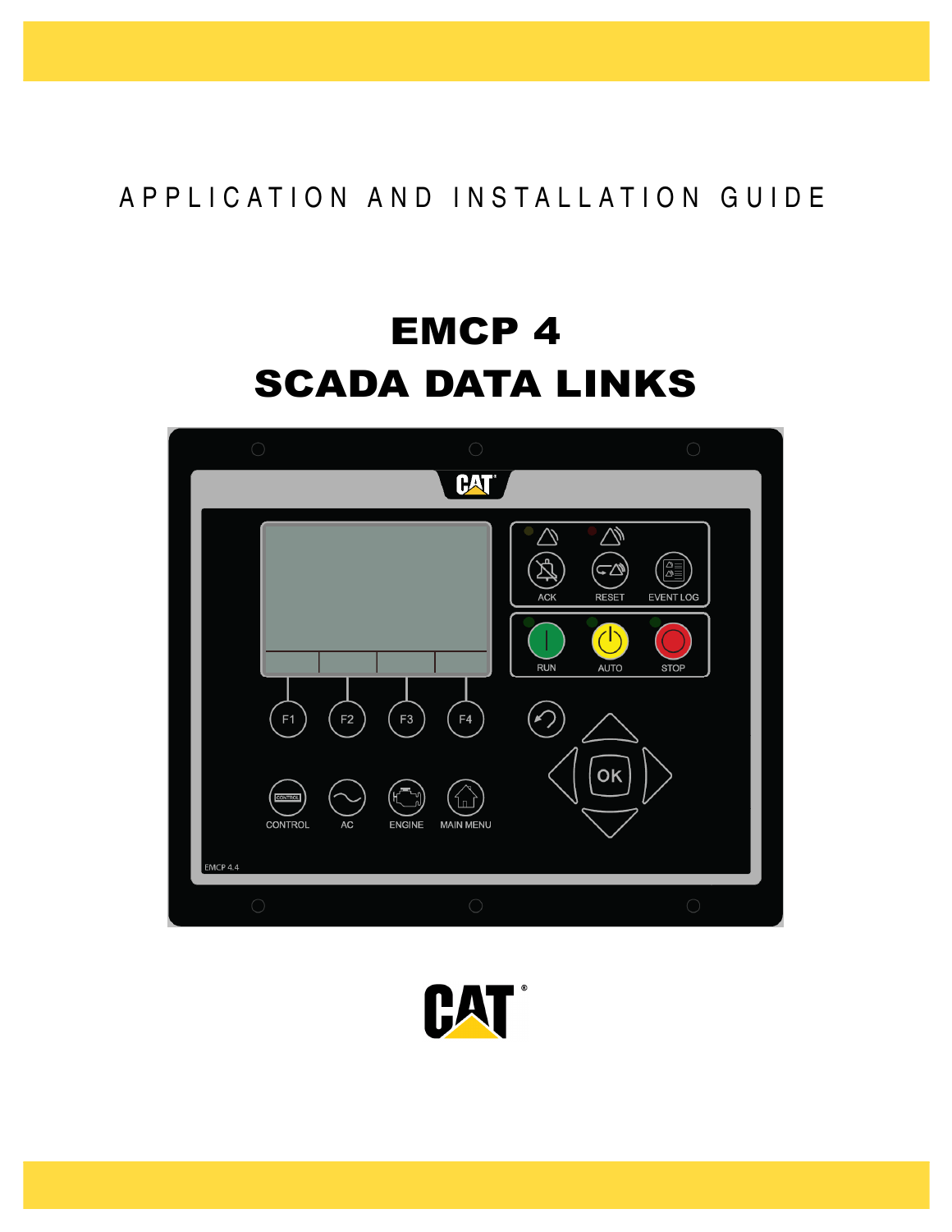## A P P L I C A T I O N A N D IN S T A L L A T I O N G U I D E

# EMCP 4 SCADA DATA LINKS



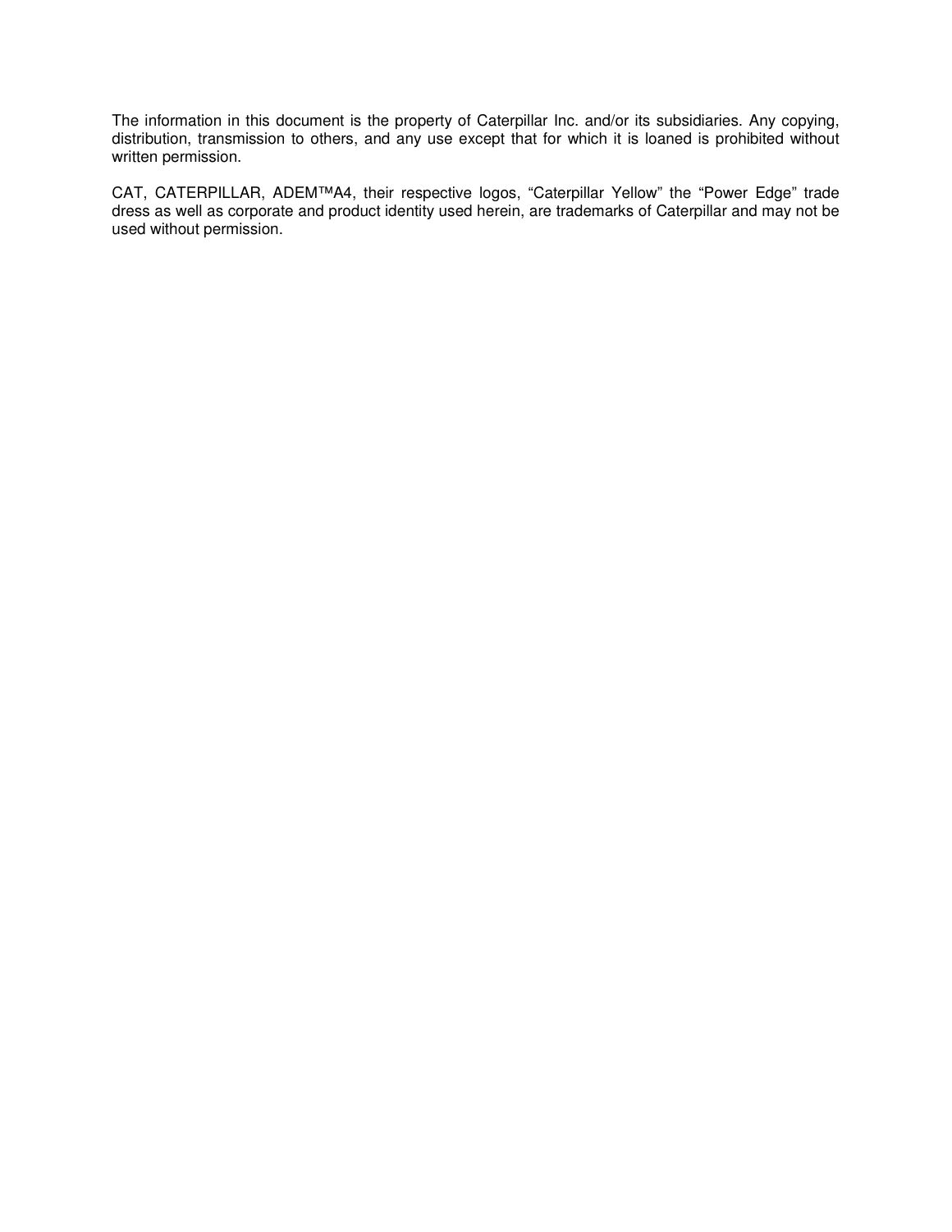The information in this document is the property of Caterpillar Inc. and/or its subsidiaries. Any copying, distribution, transmission to others, and any use except that for which it is loaned is prohibited without written permission.

CAT, CATERPILLAR, ADEM™A4, their respective logos, "Caterpillar Yellow" the "Power Edge" trade dress as well as corporate and product identity used herein, are trademarks of Caterpillar and may not be used without permission.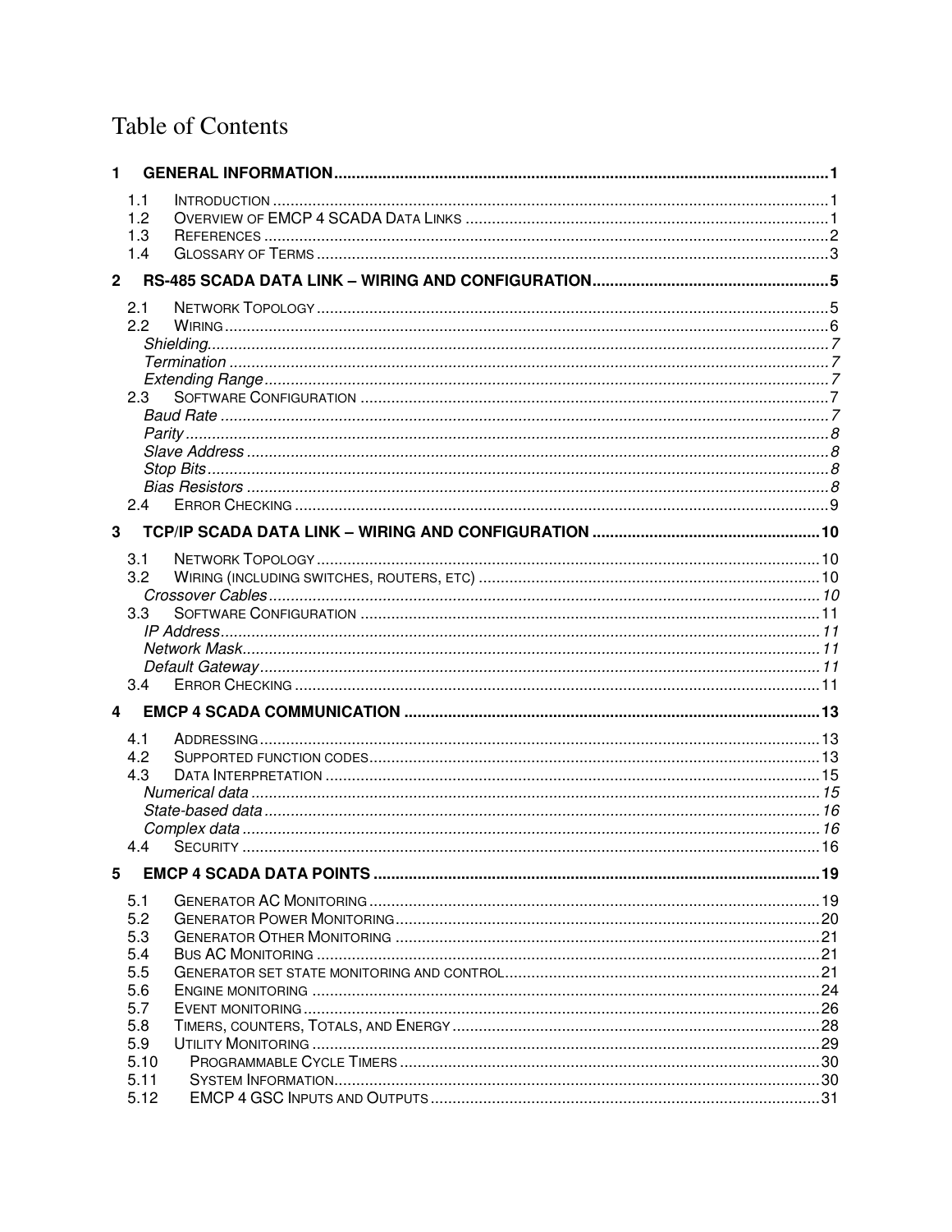## **Table of Contents**

| 1              |            |  |
|----------------|------------|--|
|                | 1.1        |  |
|                | 1.2        |  |
|                | 1.3        |  |
|                | 1.4        |  |
| $\overline{2}$ |            |  |
|                | 2.1        |  |
|                | 2.2        |  |
|                |            |  |
|                |            |  |
|                |            |  |
|                | $2.3-$     |  |
|                |            |  |
|                |            |  |
|                |            |  |
|                |            |  |
|                | 2.4        |  |
|                |            |  |
| 3              |            |  |
|                | 3.1        |  |
|                | 3.2        |  |
|                |            |  |
|                | 3.3        |  |
|                |            |  |
|                |            |  |
|                |            |  |
|                | 3.4        |  |
| 4              |            |  |
|                | 4.1        |  |
|                | 4.2        |  |
|                | 4.3        |  |
|                |            |  |
|                |            |  |
|                | 4.4        |  |
|                |            |  |
| 5              |            |  |
|                | 5.1        |  |
|                | 5.2        |  |
|                | 5.3        |  |
|                | 5.4        |  |
|                | 5.5        |  |
|                | 5.6<br>5.7 |  |
|                | 5.8        |  |
|                | 5.9        |  |
|                | 5.10       |  |
|                | 5.11       |  |
|                | 5.12       |  |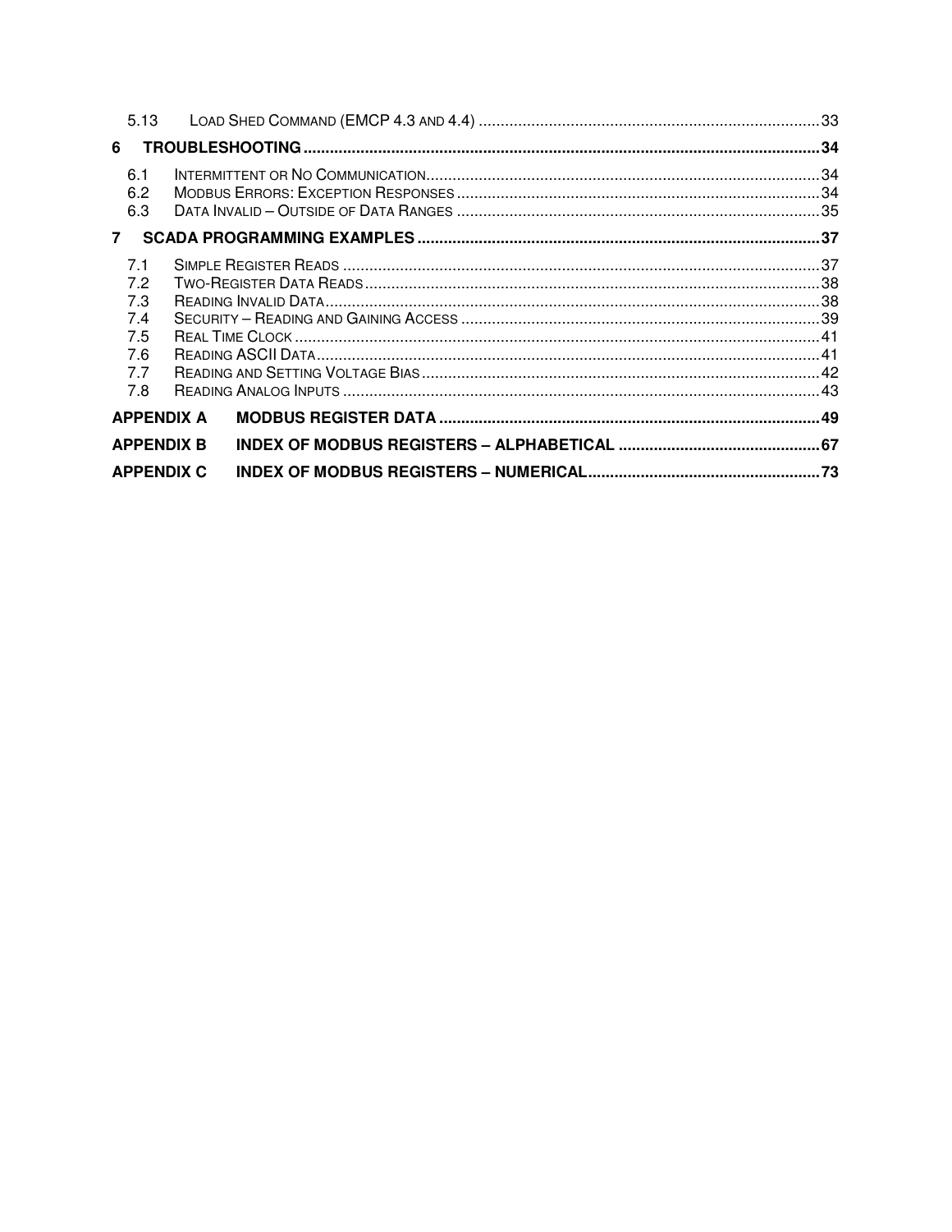| 5.13                                                 |                   |  |  |
|------------------------------------------------------|-------------------|--|--|
| 6                                                    |                   |  |  |
| 6.1<br>6.2<br>6.3                                    |                   |  |  |
| $\overline{7}$                                       |                   |  |  |
| 7.1<br>7.2<br>7.3<br>7.4<br>7.5<br>7.6<br>7.7<br>7.8 |                   |  |  |
| <b>APPENDIX A</b>                                    |                   |  |  |
|                                                      | <b>APPENDIX B</b> |  |  |
|                                                      | <b>APPENDIX C</b> |  |  |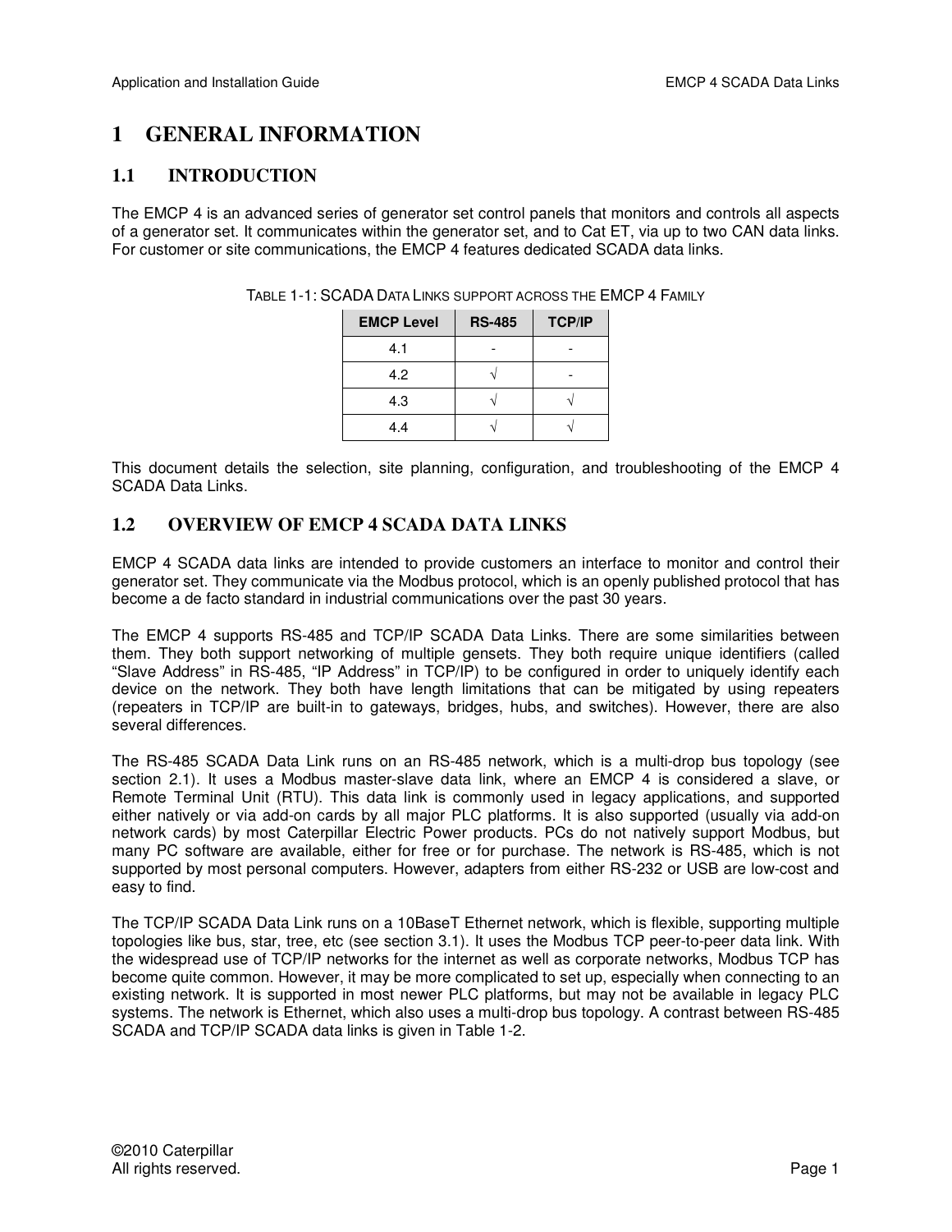## **1 GENERAL INFORMATION**

## **1.1 INTRODUCTION**

The EMCP 4 is an advanced series of generator set control panels that monitors and controls all aspects of a generator set. It communicates within the generator set, and to Cat ET, via up to two CAN data links. For customer or site communications, the EMCP 4 features dedicated SCADA data links.

| <b>EMCP Level</b> | <b>RS-485</b> | <b>TCP/IP</b> |
|-------------------|---------------|---------------|
| 4.1               |               |               |
| 4.2               |               |               |
| 4.3               |               |               |
| 4.4               |               |               |

TABLE 1-1: SCADA DATA LINKS SUPPORT ACROSS THE EMCP 4 FAMILY

This document details the selection, site planning, configuration, and troubleshooting of the EMCP 4 SCADA Data Links.

## **1.2 OVERVIEW OF EMCP 4 SCADA DATA LINKS**

EMCP 4 SCADA data links are intended to provide customers an interface to monitor and control their generator set. They communicate via the Modbus protocol, which is an openly published protocol that has become a de facto standard in industrial communications over the past 30 years.

The EMCP 4 supports RS-485 and TCP/IP SCADA Data Links. There are some similarities between them. They both support networking of multiple gensets. They both require unique identifiers (called "Slave Address" in RS-485, "IP Address" in TCP/IP) to be configured in order to uniquely identify each device on the network. They both have length limitations that can be mitigated by using repeaters (repeaters in TCP/IP are built-in to gateways, bridges, hubs, and switches). However, there are also several differences.

The RS-485 SCADA Data Link runs on an RS-485 network, which is a multi-drop bus topology (see section 2.1). It uses a Modbus master-slave data link, where an EMCP 4 is considered a slave, or Remote Terminal Unit (RTU). This data link is commonly used in legacy applications, and supported either natively or via add-on cards by all major PLC platforms. It is also supported (usually via add-on network cards) by most Caterpillar Electric Power products. PCs do not natively support Modbus, but many PC software are available, either for free or for purchase. The network is RS-485, which is not supported by most personal computers. However, adapters from either RS-232 or USB are low-cost and easy to find.

The TCP/IP SCADA Data Link runs on a 10BaseT Ethernet network, which is flexible, supporting multiple topologies like bus, star, tree, etc (see section 3.1). It uses the Modbus TCP peer-to-peer data link. With the widespread use of TCP/IP networks for the internet as well as corporate networks, Modbus TCP has become quite common. However, it may be more complicated to set up, especially when connecting to an existing network. It is supported in most newer PLC platforms, but may not be available in legacy PLC systems. The network is Ethernet, which also uses a multi-drop bus topology. A contrast between RS-485 SCADA and TCP/IP SCADA data links is given in Table 1-2.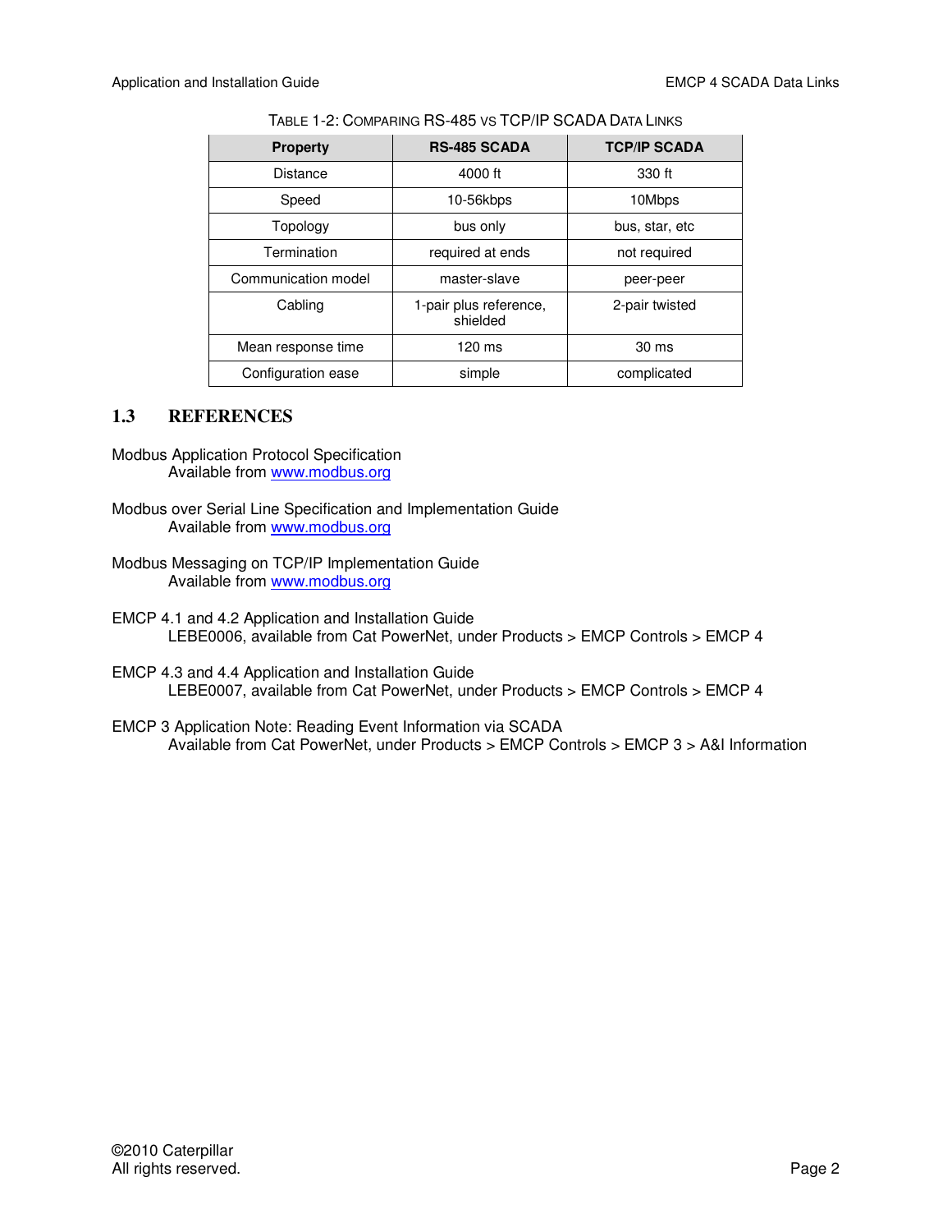#### TABLE 1-2: COMPARING RS-485 VS TCP/IP SCADA DATA LINKS

| <b>Property</b>     | <b>RS-485 SCADA</b>                | <b>TCP/IP SCADA</b> |
|---------------------|------------------------------------|---------------------|
| <b>Distance</b>     | 4000 ft                            | 330 ft              |
| Speed               | 10-56kbps                          | 10Mbps              |
| Topology            | bus only                           | bus, star, etc      |
| Termination         | required at ends                   | not required        |
| Communication model | master-slave                       | peer-peer           |
| Cabling             | 1-pair plus reference,<br>shielded | 2-pair twisted      |
| Mean response time  | 120 ms                             | 30 ms               |
| Configuration ease  | simple                             | complicated         |

## **1.3 REFERENCES**

- Modbus Application Protocol Specification Available from www.modbus.org
- Modbus over Serial Line Specification and Implementation Guide Available from www.modbus.org
- Modbus Messaging on TCP/IP Implementation Guide Available from www.modbus.org
- EMCP 4.1 and 4.2 Application and Installation Guide LEBE0006, available from Cat PowerNet, under Products > EMCP Controls > EMCP 4
- EMCP 4.3 and 4.4 Application and Installation Guide LEBE0007, available from Cat PowerNet, under Products > EMCP Controls > EMCP 4
- EMCP 3 Application Note: Reading Event Information via SCADA Available from Cat PowerNet, under Products > EMCP Controls > EMCP 3 > A&I Information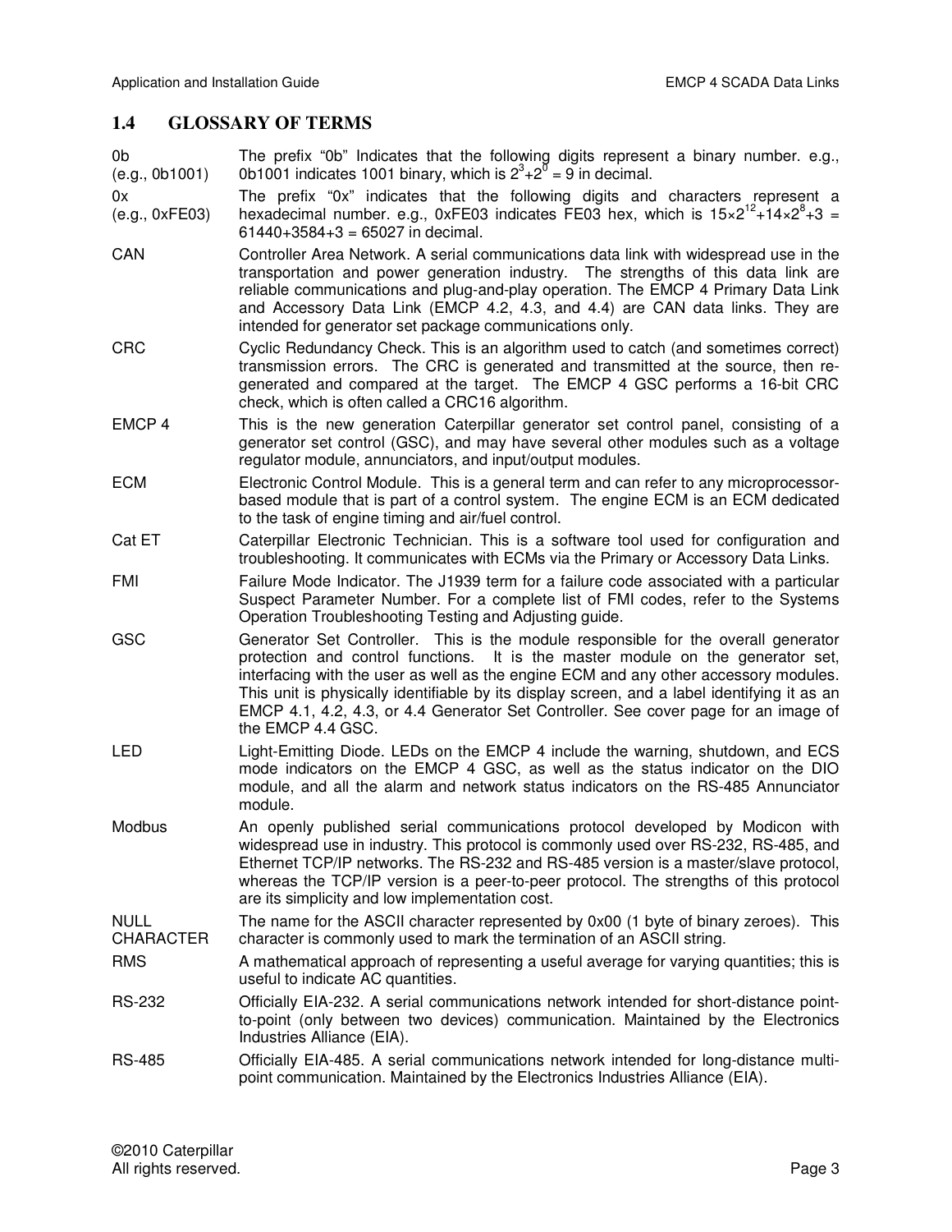## **1.4 GLOSSARY OF TERMS**

0b (e.g., 0b1001) The prefix "0b" Indicates that the following digits represent a binary number. e.g., 0b1001 indicates 1001 binary, which is  $2^3 + 2^8 = 9$  in decimal.

0x (e.g., 0xFE03) The prefix "0x" indicates that the following digits and characters represent a hexadecimal number. e.g., 0xFE03 indicates FE03 hex, which is  $15 \times 2^{12} + 14 \times 2^{8} + 3 =$  $61440+3584+3 = 65027$  in decimal.

- CAN Controller Area Network. A serial communications data link with widespread use in the transportation and power generation industry. The strengths of this data link are reliable communications and plug-and-play operation. The EMCP 4 Primary Data Link and Accessory Data Link (EMCP 4.2, 4.3, and 4.4) are CAN data links. They are intended for generator set package communications only.
- CRC Cyclic Redundancy Check. This is an algorithm used to catch (and sometimes correct) transmission errors. The CRC is generated and transmitted at the source, then regenerated and compared at the target. The EMCP 4 GSC performs a 16-bit CRC check, which is often called a CRC16 algorithm.
- EMCP 4 This is the new generation Caterpillar generator set control panel, consisting of a generator set control (GSC), and may have several other modules such as a voltage regulator module, annunciators, and input/output modules.
- ECM Electronic Control Module. This is a general term and can refer to any microprocessorbased module that is part of a control system. The engine ECM is an ECM dedicated to the task of engine timing and air/fuel control.
- Cat ET Caterpillar Electronic Technician. This is a software tool used for configuration and troubleshooting. It communicates with ECMs via the Primary or Accessory Data Links.
- FMI Failure Mode Indicator. The J1939 term for a failure code associated with a particular Suspect Parameter Number. For a complete list of FMI codes, refer to the Systems Operation Troubleshooting Testing and Adjusting guide.
- GSC Generator Set Controller. This is the module responsible for the overall generator protection and control functions. It is the master module on the generator set, interfacing with the user as well as the engine ECM and any other accessory modules. This unit is physically identifiable by its display screen, and a label identifying it as an EMCP 4.1, 4.2, 4.3, or 4.4 Generator Set Controller. See cover page for an image of the EMCP 4.4 GSC.
- LED Light-Emitting Diode. LEDs on the EMCP 4 include the warning, shutdown, and ECS mode indicators on the EMCP 4 GSC, as well as the status indicator on the DIO module, and all the alarm and network status indicators on the RS-485 Annunciator module.
- Modbus An openly published serial communications protocol developed by Modicon with widespread use in industry. This protocol is commonly used over RS-232, RS-485, and Ethernet TCP/IP networks. The RS-232 and RS-485 version is a master/slave protocol, whereas the TCP/IP version is a peer-to-peer protocol. The strengths of this protocol are its simplicity and low implementation cost.
- NULL CHARACTER The name for the ASCII character represented by 0x00 (1 byte of binary zeroes). This character is commonly used to mark the termination of an ASCII string.
- RMS A mathematical approach of representing a useful average for varying quantities; this is useful to indicate AC quantities.
- RS-232 Officially EIA-232. A serial communications network intended for short-distance pointto-point (only between two devices) communication. Maintained by the Electronics Industries Alliance (EIA).
- RS-485 Officially EIA-485. A serial communications network intended for long-distance multipoint communication. Maintained by the Electronics Industries Alliance (EIA).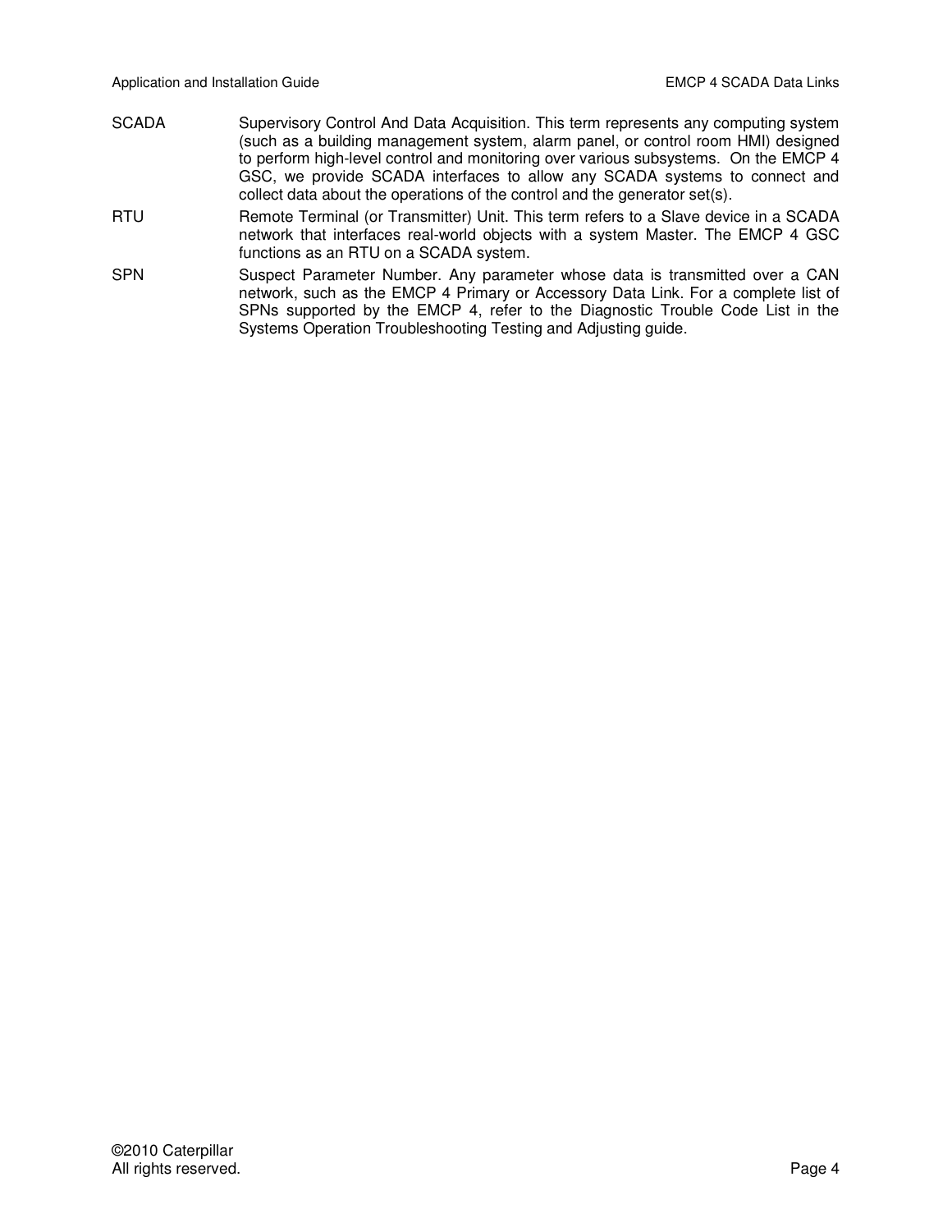- SCADA Supervisory Control And Data Acquisition. This term represents any computing system (such as a building management system, alarm panel, or control room HMI) designed to perform high-level control and monitoring over various subsystems. On the EMCP 4 GSC, we provide SCADA interfaces to allow any SCADA systems to connect and collect data about the operations of the control and the generator set(s).
- RTU Remote Terminal (or Transmitter) Unit. This term refers to a Slave device in a SCADA network that interfaces real-world objects with a system Master. The EMCP 4 GSC functions as an RTU on a SCADA system.
- SPN Suspect Parameter Number. Any parameter whose data is transmitted over a CAN network, such as the EMCP 4 Primary or Accessory Data Link. For a complete list of SPNs supported by the EMCP 4, refer to the Diagnostic Trouble Code List in the Systems Operation Troubleshooting Testing and Adjusting guide.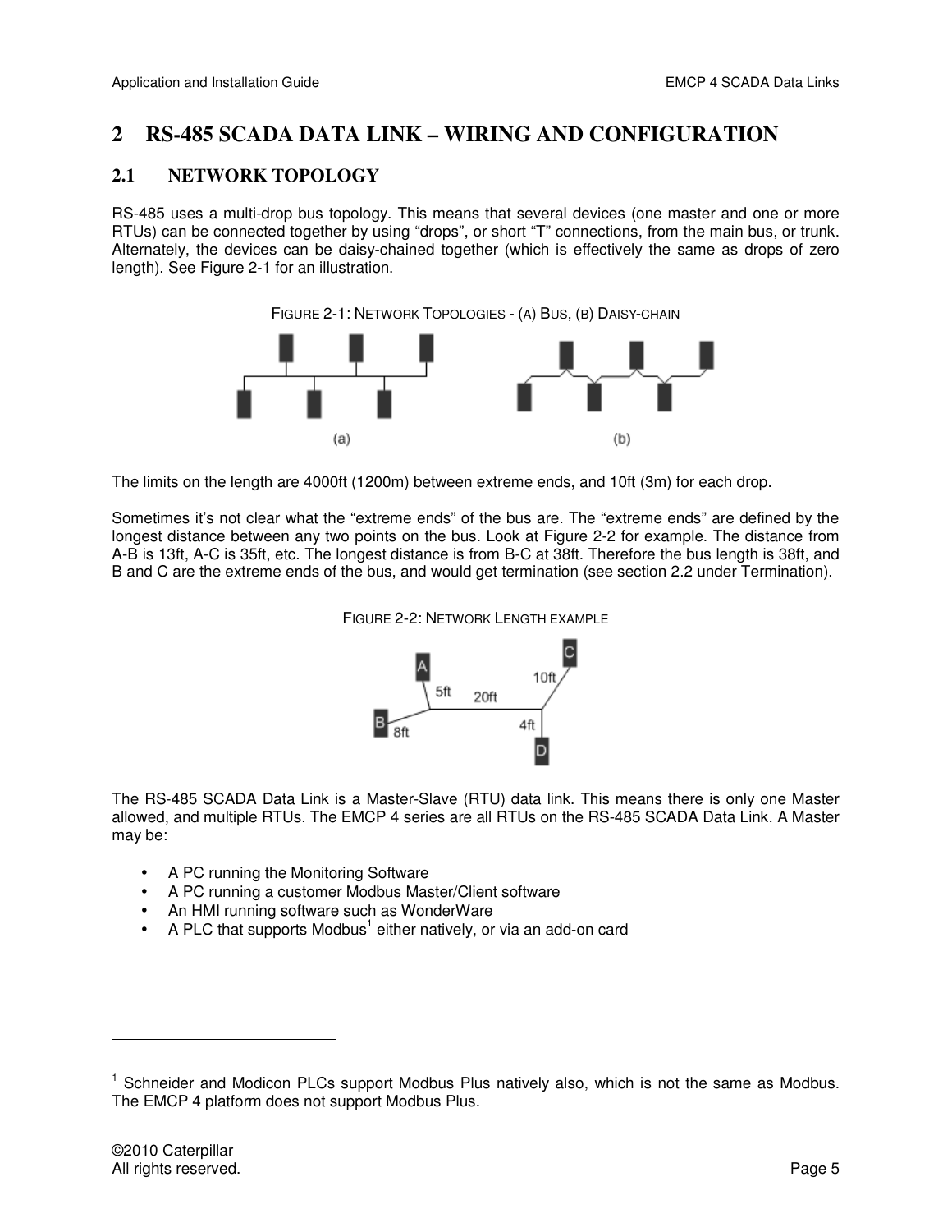## **2 RS-485 SCADA DATA LINK – WIRING AND CONFIGURATION**

## **2.1 NETWORK TOPOLOGY**

RS-485 uses a multi-drop bus topology. This means that several devices (one master and one or more RTUs) can be connected together by using "drops", or short "T" connections, from the main bus, or trunk. Alternately, the devices can be daisy-chained together (which is effectively the same as drops of zero length). See Figure 2-1 for an illustration.

FIGURE 2-1: NETWORK TOPOLOGIES - (A) BUS, (B) DAISY-CHAIN



The limits on the length are 4000ft (1200m) between extreme ends, and 10ft (3m) for each drop.

Sometimes it's not clear what the "extreme ends" of the bus are. The "extreme ends" are defined by the longest distance between any two points on the bus. Look at Figure 2-2 for example. The distance from A-B is 13ft, A-C is 35ft, etc. The longest distance is from B-C at 38ft. Therefore the bus length is 38ft, and B and C are the extreme ends of the bus, and would get termination (see section 2.2 under Termination).

FIGURE 2-2: NETWORK LENGTH EXAMPLE



The RS-485 SCADA Data Link is a Master-Slave (RTU) data link. This means there is only one Master allowed, and multiple RTUs. The EMCP 4 series are all RTUs on the RS-485 SCADA Data Link. A Master may be:

- A PC running the Monitoring Software
- A PC running a customer Modbus Master/Client software
- An HMI running software such as WonderWare
- $\bullet$  A PLC that supports Modbus<sup>1</sup> either natively, or via an add-on card

-

<sup>&</sup>lt;sup>1</sup> Schneider and Modicon PLCs support Modbus Plus natively also, which is not the same as Modbus. The EMCP 4 platform does not support Modbus Plus.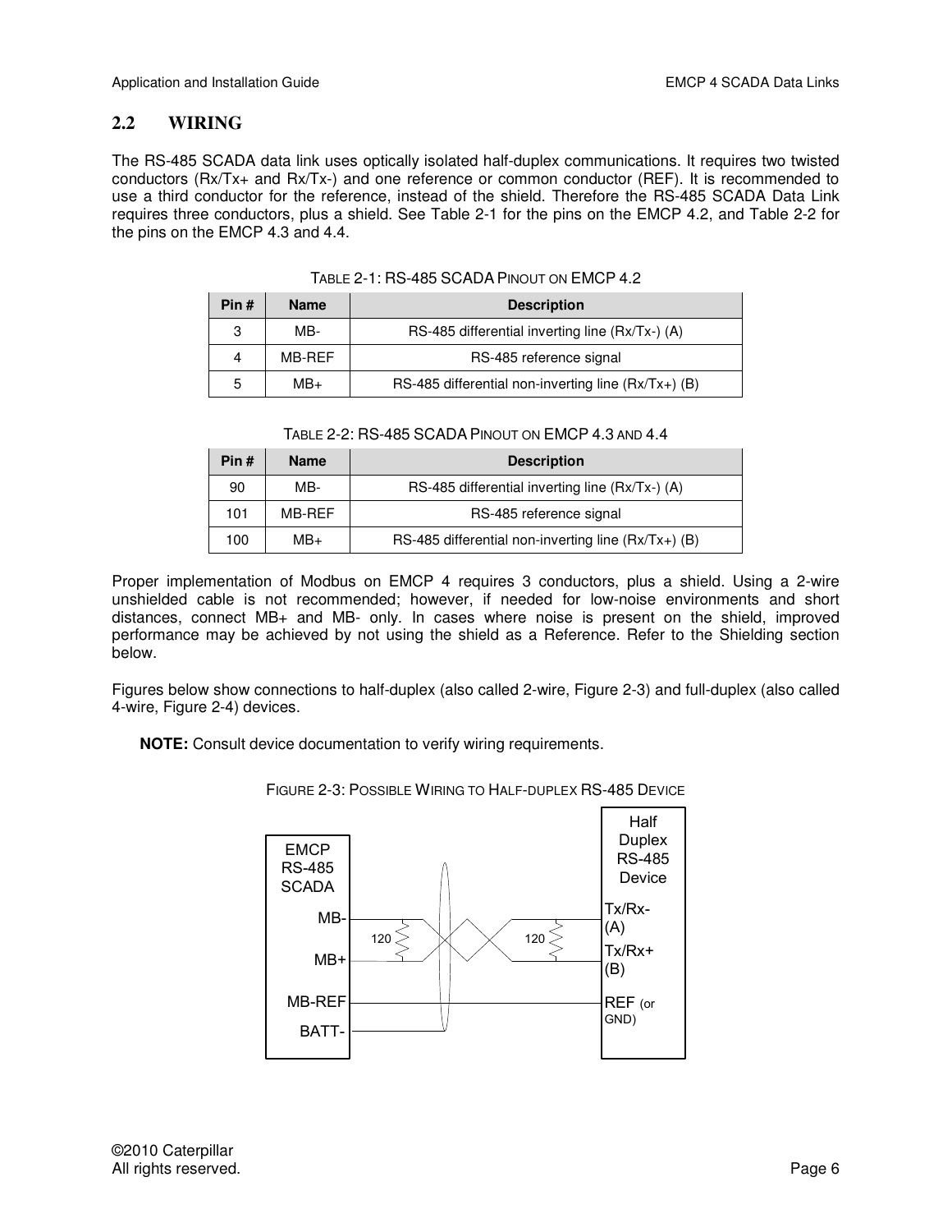## **2.2 WIRING**

The RS-485 SCADA data link uses optically isolated half-duplex communications. It requires two twisted conductors (Rx/Tx+ and Rx/Tx-) and one reference or common conductor (REF). It is recommended to use a third conductor for the reference, instead of the shield. Therefore the RS-485 SCADA Data Link requires three conductors, plus a shield. See Table 2-1 for the pins on the EMCP 4.2, and Table 2-2 for the pins on the EMCP 4.3 and 4.4.

| Pin# | <b>Name</b> | <b>Description</b>                                  |  |  |  |
|------|-------------|-----------------------------------------------------|--|--|--|
| 3    | MB-         | RS-485 differential inverting line (Rx/Tx-) (A)     |  |  |  |
| 4    | MB-RFF      | RS-485 reference signal                             |  |  |  |
| 5    | $MB+$       | RS-485 differential non-inverting line (Rx/Tx+) (B) |  |  |  |

| Pin# | <b>Name</b> | <b>Description</b>                                  |  |  |  |  |
|------|-------------|-----------------------------------------------------|--|--|--|--|
| 90   | MB-         | RS-485 differential inverting line (Rx/Tx-) (A)     |  |  |  |  |
| 101  | MB-RFF      | RS-485 reference signal                             |  |  |  |  |
| 100  | $MB+$       | RS-485 differential non-inverting line (Rx/Tx+) (B) |  |  |  |  |

Proper implementation of Modbus on EMCP 4 requires 3 conductors, plus a shield. Using a 2-wire unshielded cable is not recommended; however, if needed for low-noise environments and short distances, connect MB+ and MB- only. In cases where noise is present on the shield, improved performance may be achieved by not using the shield as a Reference. Refer to the Shielding section below.

Figures below show connections to half-duplex (also called 2-wire, Figure 2-3) and full-duplex (also called 4-wire, Figure 2-4) devices.

**NOTE:** Consult device documentation to verify wiring requirements.

Half **Duplex** RS-485 Device EMCP RS-485 **SCADA** Tx/Rx+ (B) Tx/Rx- (A) 120  $>$   $\forall$   $\times$  120  $>$ REF (or GND) MB-MB-REF MB+ BATT-

FIGURE 2-3: POSSIBLE WIRING TO HALF-DUPLEX RS-485 DEVICE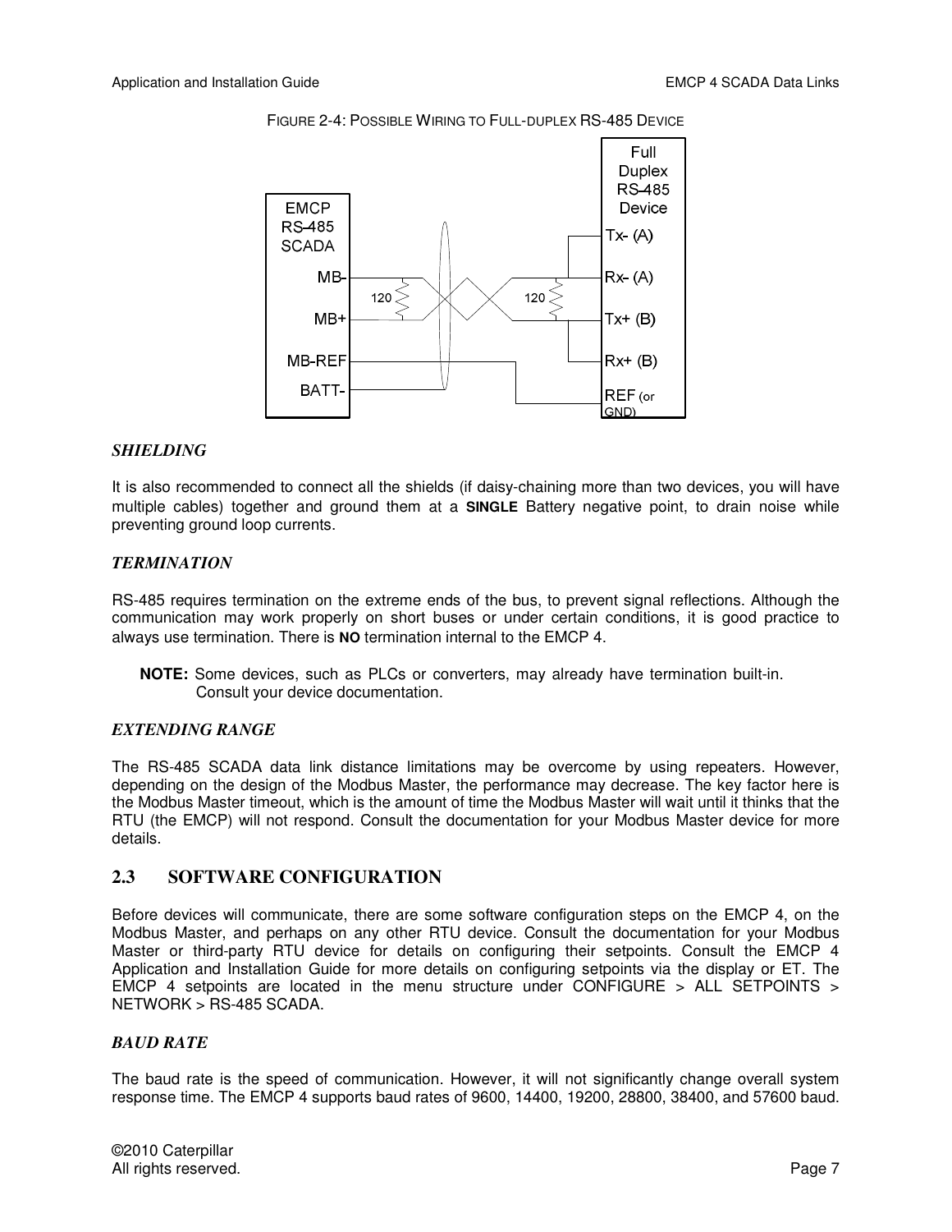

FIGURE 2-4: POSSIBLE WIRING TO FULL-DUPLEX RS-485 DEVICE

#### *SHIELDING*

It is also recommended to connect all the shields (if daisy-chaining more than two devices, you will have multiple cables) together and ground them at a **SINGLE** Battery negative point, to drain noise while preventing ground loop currents.

#### *TERMINATION*

RS-485 requires termination on the extreme ends of the bus, to prevent signal reflections. Although the communication may work properly on short buses or under certain conditions, it is good practice to always use termination. There is **NO** termination internal to the EMCP 4.

**NOTE:** Some devices, such as PLCs or converters, may already have termination built-in. Consult your device documentation.

#### *EXTENDING RANGE*

The RS-485 SCADA data link distance limitations may be overcome by using repeaters. However, depending on the design of the Modbus Master, the performance may decrease. The key factor here is the Modbus Master timeout, which is the amount of time the Modbus Master will wait until it thinks that the RTU (the EMCP) will not respond. Consult the documentation for your Modbus Master device for more details.

## **2.3 SOFTWARE CONFIGURATION**

Before devices will communicate, there are some software configuration steps on the EMCP 4, on the Modbus Master, and perhaps on any other RTU device. Consult the documentation for your Modbus Master or third-party RTU device for details on configuring their setpoints. Consult the EMCP 4 Application and Installation Guide for more details on configuring setpoints via the display or ET. The EMCP 4 setpoints are located in the menu structure under CONFIGURE  $>$  ALL SETPOINTS  $>$ NETWORK > RS-485 SCADA.

#### *BAUD RATE*

The baud rate is the speed of communication. However, it will not significantly change overall system response time. The EMCP 4 supports baud rates of 9600, 14400, 19200, 28800, 38400, and 57600 baud.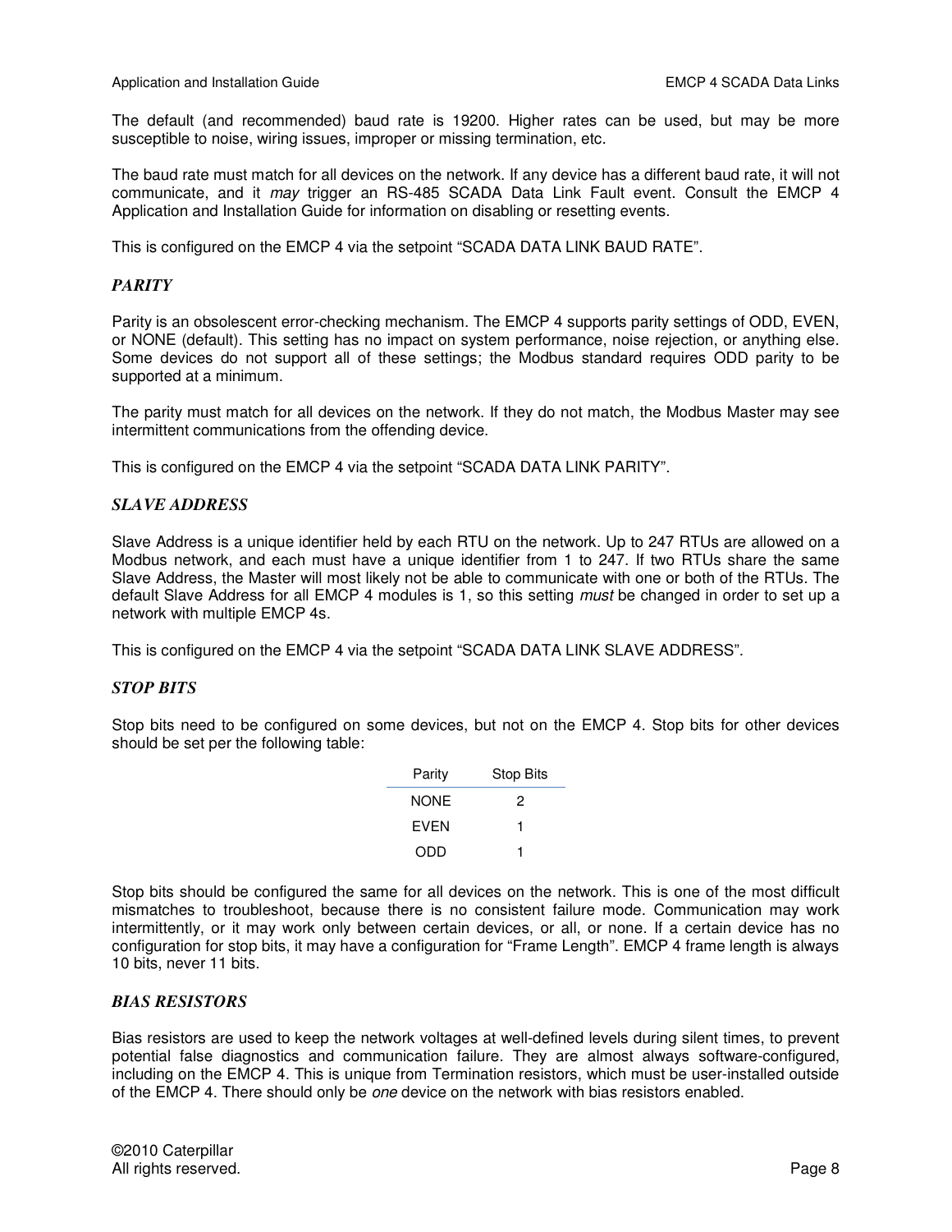The default (and recommended) baud rate is 19200. Higher rates can be used, but may be more susceptible to noise, wiring issues, improper or missing termination, etc.

The baud rate must match for all devices on the network. If any device has a different baud rate, it will not communicate, and it *may* trigger an RS-485 SCADA Data Link Fault event. Consult the EMCP 4 Application and Installation Guide for information on disabling or resetting events.

This is configured on the EMCP 4 via the setpoint "SCADA DATA LINK BAUD RATE".

#### *PARITY*

Parity is an obsolescent error-checking mechanism. The EMCP 4 supports parity settings of ODD, EVEN, or NONE (default). This setting has no impact on system performance, noise rejection, or anything else. Some devices do not support all of these settings; the Modbus standard requires ODD parity to be supported at a minimum.

The parity must match for all devices on the network. If they do not match, the Modbus Master may see intermittent communications from the offending device.

This is configured on the EMCP 4 via the setpoint "SCADA DATA LINK PARITY".

#### *SLAVE ADDRESS*

Slave Address is a unique identifier held by each RTU on the network. Up to 247 RTUs are allowed on a Modbus network, and each must have a unique identifier from 1 to 247. If two RTUs share the same Slave Address, the Master will most likely not be able to communicate with one or both of the RTUs. The default Slave Address for all EMCP 4 modules is 1, so this setting *must* be changed in order to set up a network with multiple EMCP 4s.

This is configured on the EMCP 4 via the setpoint "SCADA DATA LINK SLAVE ADDRESS".

#### *STOP BITS*

Stop bits need to be configured on some devices, but not on the EMCP 4. Stop bits for other devices should be set per the following table:

| Parity      | <b>Stop Bits</b> |
|-------------|------------------|
| <b>NONE</b> | 2                |
| <b>FVFN</b> | 1                |
| ODD         |                  |

Stop bits should be configured the same for all devices on the network. This is one of the most difficult mismatches to troubleshoot, because there is no consistent failure mode. Communication may work intermittently, or it may work only between certain devices, or all, or none. If a certain device has no configuration for stop bits, it may have a configuration for "Frame Length". EMCP 4 frame length is always 10 bits, never 11 bits.

#### *BIAS RESISTORS*

Bias resistors are used to keep the network voltages at well-defined levels during silent times, to prevent potential false diagnostics and communication failure. They are almost always software-configured, including on the EMCP 4. This is unique from Termination resistors, which must be user-installed outside of the EMCP 4. There should only be *one* device on the network with bias resistors enabled.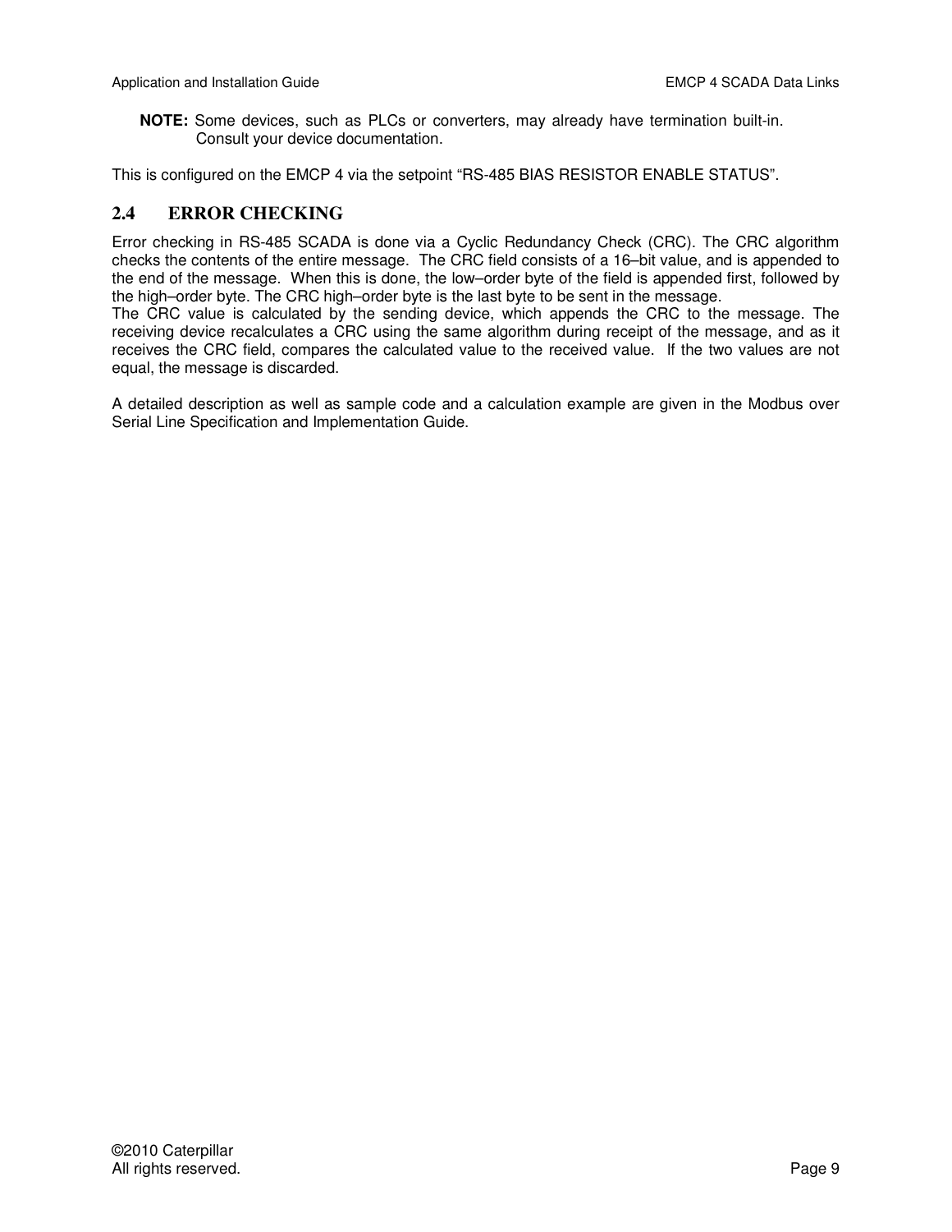**NOTE:** Some devices, such as PLCs or converters, may already have termination built-in. Consult your device documentation.

This is configured on the EMCP 4 via the setpoint "RS-485 BIAS RESISTOR ENABLE STATUS".

## **2.4 ERROR CHECKING**

Error checking in RS-485 SCADA is done via a Cyclic Redundancy Check (CRC). The CRC algorithm checks the contents of the entire message. The CRC field consists of a 16–bit value, and is appended to the end of the message. When this is done, the low–order byte of the field is appended first, followed by the high–order byte. The CRC high–order byte is the last byte to be sent in the message.

The CRC value is calculated by the sending device, which appends the CRC to the message. The receiving device recalculates a CRC using the same algorithm during receipt of the message, and as it receives the CRC field, compares the calculated value to the received value. If the two values are not equal, the message is discarded.

A detailed description as well as sample code and a calculation example are given in the Modbus over Serial Line Specification and Implementation Guide.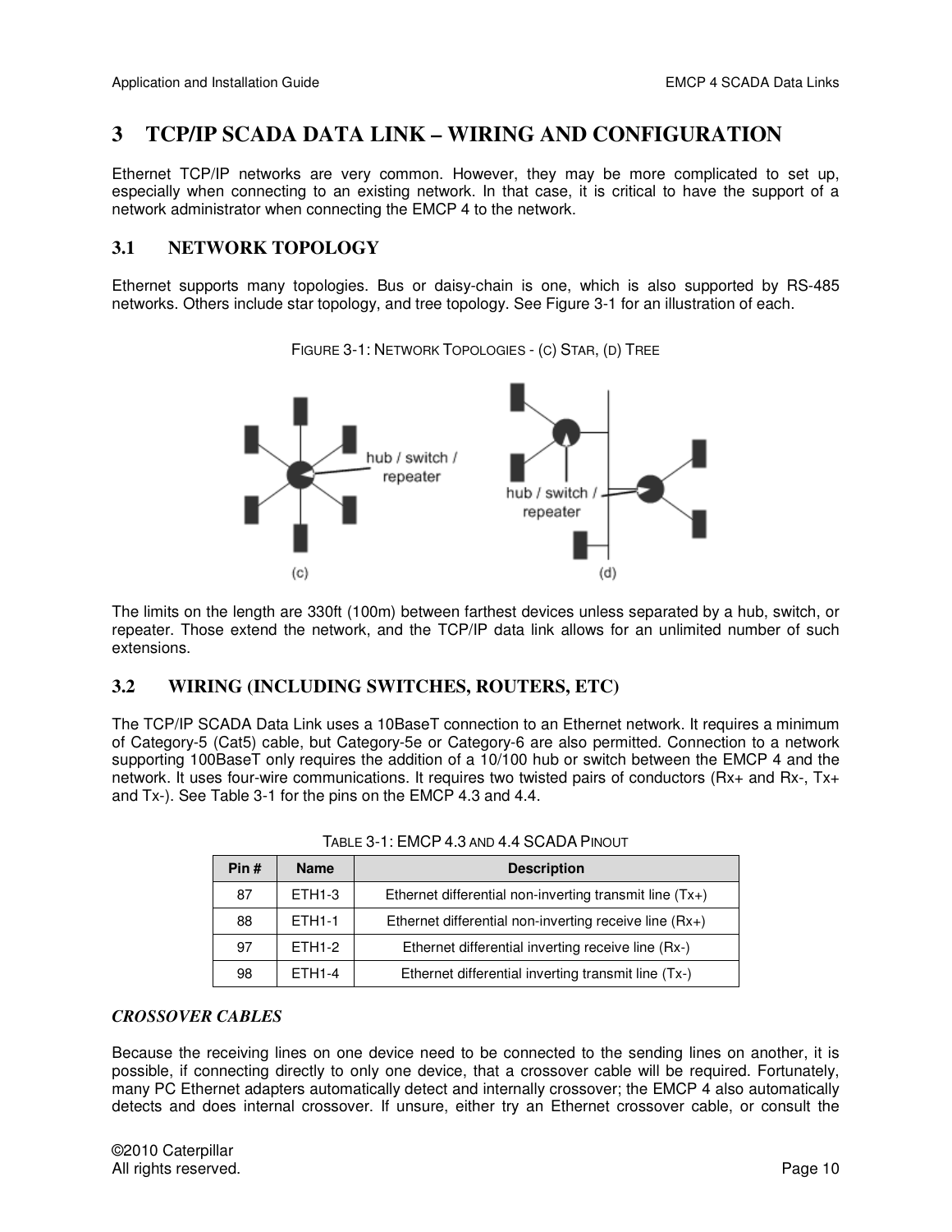## **3 TCP/IP SCADA DATA LINK – WIRING AND CONFIGURATION**

Ethernet TCP/IP networks are very common. However, they may be more complicated to set up, especially when connecting to an existing network. In that case, it is critical to have the support of a network administrator when connecting the EMCP 4 to the network.

## **3.1 NETWORK TOPOLOGY**

Ethernet supports many topologies. Bus or daisy-chain is one, which is also supported by RS-485 networks. Others include star topology, and tree topology. See Figure 3-1 for an illustration of each.



FIGURE 3-1: NETWORK TOPOLOGIES - (C) STAR, (D) TREE

The limits on the length are 330ft (100m) between farthest devices unless separated by a hub, switch, or repeater. Those extend the network, and the TCP/IP data link allows for an unlimited number of such extensions.

## **3.2 WIRING (INCLUDING SWITCHES, ROUTERS, ETC)**

The TCP/IP SCADA Data Link uses a 10BaseT connection to an Ethernet network. It requires a minimum of Category-5 (Cat5) cable, but Category-5e or Category-6 are also permitted. Connection to a network supporting 100BaseT only requires the addition of a 10/100 hub or switch between the EMCP 4 and the network. It uses four-wire communications. It requires two twisted pairs of conductors (Rx+ and Rx-, Tx+ and Tx-). See Table 3-1 for the pins on the EMCP 4.3 and 4.4.

| Pin#                | <b>Name</b>        | <b>Description</b>                                        |  |  |  |
|---------------------|--------------------|-----------------------------------------------------------|--|--|--|
| 87                  | ETH <sub>1-3</sub> | Ethernet differential non-inverting transmit line $(Tx+)$ |  |  |  |
| 88<br><b>FTH1-1</b> |                    | Ethernet differential non-inverting receive line $(Rx+)$  |  |  |  |
| 97                  | <b>FTH1-2</b>      | Ethernet differential inverting receive line (Rx-)        |  |  |  |
| 98                  | <b>FTH1-4</b>      | Ethernet differential inverting transmit line (Tx-)       |  |  |  |

#### *CROSSOVER CABLES*

Because the receiving lines on one device need to be connected to the sending lines on another, it is possible, if connecting directly to only one device, that a crossover cable will be required. Fortunately, many PC Ethernet adapters automatically detect and internally crossover; the EMCP 4 also automatically detects and does internal crossover. If unsure, either try an Ethernet crossover cable, or consult the

©2010 Caterpillar All rights reserved. **Page 10**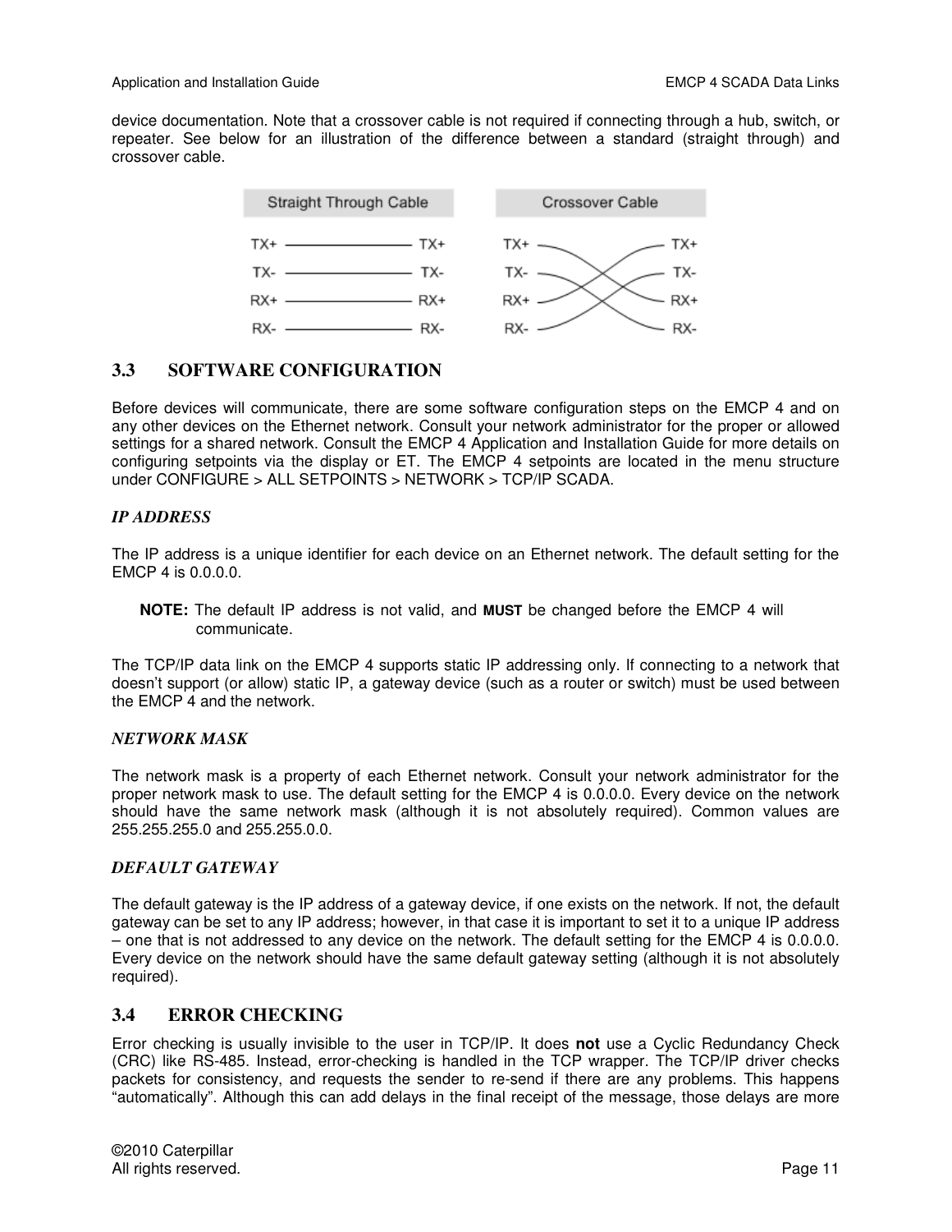device documentation. Note that a crossover cable is not required if connecting through a hub, switch, or repeater. See below for an illustration of the difference between a standard (straight through) and crossover cable.



## **3.3 SOFTWARE CONFIGURATION**

Before devices will communicate, there are some software configuration steps on the EMCP 4 and on any other devices on the Ethernet network. Consult your network administrator for the proper or allowed settings for a shared network. Consult the EMCP 4 Application and Installation Guide for more details on configuring setpoints via the display or ET. The EMCP 4 setpoints are located in the menu structure under CONFIGURE > ALL SETPOINTS > NETWORK > TCP/IP SCADA.

## *IP ADDRESS*

The IP address is a unique identifier for each device on an Ethernet network. The default setting for the EMCP 4 is 0.0.0.0.

**NOTE:** The default IP address is not valid, and **MUST** be changed before the EMCP 4 will communicate.

The TCP/IP data link on the EMCP 4 supports static IP addressing only. If connecting to a network that doesn't support (or allow) static IP, a gateway device (such as a router or switch) must be used between the EMCP 4 and the network.

## *NETWORK MASK*

The network mask is a property of each Ethernet network. Consult your network administrator for the proper network mask to use. The default setting for the EMCP 4 is 0.0.0.0. Every device on the network should have the same network mask (although it is not absolutely required). Common values are 255.255.255.0 and 255.255.0.0.

## *DEFAULT GATEWAY*

The default gateway is the IP address of a gateway device, if one exists on the network. If not, the default gateway can be set to any IP address; however, in that case it is important to set it to a unique IP address – one that is not addressed to any device on the network. The default setting for the EMCP 4 is 0.0.0.0. Every device on the network should have the same default gateway setting (although it is not absolutely required).

## **3.4 ERROR CHECKING**

Error checking is usually invisible to the user in TCP/IP. It does **not** use a Cyclic Redundancy Check (CRC) like RS-485. Instead, error-checking is handled in the TCP wrapper. The TCP/IP driver checks packets for consistency, and requests the sender to re-send if there are any problems. This happens "automatically". Although this can add delays in the final receipt of the message, those delays are more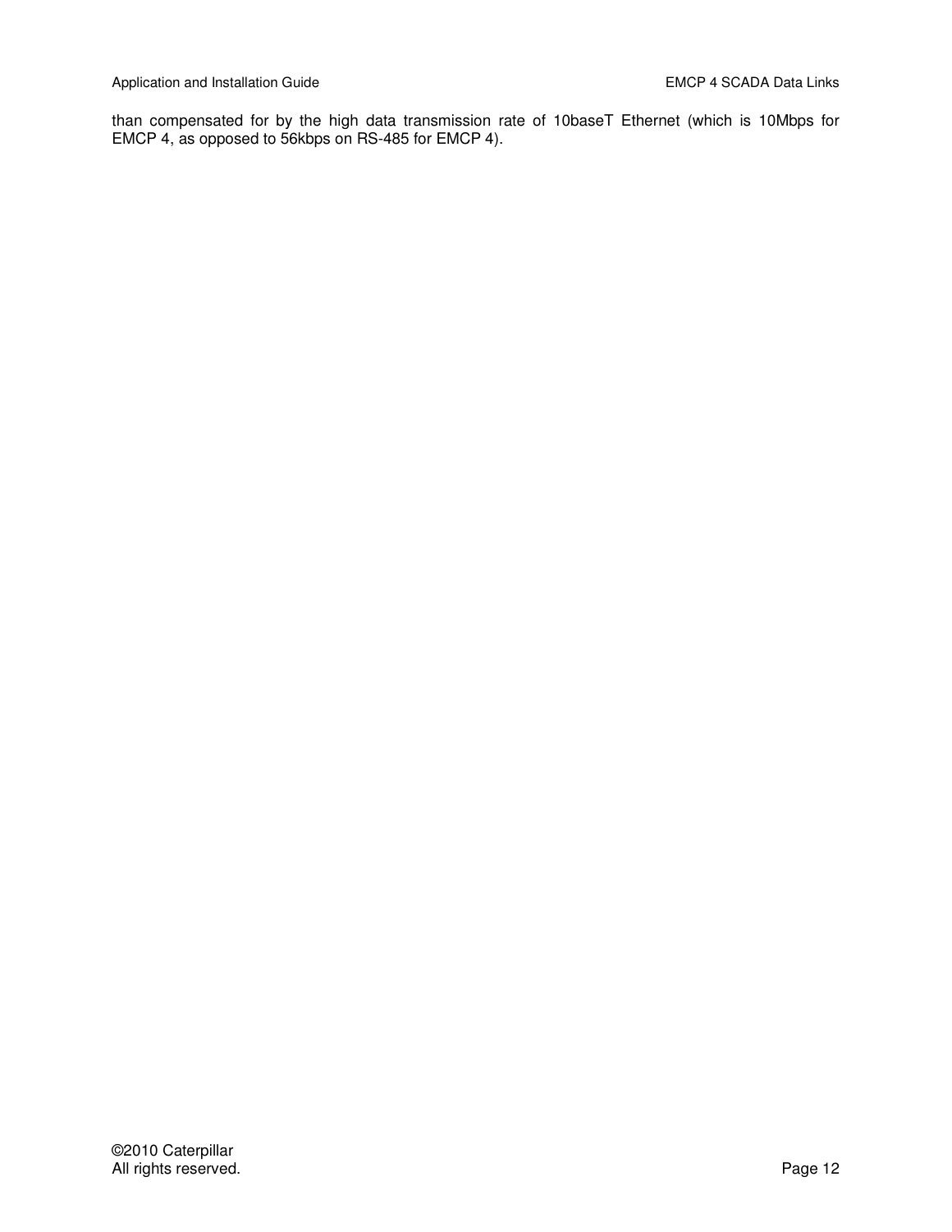than compensated for by the high data transmission rate of 10baseT Ethernet (which is 10Mbps for EMCP 4, as opposed to 56kbps on RS-485 for EMCP 4).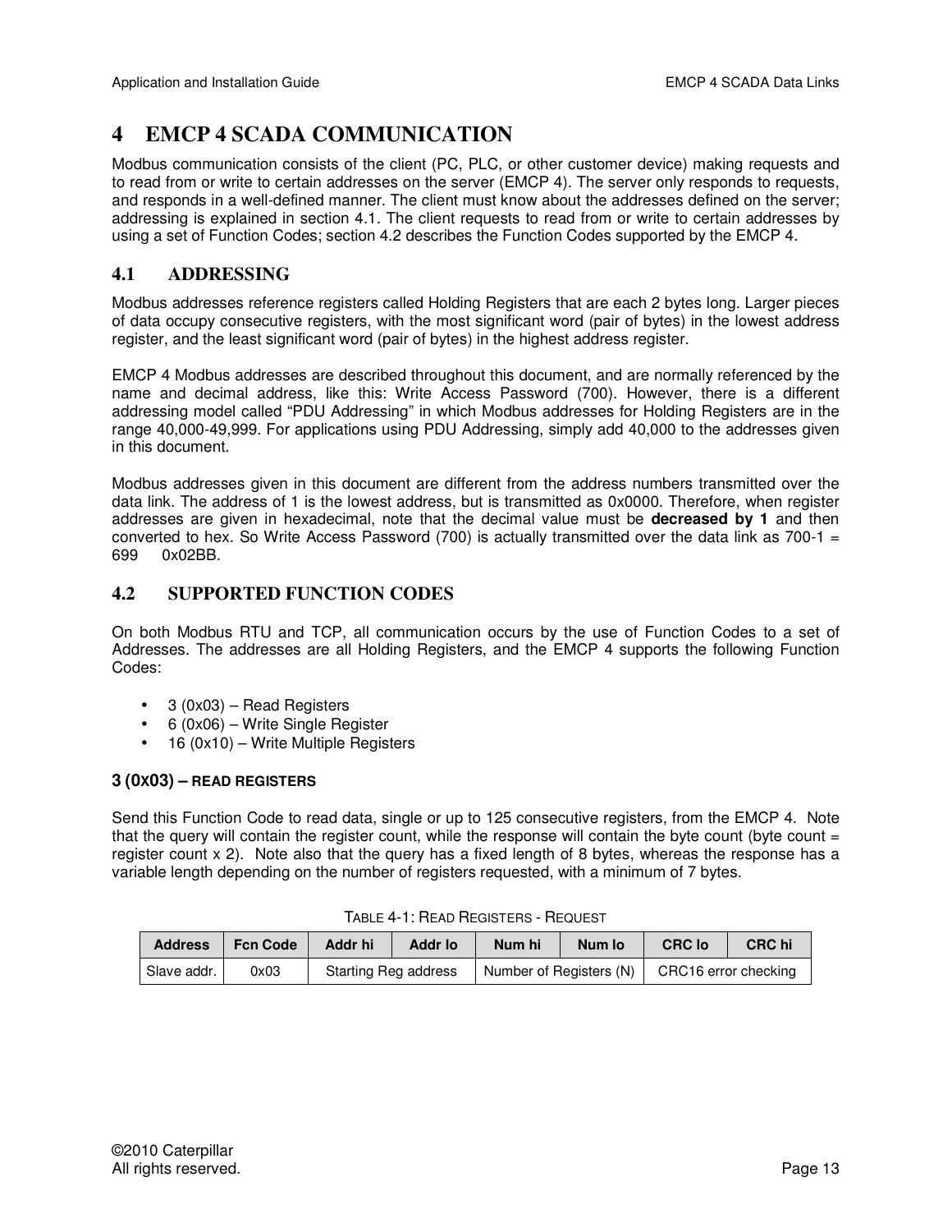## **4 EMCP 4 SCADA COMMUNICATION**

Modbus communication consists of the client (PC, PLC, or other customer device) making requests and to read from or write to certain addresses on the server (EMCP 4). The server only responds to requests, and responds in a well-defined manner. The client must know about the addresses defined on the server; addressing is explained in section 4.1. The client requests to read from or write to certain addresses by using a set of Function Codes; section 4.2 describes the Function Codes supported by the EMCP 4.

## **4.1 ADDRESSING**

Modbus addresses reference registers called Holding Registers that are each 2 bytes long. Larger pieces of data occupy consecutive registers, with the most significant word (pair of bytes) in the lowest address register, and the least significant word (pair of bytes) in the highest address register.

EMCP 4 Modbus addresses are described throughout this document, and are normally referenced by the name and decimal address, like this: Write Access Password (700). However, there is a different addressing model called "PDU Addressing" in which Modbus addresses for Holding Registers are in the range 40,000-49,999. For applications using PDU Addressing, simply add 40,000 to the addresses given in this document.

Modbus addresses given in this document are different from the address numbers transmitted over the data link. The address of 1 is the lowest address, but is transmitted as 0x0000. Therefore, when register addresses are given in hexadecimal, note that the decimal value must be **decreased by 1** and then converted to hex. So Write Access Password (700) is actually transmitted over the data link as 700-1  $=$ 699 0x02BB.

## **4.2 SUPPORTED FUNCTION CODES**

On both Modbus RTU and TCP, all communication occurs by the use of Function Codes to a set of Addresses. The addresses are all Holding Registers, and the EMCP 4 supports the following Function Codes:

- 3 (0x03) Read Registers
- 6 (0x06) Write Single Register
- 16 (0x10) Write Multiple Registers

## **3 (0X03) – READ REGISTERS**

Send this Function Code to read data, single or up to 125 consecutive registers, from the EMCP 4. Note that the query will contain the register count, while the response will contain the byte count (byte count  $=$ register count x 2). Note also that the query has a fixed length of 8 bytes, whereas the response has a variable length depending on the number of registers requested, with a minimum of 7 bytes.

| <b>Address</b> | <b>Fcn Code</b> | Addr hi                     | <b>Addr lo</b> | Num hi                  | Num lo | <b>CRC lo</b>        | <b>CRC</b> hi |  |
|----------------|-----------------|-----------------------------|----------------|-------------------------|--------|----------------------|---------------|--|
| Slave addr.    | 0x03            | <b>Starting Reg address</b> |                | Number of Registers (N) |        | CRC16 error checking |               |  |

## TABLE 4-1: READ REGISTERS - REQUEST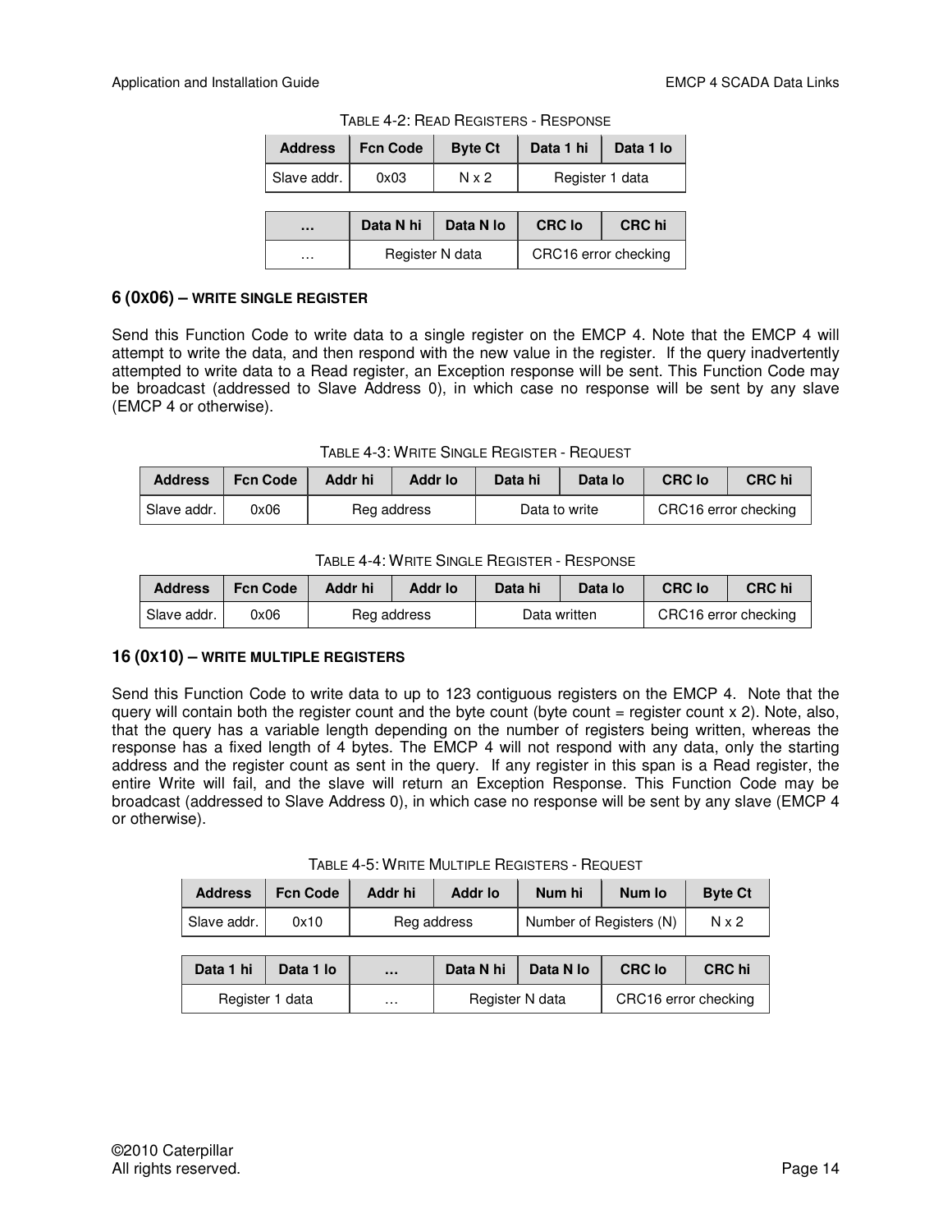| <b>Address</b> | <b>Fcn Code</b> | <b>Byte Ct</b> | Data 1 hi       | Data 1 lo |
|----------------|-----------------|----------------|-----------------|-----------|
| Slave addr.    | 0x03            | $N \times 2$   | Register 1 data |           |

TABLE 4-2: READ REGISTERS - RESPONSE

| $\cdots$ | Data N hi       | Data N lo | <b>CRC</b> lo        | <b>CRC</b> hi |
|----------|-----------------|-----------|----------------------|---------------|
| .        | Register N data |           | CRC16 error checking |               |

#### **6 (0X06) – WRITE SINGLE REGISTER**

Send this Function Code to write data to a single register on the EMCP 4. Note that the EMCP 4 will attempt to write the data, and then respond with the new value in the register. If the query inadvertently attempted to write data to a Read register, an Exception response will be sent. This Function Code may be broadcast (addressed to Slave Address 0), in which case no response will be sent by any slave (EMCP 4 or otherwise).

TABLE 4-3: WRITE SINGLE REGISTER - REQUEST

| <b>Address</b> | <b>Fcn Code</b> | Addr hi     | Addr Io | Data hi       | Data lo | <b>CRC</b> lo        | CRC hi |
|----------------|-----------------|-------------|---------|---------------|---------|----------------------|--------|
| Slave addr.    | 0x06            | Reg address |         | Data to write |         | CRC16 error checking |        |

| <b>Address</b> | <b>Fcn Code</b> | Addr hi     | Addr Io | Data hi      | Data lo | <b>CRC lo</b>        | <b>CRC</b> hi |
|----------------|-----------------|-------------|---------|--------------|---------|----------------------|---------------|
| Slave addr.    | 0x06            | Reg address |         | Data written |         | CRC16 error checking |               |

## **16 (0X10) – WRITE MULTIPLE REGISTERS**

Send this Function Code to write data to up to 123 contiguous registers on the EMCP 4. Note that the query will contain both the register count and the byte count (byte count  $=$  register count  $\times$  2). Note, also, that the query has a variable length depending on the number of registers being written, whereas the response has a fixed length of 4 bytes. The EMCP 4 will not respond with any data, only the starting address and the register count as sent in the query. If any register in this span is a Read register, the entire Write will fail, and the slave will return an Exception Response. This Function Code may be broadcast (addressed to Slave Address 0), in which case no response will be sent by any slave (EMCP 4 or otherwise).

| <b>Address</b> | <b>Fcn Code</b> | Addr hi     | <b>Addr lo</b> | Num hi                  | Num lo | <b>Byte Ct</b> |
|----------------|-----------------|-------------|----------------|-------------------------|--------|----------------|
| Slave addr.    | 0x10            | Reg address |                | Number of Registers (N) |        | N x 2          |

| Data 1 hi       | Data 1 lo | $\cdots$ | Data N hi       | Data N lo | <b>CRC lo</b>        | <b>CRC</b> hi |
|-----------------|-----------|----------|-----------------|-----------|----------------------|---------------|
| Register 1 data |           | $\cdots$ | Register N data |           | CRC16 error checking |               |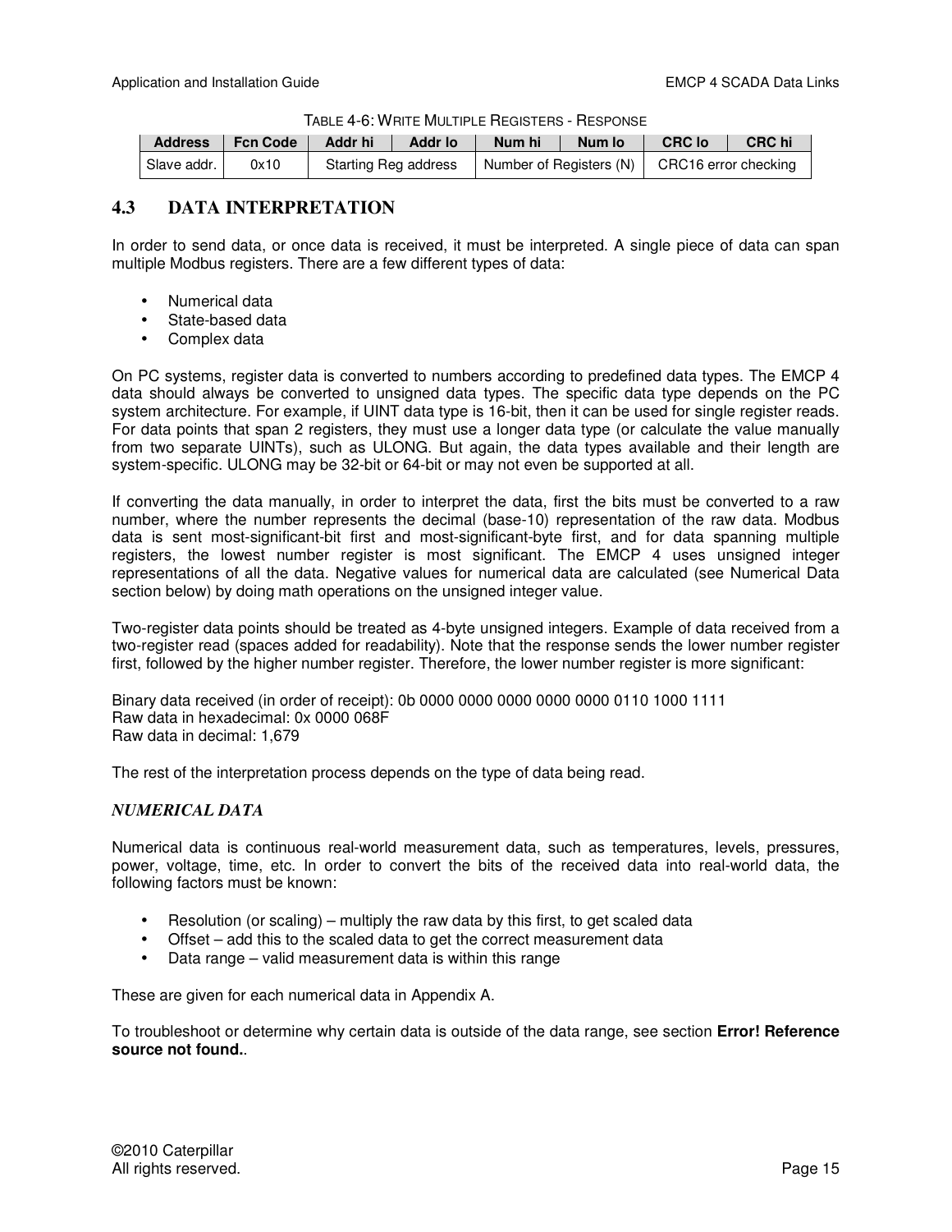TABLE 4-6: WRITE MULTIPLE REGISTERS - RESPONSE

| <b>Address</b> | <b>Fcn Code</b> | Addr hi              | <b>Addr lo</b> | Num hi                  | Num lo | <b>CRC</b> lo        | <b>CRC</b> hi |
|----------------|-----------------|----------------------|----------------|-------------------------|--------|----------------------|---------------|
| Slave addr.    | 0x10            | Starting Reg address |                | Number of Registers (N) |        | CRC16 error checking |               |

## **4.3 DATA INTERPRETATION**

In order to send data, or once data is received, it must be interpreted. A single piece of data can span multiple Modbus registers. There are a few different types of data:

- Numerical data
- State-based data
- Complex data

On PC systems, register data is converted to numbers according to predefined data types. The EMCP 4 data should always be converted to unsigned data types. The specific data type depends on the PC system architecture. For example, if UINT data type is 16-bit, then it can be used for single register reads. For data points that span 2 registers, they must use a longer data type (or calculate the value manually from two separate UINTs), such as ULONG. But again, the data types available and their length are system-specific. ULONG may be 32-bit or 64-bit or may not even be supported at all.

If converting the data manually, in order to interpret the data, first the bits must be converted to a raw number, where the number represents the decimal (base-10) representation of the raw data. Modbus data is sent most-significant-bit first and most-significant-byte first, and for data spanning multiple registers, the lowest number register is most significant. The EMCP 4 uses unsigned integer representations of all the data. Negative values for numerical data are calculated (see Numerical Data section below) by doing math operations on the unsigned integer value.

Two-register data points should be treated as 4-byte unsigned integers. Example of data received from a two-register read (spaces added for readability). Note that the response sends the lower number register first, followed by the higher number register. Therefore, the lower number register is more significant:

Binary data received (in order of receipt): 0b 0000 0000 0000 0000 0000 0110 1000 1111 Raw data in hexadecimal: 0x 0000 068F Raw data in decimal: 1,679

The rest of the interpretation process depends on the type of data being read.

## *NUMERICAL DATA*

Numerical data is continuous real-world measurement data, such as temperatures, levels, pressures, power, voltage, time, etc. In order to convert the bits of the received data into real-world data, the following factors must be known:

- Resolution (or scaling) multiply the raw data by this first, to get scaled data
- Offset add this to the scaled data to get the correct measurement data
- Data range valid measurement data is within this range

These are given for each numerical data in Appendix A.

To troubleshoot or determine why certain data is outside of the data range, see section **Error! Reference source not found.**.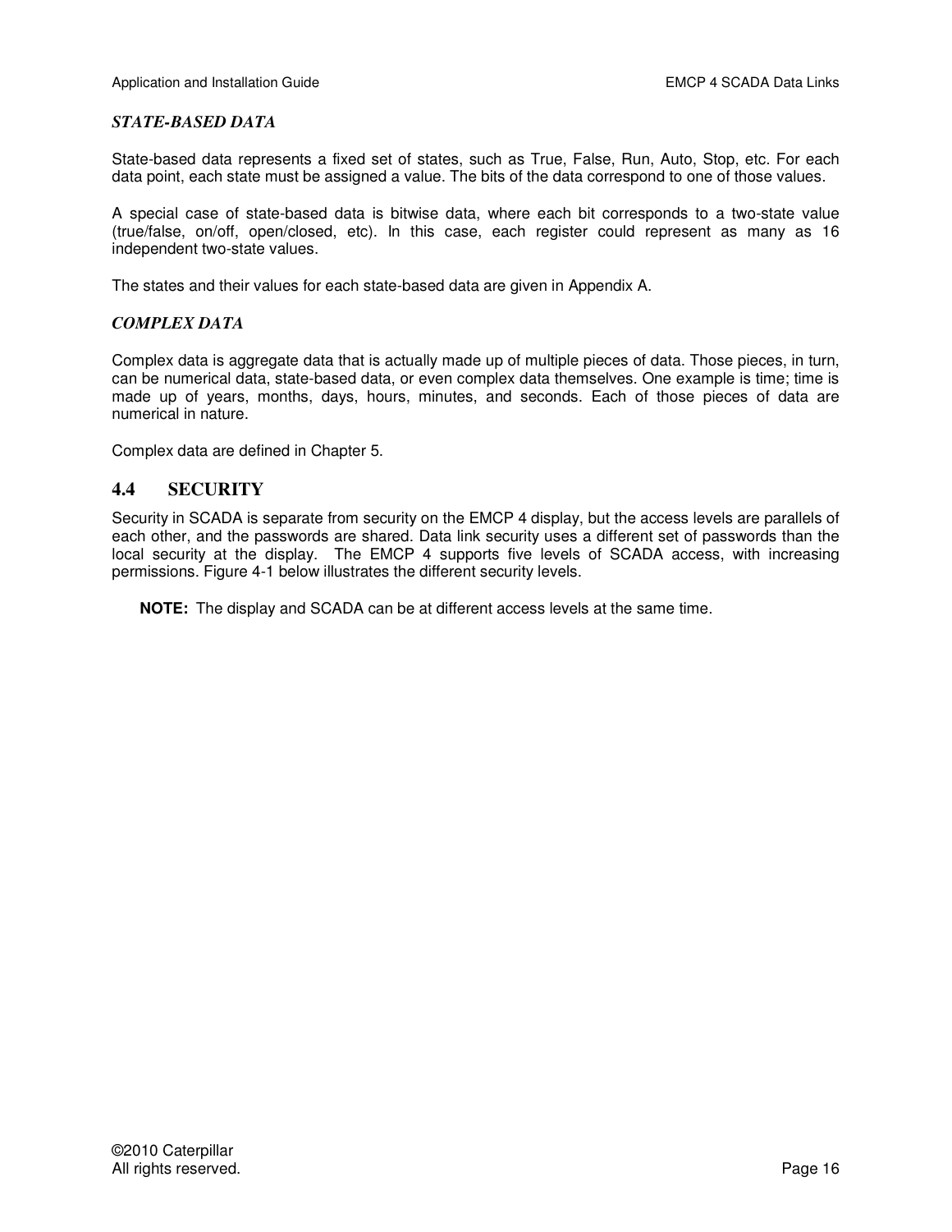#### *STATE-BASED DATA*

State-based data represents a fixed set of states, such as True, False, Run, Auto, Stop, etc. For each data point, each state must be assigned a value. The bits of the data correspond to one of those values.

A special case of state-based data is bitwise data, where each bit corresponds to a two-state value (true/false, on/off, open/closed, etc). In this case, each register could represent as many as 16 independent two-state values.

The states and their values for each state-based data are given in Appendix A.

#### *COMPLEX DATA*

Complex data is aggregate data that is actually made up of multiple pieces of data. Those pieces, in turn, can be numerical data, state-based data, or even complex data themselves. One example is time; time is made up of years, months, days, hours, minutes, and seconds. Each of those pieces of data are numerical in nature.

Complex data are defined in Chapter 5.

## **4.4 SECURITY**

Security in SCADA is separate from security on the EMCP 4 display, but the access levels are parallels of each other, and the passwords are shared. Data link security uses a different set of passwords than the local security at the display. The EMCP 4 supports five levels of SCADA access, with increasing permissions. Figure 4-1 below illustrates the different security levels.

**NOTE:** The display and SCADA can be at different access levels at the same time.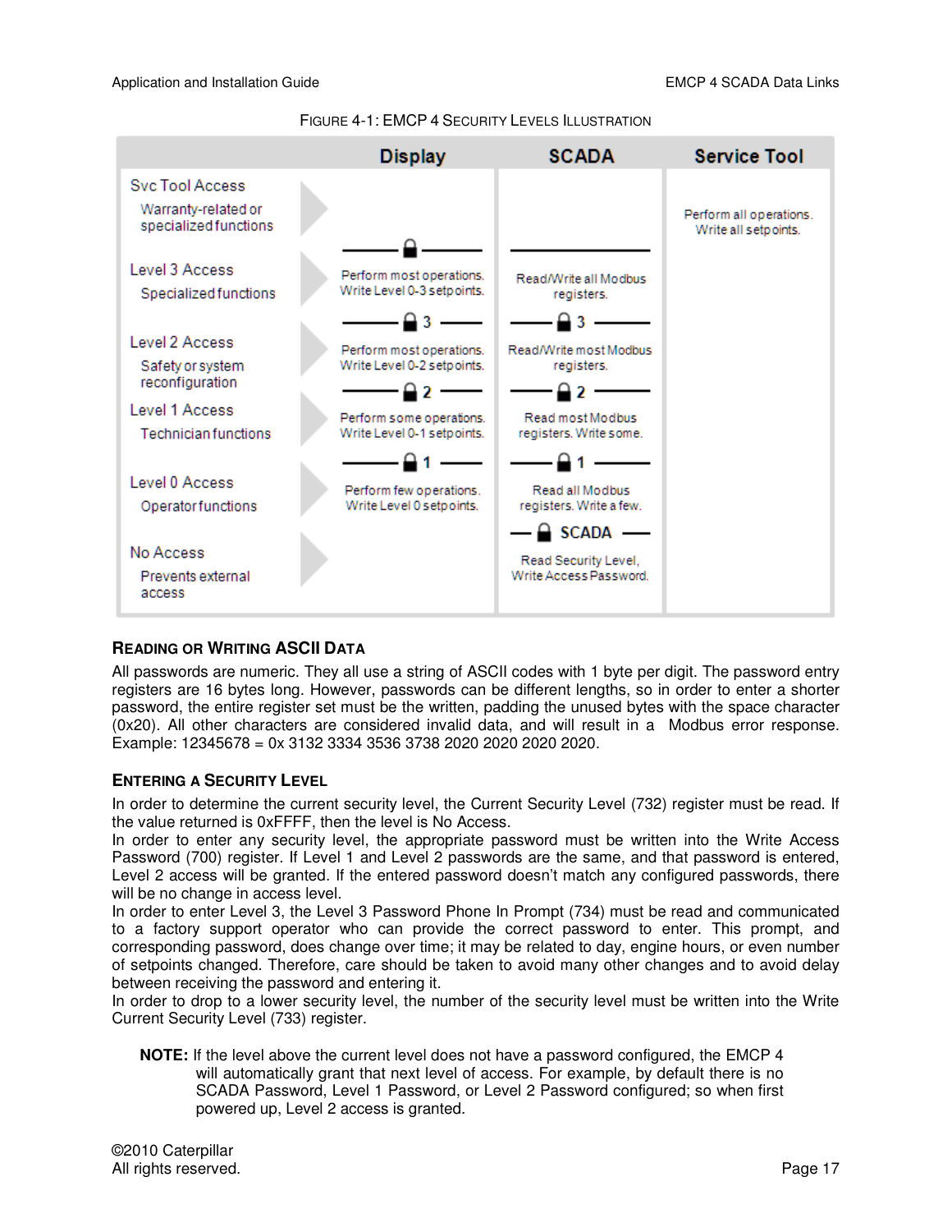

FIGURE 4-1: EMCP 4 SECURITY LEVELS ILLUSTRATION

## **READING OR WRITING ASCII DATA**

All passwords are numeric. They all use a string of ASCII codes with 1 byte per digit. The password entry registers are 16 bytes long. However, passwords can be different lengths, so in order to enter a shorter password, the entire register set must be the written, padding the unused bytes with the space character (0x20). All other characters are considered invalid data, and will result in a Modbus error response. Example: 12345678 = 0x 3132 3334 3536 3738 2020 2020 2020 2020.

## **ENTERING A SECURITY LEVEL**

In order to determine the current security level, the Current Security Level (732) register must be read. If the value returned is 0xFFFF, then the level is No Access.

In order to enter any security level, the appropriate password must be written into the Write Access Password (700) register. If Level 1 and Level 2 passwords are the same, and that password is entered, Level 2 access will be granted. If the entered password doesn't match any configured passwords, there will be no change in access level.

In order to enter Level 3, the Level 3 Password Phone In Prompt (734) must be read and communicated to a factory support operator who can provide the correct password to enter. This prompt, and corresponding password, does change over time; it may be related to day, engine hours, or even number of setpoints changed. Therefore, care should be taken to avoid many other changes and to avoid delay between receiving the password and entering it.

In order to drop to a lower security level, the number of the security level must be written into the Write Current Security Level (733) register.

**NOTE:** If the level above the current level does not have a password configured, the EMCP 4 will automatically grant that next level of access. For example, by default there is no SCADA Password, Level 1 Password, or Level 2 Password configured; so when first powered up, Level 2 access is granted.

©2010 Caterpillar All rights reserved. **Page 17** and the set of the set of the set of the set of the set of the set of the set of the set of the set of the set of the set of the set of the set of the set of the set of the set of the set of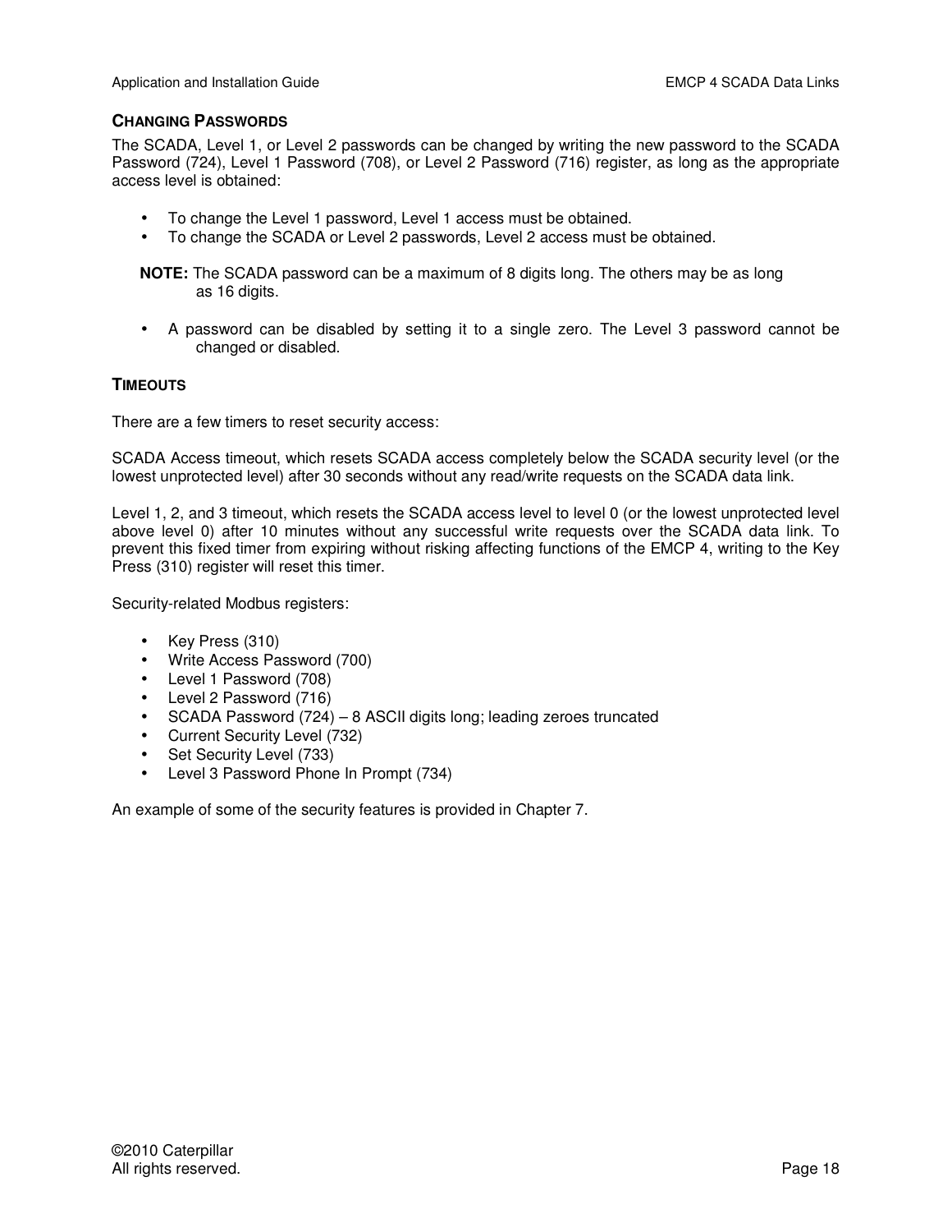## **CHANGING PASSWORDS**

The SCADA, Level 1, or Level 2 passwords can be changed by writing the new password to the SCADA Password (724), Level 1 Password (708), or Level 2 Password (716) register, as long as the appropriate access level is obtained:

- To change the Level 1 password, Level 1 access must be obtained.
- To change the SCADA or Level 2 passwords, Level 2 access must be obtained.

**NOTE:** The SCADA password can be a maximum of 8 digits long. The others may be as long as 16 digits.

• A password can be disabled by setting it to a single zero. The Level 3 password cannot be changed or disabled.

## **TIMEOUTS**

There are a few timers to reset security access:

SCADA Access timeout, which resets SCADA access completely below the SCADA security level (or the lowest unprotected level) after 30 seconds without any read/write requests on the SCADA data link.

Level 1, 2, and 3 timeout, which resets the SCADA access level to level 0 (or the lowest unprotected level above level 0) after 10 minutes without any successful write requests over the SCADA data link. To prevent this fixed timer from expiring without risking affecting functions of the EMCP 4, writing to the Key Press (310) register will reset this timer.

Security-related Modbus registers:

- Key Press (310)
- Write Access Password (700)
- Level 1 Password (708)
- Level 2 Password (716)
- SCADA Password (724) 8 ASCII digits long; leading zeroes truncated
- Current Security Level (732)
- Set Security Level (733)
- Level 3 Password Phone In Prompt (734)

An example of some of the security features is provided in Chapter 7.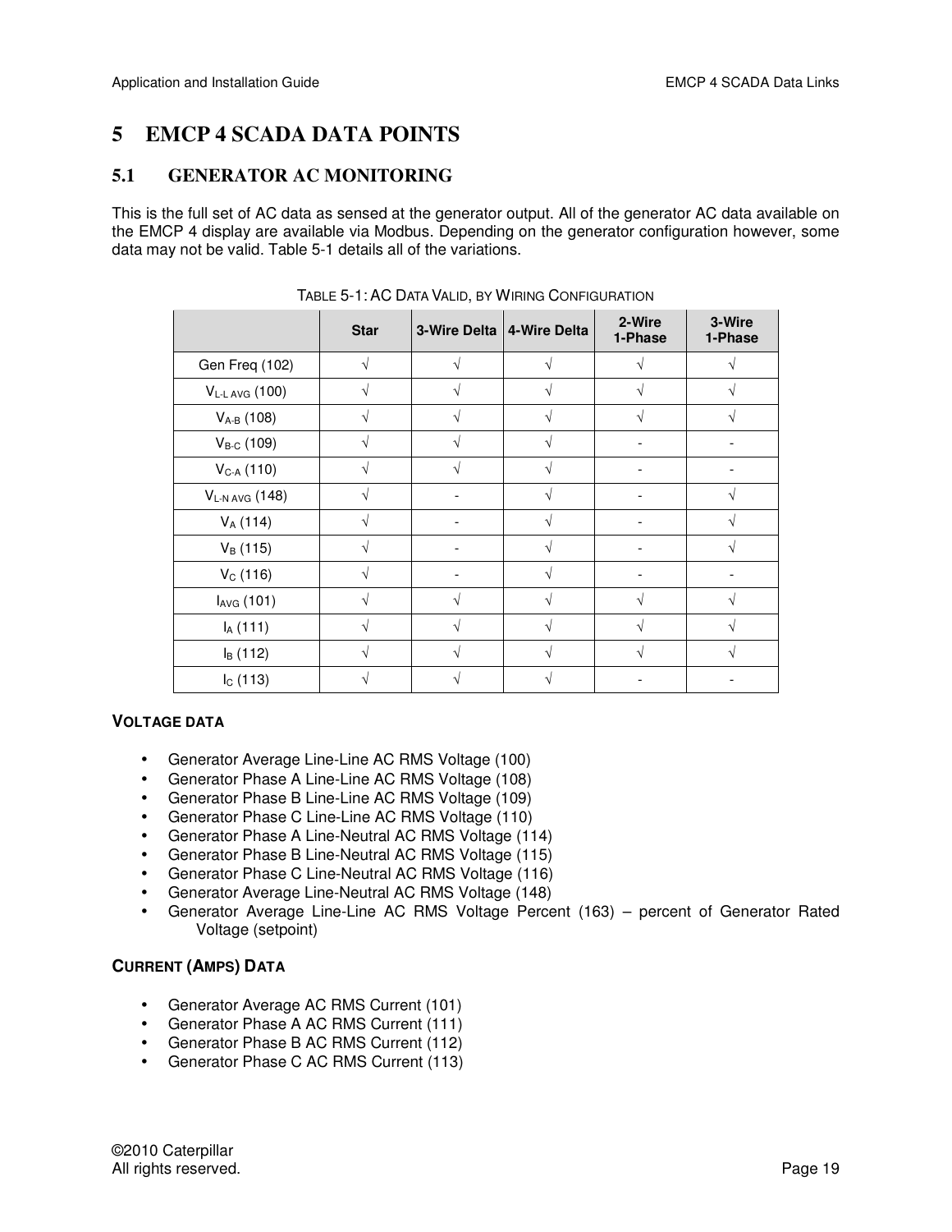## **5 EMCP 4 SCADA DATA POINTS**

## **5.1 GENERATOR AC MONITORING**

This is the full set of AC data as sensed at the generator output. All of the generator AC data available on the EMCP 4 display are available via Modbus. Depending on the generator configuration however, some data may not be valid. Table 5-1 details all of the variations.

|                        | <b>Star</b> | 3-Wire Delta | 4-Wire Delta | 2-Wire<br>1-Phase | 3-Wire<br>1-Phase |
|------------------------|-------------|--------------|--------------|-------------------|-------------------|
| Gen Freq (102)         |             |              |              |                   |                   |
| $V_{L-L\,AVG}$ (100)   |             |              | V            |                   |                   |
| $V_{A-B}$ (108)        |             |              |              |                   |                   |
| $V_{B-C}$ (109)        |             |              | V            |                   |                   |
| $V_{C-A}$ (110)        |             |              |              |                   |                   |
| $V_{L-N\,AVG}$ (148)   | ٦l          |              | V            |                   | $\mathcal{L}$     |
| $V_A(114)$             |             |              |              |                   |                   |
| $V_B(115)$             |             |              | V            |                   | $\Delta$          |
| $V_C(116)$             |             |              |              |                   |                   |
| I <sub>AVG</sub> (101) |             |              |              |                   |                   |
| $I_A(111)$             |             |              |              |                   |                   |
| $I_B(112)$             |             |              |              |                   |                   |
| $I_{C}$ (113)          |             |              |              |                   |                   |

TABLE 5-1: AC DATA VALID, BY WIRING CONFIGURATION

## **VOLTAGE DATA**

- Generator Average Line-Line AC RMS Voltage (100)
- Generator Phase A Line-Line AC RMS Voltage (108)
- Generator Phase B Line-Line AC RMS Voltage (109)
- Generator Phase C Line-Line AC RMS Voltage (110)
- Generator Phase A Line-Neutral AC RMS Voltage (114)
- Generator Phase B Line-Neutral AC RMS Voltage (115)
- Generator Phase C Line-Neutral AC RMS Voltage (116)
- Generator Average Line-Neutral AC RMS Voltage (148)
- Generator Average Line-Line AC RMS Voltage Percent (163) percent of Generator Rated Voltage (setpoint)

## **CURRENT (AMPS) DATA**

- Generator Average AC RMS Current (101)
- Generator Phase A AC RMS Current (111)
- Generator Phase B AC RMS Current (112)
- Generator Phase C AC RMS Current (113)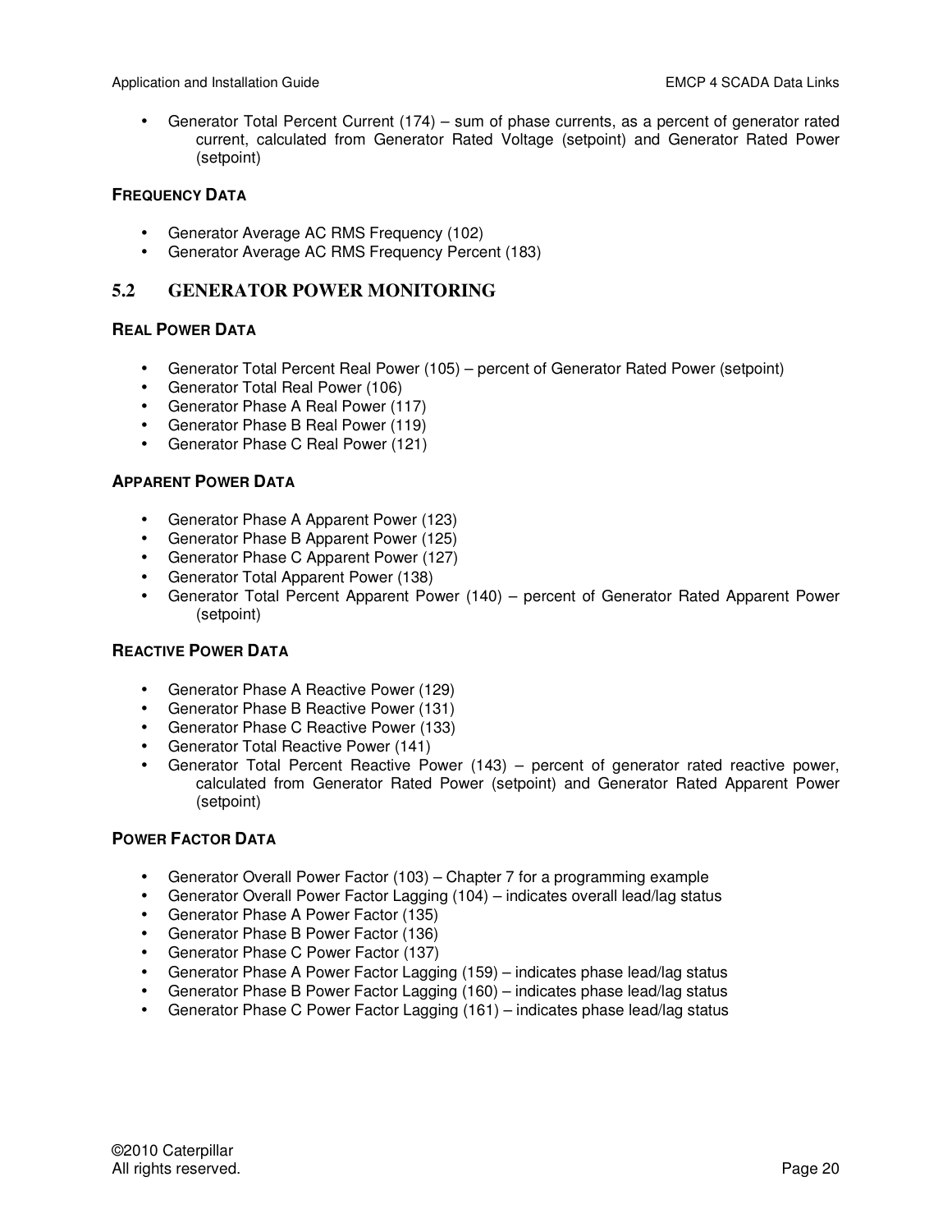• Generator Total Percent Current (174) – sum of phase currents, as a percent of generator rated current, calculated from Generator Rated Voltage (setpoint) and Generator Rated Power (setpoint)

#### **FREQUENCY DATA**

- Generator Average AC RMS Frequency (102)
- Generator Average AC RMS Frequency Percent (183)

## **5.2 GENERATOR POWER MONITORING**

#### **REAL POWER DATA**

- Generator Total Percent Real Power (105) percent of Generator Rated Power (setpoint)
- Generator Total Real Power (106)
- Generator Phase A Real Power (117)
- Generator Phase B Real Power (119)
- Generator Phase C Real Power (121)

#### **APPARENT POWER DATA**

- Generator Phase A Apparent Power (123)
- Generator Phase B Apparent Power (125)
- Generator Phase C Apparent Power (127)
- Generator Total Apparent Power (138)
- Generator Total Percent Apparent Power (140) percent of Generator Rated Apparent Power (setpoint)

## **REACTIVE POWER DATA**

- Generator Phase A Reactive Power (129)
- Generator Phase B Reactive Power (131)
- Generator Phase C Reactive Power (133)
- Generator Total Reactive Power (141)
- Generator Total Percent Reactive Power (143) percent of generator rated reactive power, calculated from Generator Rated Power (setpoint) and Generator Rated Apparent Power (setpoint)

## **POWER FACTOR DATA**

- Generator Overall Power Factor (103) Chapter 7 for a programming example
- Generator Overall Power Factor Lagging (104) indicates overall lead/lag status
- Generator Phase A Power Factor (135)
- Generator Phase B Power Factor (136)
- Generator Phase C Power Factor (137)
- Generator Phase A Power Factor Lagging (159) indicates phase lead/lag status
- Generator Phase B Power Factor Lagging (160) indicates phase lead/lag status
- Generator Phase C Power Factor Lagging (161) indicates phase lead/lag status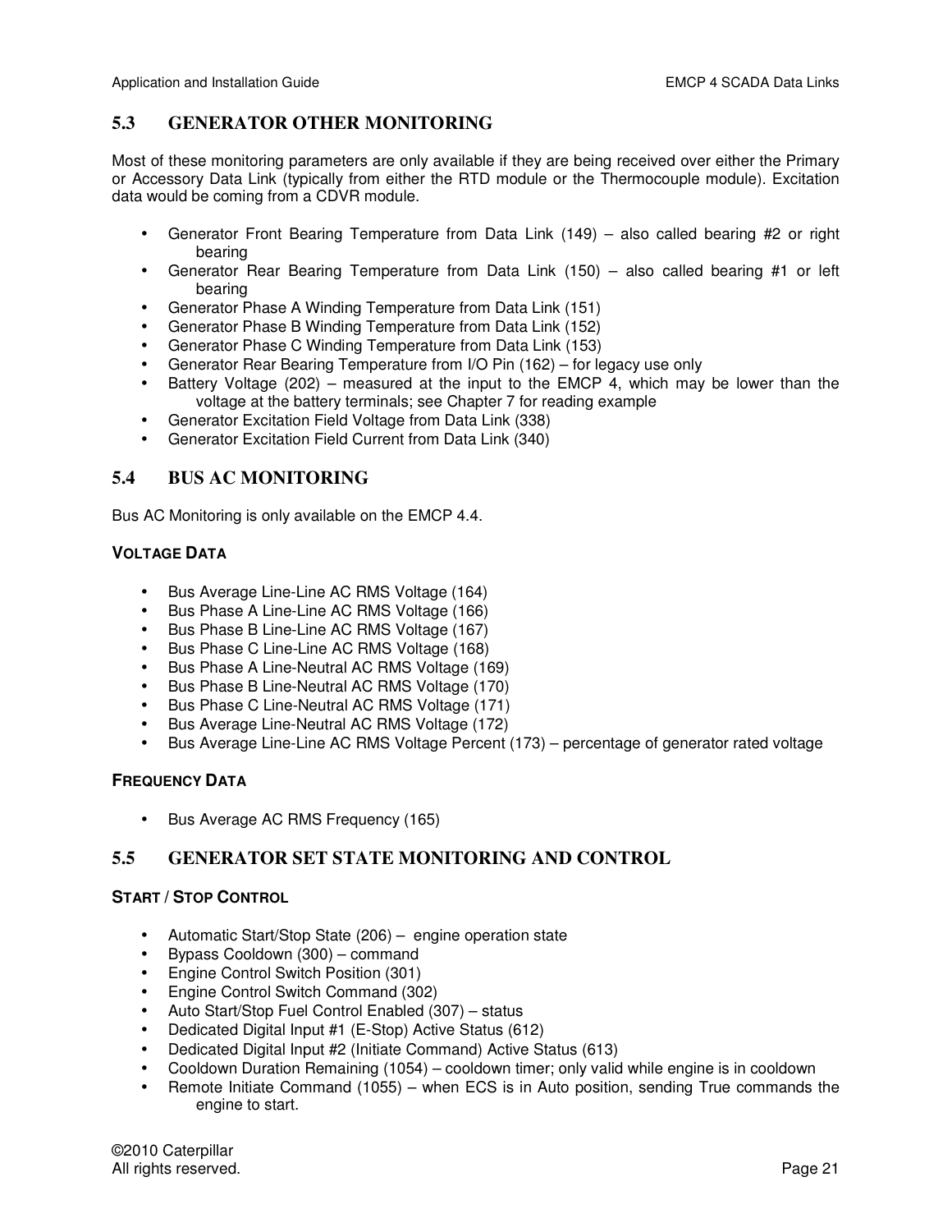## **5.3 GENERATOR OTHER MONITORING**

Most of these monitoring parameters are only available if they are being received over either the Primary or Accessory Data Link (typically from either the RTD module or the Thermocouple module). Excitation data would be coming from a CDVR module.

- Generator Front Bearing Temperature from Data Link (149) also called bearing #2 or right bearing
- Generator Rear Bearing Temperature from Data Link (150) also called bearing #1 or left bearing
- Generator Phase A Winding Temperature from Data Link (151)
- Generator Phase B Winding Temperature from Data Link (152)
- Generator Phase C Winding Temperature from Data Link (153)
- Generator Rear Bearing Temperature from I/O Pin (162) for legacy use only
- Battery Voltage (202) measured at the input to the EMCP 4, which may be lower than the voltage at the battery terminals; see Chapter 7 for reading example
- Generator Excitation Field Voltage from Data Link (338)
- Generator Excitation Field Current from Data Link (340)

## **5.4 BUS AC MONITORING**

Bus AC Monitoring is only available on the EMCP 4.4.

## **VOLTAGE DATA**

- Bus Average Line-Line AC RMS Voltage (164)
- Bus Phase A Line-Line AC RMS Voltage (166)
- Bus Phase B Line-Line AC RMS Voltage (167)
- Bus Phase C Line-Line AC RMS Voltage (168)
- Bus Phase A Line-Neutral AC RMS Voltage (169)
- Bus Phase B Line-Neutral AC RMS Voltage (170)
- Bus Phase C Line-Neutral AC RMS Voltage (171)
- Bus Average Line-Neutral AC RMS Voltage (172)
- Bus Average Line-Line AC RMS Voltage Percent (173) percentage of generator rated voltage

## **FREQUENCY DATA**

• Bus Average AC RMS Frequency (165)

## **5.5 GENERATOR SET STATE MONITORING AND CONTROL**

## **START / STOP CONTROL**

- Automatic Start/Stop State (206) engine operation state
- Bypass Cooldown (300) command
- Engine Control Switch Position (301)
- Engine Control Switch Command (302)
- Auto Start/Stop Fuel Control Enabled (307) status
- Dedicated Digital Input #1 (E-Stop) Active Status (612)
- Dedicated Digital Input #2 (Initiate Command) Active Status (613)
- Cooldown Duration Remaining (1054) cooldown timer; only valid while engine is in cooldown
- Remote Initiate Command (1055) when ECS is in Auto position, sending True commands the engine to start.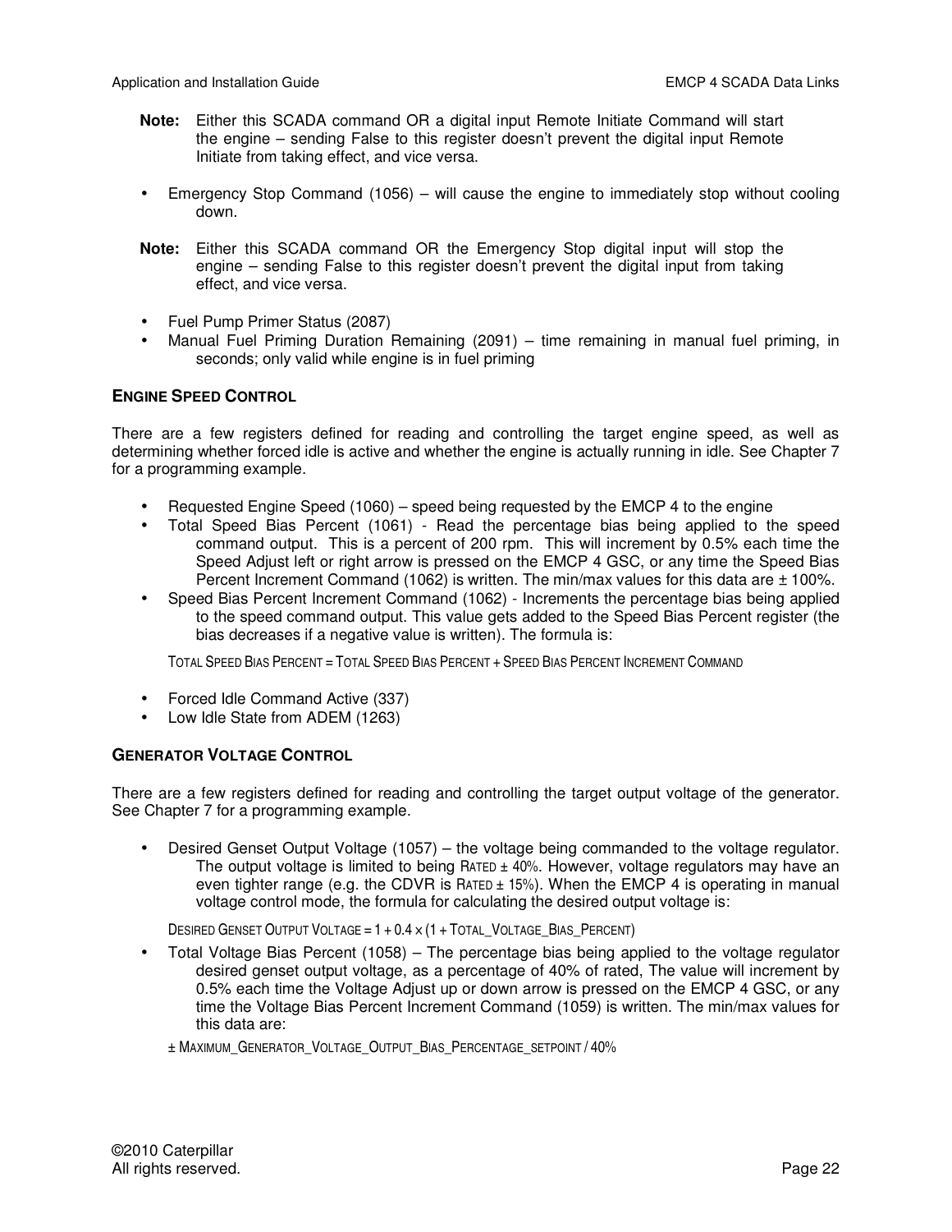- **Note:** Either this SCADA command OR a digital input Remote Initiate Command will start the engine – sending False to this register doesn't prevent the digital input Remote Initiate from taking effect, and vice versa.
- Emergency Stop Command (1056) will cause the engine to immediately stop without cooling down.
- **Note:** Either this SCADA command OR the Emergency Stop digital input will stop the engine – sending False to this register doesn't prevent the digital input from taking effect, and vice versa.
- Fuel Pump Primer Status (2087)
- Manual Fuel Priming Duration Remaining (2091) time remaining in manual fuel priming, in seconds; only valid while engine is in fuel priming

## **ENGINE SPEED CONTROL**

There are a few registers defined for reading and controlling the target engine speed, as well as determining whether forced idle is active and whether the engine is actually running in idle. See Chapter 7 for a programming example.

- Requested Engine Speed (1060) speed being requested by the EMCP 4 to the engine
- Total Speed Bias Percent (1061) Read the percentage bias being applied to the speed command output. This is a percent of 200 rpm. This will increment by 0.5% each time the Speed Adjust left or right arrow is pressed on the EMCP 4 GSC, or any time the Speed Bias Percent Increment Command (1062) is written. The min/max values for this data are  $\pm$  100%.
- Speed Bias Percent Increment Command (1062) Increments the percentage bias being applied to the speed command output. This value gets added to the Speed Bias Percent register (the bias decreases if a negative value is written). The formula is:

TOTAL SPEED BIAS PERCENT = TOTAL SPEED BIAS PERCENT + SPEED BIAS PERCENT INCREMENT COMMAND

- Forced Idle Command Active (337)
- Low Idle State from ADEM (1263)

## **GENERATOR VOLTAGE CONTROL**

There are a few registers defined for reading and controlling the target output voltage of the generator. See Chapter 7 for a programming example.

• Desired Genset Output Voltage (1057) – the voltage being commanded to the voltage regulator. The output voltage is limited to being RATED ± 40%. However, voltage regulators may have an even tighter range (e.g. the CDVR is  $RATED \pm 15\%$ ). When the EMCP 4 is operating in manual voltage control mode, the formula for calculating the desired output voltage is:

DESIRED GENSET OUTPUT VOLTAGE =  $1 + 0.4 \times (1 + \text{Total Value Value Data}$  BIAS\_PERCENT)

- Total Voltage Bias Percent (1058) The percentage bias being applied to the voltage regulator desired genset output voltage, as a percentage of 40% of rated, The value will increment by 0.5% each time the Voltage Adjust up or down arrow is pressed on the EMCP 4 GSC, or any time the Voltage Bias Percent Increment Command (1059) is written. The min/max values for this data are:
	- ± MAXIMUM\_GENERATOR\_VOLTAGE\_OUTPUT\_BIAS\_PERCENTAGE\_SETPOINT / 40%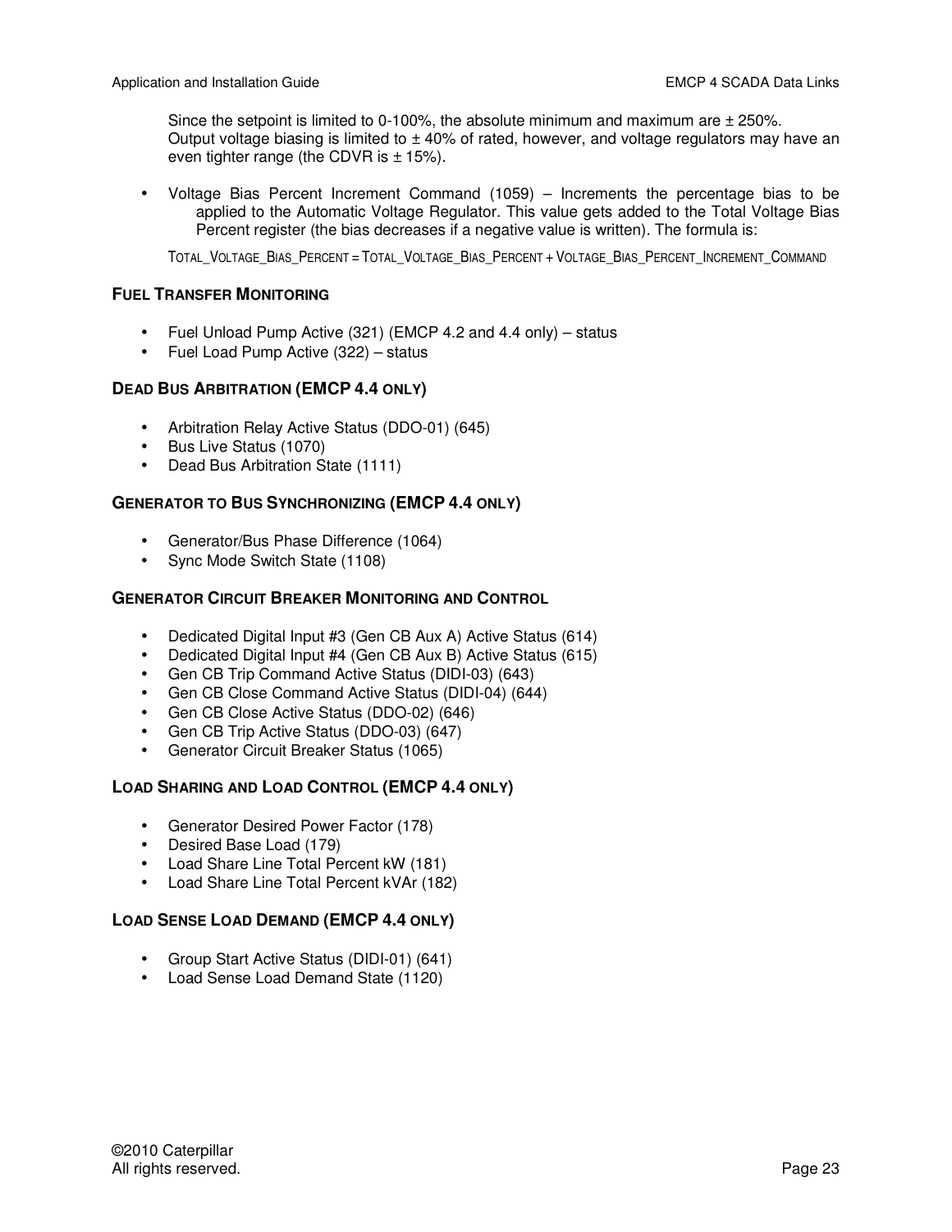Since the setpoint is limited to 0-100%, the absolute minimum and maximum are  $\pm$  250%. Output voltage biasing is limited to  $\pm$  40% of rated, however, and voltage regulators may have an even tighter range (the CDVR is  $\pm$  15%).

• Voltage Bias Percent Increment Command (1059) – Increments the percentage bias to be applied to the Automatic Voltage Regulator. This value gets added to the Total Voltage Bias Percent register (the bias decreases if a negative value is written). The formula is:

TOTAL\_VOLTAGE\_BIAS\_PERCENT = TOTAL\_VOLTAGE\_BIAS\_PERCENT + VOLTAGE\_BIAS\_PERCENT\_INCREMENT\_COMMAND

## **FUEL TRANSFER MONITORING**

- Fuel Unload Pump Active (321) (EMCP 4.2 and 4.4 only) status
- Fuel Load Pump Active (322) status

## **DEAD BUS ARBITRATION (EMCP 4.4 ONLY)**

- Arbitration Relay Active Status (DDO-01) (645)
- Bus Live Status (1070)
- Dead Bus Arbitration State (1111)

## **GENERATOR TO BUS SYNCHRONIZING (EMCP 4.4 ONLY)**

- Generator/Bus Phase Difference (1064)
- Sync Mode Switch State (1108)

## **GENERATOR CIRCUIT BREAKER MONITORING AND CONTROL**

- Dedicated Digital Input #3 (Gen CB Aux A) Active Status (614)
- Dedicated Digital Input #4 (Gen CB Aux B) Active Status (615)
- Gen CB Trip Command Active Status (DIDI-03) (643)
- Gen CB Close Command Active Status (DIDI-04) (644)
- Gen CB Close Active Status (DDO-02) (646)
- Gen CB Trip Active Status (DDO-03) (647)
- Generator Circuit Breaker Status (1065)

## **LOAD SHARING AND LOAD CONTROL (EMCP 4.4 ONLY)**

- Generator Desired Power Factor (178)
- Desired Base Load (179)
- Load Share Line Total Percent kW (181)
- Load Share Line Total Percent kVAr (182)

## **LOAD SENSE LOAD DEMAND (EMCP 4.4 ONLY)**

- Group Start Active Status (DIDI-01) (641)
- Load Sense Load Demand State (1120)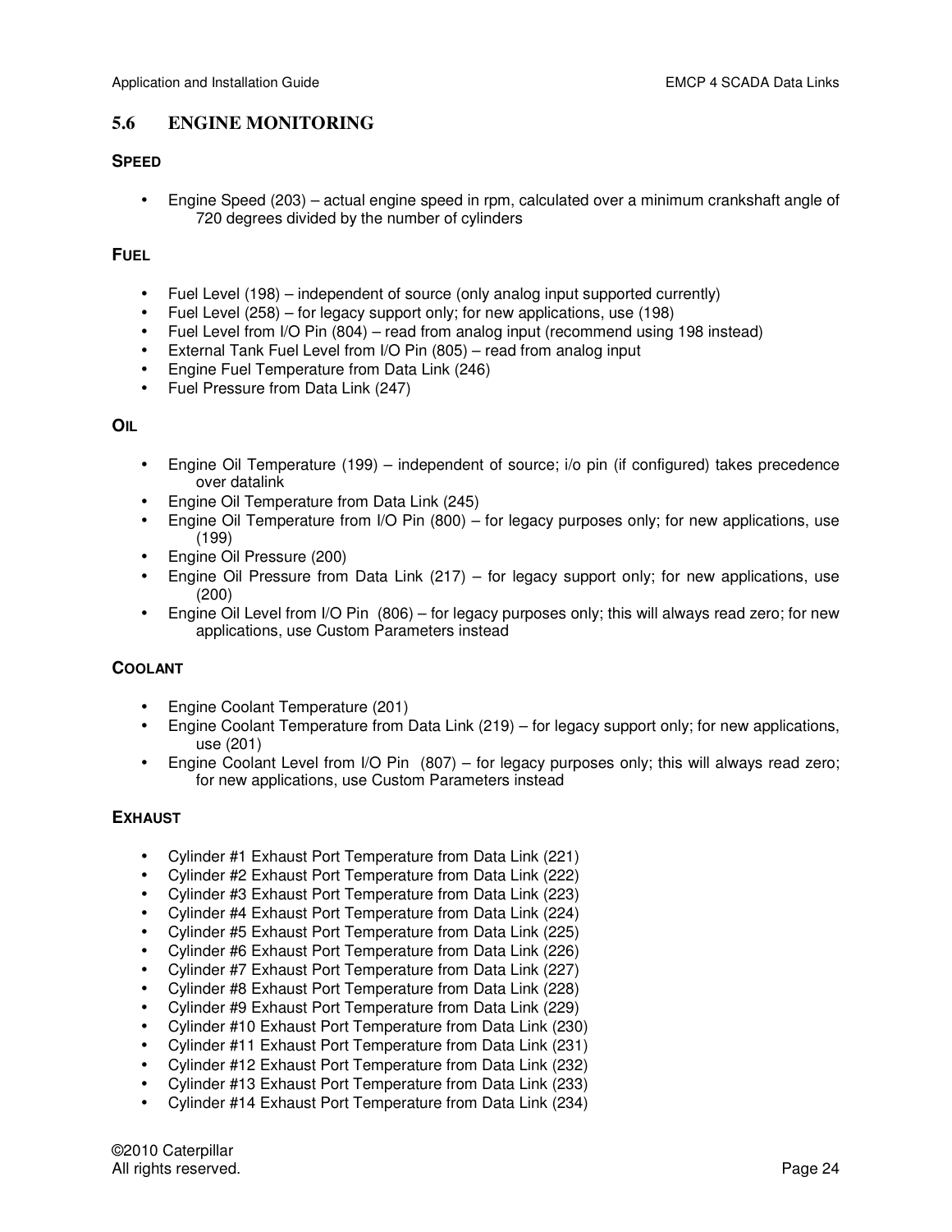## **5.6 ENGINE MONITORING**

## **SPEED**

• Engine Speed (203) – actual engine speed in rpm, calculated over a minimum crankshaft angle of 720 degrees divided by the number of cylinders

#### **FUEL**

- Fuel Level (198) independent of source (only analog input supported currently)
- Fuel Level (258) for legacy support only; for new applications, use (198)
- Fuel Level from I/O Pin (804) read from analog input (recommend using 198 instead)
- External Tank Fuel Level from I/O Pin (805) read from analog input
- Engine Fuel Temperature from Data Link (246)
- Fuel Pressure from Data Link (247)

#### **OIL**

- Engine Oil Temperature (199) independent of source; i/o pin (if configured) takes precedence over datalink
- Engine Oil Temperature from Data Link (245)
- Engine Oil Temperature from I/O Pin (800) for legacy purposes only; for new applications, use (199)
- Engine Oil Pressure (200)
- Engine Oil Pressure from Data Link (217) for legacy support only; for new applications, use (200)
- Engine Oil Level from I/O Pin (806) for legacy purposes only; this will always read zero; for new applications, use Custom Parameters instead

## **COOLANT**

- Engine Coolant Temperature (201)
- Engine Coolant Temperature from Data Link (219) for legacy support only; for new applications, use (201)
- Engine Coolant Level from I/O Pin (807) for legacy purposes only; this will always read zero; for new applications, use Custom Parameters instead

#### **EXHAUST**

- Cylinder #1 Exhaust Port Temperature from Data Link (221)
- Cylinder #2 Exhaust Port Temperature from Data Link (222)
- Cylinder #3 Exhaust Port Temperature from Data Link (223)
- Cylinder #4 Exhaust Port Temperature from Data Link (224)
- Cylinder #5 Exhaust Port Temperature from Data Link (225)
- Cylinder #6 Exhaust Port Temperature from Data Link (226)
- Cylinder #7 Exhaust Port Temperature from Data Link (227)
- Cylinder #8 Exhaust Port Temperature from Data Link (228)
- Cylinder #9 Exhaust Port Temperature from Data Link (229)
- Cylinder #10 Exhaust Port Temperature from Data Link (230)
- Cylinder #11 Exhaust Port Temperature from Data Link (231)
- Cylinder #12 Exhaust Port Temperature from Data Link (232)
- Cylinder #13 Exhaust Port Temperature from Data Link (233)
- Cylinder #14 Exhaust Port Temperature from Data Link (234)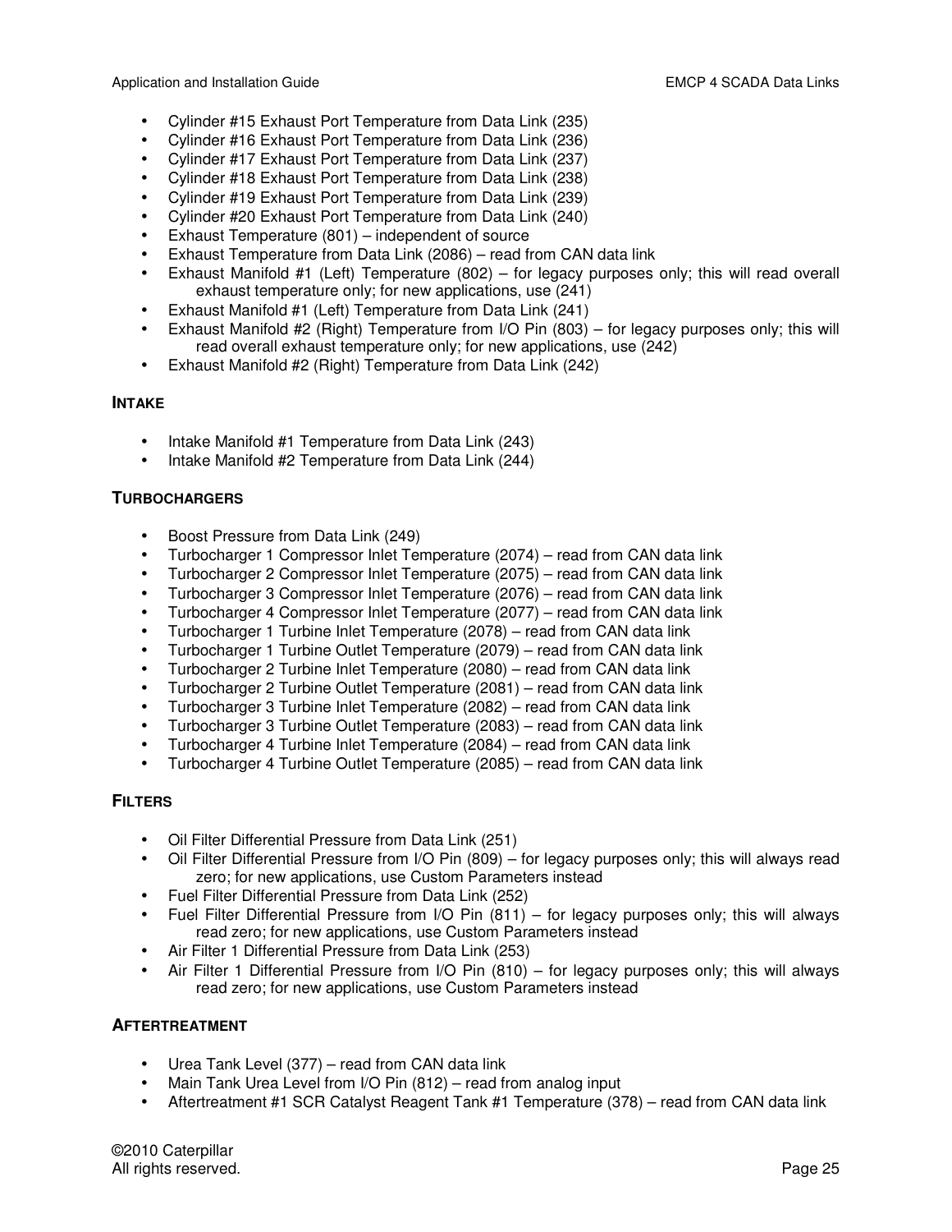Application and Installation Guide **EMCP** 4 SCADA Data Links

- Cylinder #15 Exhaust Port Temperature from Data Link (235)
- Cylinder #16 Exhaust Port Temperature from Data Link (236)
- Cylinder #17 Exhaust Port Temperature from Data Link (237)
- Cylinder #18 Exhaust Port Temperature from Data Link (238)
- Cylinder #19 Exhaust Port Temperature from Data Link (239)
- Cylinder #20 Exhaust Port Temperature from Data Link (240)
- Exhaust Temperature (801) independent of source
- Exhaust Temperature from Data Link (2086) read from CAN data link
- Exhaust Manifold #1 (Left) Temperature (802) for legacy purposes only; this will read overall exhaust temperature only; for new applications, use (241)
- Exhaust Manifold #1 (Left) Temperature from Data Link (241)
- Exhaust Manifold #2 (Right) Temperature from I/O Pin (803) for legacy purposes only; this will read overall exhaust temperature only; for new applications, use (242)
- Exhaust Manifold #2 (Right) Temperature from Data Link (242)

## **INTAKE**

- Intake Manifold #1 Temperature from Data Link (243)
- Intake Manifold #2 Temperature from Data Link (244)

## **TURBOCHARGERS**

- Boost Pressure from Data Link (249)
- Turbocharger 1 Compressor Inlet Temperature (2074) read from CAN data link
- Turbocharger 2 Compressor Inlet Temperature (2075) read from CAN data link
- Turbocharger 3 Compressor Inlet Temperature (2076) read from CAN data link
- Turbocharger 4 Compressor Inlet Temperature (2077) read from CAN data link
- Turbocharger 1 Turbine Inlet Temperature (2078) read from CAN data link
- Turbocharger 1 Turbine Outlet Temperature (2079) read from CAN data link
- Turbocharger 2 Turbine Inlet Temperature (2080) read from CAN data link
- Turbocharger 2 Turbine Outlet Temperature (2081) read from CAN data link
- Turbocharger 3 Turbine Inlet Temperature (2082) read from CAN data link
- Turbocharger 3 Turbine Outlet Temperature (2083) read from CAN data link
- Turbocharger 4 Turbine Inlet Temperature (2084) read from CAN data link
- Turbocharger 4 Turbine Outlet Temperature (2085) read from CAN data link

## **FILTERS**

- Oil Filter Differential Pressure from Data Link (251)
- Oil Filter Differential Pressure from I/O Pin (809) for legacy purposes only; this will always read zero; for new applications, use Custom Parameters instead
- Fuel Filter Differential Pressure from Data Link (252)
- Fuel Filter Differential Pressure from I/O Pin (811) for legacy purposes only; this will always read zero; for new applications, use Custom Parameters instead
- Air Filter 1 Differential Pressure from Data Link (253)
- Air Filter 1 Differential Pressure from I/O Pin (810) for legacy purposes only; this will always read zero; for new applications, use Custom Parameters instead

## **AFTERTREATMENT**

- Urea Tank Level (377) read from CAN data link
- Main Tank Urea Level from I/O Pin (812) read from analog input
- Aftertreatment #1 SCR Catalyst Reagent Tank #1 Temperature (378) read from CAN data link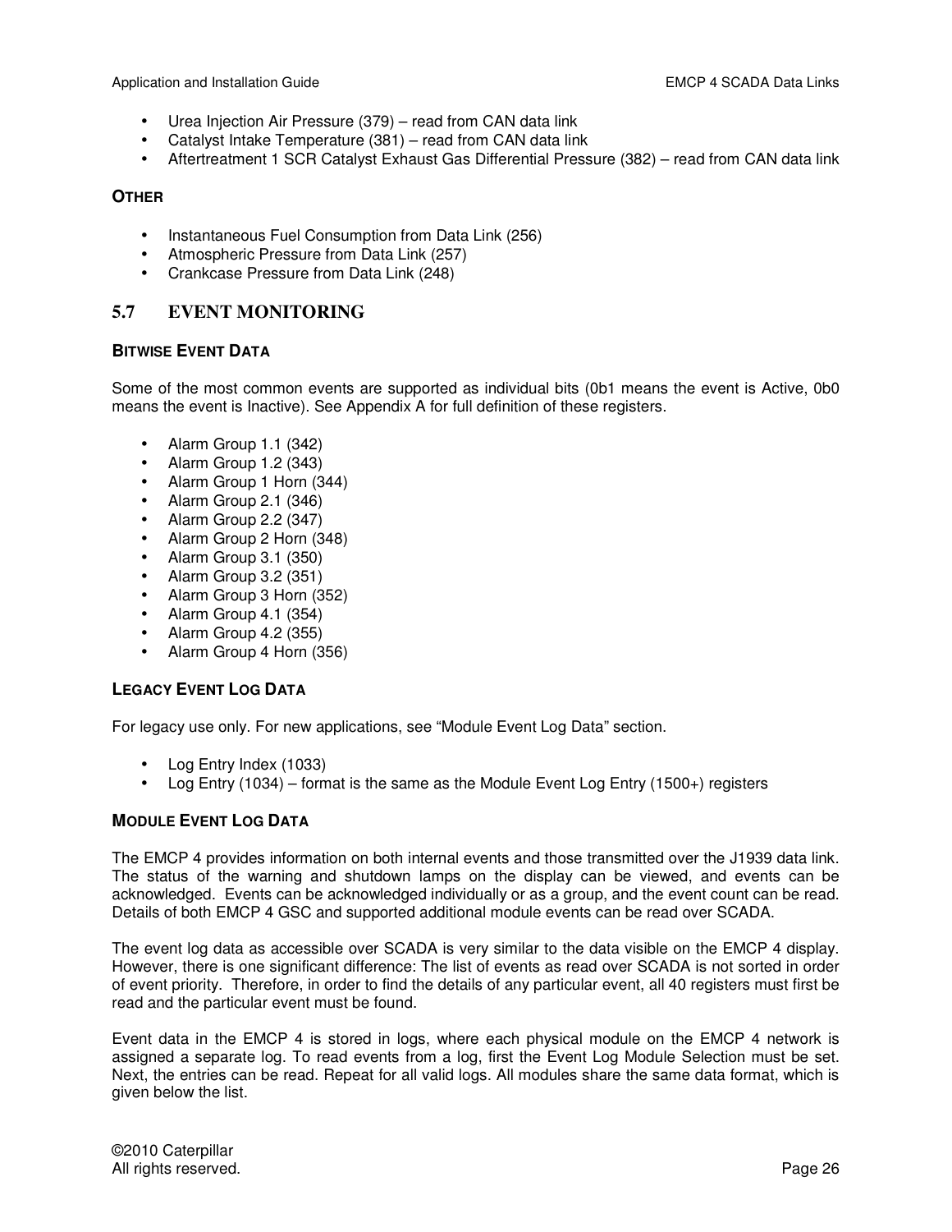- Urea Injection Air Pressure (379) read from CAN data link
- Catalyst Intake Temperature (381) read from CAN data link
- Aftertreatment 1 SCR Catalyst Exhaust Gas Differential Pressure (382) read from CAN data link

## **OTHER**

- Instantaneous Fuel Consumption from Data Link (256)
- Atmospheric Pressure from Data Link (257)
- Crankcase Pressure from Data Link (248)

## **5.7 EVENT MONITORING**

## **BITWISE EVENT DATA**

Some of the most common events are supported as individual bits (0b1 means the event is Active, 0b0 means the event is Inactive). See Appendix A for full definition of these registers.

- Alarm Group 1.1 (342)
- Alarm Group 1.2 (343)
- Alarm Group 1 Horn (344)
- Alarm Group 2.1 (346)
- Alarm Group 2.2 (347)
- Alarm Group 2 Horn (348)
- Alarm Group 3.1 (350)
- Alarm Group 3.2 (351)
- Alarm Group 3 Horn (352)
- Alarm Group 4.1 (354)
- Alarm Group 4.2 (355)
- Alarm Group 4 Horn (356)

## **LEGACY EVENT LOG DATA**

For legacy use only. For new applications, see "Module Event Log Data" section.

- Log Entry Index (1033)
- Log Entry (1034) format is the same as the Module Event Log Entry (1500+) registers

## **MODULE EVENT LOG DATA**

The EMCP 4 provides information on both internal events and those transmitted over the J1939 data link. The status of the warning and shutdown lamps on the display can be viewed, and events can be acknowledged. Events can be acknowledged individually or as a group, and the event count can be read. Details of both EMCP 4 GSC and supported additional module events can be read over SCADA.

The event log data as accessible over SCADA is very similar to the data visible on the EMCP 4 display. However, there is one significant difference: The list of events as read over SCADA is not sorted in order of event priority. Therefore, in order to find the details of any particular event, all 40 registers must first be read and the particular event must be found.

Event data in the EMCP 4 is stored in logs, where each physical module on the EMCP 4 network is assigned a separate log. To read events from a log, first the Event Log Module Selection must be set. Next, the entries can be read. Repeat for all valid logs. All modules share the same data format, which is given below the list.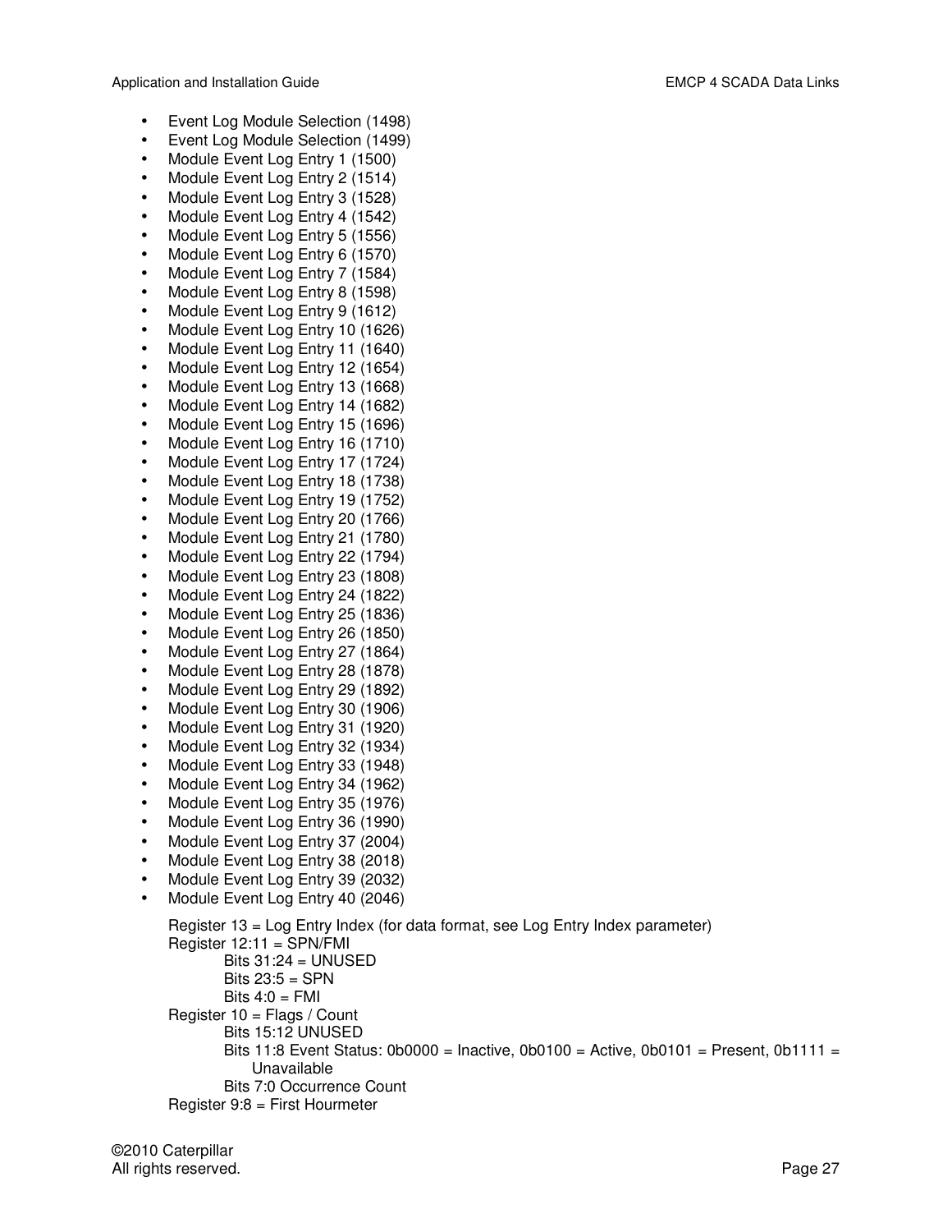- Event Log Module Selection (1498)
- Event Log Module Selection (1499)
- Module Event Log Entry 1 (1500)
- Module Event Log Entry 2 (1514)
- Module Event Log Entry 3 (1528)
- Module Event Log Entry 4 (1542)
- Module Event Log Entry 5 (1556)
- Module Event Log Entry 6 (1570)
- Module Event Log Entry 7 (1584)
- Module Event Log Entry 8 (1598)
- Module Event Log Entry 9 (1612)
- Module Event Log Entry 10 (1626)
- Module Event Log Entry 11 (1640)
- Module Event Log Entry 12 (1654)
- Module Event Log Entry 13 (1668)
- Module Event Log Entry 14 (1682)
- Module Event Log Entry 15 (1696)
- Module Event Log Entry 16 (1710)
- Module Event Log Entry 17 (1724)
- Module Event Log Entry 18 (1738)
- Module Event Log Entry 19 (1752)
- Module Event Log Entry 20 (1766)
- Module Event Log Entry 21 (1780)
- Module Event Log Entry 22 (1794)
- Module Event Log Entry 23 (1808)
- Module Event Log Entry 24 (1822)
- Module Event Log Entry 25 (1836)
- Module Event Log Entry 26 (1850)
- Module Event Log Entry 27 (1864)
- Module Event Log Entry 28 (1878)
- Module Event Log Entry 29 (1892)
- Module Event Log Entry 30 (1906)
- Module Event Log Entry 31 (1920)
- Module Event Log Entry 32 (1934)
- Module Event Log Entry 33 (1948)
- Module Event Log Entry 34 (1962)
- Module Event Log Entry 35 (1976)
- Module Event Log Entry 36 (1990)
- Module Event Log Entry 37 (2004)
- Module Event Log Entry 38 (2018)
- Module Event Log Entry 39 (2032)
- Module Event Log Entry 40 (2046)

```
Register 13 = Log Entry Index (for data format, see Log Entry Index parameter) 
Register 12:11 = SPN/FMI 
       Bits 31:24 = UNUSEDBits 23:5 = SPN 
       Bits 4:0 = FMIRegister 10 = Flags / Count
       Bits 15:12 UNUSED 
       Bits 11:8 Event Status: 0b0000 = Inactive, 0b0100 = Active, 0b0101 = Present, 0b1111 =Unavailable 
       Bits 7:0 Occurrence Count 
Register 9:8 = First Hourmeter
```
©2010 Caterpillar All rights reserved. **Page 27** and the set of the set of the set of the set of the set of the set of the set of the set of the set of the set of the set of the set of the set of the set of the set of the set of the set of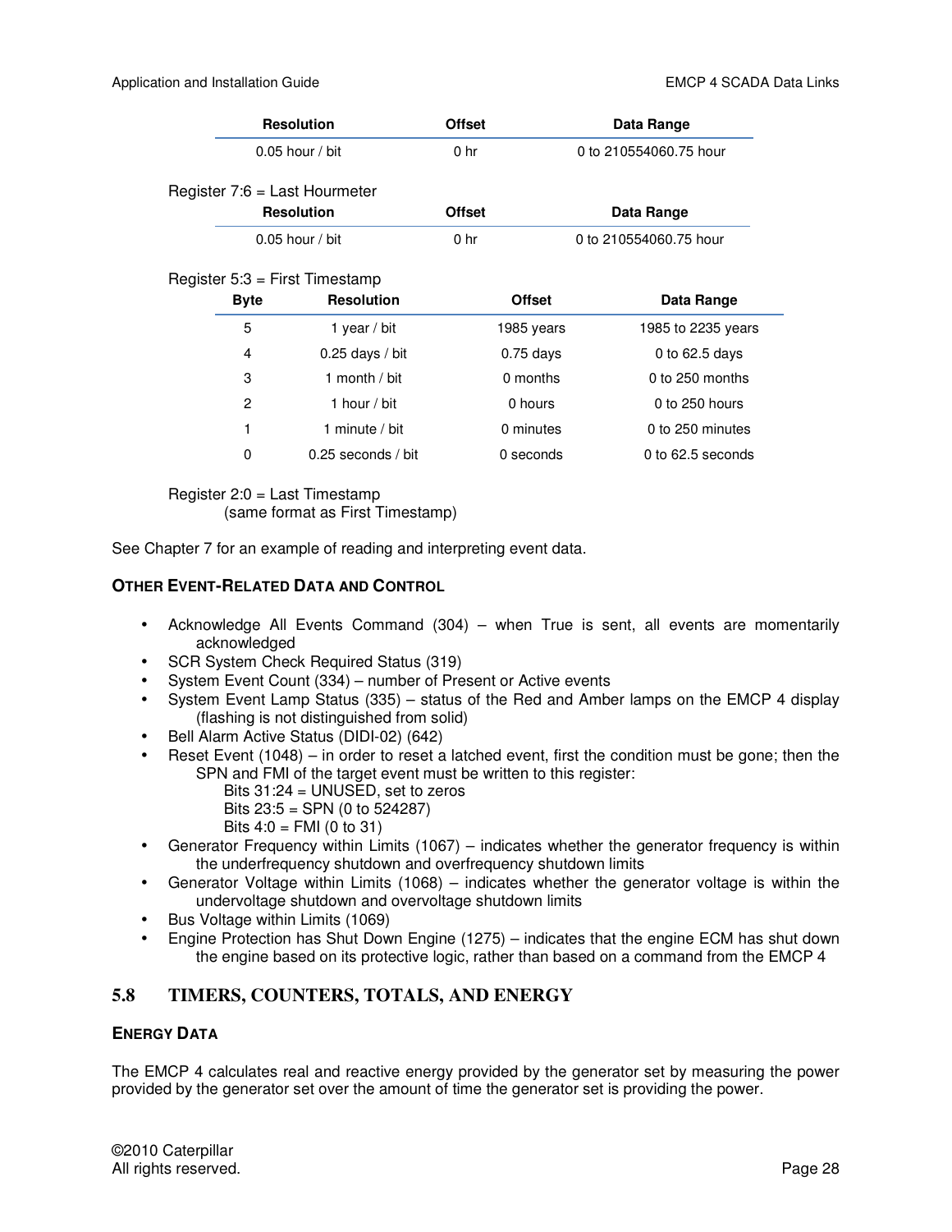| <b>Resolution</b>                                                    | <b>Offset</b>   | Data Range             |
|----------------------------------------------------------------------|-----------------|------------------------|
| $0.05$ hour / bit                                                    | 0 <sub>hr</sub> | 0 to 210554060.75 hour |
| Register 7:6 = Last Hourmeter<br><b>Resolution</b>                   | <b>Offset</b>   | Data Range             |
| $0.05$ hour / bit                                                    | 0 <sub>hr</sub> | 0 to 210554060.75 hour |
| Register $5:3$ = First Timestamp<br><b>Resolution</b><br><b>Byte</b> | <b>Offset</b>   | Data Range             |

| <b>Byte</b> | <b>Resolution</b>  | <b>Offset</b> | Data Range         |
|-------------|--------------------|---------------|--------------------|
| 5           | 1 year / bit       | 1985 years    | 1985 to 2235 years |
| 4           | $0.25$ days / bit  | $0.75$ days   | 0 to $62.5$ days   |
| 3           | 1 month / bit      | 0 months      | $0$ to 250 months  |
| 2           | 1 hour / bit       | 0 hours       | $0$ to 250 hours   |
| 1           | 1 minute $/$ bit   | 0 minutes     | 0 to 250 minutes   |
| 0           | 0.25 seconds / bit | 0 seconds     | 0 to 62.5 seconds  |

Register 2:0 = Last Timestamp (same format as First Timestamp)

See Chapter 7 for an example of reading and interpreting event data.

## **OTHER EVENT-RELATED DATA AND CONTROL**

- Acknowledge All Events Command (304) when True is sent, all events are momentarily acknowledged
- SCR System Check Required Status (319)
- System Event Count (334) number of Present or Active events
- System Event Lamp Status (335) status of the Red and Amber lamps on the EMCP 4 display (flashing is not distinguished from solid)
- Bell Alarm Active Status (DIDI-02) (642)
- Reset Event (1048) in order to reset a latched event, first the condition must be gone; then the SPN and FMI of the target event must be written to this register:
	- Bits 31:24 = UNUSED, set to zeros
	- Bits 23:5 = SPN (0 to 524287)
	- Bits  $4:0 = FMI(0 to 31)$
- Generator Frequency within Limits (1067) indicates whether the generator frequency is within the underfrequency shutdown and overfrequency shutdown limits
- Generator Voltage within Limits (1068) indicates whether the generator voltage is within the undervoltage shutdown and overvoltage shutdown limits
- Bus Voltage within Limits (1069)
- Engine Protection has Shut Down Engine (1275) indicates that the engine ECM has shut down the engine based on its protective logic, rather than based on a command from the EMCP 4

## **5.8 TIMERS, COUNTERS, TOTALS, AND ENERGY**

## **ENERGY DATA**

The EMCP 4 calculates real and reactive energy provided by the generator set by measuring the power provided by the generator set over the amount of time the generator set is providing the power.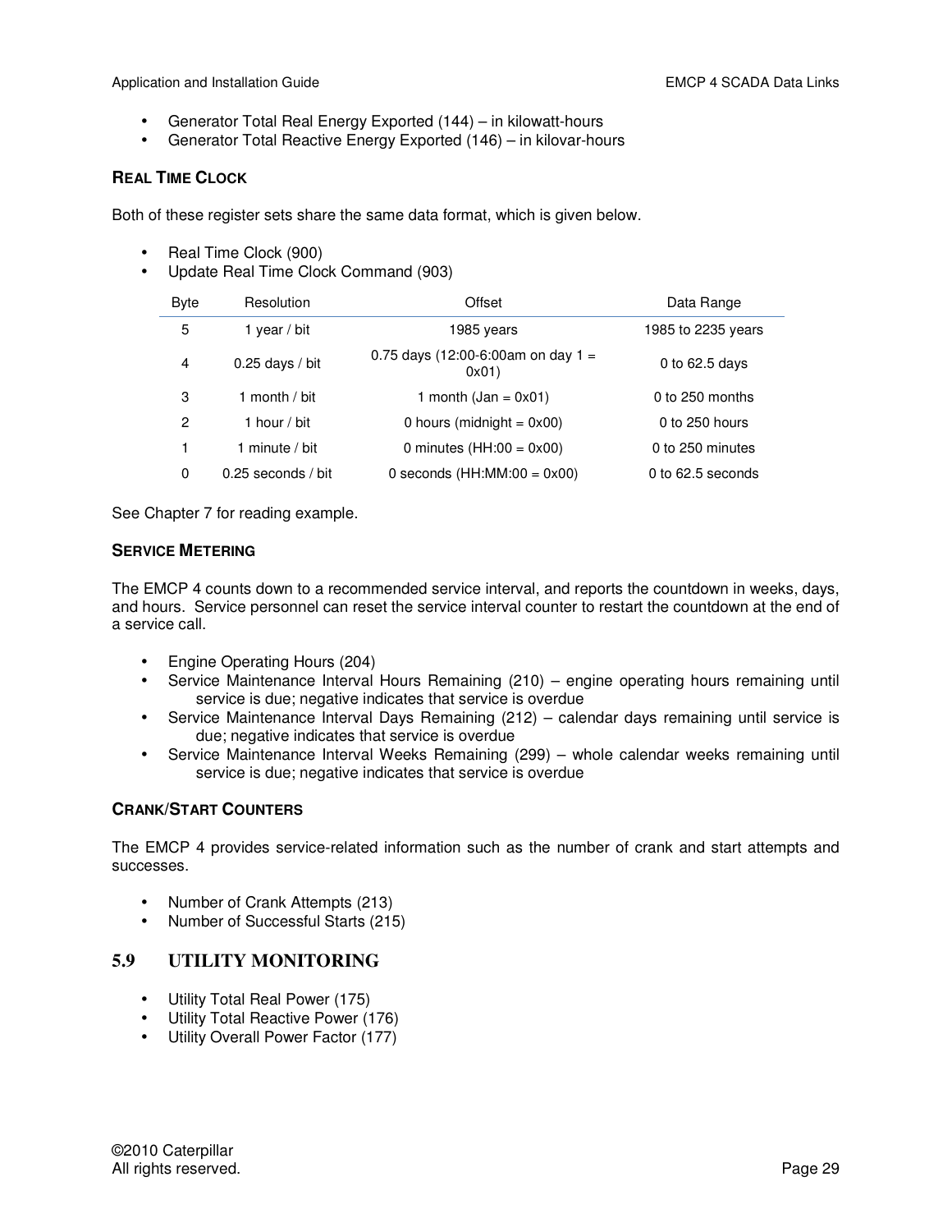- Generator Total Real Energy Exported (144) in kilowatt-hours
- Generator Total Reactive Energy Exported (146) in kilovar-hours

#### **REAL TIME CLOCK**

Both of these register sets share the same data format, which is given below.

- Real Time Clock (900)
- Update Real Time Clock Command (903)

| <b>Byte</b> | Resolution           | Offset                                      | Data Range          |
|-------------|----------------------|---------------------------------------------|---------------------|
| 5           | year / bit           | 1985 vears                                  | 1985 to 2235 years  |
| 4           | $0.25$ days / bit    | 0.75 days (12:00-6:00am on day 1 =<br>0x01) | 0 to $62.5$ days    |
| 3           | 1 month / bit        | 1 month $(dan = 0x01)$                      | $0$ to 250 months   |
| 2           | 1 hour / bit         | 0 hours (midnight = $0x00$ )                | 0 to 250 hours      |
| 1           | 1 minute $/$ bit     | 0 minutes $(HH:00 = 0x00)$                  | 0 to 250 minutes    |
| $\Omega$    | $0.25$ seconds / bit | 0 seconds $(HH:MM:00 = 0x00)$               | 0 to $62.5$ seconds |

See Chapter 7 for reading example.

#### **SERVICE METERING**

The EMCP 4 counts down to a recommended service interval, and reports the countdown in weeks, days, and hours. Service personnel can reset the service interval counter to restart the countdown at the end of a service call.

- Engine Operating Hours (204)
- Service Maintenance Interval Hours Remaining (210) engine operating hours remaining until service is due; negative indicates that service is overdue
- Service Maintenance Interval Days Remaining (212) calendar days remaining until service is due; negative indicates that service is overdue
- Service Maintenance Interval Weeks Remaining (299) whole calendar weeks remaining until service is due; negative indicates that service is overdue

## **CRANK/START COUNTERS**

The EMCP 4 provides service-related information such as the number of crank and start attempts and successes.

- Number of Crank Attempts (213)
- Number of Successful Starts (215)

## **5.9 UTILITY MONITORING**

- Utility Total Real Power (175)
- Utility Total Reactive Power (176)
- Utility Overall Power Factor (177)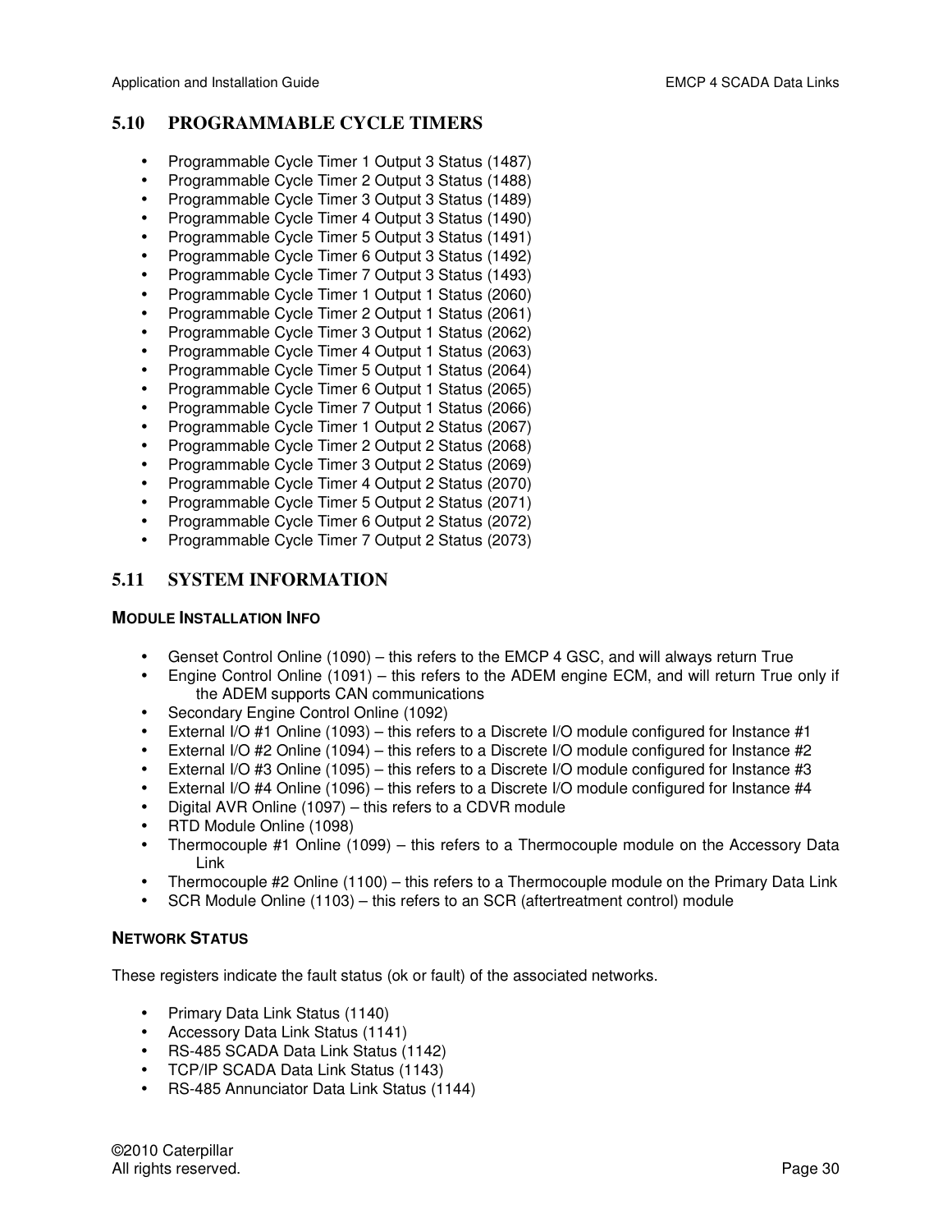## **5.10 PROGRAMMABLE CYCLE TIMERS**

- Programmable Cycle Timer 1 Output 3 Status (1487)
- Programmable Cycle Timer 2 Output 3 Status (1488)
- Programmable Cycle Timer 3 Output 3 Status (1489)
- Programmable Cycle Timer 4 Output 3 Status (1490)
- Programmable Cycle Timer 5 Output 3 Status (1491)
- Programmable Cycle Timer 6 Output 3 Status (1492)
- Programmable Cycle Timer 7 Output 3 Status (1493)
- Programmable Cycle Timer 1 Output 1 Status (2060)
- Programmable Cycle Timer 2 Output 1 Status (2061)
- Programmable Cycle Timer 3 Output 1 Status (2062)
- Programmable Cycle Timer 4 Output 1 Status (2063)
- Programmable Cycle Timer 5 Output 1 Status (2064)
- Programmable Cycle Timer 6 Output 1 Status (2065)
- Programmable Cycle Timer 7 Output 1 Status (2066)
- Programmable Cycle Timer 1 Output 2 Status (2067)
- Programmable Cycle Timer 2 Output 2 Status (2068)
- Programmable Cycle Timer 3 Output 2 Status (2069)
- Programmable Cycle Timer 4 Output 2 Status (2070)
- Programmable Cycle Timer 5 Output 2 Status (2071)
- Programmable Cycle Timer 6 Output 2 Status (2072)
- Programmable Cycle Timer 7 Output 2 Status (2073)

## **5.11 SYSTEM INFORMATION**

#### **MODULE INSTALLATION INFO**

- Genset Control Online (1090) this refers to the EMCP 4 GSC, and will always return True
- Engine Control Online (1091) this refers to the ADEM engine ECM, and will return True only if the ADEM supports CAN communications
- Secondary Engine Control Online (1092)
- External I/O #1 Online (1093) this refers to a Discrete I/O module configured for Instance #1
- External I/O #2 Online (1094) this refers to a Discrete I/O module configured for Instance #2
- External I/O #3 Online (1095) this refers to a Discrete I/O module configured for Instance #3
- External I/O #4 Online (1096) this refers to a Discrete I/O module configured for Instance #4
- Digital AVR Online (1097) this refers to a CDVR module
- RTD Module Online (1098)
- Thermocouple #1 Online (1099) this refers to a Thermocouple module on the Accessory Data Link
- Thermocouple #2 Online (1100) this refers to a Thermocouple module on the Primary Data Link
- SCR Module Online (1103) this refers to an SCR (aftertreatment control) module

#### **NETWORK STATUS**

These registers indicate the fault status (ok or fault) of the associated networks.

- Primary Data Link Status (1140)
- Accessory Data Link Status (1141)
- RS-485 SCADA Data Link Status (1142)
- TCP/IP SCADA Data Link Status (1143)
- RS-485 Annunciator Data Link Status (1144)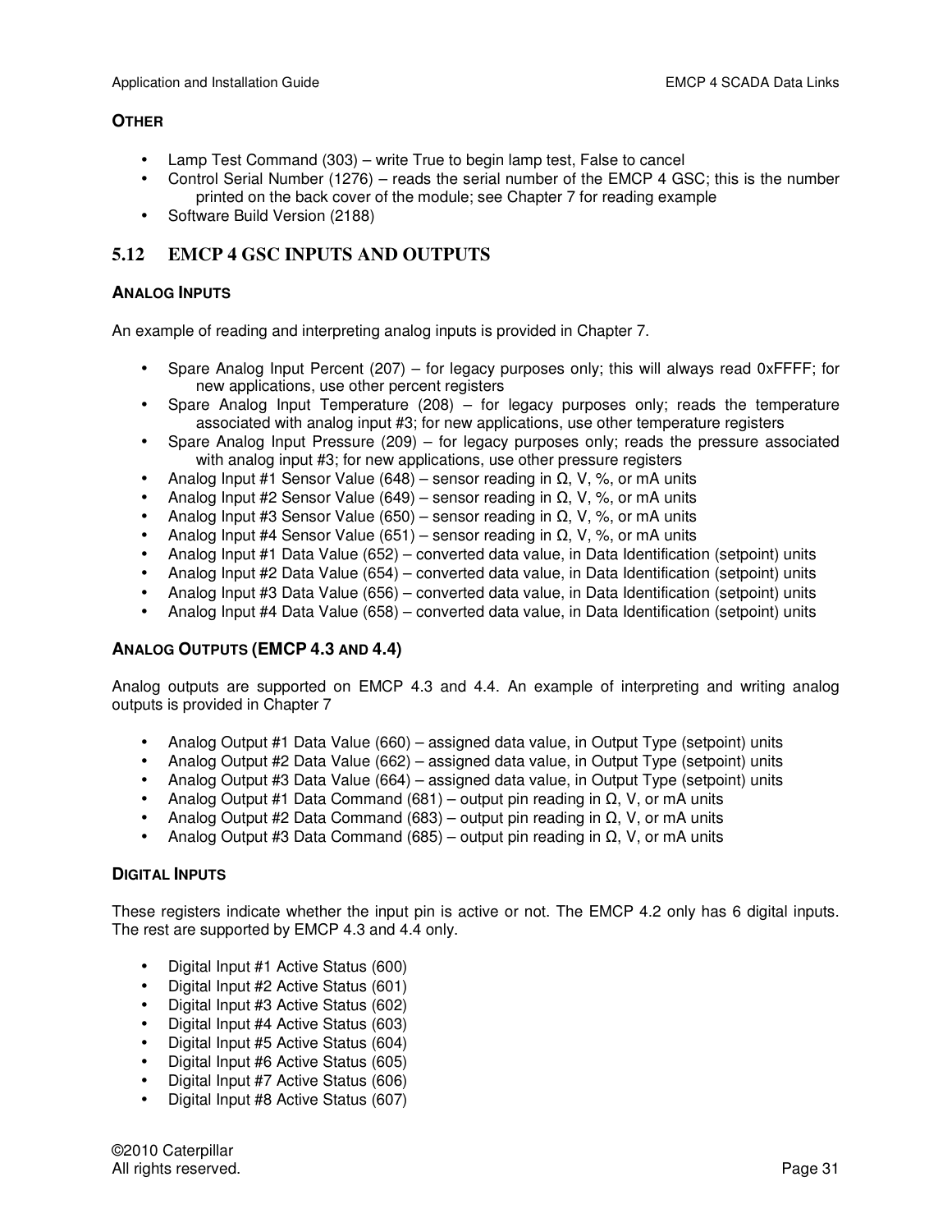#### **OTHER**

- Lamp Test Command (303) write True to begin lamp test, False to cancel
- Control Serial Number (1276) reads the serial number of the EMCP 4 GSC; this is the number printed on the back cover of the module; see Chapter 7 for reading example
- Software Build Version (2188)

## **5.12 EMCP 4 GSC INPUTS AND OUTPUTS**

#### **ANALOG INPUTS**

An example of reading and interpreting analog inputs is provided in Chapter 7.

- Spare Analog Input Percent (207) for legacy purposes only; this will always read 0xFFFF; for new applications, use other percent registers
- Spare Analog Input Temperature  $(208)$  for legacy purposes only; reads the temperature associated with analog input #3; for new applications, use other temperature registers
- Spare Analog Input Pressure (209) for legacy purposes only; reads the pressure associated with analog input #3; for new applications, use other pressure registers
- Analog Input #1 Sensor Value (648) sensor reading in  $\Omega$ , V, %, or mA units
- Analog Input #2 Sensor Value (649) sensor reading in  $\Omega$ , V, %, or mA units
- Analog Input #3 Sensor Value (650) sensor reading in  $\Omega$ , V, %, or mA units
- Analog Input #4 Sensor Value (651) sensor reading in  $\Omega$ , V, %, or mA units
- Analog Input #1 Data Value (652) converted data value, in Data Identification (setpoint) units
- Analog Input #2 Data Value (654) converted data value, in Data Identification (setpoint) units
- Analog Input #3 Data Value (656) converted data value, in Data Identification (setpoint) units
- Analog Input #4 Data Value (658) converted data value, in Data Identification (setpoint) units

## **ANALOG OUTPUTS (EMCP 4.3 AND 4.4)**

Analog outputs are supported on EMCP 4.3 and 4.4. An example of interpreting and writing analog outputs is provided in Chapter 7

- Analog Output #1 Data Value (660) assigned data value, in Output Type (setpoint) units
- Analog Output #2 Data Value (662) assigned data value, in Output Type (setpoint) units
- Analog Output #3 Data Value (664) assigned data value, in Output Type (setpoint) units
- Analog Output #1 Data Command (681) output pin reading in  $\Omega$ , V, or mA units
- Analog Output #2 Data Command (683) output pin reading in  $Ω$ , V, or mA units
- Analog Output #3 Data Command (685) output pin reading in  $Ω$ , V, or mA units

#### **DIGITAL INPUTS**

These registers indicate whether the input pin is active or not. The EMCP 4.2 only has 6 digital inputs. The rest are supported by EMCP 4.3 and 4.4 only.

- Digital Input #1 Active Status (600)
- Digital Input #2 Active Status (601)
- Digital Input #3 Active Status (602)
- Digital Input #4 Active Status (603)
- Digital Input #5 Active Status (604)
- Digital Input #6 Active Status (605)
- Digital Input #7 Active Status (606)
- Digital Input #8 Active Status (607)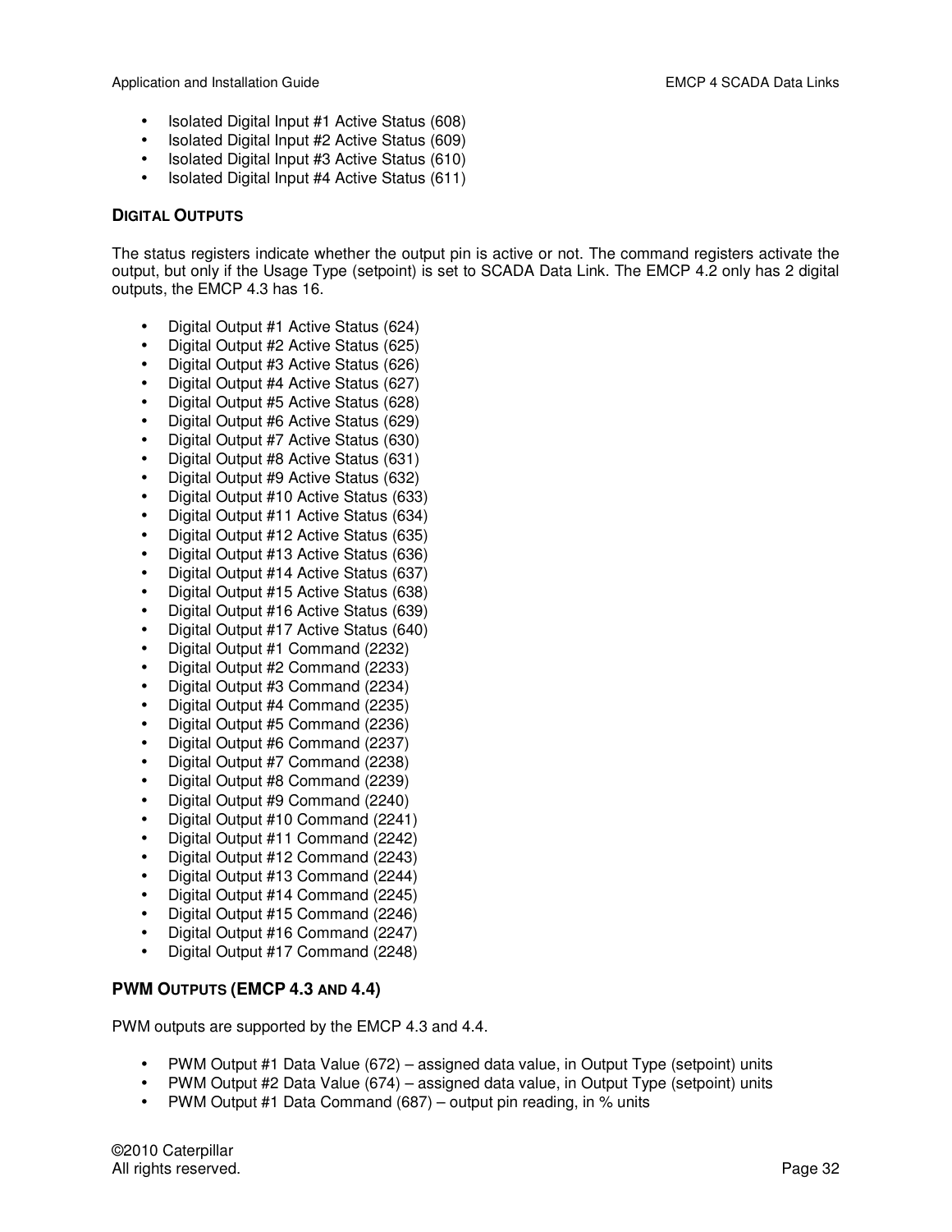- Isolated Digital Input #1 Active Status (608)
- Isolated Digital Input #2 Active Status (609)
- Isolated Digital Input #3 Active Status (610)
- Isolated Digital Input #4 Active Status (611)

#### **DIGITAL OUTPUTS**

The status registers indicate whether the output pin is active or not. The command registers activate the output, but only if the Usage Type (setpoint) is set to SCADA Data Link. The EMCP 4.2 only has 2 digital outputs, the EMCP 4.3 has 16.

- Digital Output #1 Active Status (624)
- Digital Output #2 Active Status (625)
- Digital Output #3 Active Status (626)
- Digital Output #4 Active Status (627)
- Digital Output #5 Active Status (628)
- Digital Output #6 Active Status (629)
- Digital Output #7 Active Status (630)
- Digital Output #8 Active Status (631)
- Digital Output #9 Active Status (632)
- Digital Output #10 Active Status (633)
- Digital Output #11 Active Status (634)
- Digital Output #12 Active Status (635)
- Digital Output #13 Active Status (636)
- Digital Output #14 Active Status (637)
- Digital Output #15 Active Status (638)
- Digital Output #16 Active Status (639)
- Digital Output #17 Active Status (640)
- Digital Output #1 Command (2232)
- Digital Output #2 Command (2233)
- Digital Output #3 Command (2234)
- Digital Output #4 Command (2235)
- Digital Output #5 Command (2236)
- Digital Output #6 Command (2237)
- Digital Output #7 Command (2238)
- Digital Output #8 Command (2239)
- Digital Output #9 Command (2240)
- Digital Output #10 Command (2241)
- Digital Output #11 Command (2242)
- Digital Output #12 Command (2243)
- Digital Output #13 Command (2244)
- Digital Output #14 Command (2245)
- Digital Output #15 Command (2246)
- Digital Output #16 Command (2247)
- Digital Output #17 Command (2248)

## **PWM OUTPUTS (EMCP 4.3 AND 4.4)**

PWM outputs are supported by the EMCP 4.3 and 4.4.

- PWM Output #1 Data Value (672) assigned data value, in Output Type (setpoint) units
- PWM Output #2 Data Value (674) assigned data value, in Output Type (setpoint) units
- PWM Output #1 Data Command (687) output pin reading, in % units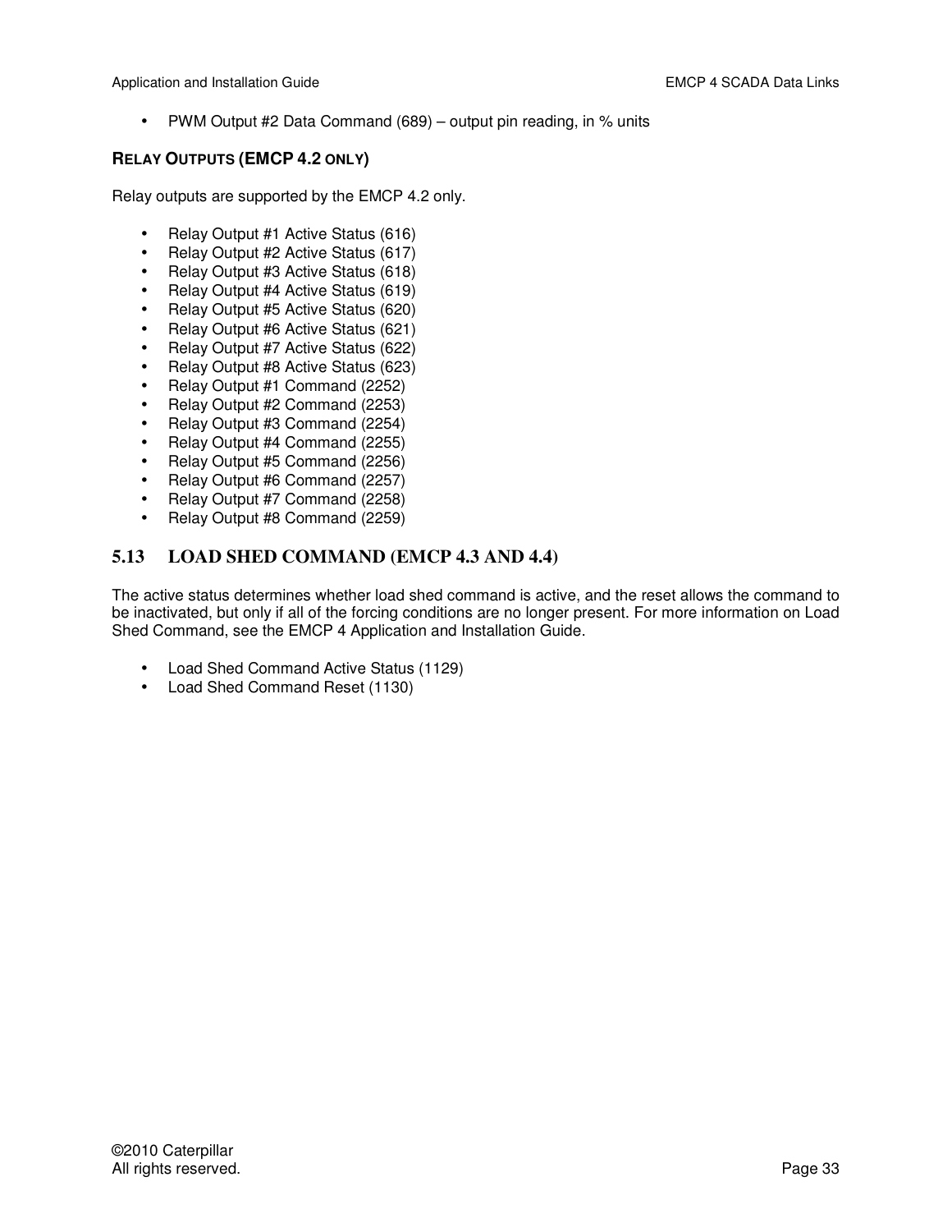• PWM Output #2 Data Command (689) – output pin reading, in % units

#### **RELAY OUTPUTS (EMCP 4.2 ONLY)**

Relay outputs are supported by the EMCP 4.2 only.

- Relay Output #1 Active Status (616)
- Relay Output #2 Active Status (617)
- Relay Output #3 Active Status (618)
- Relay Output #4 Active Status (619)
- Relay Output #5 Active Status (620)
- Relay Output #6 Active Status (621)
- Relay Output #7 Active Status (622)
- Relay Output #8 Active Status (623)
- Relay Output #1 Command (2252)
- Relay Output #2 Command (2253)
- Relay Output #3 Command (2254)
- Relay Output #4 Command (2255)
- Relay Output #5 Command (2256)
- Relay Output #6 Command (2257)
- Relay Output #7 Command (2258)
- Relay Output #8 Command (2259)

#### **5.13 LOAD SHED COMMAND (EMCP 4.3 AND 4.4)**

The active status determines whether load shed command is active, and the reset allows the command to be inactivated, but only if all of the forcing conditions are no longer present. For more information on Load Shed Command, see the EMCP 4 Application and Installation Guide.

- Load Shed Command Active Status (1129)
- Load Shed Command Reset (1130)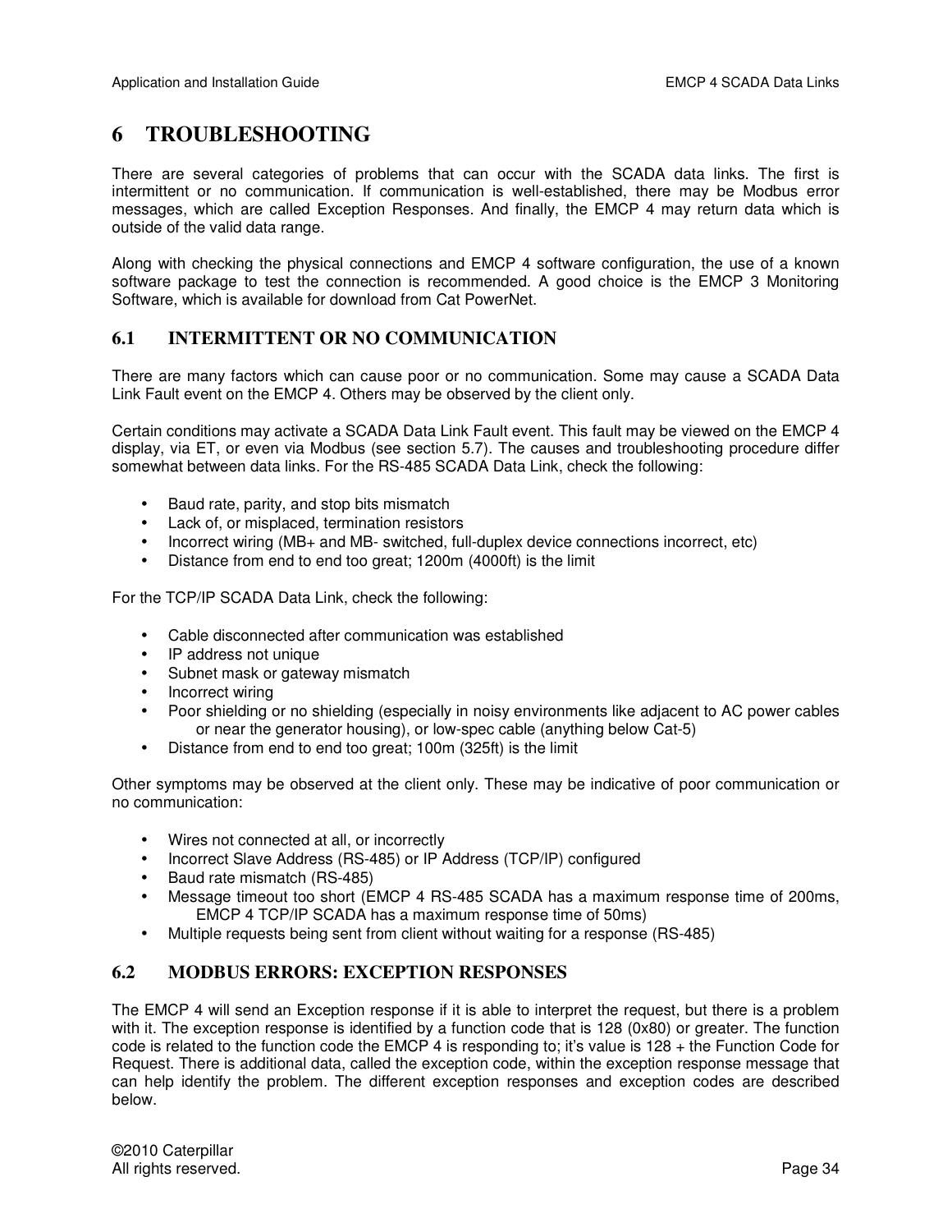# **6 TROUBLESHOOTING**

There are several categories of problems that can occur with the SCADA data links. The first is intermittent or no communication. If communication is well-established, there may be Modbus error messages, which are called Exception Responses. And finally, the EMCP 4 may return data which is outside of the valid data range.

Along with checking the physical connections and EMCP 4 software configuration, the use of a known software package to test the connection is recommended. A good choice is the EMCP 3 Monitoring Software, which is available for download from Cat PowerNet.

#### **6.1 INTERMITTENT OR NO COMMUNICATION**

There are many factors which can cause poor or no communication. Some may cause a SCADA Data Link Fault event on the EMCP 4. Others may be observed by the client only.

Certain conditions may activate a SCADA Data Link Fault event. This fault may be viewed on the EMCP 4 display, via ET, or even via Modbus (see section 5.7). The causes and troubleshooting procedure differ somewhat between data links. For the RS-485 SCADA Data Link, check the following:

- Baud rate, parity, and stop bits mismatch
- Lack of, or misplaced, termination resistors
- Incorrect wiring (MB+ and MB- switched, full-duplex device connections incorrect, etc)
- Distance from end to end too great; 1200m (4000ft) is the limit

For the TCP/IP SCADA Data Link, check the following:

- Cable disconnected after communication was established
- IP address not unique
- Subnet mask or gateway mismatch
- Incorrect wiring
- Poor shielding or no shielding (especially in noisy environments like adjacent to AC power cables or near the generator housing), or low-spec cable (anything below Cat-5)
- Distance from end to end too great; 100m (325ft) is the limit

Other symptoms may be observed at the client only. These may be indicative of poor communication or no communication:

- Wires not connected at all, or incorrectly
- Incorrect Slave Address (RS-485) or IP Address (TCP/IP) configured
- Baud rate mismatch (RS-485)
- Message timeout too short (EMCP 4 RS-485 SCADA has a maximum response time of 200ms, EMCP 4 TCP/IP SCADA has a maximum response time of 50ms)
- Multiple requests being sent from client without waiting for a response (RS-485)

#### **6.2 MODBUS ERRORS: EXCEPTION RESPONSES**

The EMCP 4 will send an Exception response if it is able to interpret the request, but there is a problem with it. The exception response is identified by a function code that is 128 (0x80) or greater. The function code is related to the function code the EMCP 4 is responding to; it's value is 128 + the Function Code for Request. There is additional data, called the exception code, within the exception response message that can help identify the problem. The different exception responses and exception codes are described below.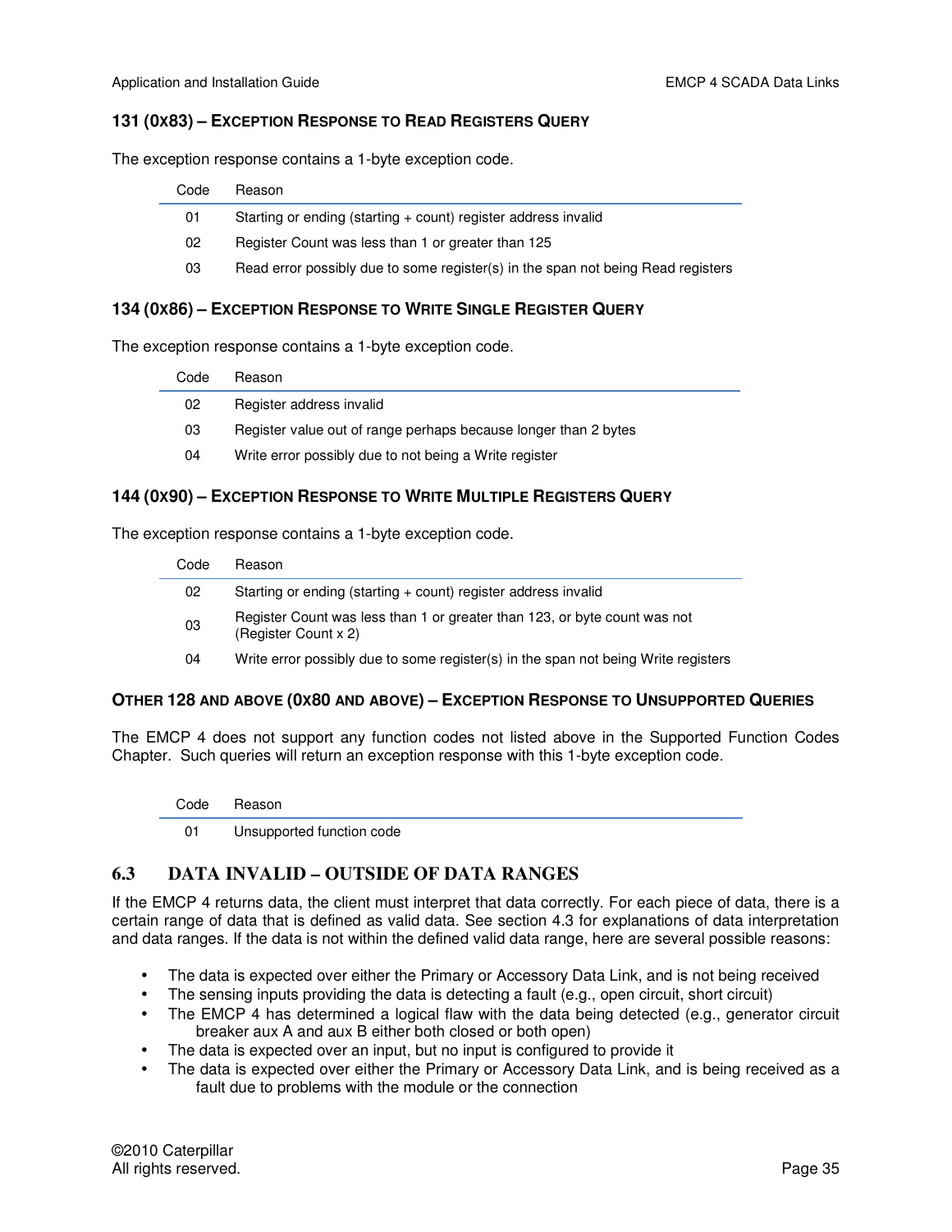#### **131 (0X83) – EXCEPTION RESPONSE TO READ REGISTERS QUERY**

The exception response contains a 1-byte exception code.

| Code | Reason                                                                           |
|------|----------------------------------------------------------------------------------|
| 01   | Starting or ending (starting + count) register address invalid                   |
| 02   | Register Count was less than 1 or greater than 125                               |
| 03   | Read error possibly due to some register(s) in the span not being Read registers |
|      |                                                                                  |

#### **134 (0X86) – EXCEPTION RESPONSE TO WRITE SINGLE REGISTER QUERY**

The exception response contains a 1-byte exception code.

| Code | Reason                                                          |
|------|-----------------------------------------------------------------|
| 02   | Register address invalid                                        |
| 03   | Register value out of range perhaps because longer than 2 bytes |
| 04   | Write error possibly due to not being a Write register          |
|      |                                                                 |

#### **144 (0X90) – EXCEPTION RESPONSE TO WRITE MULTIPLE REGISTERS QUERY**

The exception response contains a 1-byte exception code.

| Code | Reason                                                                                            |
|------|---------------------------------------------------------------------------------------------------|
| 02   | Starting or ending (starting + count) register address invalid                                    |
| 03   | Register Count was less than 1 or greater than 123, or byte count was not<br>(Register Count x 2) |
| 04   | Write error possibly due to some register(s) in the span not being Write registers                |

#### **OTHER 128 AND ABOVE (0X80 AND ABOVE) – EXCEPTION RESPONSE TO UNSUPPORTED QUERIES**

The EMCP 4 does not support any function codes not listed above in the Supported Function Codes Chapter. Such queries will return an exception response with this 1-byte exception code.

Code Reason

01 Unsupported function code

#### **6.3 DATA INVALID – OUTSIDE OF DATA RANGES**

If the EMCP 4 returns data, the client must interpret that data correctly. For each piece of data, there is a certain range of data that is defined as valid data. See section 4.3 for explanations of data interpretation and data ranges. If the data is not within the defined valid data range, here are several possible reasons:

- The data is expected over either the Primary or Accessory Data Link, and is not being received
- $\bullet$  The sensing inputs providing the data is detecting a fault (e.g., open circuit, short circuit)
- The EMCP 4 has determined a logical flaw with the data being detected (e.g., generator circuit breaker aux A and aux B either both closed or both open)
- The data is expected over an input, but no input is configured to provide it
- The data is expected over either the Primary or Accessory Data Link, and is being received as a fault due to problems with the module or the connection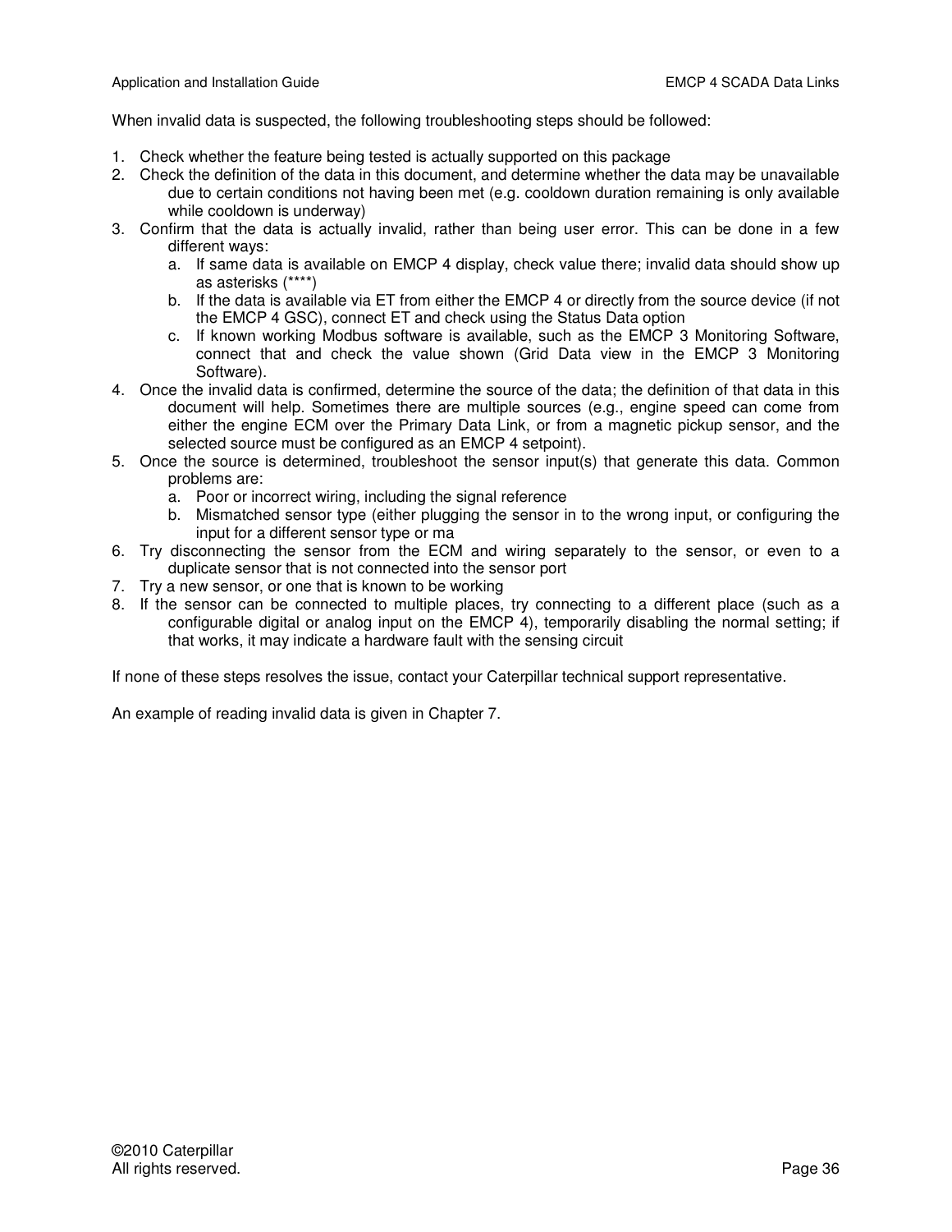When invalid data is suspected, the following troubleshooting steps should be followed:

- 1. Check whether the feature being tested is actually supported on this package
- 2. Check the definition of the data in this document, and determine whether the data may be unavailable due to certain conditions not having been met (e.g. cooldown duration remaining is only available while cooldown is underway)
- 3. Confirm that the data is actually invalid, rather than being user error. This can be done in a few different ways:
	- a. If same data is available on EMCP 4 display, check value there; invalid data should show up as asterisks (\*\*\*\*)
	- b. If the data is available via ET from either the EMCP 4 or directly from the source device (if not the EMCP 4 GSC), connect ET and check using the Status Data option
	- c. If known working Modbus software is available, such as the EMCP 3 Monitoring Software, connect that and check the value shown (Grid Data view in the EMCP 3 Monitoring Software).
- 4. Once the invalid data is confirmed, determine the source of the data; the definition of that data in this document will help. Sometimes there are multiple sources (e.g., engine speed can come from either the engine ECM over the Primary Data Link, or from a magnetic pickup sensor, and the selected source must be configured as an EMCP 4 setpoint).
- 5. Once the source is determined, troubleshoot the sensor input(s) that generate this data. Common problems are:
	- a. Poor or incorrect wiring, including the signal reference
	- b. Mismatched sensor type (either plugging the sensor in to the wrong input, or configuring the input for a different sensor type or ma
- 6. Try disconnecting the sensor from the ECM and wiring separately to the sensor, or even to a duplicate sensor that is not connected into the sensor port
- 7. Try a new sensor, or one that is known to be working
- 8. If the sensor can be connected to multiple places, try connecting to a different place (such as a configurable digital or analog input on the EMCP 4), temporarily disabling the normal setting; if that works, it may indicate a hardware fault with the sensing circuit

If none of these steps resolves the issue, contact your Caterpillar technical support representative.

An example of reading invalid data is given in Chapter 7.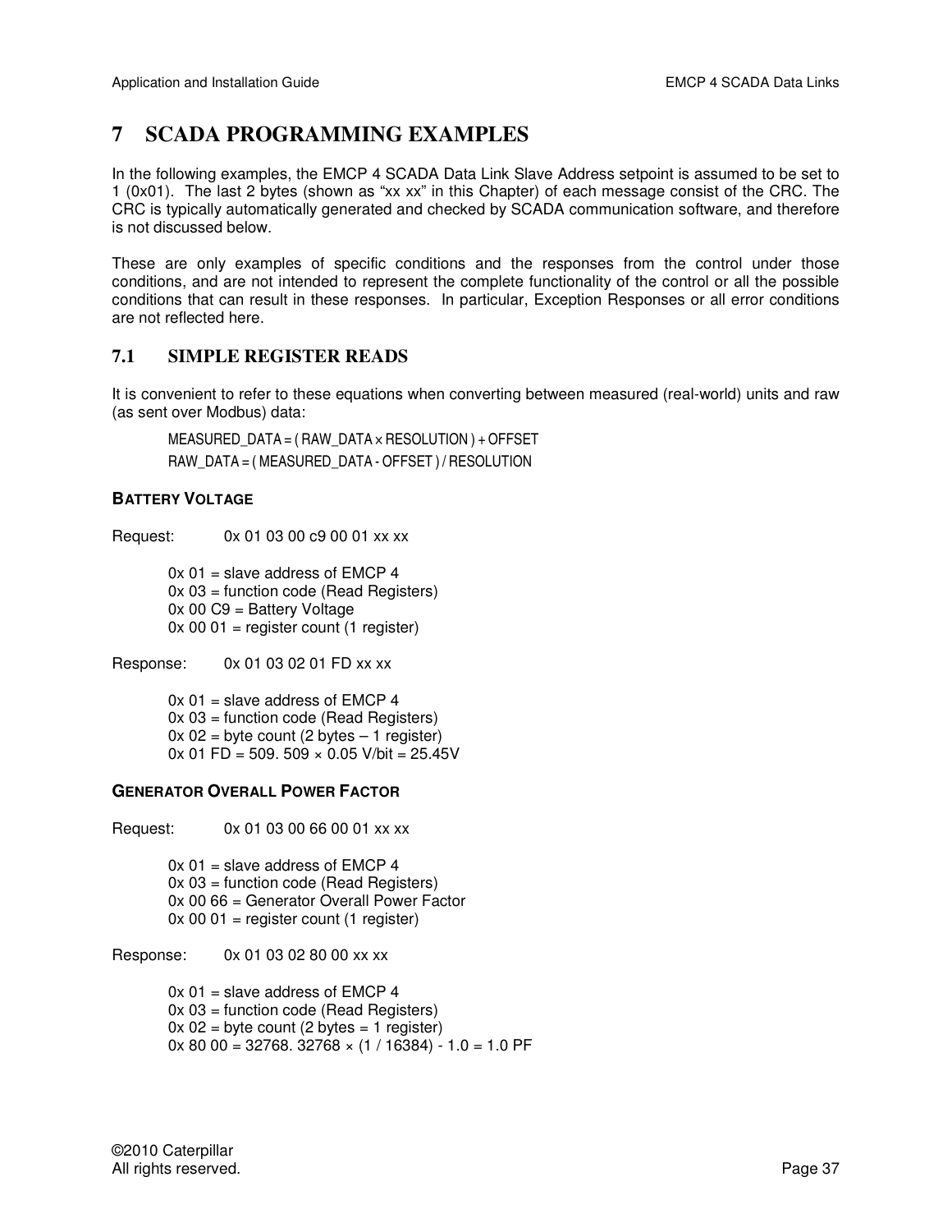# **7 SCADA PROGRAMMING EXAMPLES**

In the following examples, the EMCP 4 SCADA Data Link Slave Address setpoint is assumed to be set to 1 (0x01). The last 2 bytes (shown as "xx xx" in this Chapter) of each message consist of the CRC. The CRC is typically automatically generated and checked by SCADA communication software, and therefore is not discussed below.

These are only examples of specific conditions and the responses from the control under those conditions, and are not intended to represent the complete functionality of the control or all the possible conditions that can result in these responses. In particular, Exception Responses or all error conditions are not reflected here.

#### **7.1 SIMPLE REGISTER READS**

It is convenient to refer to these equations when converting between measured (real-world) units and raw (as sent over Modbus) data:

MEASURED\_DATA =  $($  RAW\_DATA  $\times$  RESOLUTION  $)$  + OFFSET RAW\_DATA = ( MEASURED\_DATA - OFFSET ) / RESOLUTION

#### **BATTERY VOLTAGE**

Request: 0x 01 03 00 c9 00 01 xx xx

 $0x 01$  = slave address of EMCP 4 0x 03 = function code (Read Registers) 0x 00 C9 = Battery Voltage  $0x 00 01$  = register count (1 register)

Response: 0x 01 03 02 01 FD xx xx

 $0x 01$  = slave address of EMCP 4 0x 03 = function code (Read Registers)  $0x 02$  = byte count (2 bytes  $-1$  register)  $0x 01 FD = 509.509 \times 0.05 V/bit = 25.45V$ 

#### **GENERATOR OVERALL POWER FACTOR**

Request: 0x 01 03 00 66 00 01 xx xx

 $0x 01$  = slave address of EMCP 4 0x 03 = function code (Read Registers) 0x 00 66 = Generator Overall Power Factor  $0x 00 01$  = register count (1 register)

Response: 0x 01 03 02 80 00 xx xx

 $0x 01$  = slave address of EMCP 4 0x 03 = function code (Read Registers)  $0x 02$  = byte count (2 bytes = 1 register)  $0x 80 00 = 32768$ . 32768  $\times$  (1 / 16384) - 1.0 = 1.0 PF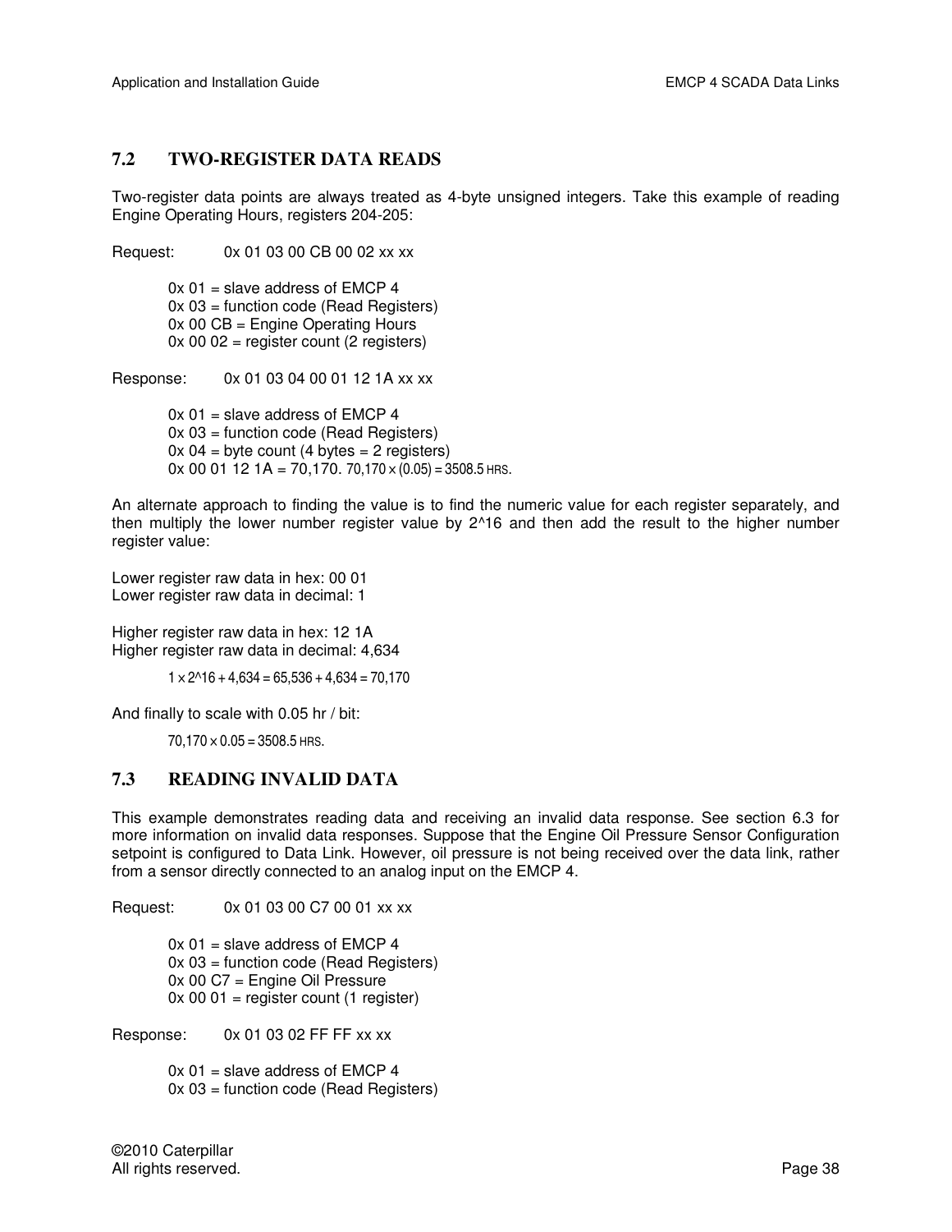#### **7.2 TWO-REGISTER DATA READS**

Two-register data points are always treated as 4-byte unsigned integers. Take this example of reading Engine Operating Hours, registers 204-205:

Request: 0x 01 03 00 CB 00 02 xx xx  $0x 01$  = slave address of EMCP 4 0x 03 = function code (Read Registers) 0x 00 CB = Engine Operating Hours  $0x 00 02$  = register count (2 registers)

Response: 0x 01 03 04 00 01 12 1A xx xx

 $0x 01$  = slave address of EMCP 4 0x 03 = function code (Read Registers)  $0x 04 =$  byte count (4 bytes = 2 registers)  $0x 00 01 12 1A = 70,170.70,170 \times (0.05) = 3508.5$  HRS.

An alternate approach to finding the value is to find the numeric value for each register separately, and then multiply the lower number register value by 2^16 and then add the result to the higher number register value:

Lower register raw data in hex: 00 01 Lower register raw data in decimal: 1

Higher register raw data in hex: 12 1A Higher register raw data in decimal: 4,634

 $1 \times 2^{16} + 4,634 = 65,536 + 4,634 = 70,170$ 

And finally to scale with 0.05 hr / bit:

 $70,170 \times 0.05 = 3508.5$  HRS.

#### **7.3 READING INVALID DATA**

This example demonstrates reading data and receiving an invalid data response. See section 6.3 for more information on invalid data responses. Suppose that the Engine Oil Pressure Sensor Configuration setpoint is configured to Data Link. However, oil pressure is not being received over the data link, rather from a sensor directly connected to an analog input on the EMCP 4.

Request: 0x 01 03 00 C7 00 01 xx xx

 $0x 01$  = slave address of EMCP 4 0x 03 = function code (Read Registers) 0x 00 C7 = Engine Oil Pressure  $0x 00 01$  = register count (1 register)

Response: 0x 01 03 02 FF FF xx xx

 $0x 01$  = slave address of EMCP 4 0x 03 = function code (Read Registers)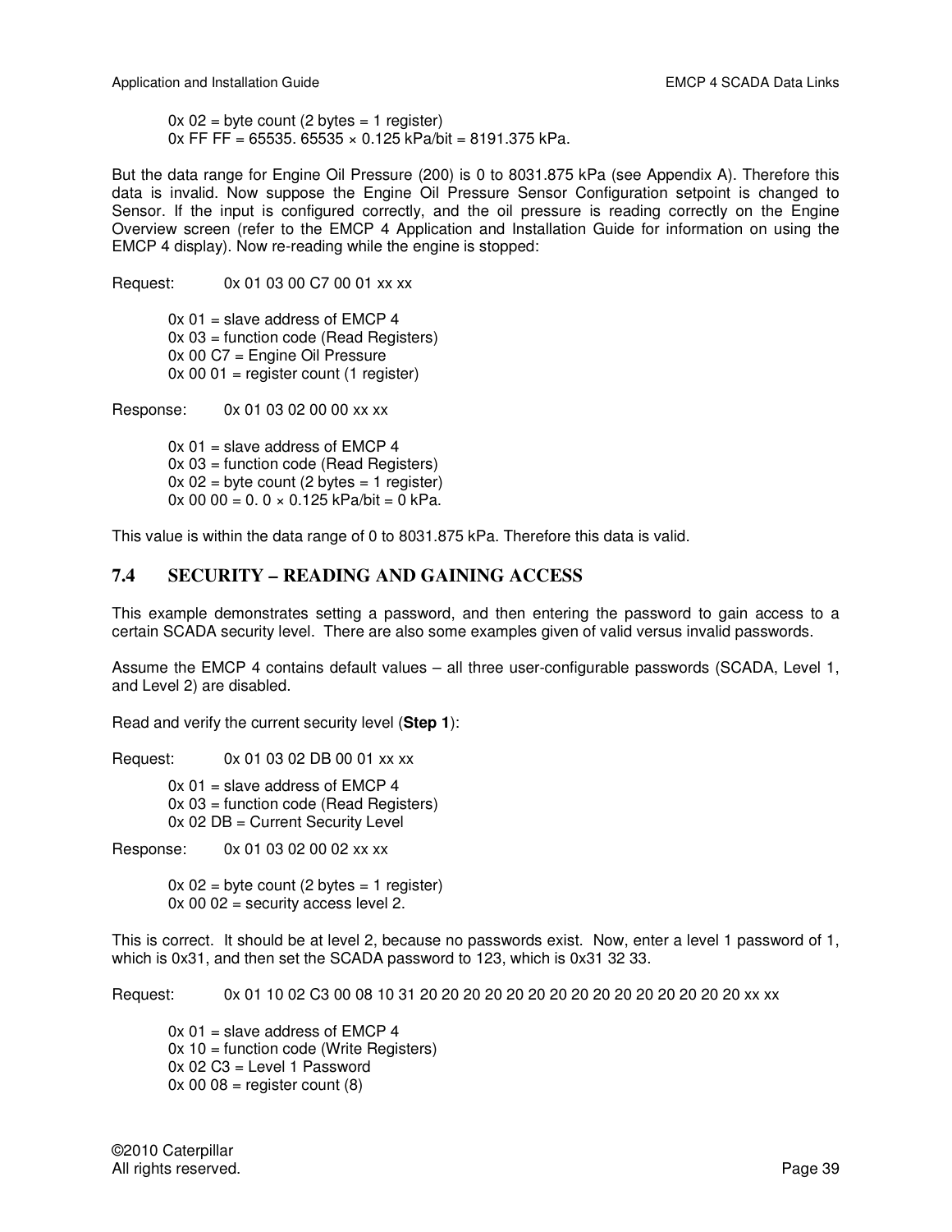$0x 02$  = byte count (2 bytes = 1 register)  $0x$  FF FF = 65535. 65535  $\times$  0.125 kPa/bit = 8191.375 kPa.

But the data range for Engine Oil Pressure (200) is 0 to 8031.875 kPa (see Appendix A). Therefore this data is invalid. Now suppose the Engine Oil Pressure Sensor Configuration setpoint is changed to Sensor. If the input is configured correctly, and the oil pressure is reading correctly on the Engine Overview screen (refer to the EMCP 4 Application and Installation Guide for information on using the EMCP 4 display). Now re-reading while the engine is stopped:

Request: 0x 01 03 00 C7 00 01 xx xx

 $0x 01$  = slave address of EMCP 4 0x 03 = function code (Read Registers) 0x 00 C7 = Engine Oil Pressure  $0x 00 01$  = register count (1 register)

Response: 0x 01 03 02 00 00 xx xx

 $0x 01$  = slave address of EMCP 4 0x 03 = function code (Read Registers)  $0x 02$  = byte count (2 bytes = 1 register)  $0x 00 00 = 0.0 \times 0.125 kPa/bit = 0 kPa.$ 

This value is within the data range of 0 to 8031.875 kPa. Therefore this data is valid.

#### **7.4 SECURITY – READING AND GAINING ACCESS**

This example demonstrates setting a password, and then entering the password to gain access to a certain SCADA security level. There are also some examples given of valid versus invalid passwords.

Assume the EMCP 4 contains default values – all three user-configurable passwords (SCADA, Level 1, and Level 2) are disabled.

Read and verify the current security level (**Step 1**):

Request: 0x 01 03 02 DB 00 01 xx xx

 $0x 01$  = slave address of EMCP 4 0x 03 = function code (Read Registers) 0x 02 DB = Current Security Level

Response: 0x 01 03 02 00 02 xx xx

 $0x 02$  = byte count (2 bytes = 1 register)  $0x 00 02$  = security access level 2.

This is correct. It should be at level 2, because no passwords exist. Now, enter a level 1 password of 1, which is 0x31, and then set the SCADA password to 123, which is 0x31 32 33.

Request: 0x 01 10 02 C3 00 08 10 31 20 20 20 20 20 20 20 20 20 20 20 20 20 20 20 xx xx

 $0x 01$  = slave address of EMCP 4  $0x 10 =$  function code (Write Registers) 0x 02 C3 = Level 1 Password  $0x 00 08$  = register count  $(8)$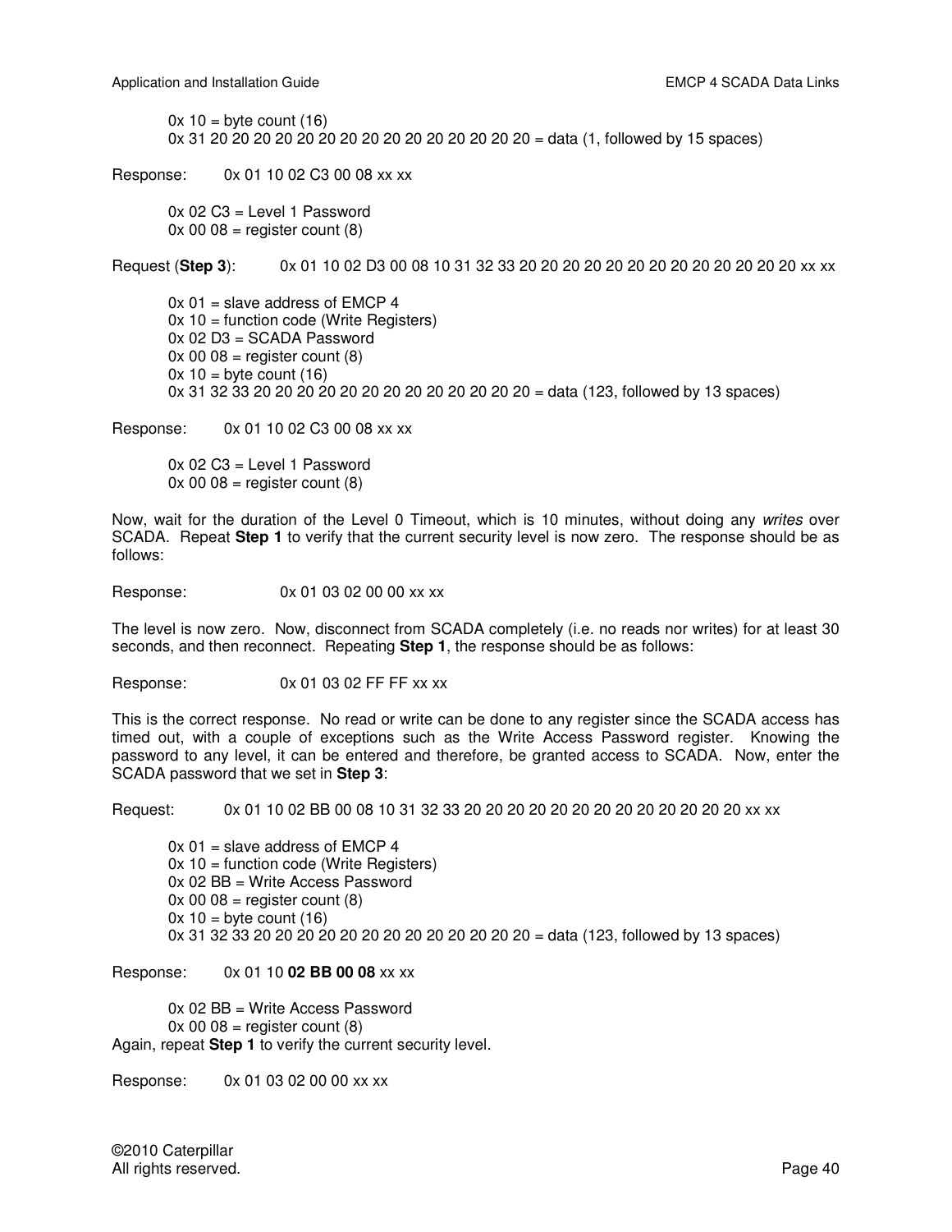$0x 10 =$  byte count (16) 0x 31 20 20 20 20 20 20 20 20 20 20 20 20 20 20 20 = data (1, followed by 15 spaces)

Response: 0x 01 10 02 C3 00 08 xx xx

 0x 02 C3 = Level 1 Password  $0x 00 08$  = register count  $(8)$ 

Request (**Step 3**): 0x 01 10 02 D3 00 08 10 31 32 33 20 20 20 20 20 20 20 20 20 20 20 20 20 xx xx

 $0x 01$  = slave address of EMCP 4  $0x 10 =$  function code (Write Registers) 0x 02 D3 = SCADA Password  $0x\ 00\ 08$  = register count  $(8)$  $0x 10 =$  byte count (16) 0x 31 32 33 20 20 20 20 20 20 20 20 20 20 20 20 20 = data (123, followed by 13 spaces)

Response: 0x 01 10 02 C3 00 08 xx xx

 0x 02 C3 = Level 1 Password  $0x 00 08$  = register count  $(8)$ 

Now, wait for the duration of the Level 0 Timeout, which is 10 minutes, without doing any *writes* over SCADA. Repeat **Step 1** to verify that the current security level is now zero. The response should be as follows:

Response: 0x 01 03 02 00 00 xx xx

The level is now zero. Now, disconnect from SCADA completely (i.e. no reads nor writes) for at least 30 seconds, and then reconnect. Repeating **Step 1**, the response should be as follows:

Response: 0x 01 03 02 FF FF xx xx

This is the correct response. No read or write can be done to any register since the SCADA access has timed out, with a couple of exceptions such as the Write Access Password register. Knowing the password to any level, it can be entered and therefore, be granted access to SCADA. Now, enter the SCADA password that we set in **Step 3**:

Request: 0x 01 10 02 BB 00 08 10 31 32 33 20 20 20 20 20 20 20 20 20 20 20 20 20 xx xx

 $0x 01$  = slave address of EMCP 4 0x 10 = function code (Write Registers) 0x 02 BB = Write Access Password  $0x 00 08$  = register count  $(8)$  $0x 10 =$  byte count (16) 0x 31 32 33 20 20 20 20 20 20 20 20 20 20 20 20 20 = data (123, followed by 13 spaces)

Response: 0x 01 10 **02 BB 00 08** xx xx

 0x 02 BB = Write Access Password  $0x 00 08$  = register count  $(8)$ Again, repeat **Step 1** to verify the current security level.

Response: 0x 01 03 02 00 00 xx xx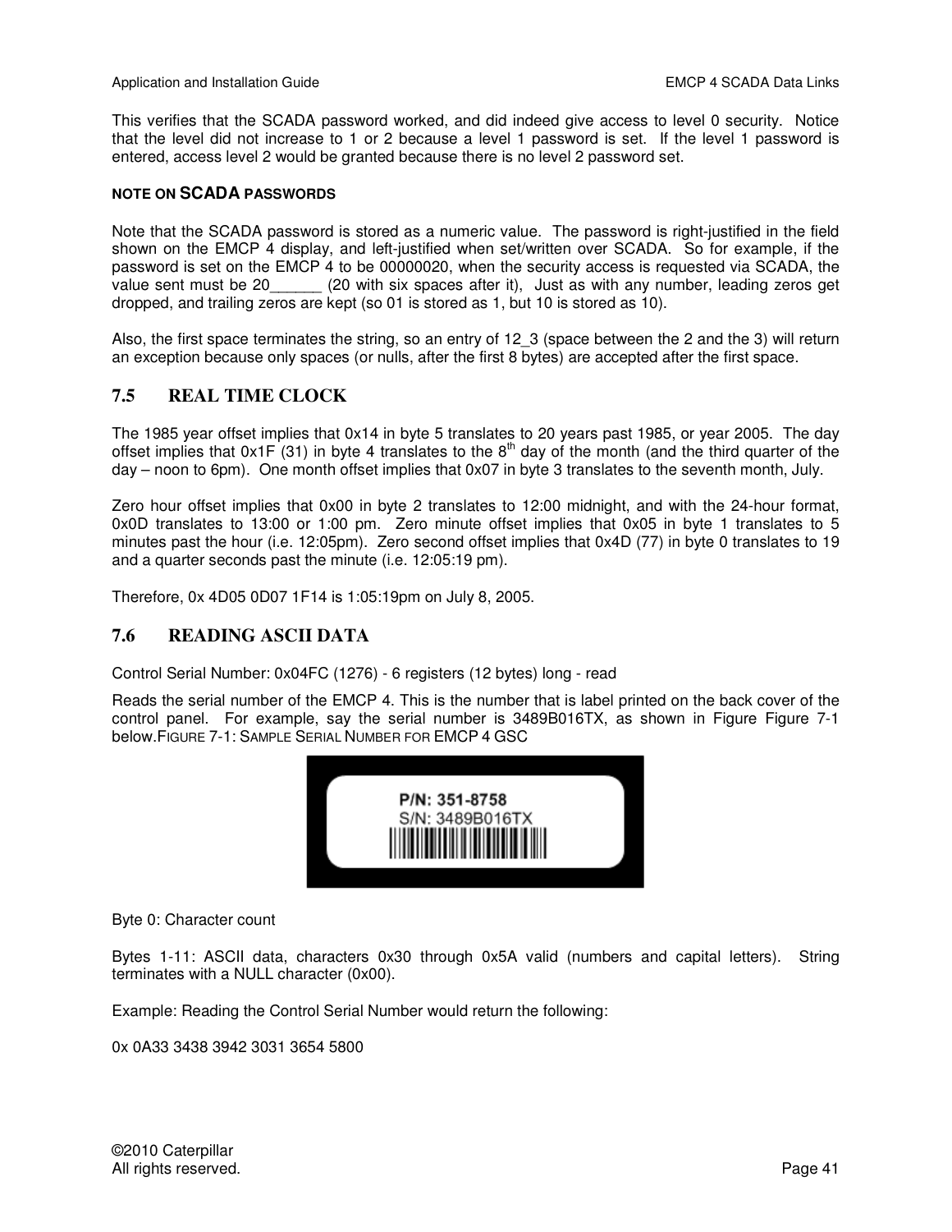This verifies that the SCADA password worked, and did indeed give access to level 0 security. Notice that the level did not increase to 1 or 2 because a level 1 password is set. If the level 1 password is entered, access level 2 would be granted because there is no level 2 password set.

#### **NOTE ON SCADA PASSWORDS**

Note that the SCADA password is stored as a numeric value. The password is right-justified in the field shown on the EMCP 4 display, and left-justified when set/written over SCADA. So for example, if the password is set on the EMCP 4 to be 00000020, when the security access is requested via SCADA, the value sent must be 20\_\_\_\_\_\_ (20 with six spaces after it), Just as with any number, leading zeros get dropped, and trailing zeros are kept (so 01 is stored as 1, but 10 is stored as 10).

Also, the first space terminates the string, so an entry of 12\_3 (space between the 2 and the 3) will return an exception because only spaces (or nulls, after the first 8 bytes) are accepted after the first space.

#### **7.5 REAL TIME CLOCK**

The 1985 year offset implies that 0x14 in byte 5 translates to 20 years past 1985, or year 2005. The day offset implies that  $0x1F(31)$  in byte 4 translates to the  $8<sup>th</sup>$  day of the month (and the third quarter of the day – noon to 6pm). One month offset implies that 0x07 in byte 3 translates to the seventh month, July.

Zero hour offset implies that 0x00 in byte 2 translates to 12:00 midnight, and with the 24-hour format, 0x0D translates to 13:00 or 1:00 pm. Zero minute offset implies that 0x05 in byte 1 translates to 5 minutes past the hour (i.e. 12:05pm). Zero second offset implies that 0x4D (77) in byte 0 translates to 19 and a quarter seconds past the minute (i.e. 12:05:19 pm).

Therefore, 0x 4D05 0D07 1F14 is 1:05:19pm on July 8, 2005.

#### **7.6 READING ASCII DATA**

Control Serial Number: 0x04FC (1276) - 6 registers (12 bytes) long - read

Reads the serial number of the EMCP 4. This is the number that is label printed on the back cover of the control panel. For example, say the serial number is 3489B016TX, as shown in Figure Figure 7-1 below.FIGURE 7-1: SAMPLE SERIAL NUMBER FOR EMCP 4 GSC



Byte 0: Character count

Bytes 1-11: ASCII data, characters 0x30 through 0x5A valid (numbers and capital letters). String terminates with a NULL character (0x00).

Example: Reading the Control Serial Number would return the following:

0x 0A33 3438 3942 3031 3654 5800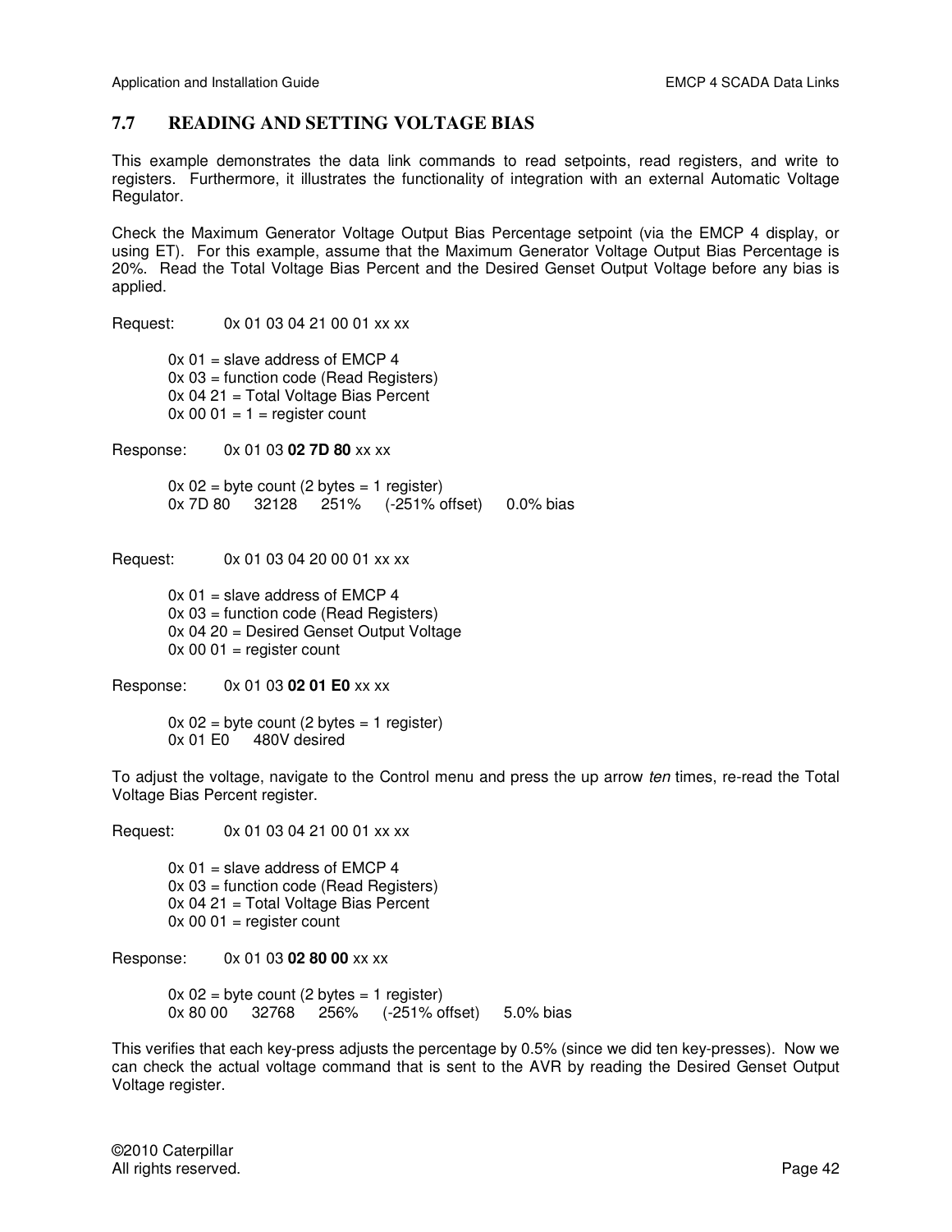#### **7.7 READING AND SETTING VOLTAGE BIAS**

This example demonstrates the data link commands to read setpoints, read registers, and write to registers. Furthermore, it illustrates the functionality of integration with an external Automatic Voltage Regulator.

Check the Maximum Generator Voltage Output Bias Percentage setpoint (via the EMCP 4 display, or using ET). For this example, assume that the Maximum Generator Voltage Output Bias Percentage is 20%. Read the Total Voltage Bias Percent and the Desired Genset Output Voltage before any bias is applied.

Request: 0x 01 03 04 21 00 01 xx xx

 $0x 01$  = slave address of EMCP 4 0x 03 = function code (Read Registers) 0x 04 21 = Total Voltage Bias Percent  $0x 00 01 = 1$  = register count

Response: 0x 01 03 **02 7D 80** xx xx

 $0x 02$  = byte count (2 bytes = 1 register) 0x 7D 80 32128 251% (-251% offset) 0.0% bias

Request: 0x 01 03 04 20 00 01 xx xx

 $0x 01$  = slave address of EMCP 4 0x 03 = function code (Read Registers) 0x 04 20 = Desired Genset Output Voltage  $0x 00 01$  = register count

Response: 0x 01 03 **02 01 E0** xx xx

 $0x 02$  = byte count (2 bytes = 1 register) 0x 01 E0 480V desired

To adjust the voltage, navigate to the Control menu and press the up arrow *ten* times, re-read the Total Voltage Bias Percent register.

Request: 0x 01 03 04 21 00 01 xx xx

 $0x 01$  = slave address of EMCP 4 0x 03 = function code (Read Registers) 0x 04 21 = Total Voltage Bias Percent  $0x 00 01$  = register count

Response: 0x 01 03 **02 80 00** xx xx

 $0x 02$  = byte count (2 bytes = 1 register) 0x 80 00 32768 256% (-251% offset) 5.0% bias

This verifies that each key-press adjusts the percentage by 0.5% (since we did ten key-presses). Now we can check the actual voltage command that is sent to the AVR by reading the Desired Genset Output Voltage register.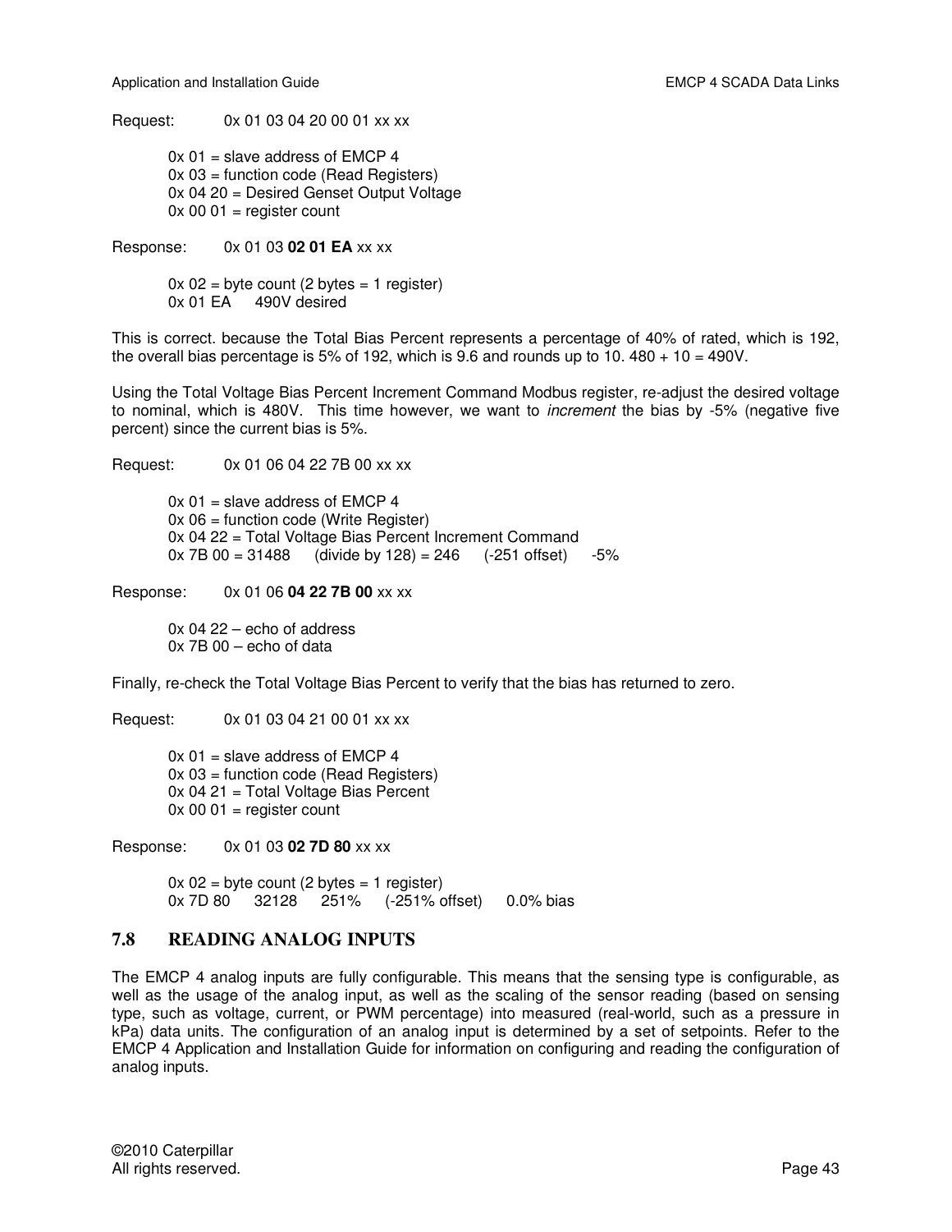Request: 0x 01 03 04 20 00 01 xx xx

 $0x 01$  = slave address of EMCP 4 0x 03 = function code (Read Registers) 0x 04 20 = Desired Genset Output Voltage  $0x 00 01$  = register count

Response: 0x 01 03 **02 01 EA** xx xx

 $0x 02$  = byte count (2 bytes = 1 register) 0x 01 EA 490V desired

This is correct. because the Total Bias Percent represents a percentage of 40% of rated, which is 192, the overall bias percentage is 5% of 192, which is 9.6 and rounds up to 10.  $480 + 10 = 490V$ .

Using the Total Voltage Bias Percent Increment Command Modbus register, re-adjust the desired voltage to nominal, which is 480V. This time however, we want to *increment* the bias by -5% (negative five percent) since the current bias is 5%.

Request: 0x 01 06 04 22 7B 00 xx xx

 $0x 01$  = slave address of EMCP 4  $0x 06$  = function code (Write Register) 0x 04 22 = Total Voltage Bias Percent Increment Command  $0x$  7B  $00 = 31488$  (divide by 128) = 246 (-251 offset) -5%

Response: 0x 01 06 **04 22 7B 00** xx xx

 0x 04 22 – echo of address 0x 7B 00 – echo of data

Finally, re-check the Total Voltage Bias Percent to verify that the bias has returned to zero.

Request: 0x 01 03 04 21 00 01 xx xx

 $0x 01$  = slave address of EMCP 4 0x 03 = function code (Read Registers) 0x 04 21 = Total Voltage Bias Percent  $0x 00 01$  = register count

Response: 0x 01 03 **02 7D 80** xx xx

 $0x 02$  = byte count (2 bytes = 1 register) 0x 7D 80 32128 251% (-251% offset) 0.0% bias

#### **7.8 READING ANALOG INPUTS**

The EMCP 4 analog inputs are fully configurable. This means that the sensing type is configurable, as well as the usage of the analog input, as well as the scaling of the sensor reading (based on sensing type, such as voltage, current, or PWM percentage) into measured (real-world, such as a pressure in kPa) data units. The configuration of an analog input is determined by a set of setpoints. Refer to the EMCP 4 Application and Installation Guide for information on configuring and reading the configuration of analog inputs.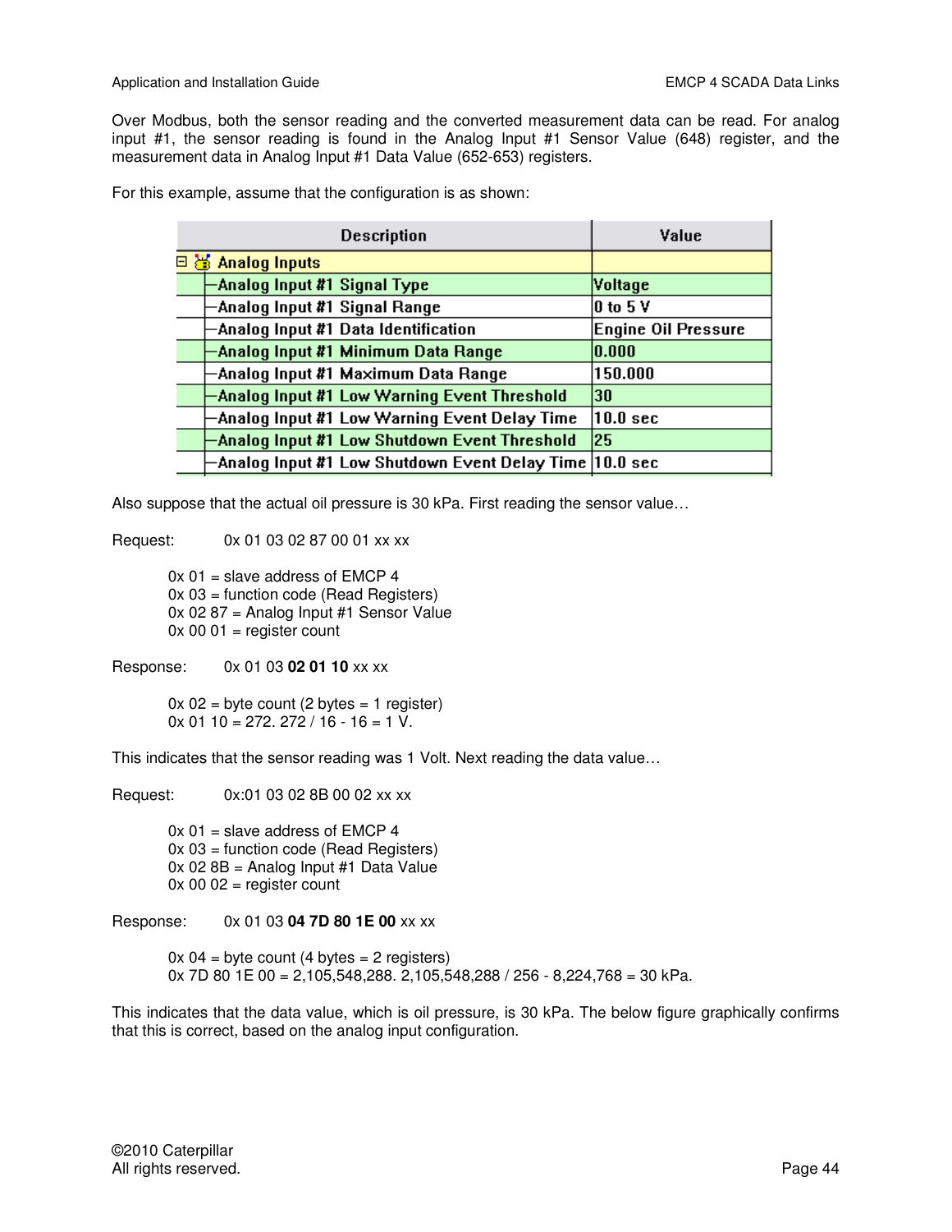Over Modbus, both the sensor reading and the converted measurement data can be read. For analog input #1, the sensor reading is found in the Analog Input #1 Sensor Value (648) register, and the measurement data in Analog Input #1 Data Value (652-653) registers.

For this example, assume that the configuration is as shown:

| <b>Description</b>                                       | Value                         |
|----------------------------------------------------------|-------------------------------|
| $\Box$ $\otimes$ Analog Inputs                           |                               |
| Analog Input #1 Signal Type                              | Voltage                       |
| Analog Input #1 Signal Range                             | $ 0 \text{ to } 5 \text{ V} $ |
| -Analog Input #1 Data Identification                     | <b>Engine Oil Pressure</b>    |
| -Analog Input #1 Minimum Data Range                      | 0.000                         |
| -Analog Input #1 Maximum Data Range                      | 150.000                       |
| Analog Input #1 Low Warning Event Threshold              | 130                           |
| Analog Input #1 Low Warning Event Delay Time             | $ 10.0\> \mathrm{sec}$        |
| Analog Input #1 Low Shutdown Event Threshold             | 25                            |
| -Analog Input #1 Low Shutdown Event Delay Time  10.0 sec |                               |

Also suppose that the actual oil pressure is 30 kPa. First reading the sensor value…

Request: 0x 01 03 02 87 00 01 xx xx

 0x 01 = slave address of EMCP 4 0x 03 = function code (Read Registers) 0x 02 87 = Analog Input #1 Sensor Value  $0x 00 01$  = register count

Response: 0x 01 03 **02 01 10** xx xx

 $0x 02$  = byte count (2 bytes = 1 register)  $0x 01 10 = 272$ ,  $272 / 16 - 16 = 1 \text{ V}$ .

This indicates that the sensor reading was 1 Volt. Next reading the data value…

Request: 0x:01 03 02 8B 00 02 xx xx

 $0x 01$  = slave address of EMCP 4 0x 03 = function code (Read Registers) 0x 02 8B = Analog Input #1 Data Value  $0x 00 02$  = register count

Response: 0x 01 03 **04 7D 80 1E 00** xx xx

 $0x 04 =$  byte count (4 bytes = 2 registers) 0x 7D 80 1E 00 = 2,105,548,288. 2,105,548,288 / 256 - 8,224,768 = 30 kPa.

This indicates that the data value, which is oil pressure, is 30 kPa. The below figure graphically confirms that this is correct, based on the analog input configuration.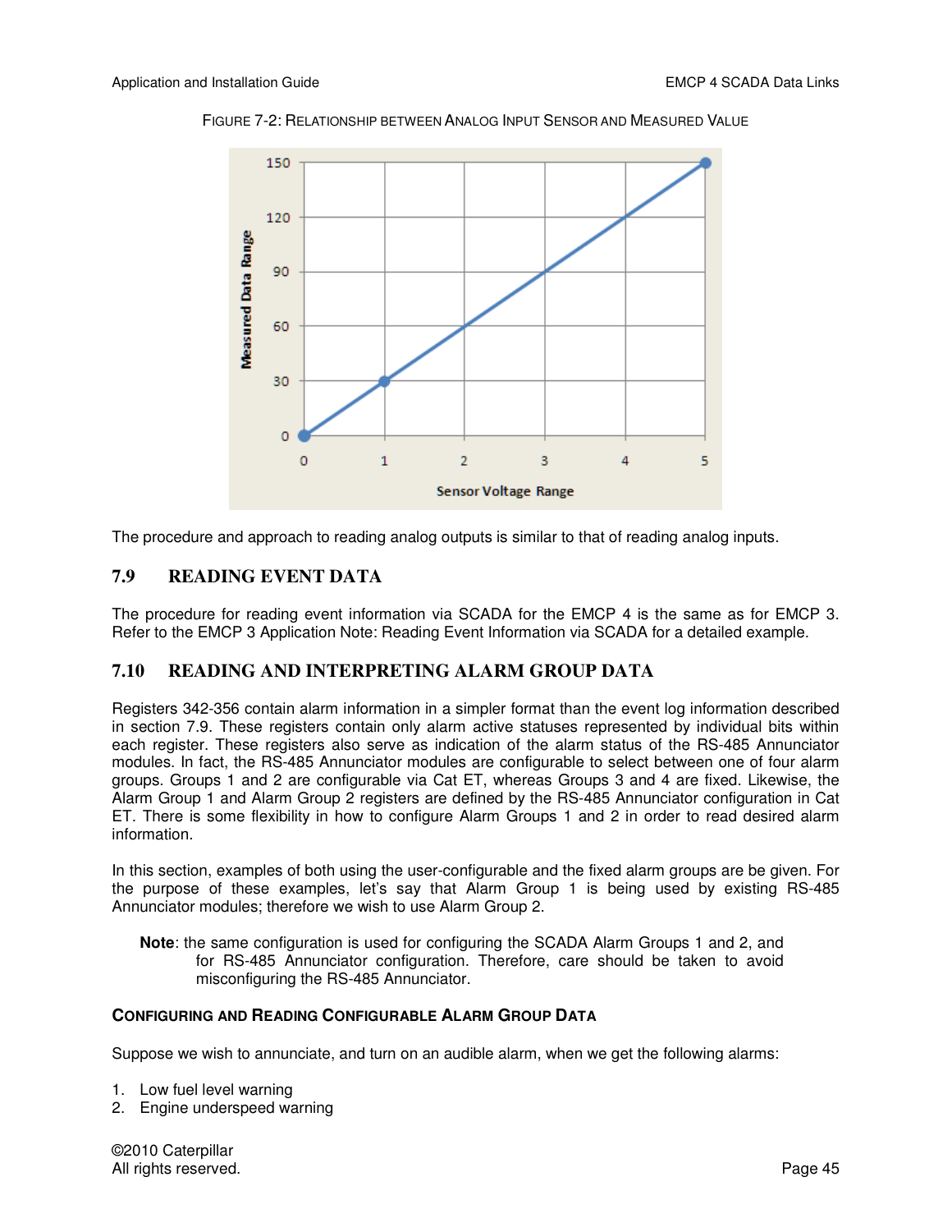

FIGURE 7-2: RELATIONSHIP BETWEEN ANALOG INPUT SENSOR AND MEASURED VALUE

The procedure and approach to reading analog outputs is similar to that of reading analog inputs.

#### **7.9 READING EVENT DATA**

The procedure for reading event information via SCADA for the EMCP 4 is the same as for EMCP 3. Refer to the EMCP 3 Application Note: Reading Event Information via SCADA for a detailed example.

#### **7.10 READING AND INTERPRETING ALARM GROUP DATA**

Registers 342-356 contain alarm information in a simpler format than the event log information described in section 7.9. These registers contain only alarm active statuses represented by individual bits within each register. These registers also serve as indication of the alarm status of the RS-485 Annunciator modules. In fact, the RS-485 Annunciator modules are configurable to select between one of four alarm groups. Groups 1 and 2 are configurable via Cat ET, whereas Groups 3 and 4 are fixed. Likewise, the Alarm Group 1 and Alarm Group 2 registers are defined by the RS-485 Annunciator configuration in Cat ET. There is some flexibility in how to configure Alarm Groups 1 and 2 in order to read desired alarm information.

In this section, examples of both using the user-configurable and the fixed alarm groups are be given. For the purpose of these examples, let's say that Alarm Group 1 is being used by existing RS-485 Annunciator modules; therefore we wish to use Alarm Group 2.

**Note**: the same configuration is used for configuring the SCADA Alarm Groups 1 and 2, and for RS-485 Annunciator configuration. Therefore, care should be taken to avoid misconfiguring the RS-485 Annunciator.

#### **CONFIGURING AND READING CONFIGURABLE ALARM GROUP DATA**

Suppose we wish to annunciate, and turn on an audible alarm, when we get the following alarms:

- 1. Low fuel level warning
- 2. Engine underspeed warning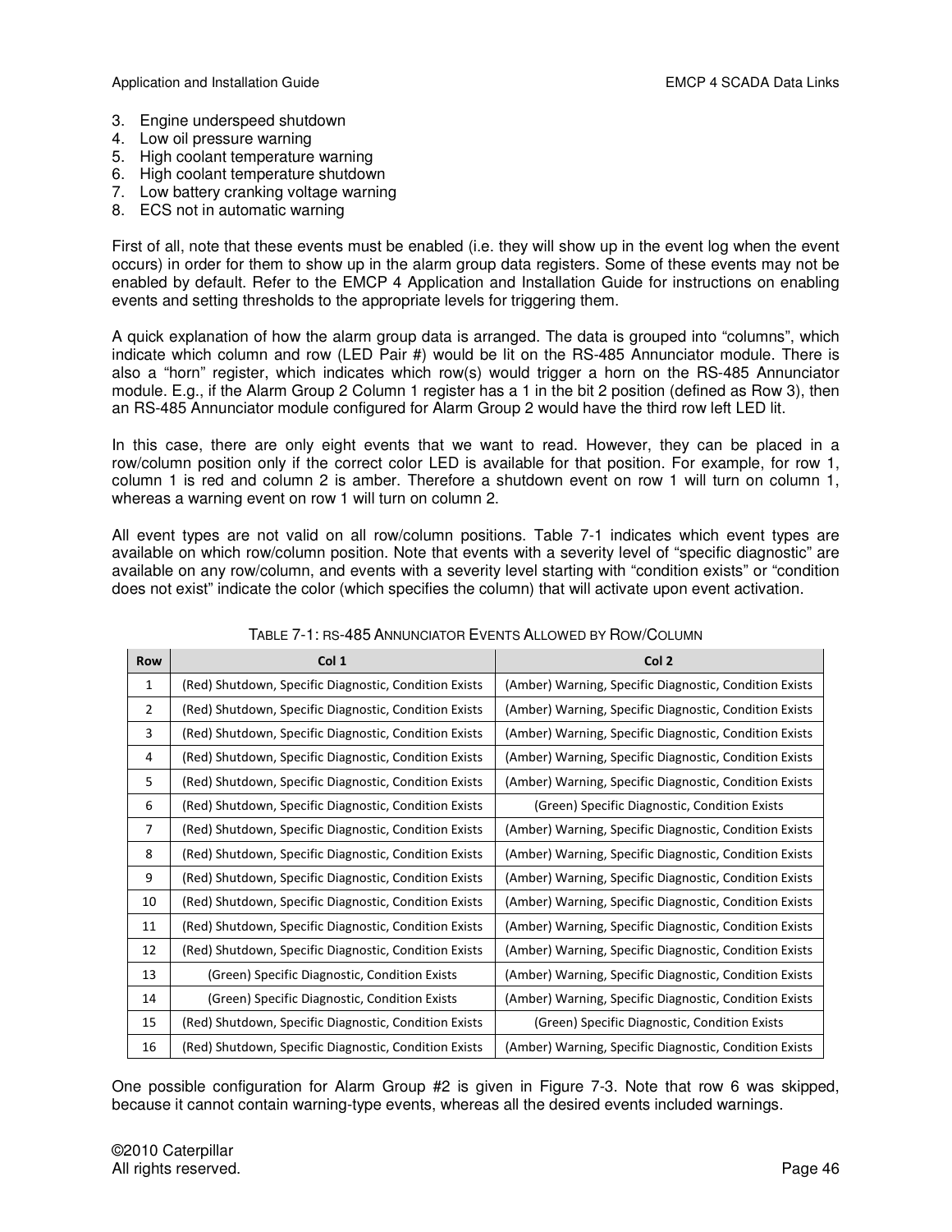- 3. Engine underspeed shutdown
- 4. Low oil pressure warning
- 5. High coolant temperature warning
- 6. High coolant temperature shutdown
- 7. Low battery cranking voltage warning
- 8. ECS not in automatic warning

First of all, note that these events must be enabled (i.e. they will show up in the event log when the event occurs) in order for them to show up in the alarm group data registers. Some of these events may not be enabled by default. Refer to the EMCP 4 Application and Installation Guide for instructions on enabling events and setting thresholds to the appropriate levels for triggering them.

A quick explanation of how the alarm group data is arranged. The data is grouped into "columns", which indicate which column and row (LED Pair #) would be lit on the RS-485 Annunciator module. There is also a "horn" register, which indicates which row(s) would trigger a horn on the RS-485 Annunciator module. E.g., if the Alarm Group 2 Column 1 register has a 1 in the bit 2 position (defined as Row 3), then an RS-485 Annunciator module configured for Alarm Group 2 would have the third row left LED lit.

In this case, there are only eight events that we want to read. However, they can be placed in a row/column position only if the correct color LED is available for that position. For example, for row 1, column 1 is red and column 2 is amber. Therefore a shutdown event on row 1 will turn on column 1, whereas a warning event on row 1 will turn on column 2.

All event types are not valid on all row/column positions. Table 7-1 indicates which event types are available on which row/column position. Note that events with a severity level of "specific diagnostic" are available on any row/column, and events with a severity level starting with "condition exists" or "condition does not exist" indicate the color (which specifies the column) that will activate upon event activation.

| <b>Row</b>     | Col 1                                                 | Col 2                                                  |
|----------------|-------------------------------------------------------|--------------------------------------------------------|
| 1              | (Red) Shutdown, Specific Diagnostic, Condition Exists | (Amber) Warning, Specific Diagnostic, Condition Exists |
| $\overline{2}$ | (Red) Shutdown, Specific Diagnostic, Condition Exists | (Amber) Warning, Specific Diagnostic, Condition Exists |
| 3              | (Red) Shutdown, Specific Diagnostic, Condition Exists | (Amber) Warning, Specific Diagnostic, Condition Exists |
| 4              | (Red) Shutdown, Specific Diagnostic, Condition Exists | (Amber) Warning, Specific Diagnostic, Condition Exists |
| 5              | (Red) Shutdown, Specific Diagnostic, Condition Exists | (Amber) Warning, Specific Diagnostic, Condition Exists |
| 6              | (Red) Shutdown, Specific Diagnostic, Condition Exists | (Green) Specific Diagnostic, Condition Exists          |
| 7              | (Red) Shutdown, Specific Diagnostic, Condition Exists | (Amber) Warning, Specific Diagnostic, Condition Exists |
| 8              | (Red) Shutdown, Specific Diagnostic, Condition Exists | (Amber) Warning, Specific Diagnostic, Condition Exists |
| 9              | (Red) Shutdown, Specific Diagnostic, Condition Exists | (Amber) Warning, Specific Diagnostic, Condition Exists |
| 10             | (Red) Shutdown, Specific Diagnostic, Condition Exists | (Amber) Warning, Specific Diagnostic, Condition Exists |
| 11             | (Red) Shutdown, Specific Diagnostic, Condition Exists | (Amber) Warning, Specific Diagnostic, Condition Exists |
| 12             | (Red) Shutdown, Specific Diagnostic, Condition Exists | (Amber) Warning, Specific Diagnostic, Condition Exists |
| 13             | (Green) Specific Diagnostic, Condition Exists         | (Amber) Warning, Specific Diagnostic, Condition Exists |
| 14             | (Green) Specific Diagnostic, Condition Exists         | (Amber) Warning, Specific Diagnostic, Condition Exists |
| 15             | (Red) Shutdown, Specific Diagnostic, Condition Exists | (Green) Specific Diagnostic, Condition Exists          |
| 16             | (Red) Shutdown, Specific Diagnostic, Condition Exists | (Amber) Warning, Specific Diagnostic, Condition Exists |

#### TABLE 7-1: RS-485 ANNUNCIATOR EVENTS ALLOWED BY ROW/COLUMN

One possible configuration for Alarm Group #2 is given in Figure 7-3. Note that row 6 was skipped, because it cannot contain warning-type events, whereas all the desired events included warnings.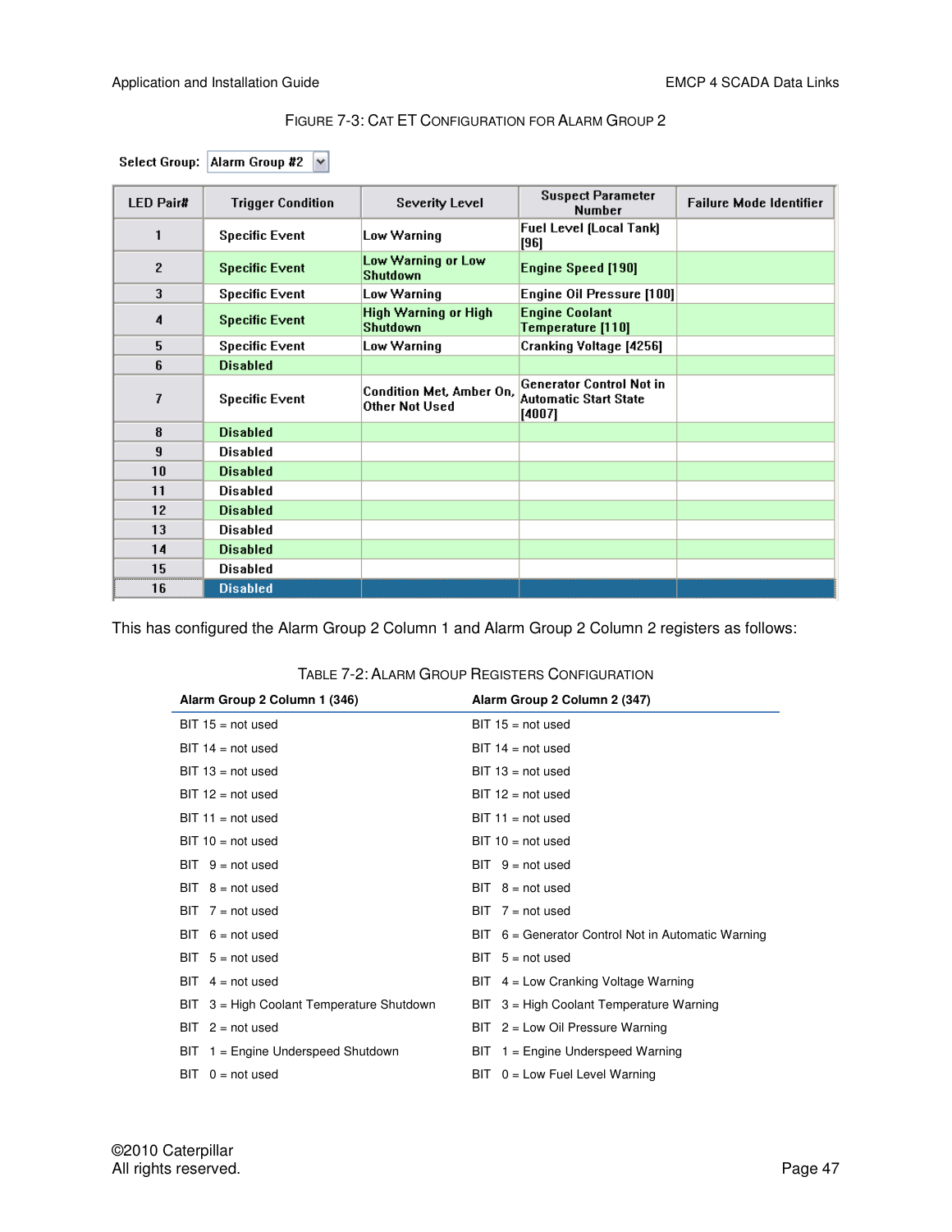#### FIGURE 7-3: CAT ET CONFIGURATION FOR ALARM GROUP 2

|  | Select Group: Alarm Group #2 $\boxed{\vee}$ |  |  |
|--|---------------------------------------------|--|--|
|--|---------------------------------------------|--|--|

| <b>LED Pair#</b> | <b>Trigger Condition</b> | <b>Severity Level</b>                      | <b>Suspect Parameter</b><br><b>Number</b>                                 | <b>Failure Mode Identifier</b> |
|------------------|--------------------------|--------------------------------------------|---------------------------------------------------------------------------|--------------------------------|
| 1                | <b>Specific Event</b>    | Low Warning                                | Fuel Level (Local Tank)<br>[96]                                           |                                |
| $\overline{c}$   | <b>Specific Event</b>    | Low Warning or Low<br>Shutdown             | <b>Engine Speed [190]</b>                                                 |                                |
| 3                | <b>Specific Event</b>    | Low Warning                                | Engine Oil Pressure [100]                                                 |                                |
| 4                | <b>Specific Event</b>    | High Warning or High<br><b>Shutdown</b>    | <b>Engine Coolant</b><br>Temperature [110]                                |                                |
| 5                | <b>Specific Event</b>    | Low Warning                                | Cranking Voltage [4256]                                                   |                                |
| 6                | <b>Disabled</b>          |                                            |                                                                           |                                |
| 7                | <b>Specific Event</b>    | Condition Met, Amber On,<br>Other Not Used | <b>Generator Control Not in</b><br><b>Automatic Start State</b><br>[4007] |                                |
| 8                | <b>Disabled</b>          |                                            |                                                                           |                                |
| 9                | <b>Disabled</b>          |                                            |                                                                           |                                |
| 10               | <b>Disabled</b>          |                                            |                                                                           |                                |
| 11               | <b>Disabled</b>          |                                            |                                                                           |                                |
| 12               | <b>Disabled</b>          |                                            |                                                                           |                                |
| 13               | <b>Disabled</b>          |                                            |                                                                           |                                |
| 14               | <b>Disabled</b>          |                                            |                                                                           |                                |
| 15               | <b>Disabled</b>          |                                            |                                                                           |                                |
| 16               | <b>Disabled</b>          |                                            |                                                                           |                                |

This has configured the Alarm Group 2 Column 1 and Alarm Group 2 Column 2 registers as follows:

| Alarm Group 2 Column 1 (346)              | Alarm Group 2 Column 2 (347)                         |  |  |  |  |  |  |  |
|-------------------------------------------|------------------------------------------------------|--|--|--|--|--|--|--|
| $BIT 15 = not used$                       | $BIT 15 = not used$                                  |  |  |  |  |  |  |  |
| $BIT 14 = not used$                       | $BIT 14 = not used$                                  |  |  |  |  |  |  |  |
| $BIT 13 = not used$                       | $BIT 13 = not used$                                  |  |  |  |  |  |  |  |
| $BIT 12 = not used$                       | $BIT 12 = not used$                                  |  |  |  |  |  |  |  |
| $BIT 11 = not used$                       | $BIT 11 = not used$                                  |  |  |  |  |  |  |  |
| $BIT 10 = not used$                       | $BIT 10 = not used$                                  |  |  |  |  |  |  |  |
| $BIT \ 9 = not used$                      | $BIT \ 9 = not used$                                 |  |  |  |  |  |  |  |
| $BIT 8 = not used$                        | $BIT 8 = not used$                                   |  |  |  |  |  |  |  |
| $BIT \ 7 = not used$                      | $BIT \ 7 = not used$                                 |  |  |  |  |  |  |  |
| $6 = not used$<br>BIT                     | $BIT 6 = Generator Control Not in Automatic Warning$ |  |  |  |  |  |  |  |
| $BIT 5 = not used$                        | $BIT 5 = not used$                                   |  |  |  |  |  |  |  |
| $BIT 4 = not used$                        | $BIT 4 = Low Cranking Voltage Warning$               |  |  |  |  |  |  |  |
| BIT 3 = High Coolant Temperature Shutdown | $BIT 3 = High Coolant Temperature Warning$           |  |  |  |  |  |  |  |
| BIT<br>$2 = not used$                     | $BIT 2 = Low Oil Pressure Warning$                   |  |  |  |  |  |  |  |
| 1 = Engine Underspeed Shutdown<br>BIT.    | $BIT 1 = Engine$ Underspeed Warning                  |  |  |  |  |  |  |  |
| $0 = not used$<br>BIT                     | $BIT 0 = Low Feel Level Warning$                     |  |  |  |  |  |  |  |

#### TABLE 7-2: ALARM GROUP REGISTERS CONFIGURATION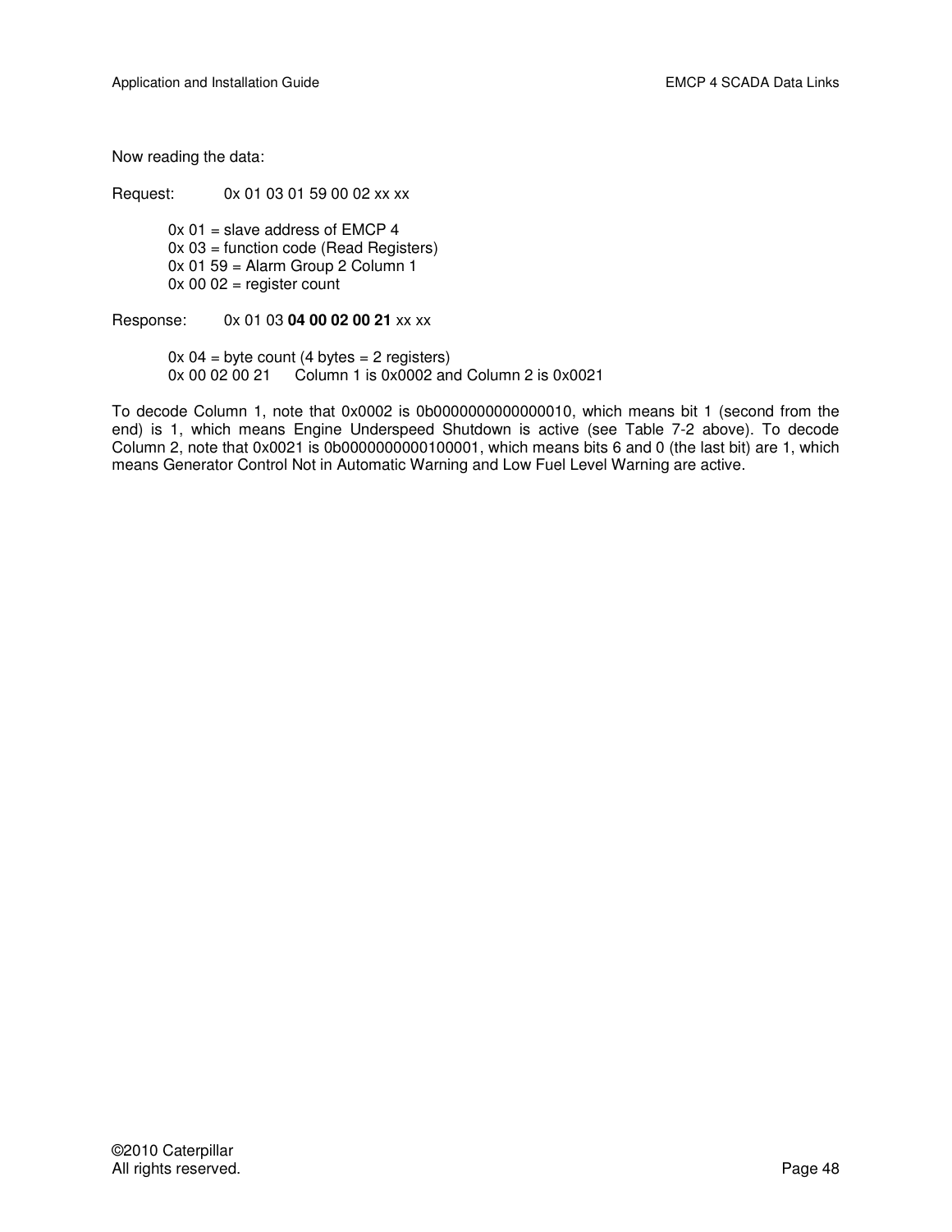Now reading the data:

Request: 0x 01 03 01 59 00 02 xx xx

 $0x 01$  = slave address of EMCP 4 0x 03 = function code (Read Registers)  $0x 01 59$  = Alarm Group 2 Column 1  $0x 00 02$  = register count

Response: 0x 01 03 **04 00 02 00 21** xx xx

 $0x 04 =$  byte count (4 bytes = 2 registers) 0x 00 02 00 21 Column 1 is 0x0002 and Column 2 is 0x0021

To decode Column 1, note that 0x0002 is 0b0000000000000010, which means bit 1 (second from the end) is 1, which means Engine Underspeed Shutdown is active (see Table 7-2 above). To decode Column 2, note that 0x0021 is 0b0000000000100001, which means bits 6 and 0 (the last bit) are 1, which means Generator Control Not in Automatic Warning and Low Fuel Level Warning are active.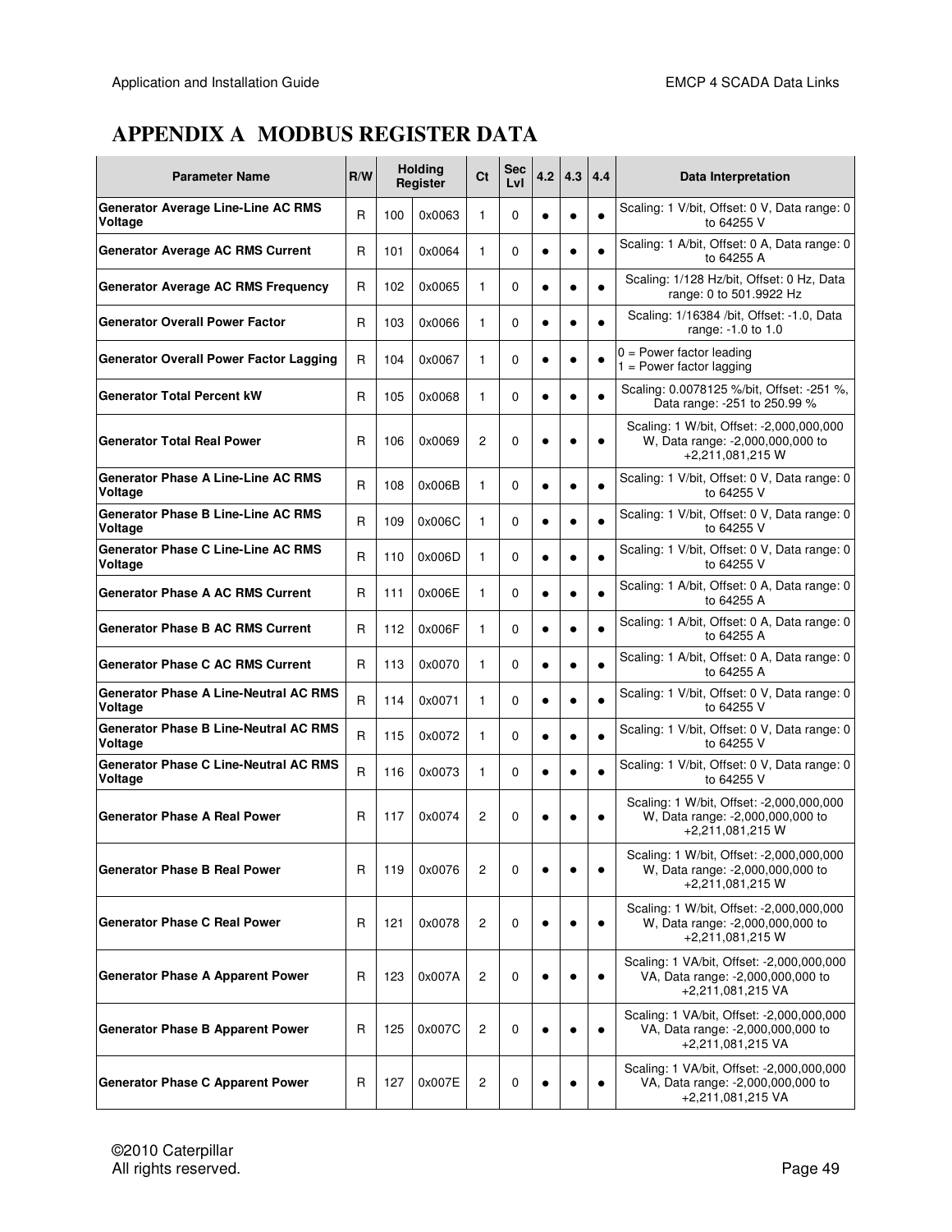# **APPENDIX A MODBUS REGISTER DATA**

| <b>Parameter Name</b>                                   |              | <b>Holding</b><br>R/W<br>Register |        | C <sub>t</sub> | Sec<br>LvI | 4.2       | 4.3       | 4.4       | Data Interpretation                                                                                 |
|---------------------------------------------------------|--------------|-----------------------------------|--------|----------------|------------|-----------|-----------|-----------|-----------------------------------------------------------------------------------------------------|
| <b>Generator Average Line-Line AC RMS</b><br>Voltage    | R            | 100                               | 0x0063 | $\mathbf{1}$   | 0          | $\bullet$ | $\bullet$ |           | Scaling: 1 V/bit, Offset: 0 V, Data range: 0<br>to 64255 V                                          |
| <b>Generator Average AC RMS Current</b>                 | R            | 101                               | 0x0064 | 1              | 0          | $\bullet$ | $\bullet$ |           | Scaling: 1 A/bit, Offset: 0 A, Data range: 0<br>to 64255 A                                          |
| <b>Generator Average AC RMS Frequency</b>               | R            | 102                               | 0x0065 | 1              | 0          | $\bullet$ | $\bullet$ | $\bullet$ | Scaling: 1/128 Hz/bit, Offset: 0 Hz, Data<br>range: 0 to 501.9922 Hz                                |
| <b>Generator Overall Power Factor</b>                   | R            | 103                               | 0x0066 | 1              | 0          | $\bullet$ | $\bullet$ |           | Scaling: 1/16384 /bit, Offset: -1.0, Data<br>range: -1.0 to 1.0                                     |
| <b>Generator Overall Power Factor Lagging</b>           | R            | 104                               | 0x0067 | 1              | 0          | $\bullet$ | $\bullet$ | $\bullet$ | $0 = Power factor leading$<br>$1 = Power factor lagging$                                            |
| <b>Generator Total Percent kW</b>                       | R            | 105                               | 0x0068 | 1              | 0          | $\bullet$ | $\bullet$ |           | Scaling: 0.0078125 %/bit, Offset: -251 %,<br>Data range: -251 to 250.99 %                           |
| <b>Generator Total Real Power</b>                       | $\mathsf{R}$ | 106                               | 0x0069 | $\overline{c}$ | 0          | $\bullet$ | ٠         | $\bullet$ | Scaling: 1 W/bit, Offset: -2,000,000,000<br>W, Data range: -2,000,000,000 to<br>+2,211,081,215 W    |
| <b>Generator Phase A Line-Line AC RMS</b><br>Voltage    | R            | 108                               | 0x006B | 1              | 0          | $\bullet$ | $\bullet$ |           | Scaling: 1 V/bit, Offset: 0 V, Data range: 0<br>to 64255 V                                          |
| <b>Generator Phase B Line-Line AC RMS</b><br>Voltage    | R            | 109                               | 0x006C | 1              | 0          | $\bullet$ | $\bullet$ |           | Scaling: 1 V/bit, Offset: 0 V, Data range: 0<br>to 64255 V                                          |
| Generator Phase C Line-Line AC RMS<br>Voltage           | R            | 110                               | 0x006D | $\mathbf{1}$   | 0          | $\bullet$ | $\bullet$ |           | Scaling: 1 V/bit, Offset: 0 V, Data range: 0<br>to 64255 V                                          |
| <b>Generator Phase A AC RMS Current</b>                 | R            | 111                               | 0x006E | 1              | 0          | $\bullet$ | $\bullet$ | $\bullet$ | Scaling: 1 A/bit, Offset: 0 A, Data range: 0<br>to 64255 A                                          |
| <b>Generator Phase B AC RMS Current</b>                 | R            | 112                               | 0x006F | 1              | 0          | $\bullet$ | $\bullet$ | $\bullet$ | Scaling: 1 A/bit, Offset: 0 A, Data range: 0<br>to 64255 A                                          |
| <b>Generator Phase C AC RMS Current</b>                 | R            | 113                               | 0x0070 | 1              | 0          | $\bullet$ | $\bullet$ |           | Scaling: 1 A/bit, Offset: 0 A, Data range: 0<br>to 64255 A                                          |
| <b>Generator Phase A Line-Neutral AC RMS</b><br>Voltage | R            | 114                               | 0x0071 | 1              | 0          | $\bullet$ | $\bullet$ |           | Scaling: 1 V/bit, Offset: 0 V, Data range: 0<br>to 64255 V                                          |
| <b>Generator Phase B Line-Neutral AC RMS</b><br>Voltage | $\mathsf{R}$ | 115                               | 0x0072 | 1              | 0          | $\bullet$ | $\bullet$ |           | Scaling: 1 V/bit, Offset: 0 V, Data range: 0<br>to 64255 V                                          |
| <b>Generator Phase C Line-Neutral AC RMS</b><br>Voltage | R            | 116                               | 0x0073 | 1              | 0          | $\bullet$ | $\bullet$ |           | Scaling: 1 V/bit, Offset: 0 V, Data range: 0<br>to 64255 V                                          |
| <b>Generator Phase A Real Power</b>                     | R            | 117                               | 0x0074 | $\overline{c}$ | 0          | $\bullet$ | $\bullet$ | $\bullet$ | Scaling: 1 W/bit, Offset: -2,000,000,000<br>W, Data range: -2,000,000,000 to<br>+2,211,081,215 W    |
| <b>Generator Phase B Real Power</b>                     | R            | 119                               | 0x0076 | $\overline{c}$ | 0          | c         | c         |           | Scaling: 1 W/bit, Offset: -2,000,000,000<br>W, Data range: -2,000,000,000 to<br>+2,211,081,215 W    |
| <b>Generator Phase C Real Power</b>                     | R            | 121                               | 0x0078 | $\overline{c}$ | 0          | $\bullet$ |           |           | Scaling: 1 W/bit, Offset: -2,000,000,000<br>W, Data range: -2,000,000,000 to<br>+2,211,081,215 W    |
| <b>Generator Phase A Apparent Power</b>                 | R            | 123                               | 0x007A | $\overline{c}$ | 0          |           |           |           | Scaling: 1 VA/bit, Offset: -2,000,000,000<br>VA, Data range: -2,000,000,000 to<br>+2,211,081,215 VA |
| <b>Generator Phase B Apparent Power</b>                 | R            | 125                               | 0x007C | $\overline{c}$ | 0          | $\bullet$ | ٠         | $\bullet$ | Scaling: 1 VA/bit, Offset: -2,000,000,000<br>VA, Data range: -2,000,000,000 to<br>+2,211,081,215 VA |
| <b>Generator Phase C Apparent Power</b>                 | R            | 127                               | 0x007E | $\overline{c}$ | 0          |           |           |           | Scaling: 1 VA/bit, Offset: -2,000,000,000<br>VA, Data range: -2,000,000,000 to<br>+2,211,081,215 VA |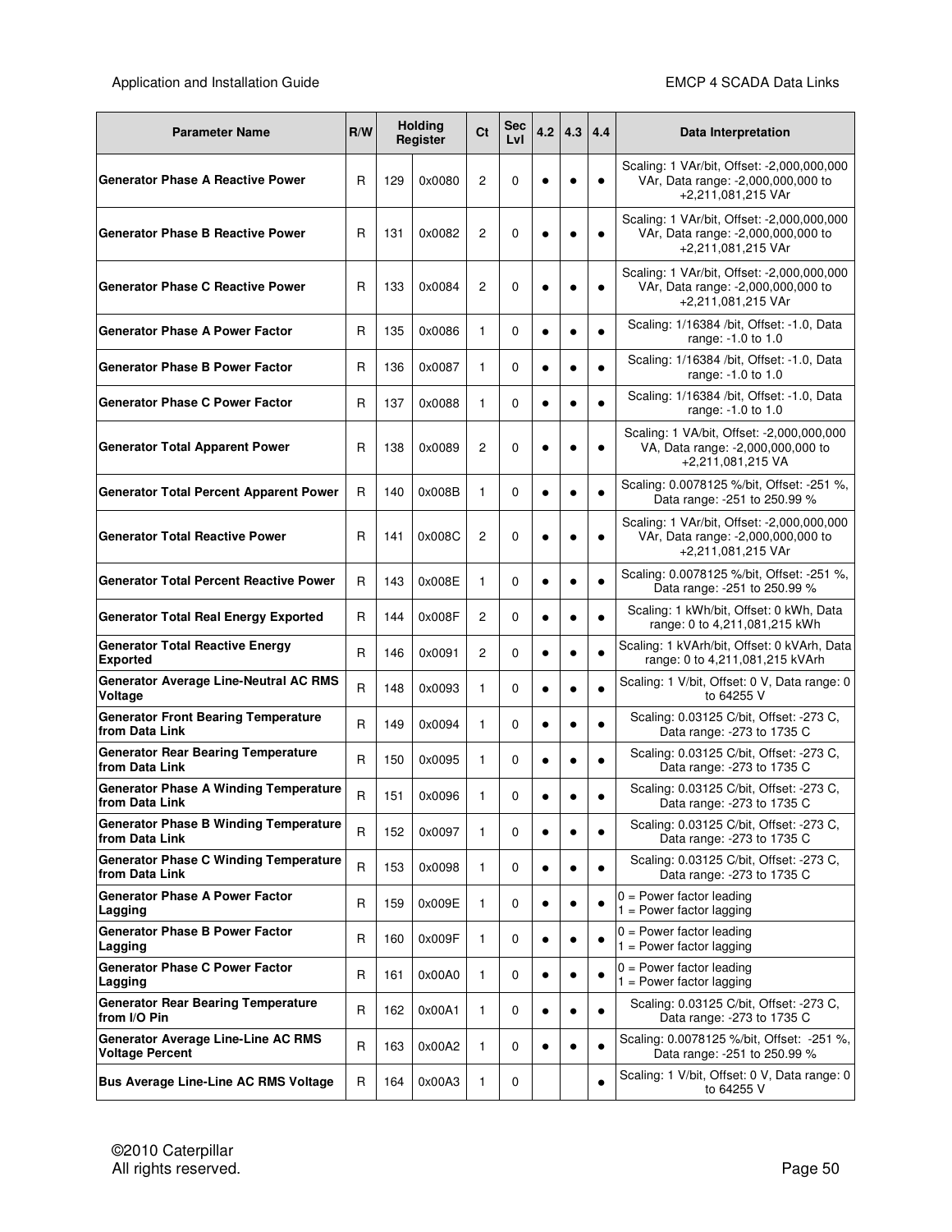| R/W<br><b>Parameter Name</b>                                   |              |     | <b>Holding</b><br>Register | Ct             | Sec<br>LvI | 4.2       | 4.3       | 4.4       | Data Interpretation                                                                                    |
|----------------------------------------------------------------|--------------|-----|----------------------------|----------------|------------|-----------|-----------|-----------|--------------------------------------------------------------------------------------------------------|
| <b>Generator Phase A Reactive Power</b>                        | R            | 129 | 0x0080                     | $\overline{c}$ | 0          | $\bullet$ | $\bullet$ | $\bullet$ | Scaling: 1 VAr/bit, Offset: -2,000,000,000<br>VAr, Data range: -2,000,000,000 to<br>+2,211,081,215 VAr |
| <b>Generator Phase B Reactive Power</b>                        | R            | 131 | 0x0082                     | $\overline{c}$ | 0          | $\bullet$ | ٠         | $\bullet$ | Scaling: 1 VAr/bit, Offset: -2,000,000,000<br>VAr, Data range: -2,000,000,000 to<br>+2,211,081,215 VAr |
| <b>Generator Phase C Reactive Power</b>                        | R            | 133 | 0x0084                     | $\overline{c}$ | 0          | $\bullet$ | $\bullet$ | ٠         | Scaling: 1 VAr/bit, Offset: -2,000,000,000<br>VAr, Data range: -2,000,000,000 to<br>+2,211,081,215 VAr |
| <b>Generator Phase A Power Factor</b>                          | R            | 135 | 0x0086                     | 1              | 0          | $\bullet$ | $\bullet$ | $\bullet$ | Scaling: 1/16384 /bit, Offset: -1.0, Data<br>range: -1.0 to 1.0                                        |
| <b>Generator Phase B Power Factor</b>                          | R            | 136 | 0x0087                     | 1              | 0          | $\bullet$ | $\bullet$ |           | Scaling: 1/16384 /bit, Offset: -1.0, Data<br>range: -1.0 to 1.0                                        |
| <b>Generator Phase C Power Factor</b>                          | R            | 137 | 0x0088                     | 1              | 0          | $\bullet$ | $\bullet$ |           | Scaling: 1/16384 /bit, Offset: -1.0, Data<br>range: -1.0 to 1.0                                        |
| <b>Generator Total Apparent Power</b>                          | R            | 138 | 0x0089                     | $\overline{c}$ | 0          | $\bullet$ | $\bullet$ | $\bullet$ | Scaling: 1 VA/bit, Offset: -2,000,000,000<br>VA, Data range: -2,000,000,000 to<br>+2,211,081,215 VA    |
| <b>Generator Total Percent Apparent Power</b>                  | R            | 140 | 0x008B                     | 1              | 0          | $\bullet$ | $\bullet$ |           | Scaling: 0.0078125 %/bit, Offset: -251 %,<br>Data range: -251 to 250.99 %                              |
| <b>Generator Total Reactive Power</b>                          | R            | 141 | 0x008C                     | $\overline{c}$ | 0          | $\bullet$ | $\bullet$ | $\bullet$ | Scaling: 1 VAr/bit, Offset: -2,000,000,000<br>VAr, Data range: -2,000,000,000 to<br>+2,211,081,215 VAr |
| <b>Generator Total Percent Reactive Power</b>                  | R            | 143 | 0x008E                     | 1              | 0          | $\bullet$ | $\bullet$ |           | Scaling: 0.0078125 %/bit, Offset: -251 %,<br>Data range: -251 to 250.99 %                              |
| <b>Generator Total Real Energy Exported</b>                    | R            | 144 | 0x008F                     | 2              | 0          | $\bullet$ | $\bullet$ |           | Scaling: 1 kWh/bit, Offset: 0 kWh, Data<br>range: 0 to 4,211,081,215 kWh                               |
| <b>Generator Total Reactive Energy</b><br><b>Exported</b>      | R            | 146 | 0x0091                     | 2              | 0          | $\bullet$ | $\bullet$ |           | Scaling: 1 kVArh/bit, Offset: 0 kVArh, Data<br>range: 0 to 4,211,081,215 kVArh                         |
| <b>Generator Average Line-Neutral AC RMS</b><br>Voltage        | R            | 148 | 0x0093                     | 1              | 0          | $\bullet$ | $\bullet$ |           | Scaling: 1 V/bit, Offset: 0 V, Data range: 0<br>to 64255 V                                             |
| <b>Generator Front Bearing Temperature</b><br>from Data Link   | R            | 149 | 0x0094                     | $\mathbf{1}$   | 0          | $\bullet$ | $\bullet$ | $\bullet$ | Scaling: 0.03125 C/bit, Offset: -273 C,<br>Data range: - 273 to 1735 C                                 |
| <b>Generator Rear Bearing Temperature</b><br>from Data Link    | R            | 150 | 0x0095                     | 1              | 0          | $\bullet$ | $\bullet$ |           | Scaling: 0.03125 C/bit, Offset: -273 C,<br>Data range: - 273 to 1735 C                                 |
| <b>Generator Phase A Winding Temperature</b><br>from Data Link | $\sf R$      | 151 | 0x0096                     | 1              | 0          | $\bullet$ |           |           | Scaling: 0.03125 C/bit, Offset: -273 C,<br>Data range: - 273 to 1735 C                                 |
| <b>Generator Phase B Winding Temperature</b><br>from Data Link | $\mathsf{R}$ | 152 | 0x0097                     | 1              | 0          | $\bullet$ | $\bullet$ | $\bullet$ | Scaling: 0.03125 C/bit, Offset: -273 C,<br>Data range: -273 to 1735 C                                  |
| <b>Generator Phase C Winding Temperature</b><br>from Data Link | R            | 153 | 0x0098                     | $\mathbf{1}$   | 0          | $\bullet$ | $\bullet$ |           | Scaling: 0.03125 C/bit, Offset: -273 C,<br>Data range: - 273 to 1735 C                                 |
| <b>Generator Phase A Power Factor</b><br>Lagging               | R            | 159 | 0x009E                     | 1              | 0          | $\bullet$ | $\bullet$ |           | $0 = Power factor leading$<br>$1 = Power factor lagging$                                               |
| <b>Generator Phase B Power Factor</b><br>Lagging               | R            | 160 | 0x009F                     | $\mathbf{1}$   | 0          | $\bullet$ | $\bullet$ | $\bullet$ | $0 = Power factor leading$<br>$1 = Power factor lagging$                                               |
| <b>Generator Phase C Power Factor</b><br>Lagging               | R            | 161 | 0x00A0                     | $\mathbf{1}$   | 0          | $\bullet$ | $\bullet$ |           | $0 = Power factor leading$<br>$1 = Power factor lagging$                                               |
| <b>Generator Rear Bearing Temperature</b><br>from I/O Pin      | R            | 162 | 0x00A1                     | $\mathbf{1}$   | 0          | $\bullet$ | $\bullet$ |           | Scaling: 0.03125 C/bit, Offset: -273 C,<br>Data range: -273 to 1735 C                                  |
| Generator Average Line-Line AC RMS<br><b>Voltage Percent</b>   | R            | 163 | 0x00A2                     | 1              | 0          | $\bullet$ | $\bullet$ |           | Scaling: 0.0078125 %/bit, Offset: -251 %,<br>Data range: -251 to 250.99 %                              |
| <b>Bus Average Line-Line AC RMS Voltage</b>                    | R            | 164 | 0x00A3                     | 1              | 0          |           |           |           | Scaling: 1 V/bit, Offset: 0 V, Data range: 0<br>to 64255 V                                             |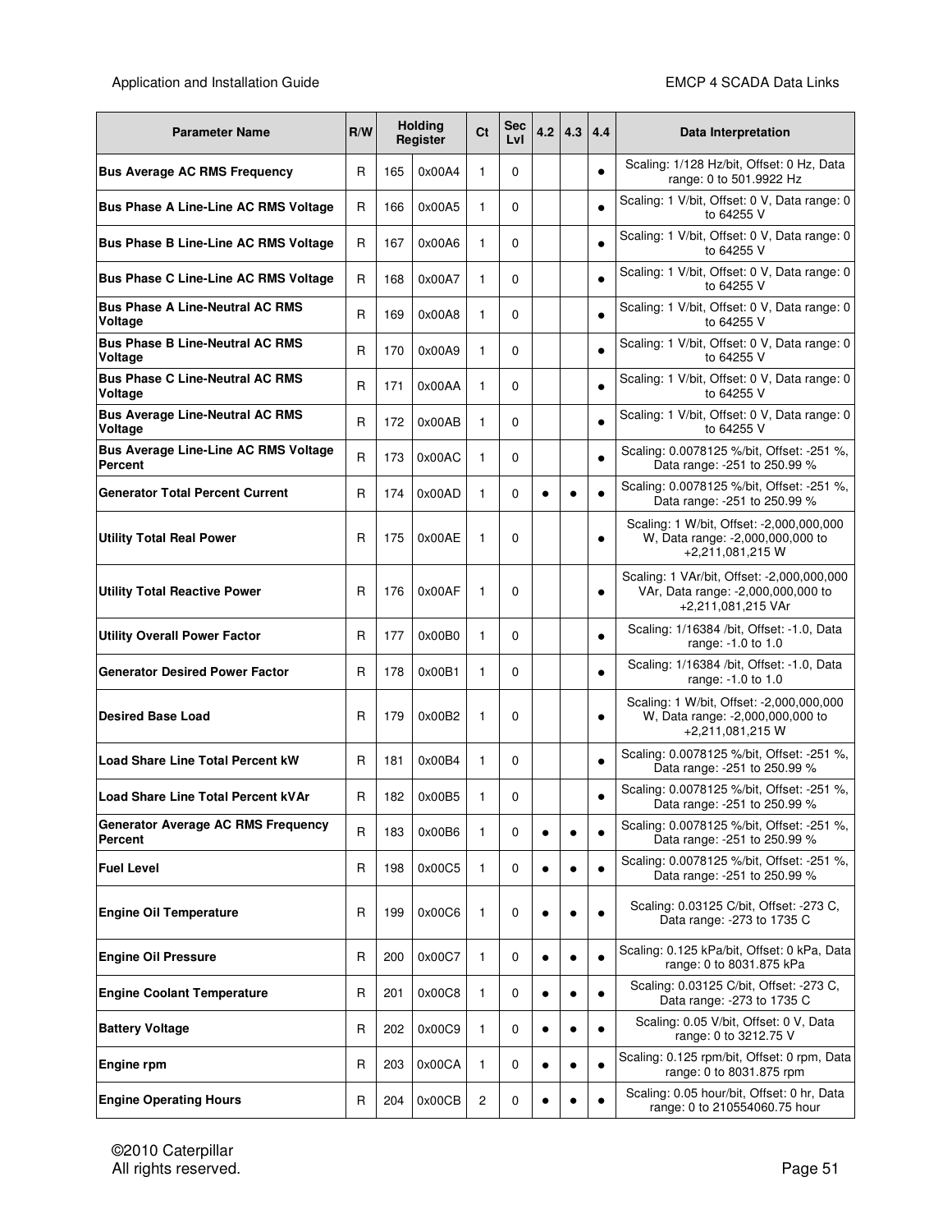| <b>Parameter Name</b>                                  | R/W          |     | <b>Holding</b><br>Register | Ct           | Sec<br>LvI | 4.2       | 4.3       | 4.4       | Data Interpretation                                                                                    |
|--------------------------------------------------------|--------------|-----|----------------------------|--------------|------------|-----------|-----------|-----------|--------------------------------------------------------------------------------------------------------|
| <b>Bus Average AC RMS Frequency</b>                    | R            | 165 | 0x00A4                     | 1            | 0          |           |           | $\bullet$ | Scaling: 1/128 Hz/bit, Offset: 0 Hz, Data<br>range: 0 to 501.9922 Hz                                   |
| <b>Bus Phase A Line-Line AC RMS Voltage</b>            | R            | 166 | 0x00A5                     | 1            | 0          |           |           |           | Scaling: 1 V/bit, Offset: 0 V, Data range: 0<br>to 64255 V                                             |
| <b>Bus Phase B Line-Line AC RMS Voltage</b>            | R            | 167 | 0x00A6                     | 1            | 0          |           |           | $\bullet$ | Scaling: 1 V/bit, Offset: 0 V, Data range: 0<br>to 64255 V                                             |
| <b>Bus Phase C Line-Line AC RMS Voltage</b>            | R            | 168 | 0x00A7                     | 1            | 0          |           |           | $\bullet$ | Scaling: 1 V/bit, Offset: 0 V, Data range: 0<br>to 64255 V                                             |
| <b>Bus Phase A Line-Neutral AC RMS</b><br>Voltage      | R            | 169 | 0x00A8                     | $\mathbf{1}$ | 0          |           |           | $\bullet$ | Scaling: 1 V/bit, Offset: 0 V, Data range: 0<br>to 64255 V                                             |
| <b>Bus Phase B Line-Neutral AC RMS</b><br>Voltage      | R            | 170 | 0x00A9                     | 1            | 0          |           |           | $\bullet$ | Scaling: 1 V/bit, Offset: 0 V, Data range: 0<br>to 64255 V                                             |
| <b>Bus Phase C Line-Neutral AC RMS</b><br>Voltage      | R            | 171 | 0x00AA                     | 1            | 0          |           |           | $\bullet$ | Scaling: 1 V/bit, Offset: 0 V, Data range: 0<br>to 64255 V                                             |
| <b>Bus Average Line-Neutral AC RMS</b><br>Voltage      | R            | 172 | 0x00AB                     | 1            | 0          |           |           | $\bullet$ | Scaling: 1 V/bit, Offset: 0 V, Data range: 0<br>to 64255 V                                             |
| <b>Bus Average Line-Line AC RMS Voltage</b><br>Percent | R            | 173 | 0x00AC                     | 1            | 0          |           |           | $\bullet$ | Scaling: 0.0078125 %/bit, Offset: -251 %,<br>Data range: -251 to 250.99 %                              |
| <b>Generator Total Percent Current</b>                 | R            | 174 | 0x00AD                     | 1            | 0          | $\bullet$ | $\bullet$ |           | Scaling: 0.0078125 %/bit, Offset: -251 %,<br>Data range: -251 to 250.99 %                              |
| <b>Utility Total Real Power</b>                        | R            | 175 | 0x00AE                     | 1            | 0          |           |           | $\bullet$ | Scaling: 1 W/bit, Offset: -2,000,000,000<br>W, Data range: -2,000,000,000 to<br>+2,211,081,215 W       |
| <b>Utility Total Reactive Power</b>                    | R            | 176 | 0x00AF                     | 1            | 0          |           |           | $\bullet$ | Scaling: 1 VAr/bit, Offset: -2,000,000,000<br>VAr, Data range: -2,000,000,000 to<br>+2,211,081,215 VAr |
| <b>Utility Overall Power Factor</b>                    | R            | 177 | 0x00B0                     | 1            | 0          |           |           | $\bullet$ | Scaling: 1/16384 /bit, Offset: -1.0, Data<br>range: -1.0 to 1.0                                        |
| <b>Generator Desired Power Factor</b>                  | R            | 178 | 0x00B1                     | 1            | 0          |           |           | $\bullet$ | Scaling: 1/16384 /bit, Offset: -1.0, Data<br>range: -1.0 to 1.0                                        |
| <b>Desired Base Load</b>                               | R            | 179 | 0x00B2                     | $\mathbf{1}$ | 0          |           |           | $\bullet$ | Scaling: 1 W/bit, Offset: -2,000,000,000<br>W, Data range: -2,000,000,000 to<br>+2,211,081,215 W       |
| <b>Load Share Line Total Percent kW</b>                | R            | 181 | 0x00B4                     | 1            | 0          |           |           | $\bullet$ | Scaling: 0.0078125 %/bit, Offset: -251 %,<br>Data range: -251 to 250.99 %                              |
| <b>Load Share Line Total Percent kVAr</b>              | R            | 182 | 0x00B5                     | 1            | 0          |           |           |           | Scaling: 0.0078125 %/bit, Offset: -251 %,<br>Data range: - 251 to 250.99 %                             |
| <b>Generator Average AC RMS Frequency</b><br>Percent   | $\mathsf{R}$ | 183 | 0x00B6                     | 1            | 0          | $\bullet$ |           |           | Scaling: 0.0078125 %/bit, Offset: -251 %,<br>Data range: -251 to 250.99 %                              |
| <b>Fuel Level</b>                                      | R            | 198 | 0x00C5                     | 1            | 0          | $\bullet$ |           |           | Scaling: 0.0078125 %/bit, Offset: -251 %,<br>Data range: -251 to 250.99 %                              |
| <b>Engine Oil Temperature</b>                          | R            | 199 | 0x00C6                     | 1            | 0          |           |           |           | Scaling: 0.03125 C/bit, Offset: -273 C,<br>Data range: -273 to 1735 C                                  |
| <b>Engine Oil Pressure</b>                             | R            | 200 | 0x00C7                     | 1            | 0          | $\bullet$ | $\bullet$ | $\bullet$ | Scaling: 0.125 kPa/bit, Offset: 0 kPa, Data<br>range: 0 to 8031.875 kPa                                |
| <b>Engine Coolant Temperature</b>                      | R            | 201 | 0x00C8                     | 1            | 0          | $\bullet$ | $\bullet$ | $\bullet$ | Scaling: 0.03125 C/bit, Offset: -273 C,<br>Data range: -273 to 1735 C                                  |
| <b>Battery Voltage</b>                                 | R            | 202 | 0x00C9                     | 1            | 0          | $\bullet$ | $\bullet$ |           | Scaling: 0.05 V/bit, Offset: 0 V, Data<br>range: 0 to 3212.75 V                                        |
| Engine rpm                                             | R            | 203 | 0x00CA                     | 1            | 0          | $\bullet$ |           |           | Scaling: 0.125 rpm/bit, Offset: 0 rpm, Data<br>range: 0 to 8031.875 rpm                                |
| <b>Engine Operating Hours</b>                          | R            | 204 | 0x00CB                     | 2            | 0          | $\bullet$ |           |           | Scaling: 0.05 hour/bit, Offset: 0 hr, Data<br>range: 0 to 210554060.75 hour                            |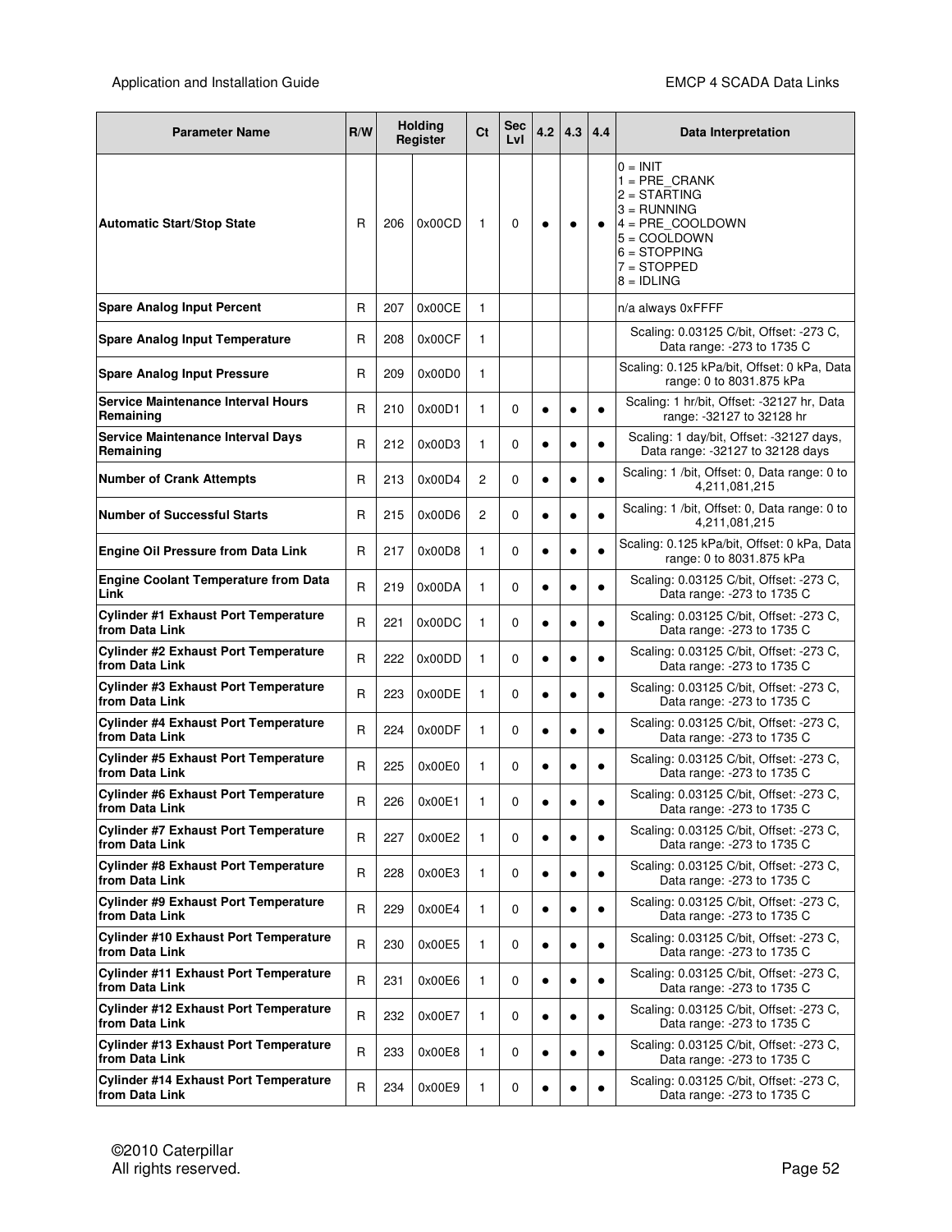| <b>Parameter Name</b>                                          |   | <b>Holding</b><br>R/W<br>Register |        | Ct             | Sec<br>LvI | 4.2       | 4.3       | 4.4       | Data Interpretation                                                                                                                                            |
|----------------------------------------------------------------|---|-----------------------------------|--------|----------------|------------|-----------|-----------|-----------|----------------------------------------------------------------------------------------------------------------------------------------------------------------|
| <b>Automatic Start/Stop State</b>                              | R | 206                               | 0x00CD | 1              | 0          | $\bullet$ |           |           | $0 = INIT$<br>$1 = PRE$ CRANK<br>$2 = \text{STARTING}$<br>$3 = RUNNING$<br>4 = PRE_COOLDOWN<br>$5 = COOLDOWN$<br>$6 =$ STOPPING<br>7 = STOPPED<br>$8 = IDLING$ |
| <b>Spare Analog Input Percent</b>                              | R | 207                               | 0x00CE | 1              |            |           |           |           | n/a always 0xFFFF                                                                                                                                              |
| <b>Spare Analog Input Temperature</b>                          | R | 208                               | 0x00CF | 1              |            |           |           |           | Scaling: 0.03125 C/bit, Offset: -273 C,<br>Data range: -273 to 1735 C                                                                                          |
| <b>Spare Analog Input Pressure</b>                             | R | 209                               | 0x00D0 | 1              |            |           |           |           | Scaling: 0.125 kPa/bit, Offset: 0 kPa, Data<br>range: 0 to 8031.875 kPa                                                                                        |
| Service Maintenance Interval Hours<br>Remaining                | R | 210                               | 0x00D1 | 1              | 0          | $\bullet$ |           | ٠         | Scaling: 1 hr/bit, Offset: -32127 hr, Data<br>range: -32127 to 32128 hr                                                                                        |
| Service Maintenance Interval Days<br>Remaining                 | R | 212                               | 0x00D3 | 1              | 0          | $\bullet$ | $\bullet$ | $\bullet$ | Scaling: 1 day/bit, Offset: -32127 days,<br>Data range: -32127 to 32128 days                                                                                   |
| <b>Number of Crank Attempts</b>                                | R | 213                               | 0x00D4 | 2              | 0          | $\bullet$ | $\bullet$ |           | Scaling: 1 /bit, Offset: 0, Data range: 0 to<br>4,211,081,215                                                                                                  |
| <b>Number of Successful Starts</b>                             | R | 215                               | 0x00D6 | $\overline{c}$ | 0          | $\bullet$ | $\bullet$ |           | Scaling: 1 /bit, Offset: 0, Data range: 0 to<br>4,211,081,215                                                                                                  |
| <b>Engine Oil Pressure from Data Link</b>                      | R | 217                               | 0x00D8 | 1              | 0          | $\bullet$ |           |           | Scaling: 0.125 kPa/bit, Offset: 0 kPa, Data<br>range: 0 to 8031.875 kPa                                                                                        |
| <b>Engine Coolant Temperature from Data</b><br>Link            | R | 219                               | 0x00DA | 1              | 0          | $\bullet$ | $\bullet$ | $\bullet$ | Scaling: 0.03125 C/bit, Offset: -273 C,<br>Data range: -273 to 1735 C                                                                                          |
| <b>Cylinder #1 Exhaust Port Temperature</b><br>from Data Link  | R | 221                               | 0x00DC | 1              | 0          | $\bullet$ | $\bullet$ | $\bullet$ | Scaling: 0.03125 C/bit, Offset: -273 C,<br>Data range: -273 to 1735 C                                                                                          |
| <b>Cylinder #2 Exhaust Port Temperature</b><br>from Data Link  | R | 222                               | 0x00DD | 1              | 0          | $\bullet$ | $\bullet$ | $\bullet$ | Scaling: 0.03125 C/bit, Offset: -273 C,<br>Data range: -273 to 1735 C                                                                                          |
| <b>Cylinder #3 Exhaust Port Temperature</b><br>from Data Link  | R | 223                               | 0x00DE | 1              | 0          | $\bullet$ | $\bullet$ | $\bullet$ | Scaling: 0.03125 C/bit, Offset: -273 C,<br>Data range: -273 to 1735 C                                                                                          |
| <b>Cylinder #4 Exhaust Port Temperature</b><br>from Data Link  | R | 224                               | 0x00DF | 1              | 0          | $\bullet$ | $\bullet$ | $\bullet$ | Scaling: 0.03125 C/bit, Offset: -273 C,<br>Data range: - 273 to 1735 C                                                                                         |
| <b>Cylinder #5 Exhaust Port Temperature</b><br>from Data Link  | R | 225                               | 0x00E0 | 1              | 0          | $\bullet$ |           |           | Scaling: 0.03125 C/bit, Offset: -273 C,<br>Data range: - 273 to 1735 C                                                                                         |
| <b>Cylinder #6 Exhaust Port Temperature</b><br>from Data Link  | R | 226                               | 0x00E1 | 1              | 0          |           |           |           | Scaling: 0.03125 C/bit, Offset: -273 C,<br>Data range: - 273 to 1735 C                                                                                         |
| <b>Cylinder #7 Exhaust Port Temperature</b><br>from Data Link  | R | 227                               | 0x00E2 | 1              | 0          | $\bullet$ | $\bullet$ | $\bullet$ | Scaling: 0.03125 C/bit, Offset: -273 C,<br>Data range: -273 to 1735 C                                                                                          |
| <b>Cylinder #8 Exhaust Port Temperature</b><br>from Data Link  | R | 228                               | 0x00E3 | 1              | 0          | $\bullet$ | $\bullet$ | $\bullet$ | Scaling: 0.03125 C/bit, Offset: -273 C,<br>Data range: -273 to 1735 C                                                                                          |
| <b>Cylinder #9 Exhaust Port Temperature</b><br>from Data Link  | R | 229                               | 0x00E4 | 1              | 0          | $\bullet$ | $\bullet$ | $\bullet$ | Scaling: 0.03125 C/bit, Offset: -273 C,<br>Data range: - 273 to 1735 C                                                                                         |
| <b>Cylinder #10 Exhaust Port Temperature</b><br>from Data Link | R | 230                               | 0x00E5 | 1              | 0          | $\bullet$ | $\bullet$ | $\bullet$ | Scaling: 0.03125 C/bit, Offset: -273 C,<br>Data range: -273 to 1735 C                                                                                          |
| <b>Cylinder #11 Exhaust Port Temperature</b><br>from Data Link | R | 231                               | 0x00E6 | 1              | 0          | $\bullet$ | $\bullet$ | $\bullet$ | Scaling: 0.03125 C/bit, Offset: -273 C,<br>Data range: -273 to 1735 C                                                                                          |
| <b>Cylinder #12 Exhaust Port Temperature</b><br>from Data Link | R | 232                               | 0x00E7 | 1              | 0          | $\bullet$ | $\bullet$ | $\bullet$ | Scaling: 0.03125 C/bit, Offset: -273 C,<br>Data range: - 273 to 1735 C                                                                                         |
| <b>Cylinder #13 Exhaust Port Temperature</b><br>from Data Link | R | 233                               | 0x00E8 | 1              | 0          | $\bullet$ | $\bullet$ | $\bullet$ | Scaling: 0.03125 C/bit, Offset: -273 C,<br>Data range: -273 to 1735 C                                                                                          |
| <b>Cylinder #14 Exhaust Port Temperature</b><br>from Data Link | R | 234                               | 0x00E9 | 1              | 0          | $\bullet$ |           |           | Scaling: 0.03125 C/bit, Offset: -273 C,<br>Data range: -273 to 1735 C                                                                                          |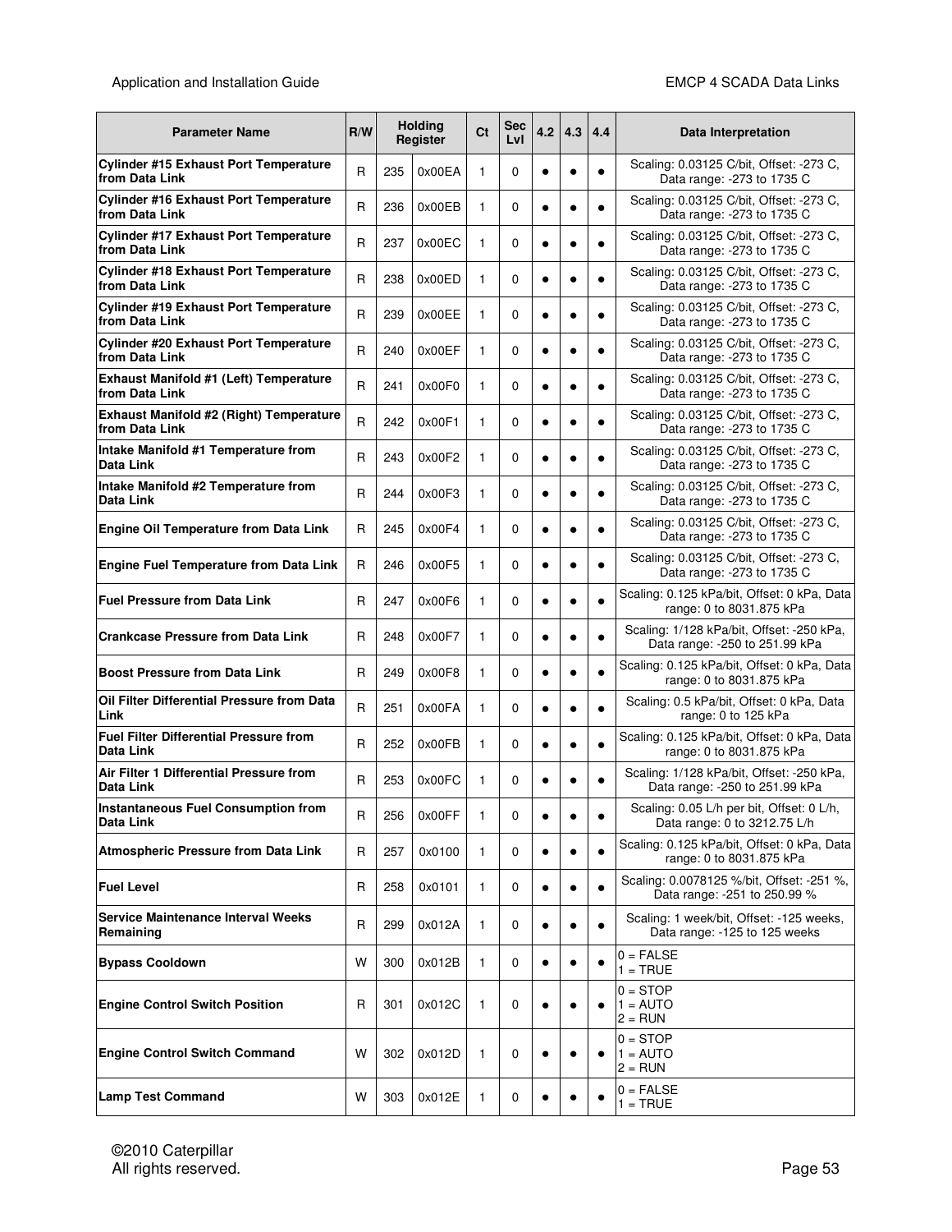| <b>Parameter Name</b>                                            | R/W |     | <b>Holding</b><br>Register | Ct | Sec<br>LvI | 4.2       | 4.3       | 4.4       | Data Interpretation                                                          |
|------------------------------------------------------------------|-----|-----|----------------------------|----|------------|-----------|-----------|-----------|------------------------------------------------------------------------------|
| Cylinder #15 Exhaust Port Temperature<br>from Data Link          | R   | 235 | 0x00EA                     | 1  | 0          | $\bullet$ |           | $\bullet$ | Scaling: 0.03125 C/bit, Offset: -273 C,<br>Data range: -273 to 1735 C        |
| <b>Cylinder #16 Exhaust Port Temperature</b><br>from Data Link   | R   | 236 | 0x00EB                     | 1  | 0          | ٠         | ٠         | $\bullet$ | Scaling: 0.03125 C/bit, Offset: -273 C,<br>Data range: -273 to 1735 C        |
| <b>Cylinder #17 Exhaust Port Temperature</b><br>from Data Link   | R   | 237 | 0x00EC                     | 1  | 0          | $\bullet$ | $\bullet$ | $\bullet$ | Scaling: 0.03125 C/bit, Offset: -273 C,<br>Data range: -273 to 1735 C        |
| <b>Cylinder #18 Exhaust Port Temperature</b><br>from Data Link   | R   | 238 | 0x00ED                     | 1  | 0          | $\bullet$ | $\bullet$ | $\bullet$ | Scaling: 0.03125 C/bit, Offset: -273 C,<br>Data range: -273 to 1735 C        |
| <b>Cylinder #19 Exhaust Port Temperature</b><br>from Data Link   | R   | 239 | 0x00EE                     | 1  | 0          | $\bullet$ | $\bullet$ | $\bullet$ | Scaling: 0.03125 C/bit, Offset: -273 C,<br>Data range: -273 to 1735 C        |
| <b>Cylinder #20 Exhaust Port Temperature</b><br>from Data Link   | R   | 240 | 0x00EF                     | 1  | 0          | $\bullet$ | $\bullet$ | $\bullet$ | Scaling: 0.03125 C/bit, Offset: -273 C,<br>Data range: - 273 to 1735 C       |
| Exhaust Manifold #1 (Left) Temperature<br>from Data Link         | R   | 241 | 0x00F0                     | 1  | 0          | $\bullet$ | $\bullet$ | $\bullet$ | Scaling: 0.03125 C/bit, Offset: -273 C,<br>Data range: -273 to 1735 C        |
| <b>Exhaust Manifold #2 (Right) Temperature</b><br>from Data Link | R   | 242 | 0x00F1                     | 1  | 0          | ٠         | ٠         | $\bullet$ | Scaling: 0.03125 C/bit, Offset: -273 C,<br>Data range: -273 to 1735 C        |
| Intake Manifold #1 Temperature from<br>Data Link                 | R   | 243 | 0x00F2                     | 1  | 0          | $\bullet$ | $\bullet$ | $\bullet$ | Scaling: 0.03125 C/bit, Offset: -273 C,<br>Data range: -273 to 1735 C        |
| Intake Manifold #2 Temperature from<br>Data Link                 | R   | 244 | 0x00F3                     | 1  | 0          | $\bullet$ | $\bullet$ | $\bullet$ | Scaling: 0.03125 C/bit, Offset: -273 C,<br>Data range: - 273 to 1735 C       |
| <b>Engine Oil Temperature from Data Link</b>                     | R   | 245 | 0x00F4                     | 1  | 0          | $\bullet$ | $\bullet$ | $\bullet$ | Scaling: 0.03125 C/bit, Offset: -273 C,<br>Data range: - 273 to 1735 C       |
| Engine Fuel Temperature from Data Link                           | R   | 246 | 0x00F5                     | 1  | 0          | $\bullet$ | $\bullet$ | $\bullet$ | Scaling: 0.03125 C/bit, Offset: -273 C,<br>Data range: - 273 to 1735 C       |
| <b>Fuel Pressure from Data Link</b>                              | R   | 247 | 0x00F6                     | 1  | 0          | $\bullet$ | $\bullet$ |           | Scaling: 0.125 kPa/bit, Offset: 0 kPa, Data<br>range: 0 to 8031.875 kPa      |
| <b>Crankcase Pressure from Data Link</b>                         | R   | 248 | 0x00F7                     | 1  | 0          | ٠         |           | $\bullet$ | Scaling: 1/128 kPa/bit, Offset: -250 kPa,<br>Data range: -250 to 251.99 kPa  |
| <b>Boost Pressure from Data Link</b>                             | R   | 249 | 0x00F8                     | 1  | 0          | $\bullet$ | $\bullet$ | $\bullet$ | Scaling: 0.125 kPa/bit, Offset: 0 kPa, Data<br>range: 0 to 8031.875 kPa      |
| Oil Filter Differential Pressure from Data<br>Link               | R   | 251 | 0x00FA                     | 1  | 0          | $\bullet$ | $\bullet$ | $\bullet$ | Scaling: 0.5 kPa/bit, Offset: 0 kPa, Data<br>range: 0 to 125 kPa             |
| <b>Fuel Filter Differential Pressure from</b><br>Data Link       | R   | 252 | 0x00FB                     | 1  | 0          | $\bullet$ | $\bullet$ | $\bullet$ | Scaling: 0.125 kPa/bit, Offset: 0 kPa, Data<br>range: 0 to 8031.875 kPa      |
| Air Filter 1 Differential Pressure from<br>Data Link             | R   | 253 | 0x00FC                     | 1  | 0          | $\bullet$ |           |           | Scaling: 1/128 kPa/bit, Offset: -250 kPa,<br>Data range: - 250 to 251.99 kPa |
| <b>Instantaneous Fuel Consumption from</b><br><b>Data Link</b>   | R   | 256 | 0x00FF                     | 1  | 0          | ٠         | ٠         |           | Scaling: 0.05 L/h per bit, Offset: 0 L/h,<br>Data range: 0 to 3212.75 L/h    |
| <b>Atmospheric Pressure from Data Link</b>                       | R   | 257 | 0x0100                     | 1  | 0          | $\bullet$ |           |           | Scaling: 0.125 kPa/bit, Offset: 0 kPa, Data<br>range: 0 to 8031.875 kPa      |
| <b>Fuel Level</b>                                                | R   | 258 | 0x0101                     | 1  | 0          | ٠         |           |           | Scaling: 0.0078125 %/bit, Offset: -251 %,<br>Data range: -251 to 250.99 %    |
| <b>Service Maintenance Interval Weeks</b><br>Remaining           | R   | 299 | 0x012A                     | 1  | 0          | $\bullet$ |           |           | Scaling: 1 week/bit, Offset: -125 weeks,<br>Data range: -125 to 125 weeks    |
| <b>Bypass Cooldown</b>                                           | W   | 300 | 0x012B                     | 1  | 0          | $\bullet$ |           |           | $0 = FALSE$<br>$1 = TRUE$                                                    |
| <b>Engine Control Switch Position</b>                            | R   | 301 | 0x012C                     | 1  | 0          | $\bullet$ |           |           | $0 = STOP$<br>$1 = \text{AUTO}$<br>$2 = RUN$                                 |
| <b>Engine Control Switch Command</b>                             | W   | 302 | 0x012D                     | 1  | 0          | $\bullet$ |           |           | $0 = STOP$<br>$1 = \text{AUTO}$<br>$2 = RUN$                                 |
| <b>Lamp Test Command</b>                                         | W   | 303 | 0x012E                     | 1  | 0          | $\bullet$ |           |           | $0 = FALSE$<br>$1 = TRUE$                                                    |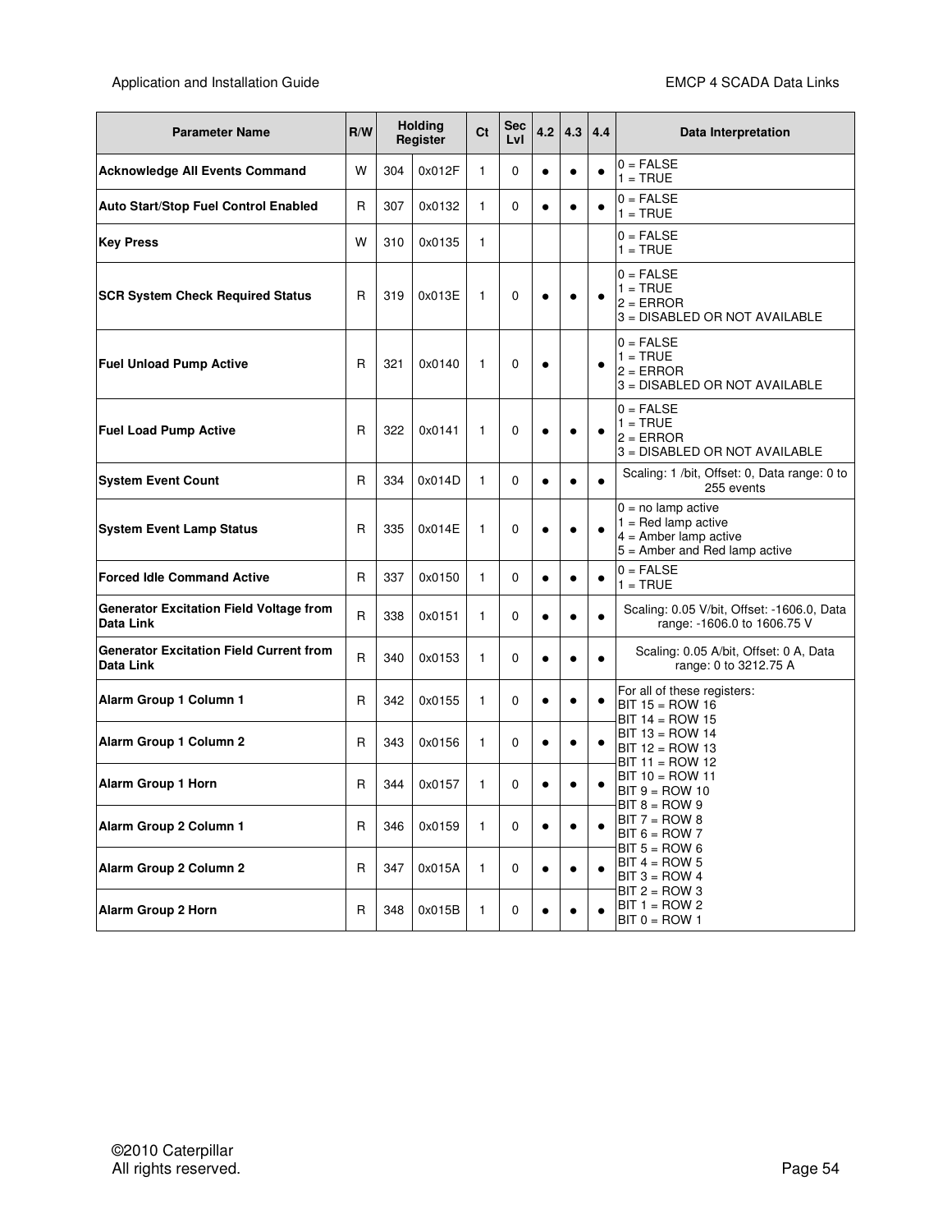| <b>Parameter Name</b>                                       | R/W          |     | <b>Holding</b><br>Register | Ct           | Sec<br>LvI | 4.2       | 4.3       | 4.4       | Data Interpretation                                                                                         |
|-------------------------------------------------------------|--------------|-----|----------------------------|--------------|------------|-----------|-----------|-----------|-------------------------------------------------------------------------------------------------------------|
| <b>Acknowledge All Events Command</b>                       | W            | 304 | 0x012F                     | 1            | 0          | $\bullet$ | $\bullet$ | $\bullet$ | $0 = FALSE$<br>$1 = TRUE$                                                                                   |
| <b>Auto Start/Stop Fuel Control Enabled</b>                 | R            | 307 | 0x0132                     | 1            | 0          | $\bullet$ |           |           | $0 = FALSE$<br>$1 = TRUE$                                                                                   |
| <b>Key Press</b>                                            | W            | 310 | 0x0135                     | 1            |            |           |           |           | $0 = FALSE$<br>$1 = TRUE$                                                                                   |
| <b>SCR System Check Required Status</b>                     | R            | 319 | 0x013E                     | 1            | 0          | $\bullet$ | $\bullet$ |           | $0 = FALSE$<br>$1 = TRUE$<br>$2 = ERROR$<br>3 = DISABLED OR NOT AVAILABLE                                   |
| <b>Fuel Unload Pump Active</b>                              | R            | 321 | 0x0140                     | 1            | 0          | $\bullet$ |           | $\bullet$ | $0 = FALSE$<br>$1 = TRUE$<br>$2 = ERROR$<br>3 = DISABLED OR NOT AVAILABLE                                   |
| <b>Fuel Load Pump Active</b>                                | R            | 322 | 0x0141                     | 1            | 0          | $\bullet$ |           |           | $0 = FALSE$<br>$1 = TRUE$<br>$2 = ERROR$<br>3 = DISABLED OR NOT AVAILABLE                                   |
| <b>System Event Count</b>                                   | R            | 334 | 0x014D                     | $\mathbf{1}$ | 0          | $\bullet$ | $\bullet$ |           | Scaling: 1 /bit, Offset: 0, Data range: 0 to<br>255 events                                                  |
| <b>System Event Lamp Status</b>                             | R            | 335 | 0x014E                     | 1            | 0          | $\bullet$ |           |           | $0 = no$ lamp active<br>$1 = Red lamp active$<br>$4 =$ Amber lamp active<br>$5 =$ Amber and Red lamp active |
| <b>Forced Idle Command Active</b>                           | R            | 337 | 0x0150                     | 1            | 0          | $\bullet$ | $\bullet$ | ٠         | $0 = FALSE$<br>$1 = TRUE$                                                                                   |
| <b>Generator Excitation Field Voltage from</b><br>Data Link | R            | 338 | 0x0151                     | $\mathbf{1}$ | 0          | $\bullet$ |           |           | Scaling: 0.05 V/bit, Offset: -1606.0, Data<br>range: -1606.0 to 1606.75 V                                   |
| <b>Generator Excitation Field Current from</b><br>Data Link | $\mathsf{R}$ | 340 | 0x0153                     | $\mathbf{1}$ | 0          | $\bullet$ | $\bullet$ | $\bullet$ | Scaling: 0.05 A/bit, Offset: 0 A, Data<br>range: 0 to 3212.75 A                                             |
| Alarm Group 1 Column 1                                      | R            | 342 | 0x0155                     | 1            | 0          | $\bullet$ | $\bullet$ | ٠         | For all of these registers:<br>$BIT 15 = ROW 16$<br>$BIT 14 = ROW 15$                                       |
| Alarm Group 1 Column 2                                      | $\mathsf{R}$ | 343 | 0x0156                     | 1            | 0          | $\bullet$ | $\bullet$ |           | $BIT 13 = ROW 14$<br>$BIT 12 = ROM 13$<br>$BIT 11 = ROM 12$                                                 |
| Alarm Group 1 Horn                                          | R            | 344 | 0x0157                     | 1            | 0          | c         |           |           | $BIT 10 = ROW 11$<br>$BIT 9 = ROW 10$                                                                       |
| Alarm Group 2 Column 1                                      | $\mathsf{R}$ | 346 | 0x0159                     | $\mathbf{1}$ | 0          | ٠         | $\bullet$ |           | $BIT 8 = ROW 9$<br>$BIT 7 = ROW 8$<br>$BIT 6 = ROW 7$                                                       |
| Alarm Group 2 Column 2                                      | $\mathsf{R}$ | 347 | 0x015A                     | $\mathbf{1}$ | 0          | $\bullet$ | $\bullet$ |           | $BIT 5 = ROW 6$<br>$BIT 4 = ROW 5$<br>$BIT 3 = ROW 4$                                                       |
| <b>Alarm Group 2 Horn</b>                                   | R            | 348 | 0x015B                     | 1            | 0          | $\bullet$ | $\bullet$ |           | $BIT 2 = ROM 3$<br>$BIT 1 = ROW 2$<br>$BIT 0 = ROW 1$                                                       |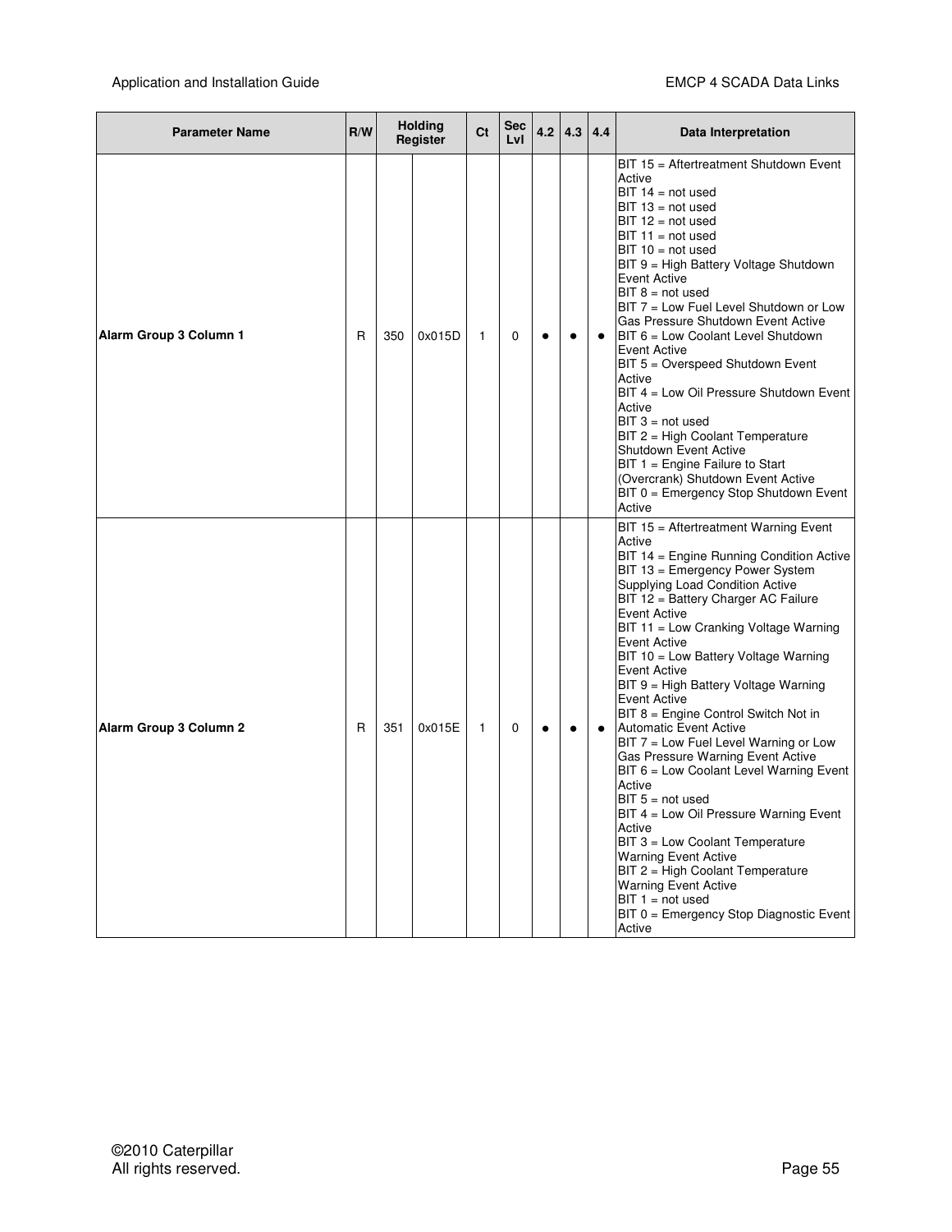| <b>Parameter Name</b>  | R/W |     | <b>Holding</b><br>Register |   | <b>Sec</b><br>LvI | 4.2       | 4.3       | 4.4       | Data Interpretation                                                                                                                                                                                                                                                                                                                                                                                                                                                                                                                                                                                                                                                                                                                                                                                                                                                                                            |
|------------------------|-----|-----|----------------------------|---|-------------------|-----------|-----------|-----------|----------------------------------------------------------------------------------------------------------------------------------------------------------------------------------------------------------------------------------------------------------------------------------------------------------------------------------------------------------------------------------------------------------------------------------------------------------------------------------------------------------------------------------------------------------------------------------------------------------------------------------------------------------------------------------------------------------------------------------------------------------------------------------------------------------------------------------------------------------------------------------------------------------------|
| Alarm Group 3 Column 1 | R   | 350 | 0x015D                     | 1 | 0                 | $\bullet$ | $\bullet$ | $\bullet$ | BIT 15 = Aftertreatment Shutdown Event<br>Active<br>$BIT 14 = not used$<br>$BIT 13 = not used$<br>$BIT 12 = not used$<br>$BIT 11 = not used$<br>$BIT 10 = not used$<br>BIT 9 = High Battery Voltage Shutdown<br>Event Active<br>$BIT 8 = not used$<br>BIT 7 = Low Fuel Level Shutdown or Low<br>Gas Pressure Shutdown Event Active<br>BIT 6 = Low Coolant Level Shutdown<br>Event Active<br>BIT 5 = Overspeed Shutdown Event<br>Active<br>BIT 4 = Low Oil Pressure Shutdown Event<br>Active<br>$BIT 3 = not used$<br>BIT 2 = High Coolant Temperature<br><b>Shutdown Event Active</b><br>BIT 1 = Engine Failure to Start<br>(Overcrank) Shutdown Event Active<br>BIT 0 = Emergency Stop Shutdown Event<br>Active                                                                                                                                                                                               |
| Alarm Group 3 Column 2 | R   | 351 | 0x015E                     | 1 | 0                 | $\bullet$ | $\bullet$ | $\bullet$ | BIT 15 = Aftertreatment Warning Event<br>Active<br>BIT 14 = Engine Running Condition Active<br>BIT 13 = Emergency Power System<br>Supplying Load Condition Active<br>BIT 12 = Battery Charger AC Failure<br>Event Active<br>BIT 11 = Low Cranking Voltage Warning<br><b>Event Active</b><br>BIT 10 = Low Battery Voltage Warning<br>Event Active<br>BIT 9 = High Battery Voltage Warning<br>Event Active<br>BIT 8 = Engine Control Switch Not in<br><b>Automatic Event Active</b><br>BIT 7 = Low Fuel Level Warning or Low<br>Gas Pressure Warning Event Active<br>BIT 6 = Low Coolant Level Warning Event<br>Active<br>$BIT 5 = not used$<br>BIT 4 = Low Oil Pressure Warning Event<br>Active<br>BIT 3 = Low Coolant Temperature<br><b>Warning Event Active</b><br>BIT 2 = High Coolant Temperature<br><b>Warning Event Active</b><br>$BIT 1 = not used$<br>BIT 0 = Emergency Stop Diagnostic Event<br>Active |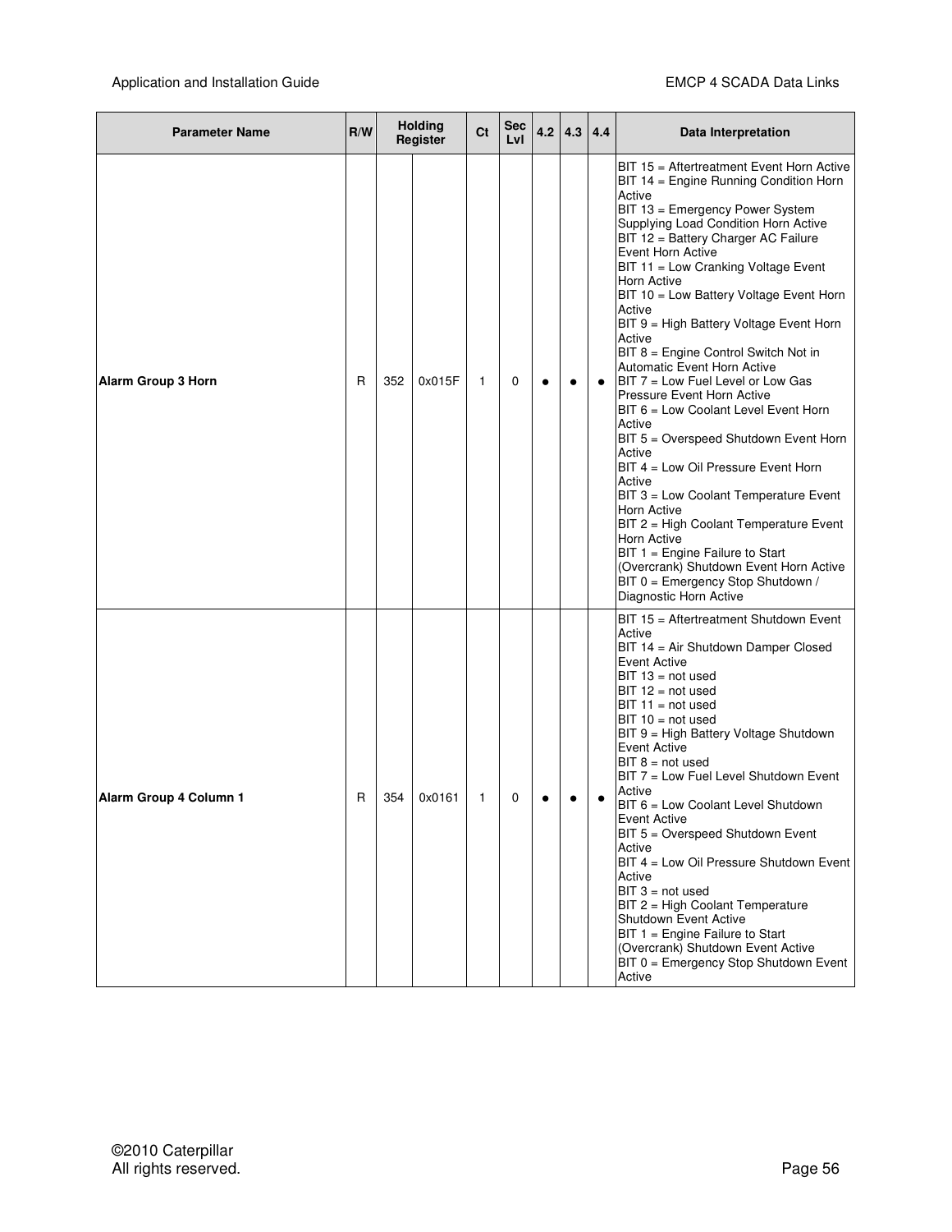| <b>Parameter Name</b>     | R/W |     | <b>Holding</b><br>Register | Ct | Sec<br>LvI | 4.2       | 4.3       | 4.4       | Data Interpretation                                                                                                                                                                                                                                                                                                                                                                                                                                                                                                                                                                                                                                                                                                                                                                                                                                                                                                                                                      |
|---------------------------|-----|-----|----------------------------|----|------------|-----------|-----------|-----------|--------------------------------------------------------------------------------------------------------------------------------------------------------------------------------------------------------------------------------------------------------------------------------------------------------------------------------------------------------------------------------------------------------------------------------------------------------------------------------------------------------------------------------------------------------------------------------------------------------------------------------------------------------------------------------------------------------------------------------------------------------------------------------------------------------------------------------------------------------------------------------------------------------------------------------------------------------------------------|
| <b>Alarm Group 3 Horn</b> | R   | 352 | 0x015F                     | 1  | 0          | $\bullet$ | $\bullet$ | $\bullet$ | BIT 15 = Aftertreatment Event Horn Active<br>BIT 14 = Engine Running Condition Horn<br>Active<br>BIT 13 = Emergency Power System<br>Supplying Load Condition Horn Active<br>BIT 12 = Battery Charger AC Failure<br>Event Horn Active<br>BIT 11 = Low Cranking Voltage Event<br>Horn Active<br>BIT 10 = Low Battery Voltage Event Horn<br>Active<br>BIT 9 = High Battery Voltage Event Horn<br>Active<br>BIT 8 = Engine Control Switch Not in<br><b>Automatic Event Horn Active</b><br>BIT 7 = Low Fuel Level or Low Gas<br>Pressure Event Horn Active<br>BIT 6 = Low Coolant Level Event Horn<br>Active<br>BIT 5 = Overspeed Shutdown Event Horn<br>Active<br>BIT 4 = Low Oil Pressure Event Horn<br>Active<br>BIT 3 = Low Coolant Temperature Event<br>Horn Active<br>BIT 2 = High Coolant Temperature Event<br>Horn Active<br>BIT 1 = Engine Failure to Start<br>(Overcrank) Shutdown Event Horn Active<br>BIT 0 = Emergency Stop Shutdown /<br>Diagnostic Horn Active |
| Alarm Group 4 Column 1    | R   | 354 | 0x0161                     | 1  | 0          |           |           |           | BIT 15 = Aftertreatment Shutdown Event<br>Active<br>BIT 14 = Air Shutdown Damper Closed<br><b>Event Active</b><br>$BIT 13 = not used$<br>$BIT 12 = not used$<br>$BIT 11 = not used$<br>$BIT 10 = not used$<br>BIT 9 = High Battery Voltage Shutdown<br><b>Event Active</b><br>$BIT 8 = not used$<br>BIT 7 = Low Fuel Level Shutdown Event<br>Active<br>BIT 6 = Low Coolant Level Shutdown<br>Event Active<br>BIT 5 = Overspeed Shutdown Event<br>Active<br>BIT 4 = Low Oil Pressure Shutdown Event<br>Active<br>$BIT 3 = not used$<br>BIT 2 = High Coolant Temperature<br>Shutdown Event Active<br>BIT 1 = Engine Failure to Start<br>(Overcrank) Shutdown Event Active<br>BIT 0 = Emergency Stop Shutdown Event<br>Active                                                                                                                                                                                                                                               |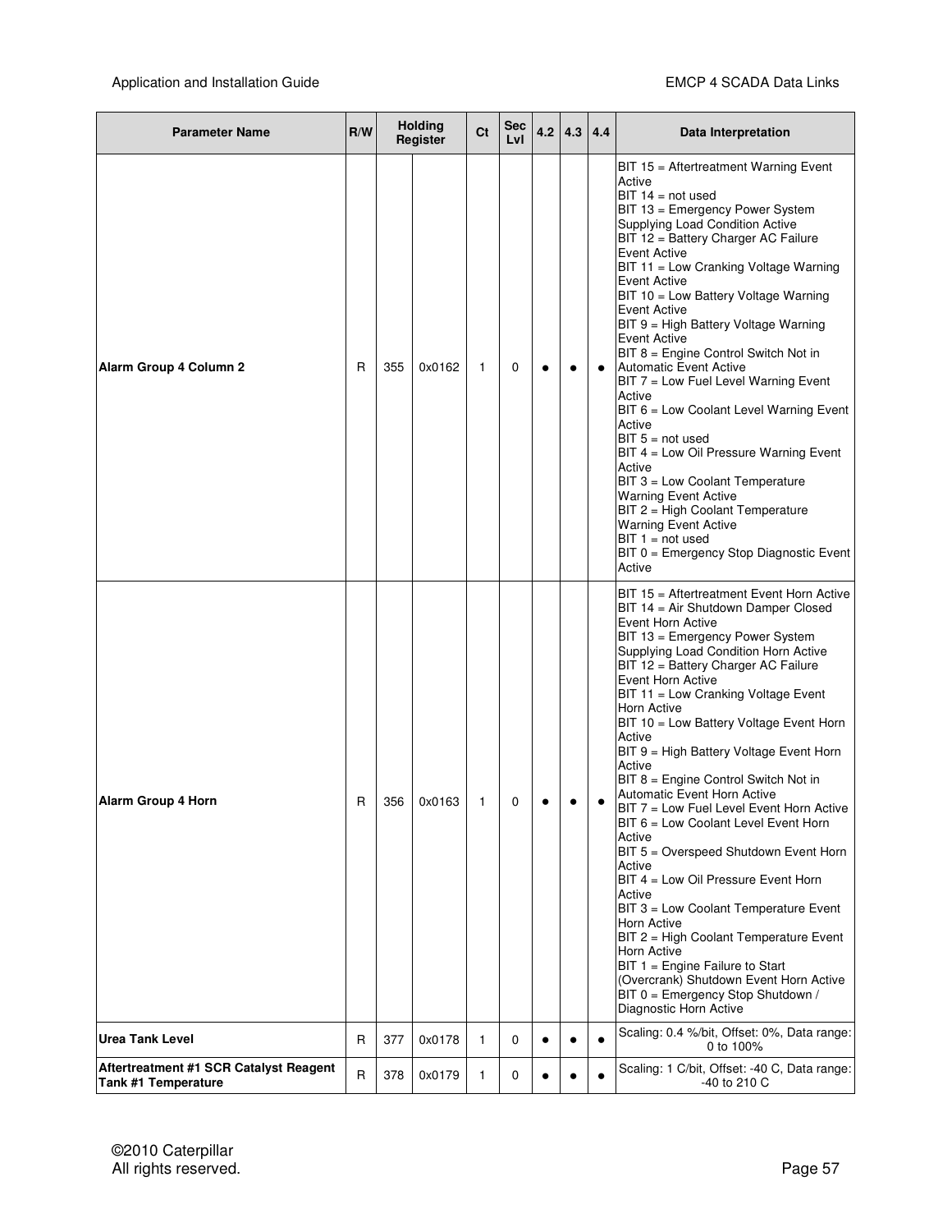| <b>Parameter Name</b>                                         | R/W |     | <b>Holding</b><br>Register |   | Sec<br>LvI | 4.2       | 4.3       | 4.4 | Data Interpretation                                                                                                                                                                                                                                                                                                                                                                                                                                                                                                                                                                                                                                                                                                                                                                                                                                                                                                                                |
|---------------------------------------------------------------|-----|-----|----------------------------|---|------------|-----------|-----------|-----|----------------------------------------------------------------------------------------------------------------------------------------------------------------------------------------------------------------------------------------------------------------------------------------------------------------------------------------------------------------------------------------------------------------------------------------------------------------------------------------------------------------------------------------------------------------------------------------------------------------------------------------------------------------------------------------------------------------------------------------------------------------------------------------------------------------------------------------------------------------------------------------------------------------------------------------------------|
| Alarm Group 4 Column 2                                        | R   | 355 | 0x0162                     | 1 | 0          | $\bullet$ | $\bullet$ |     | BIT 15 = Aftertreatment Warning Event<br>Active<br>$BIT 14 = not used$<br>BIT 13 = Emergency Power System<br>Supplying Load Condition Active<br>BIT 12 = Battery Charger AC Failure<br><b>Event Active</b><br>BIT 11 = Low Cranking Voltage Warning<br>Event Active<br>BIT 10 = Low Battery Voltage Warning<br><b>Event Active</b><br>BIT 9 = High Battery Voltage Warning<br><b>Event Active</b><br>BIT 8 = Engine Control Switch Not in<br><b>Automatic Event Active</b><br>BIT 7 = Low Fuel Level Warning Event<br>Active<br>BIT 6 = Low Coolant Level Warning Event<br>Active<br>$BIT 5 = not used$<br>BIT 4 = Low Oil Pressure Warning Event<br>Active<br>BIT 3 = Low Coolant Temperature<br><b>Warning Event Active</b><br>BIT 2 = High Coolant Temperature<br><b>Warning Event Active</b><br>$BIT 1 = not used$<br>BIT 0 = Emergency Stop Diagnostic Event<br>Active                                                                        |
| Alarm Group 4 Horn                                            | R   | 356 | 0x0163                     | 1 | 0          |           |           |     | BIT 15 = Aftertreatment Event Horn Active<br>BIT 14 = Air Shutdown Damper Closed<br>Event Horn Active<br>BIT 13 = Emergency Power System<br>Supplying Load Condition Horn Active<br>BIT 12 = Battery Charger AC Failure<br>Event Horn Active<br>BIT 11 = Low Cranking Voltage Event<br>Horn Active<br>BIT 10 = Low Battery Voltage Event Horn<br>Active<br>BIT 9 = High Battery Voltage Event Horn<br>Active<br>BIT 8 = Engine Control Switch Not in<br>Automatic Event Horn Active<br>BIT 7 = Low Fuel Level Event Horn Active<br>BIT 6 = Low Coolant Level Event Horn<br>Active<br>BIT 5 = Overspeed Shutdown Event Horn<br>Active<br>BIT 4 = Low Oil Pressure Event Horn<br>Active<br>BIT 3 = Low Coolant Temperature Event<br>Horn Active<br>BIT 2 = High Coolant Temperature Event<br>Horn Active<br>BIT 1 = Engine Failure to Start<br>(Overcrank) Shutdown Event Horn Active<br>BIT 0 = Emergency Stop Shutdown /<br>Diagnostic Horn Active |
| <b>Urea Tank Level</b>                                        | R   | 377 | 0x0178                     | 1 | 0          | $\bullet$ |           |     | Scaling: 0.4 %/bit, Offset: 0%, Data range:<br>0 to 100%                                                                                                                                                                                                                                                                                                                                                                                                                                                                                                                                                                                                                                                                                                                                                                                                                                                                                           |
| Aftertreatment #1 SCR Catalyst Reagent<br>Tank #1 Temperature | R   | 378 | 0x0179                     | 1 | 0          | $\bullet$ |           |     | Scaling: 1 C/bit, Offset: -40 C, Data range:<br>-40 to 210 C                                                                                                                                                                                                                                                                                                                                                                                                                                                                                                                                                                                                                                                                                                                                                                                                                                                                                       |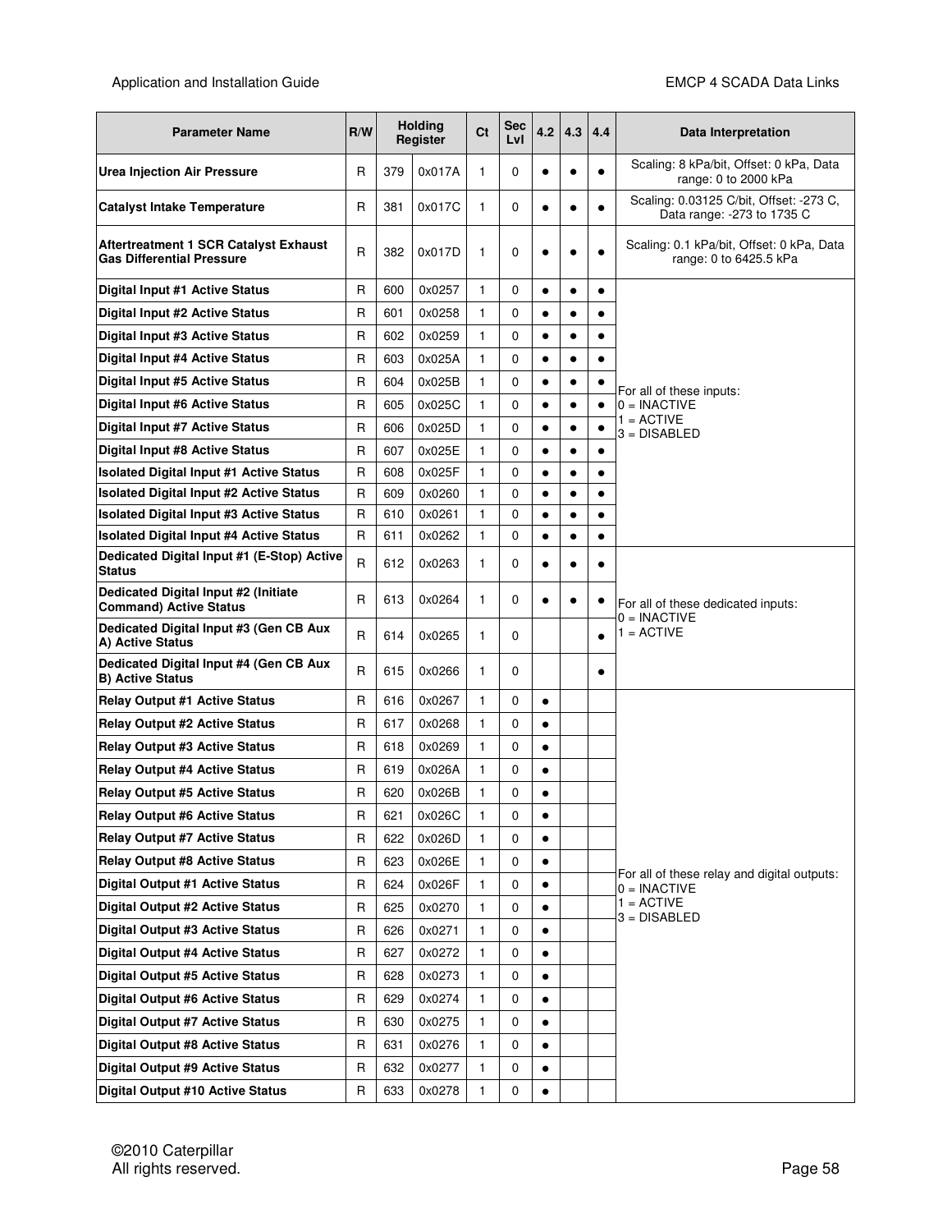| <b>Parameter Name</b>                                                     | R/W          |     | <b>Holding</b><br>Register |              | Sec<br>LvI | 4.2       | 4.3       | 4.4       | Data Interpretation                                                   |
|---------------------------------------------------------------------------|--------------|-----|----------------------------|--------------|------------|-----------|-----------|-----------|-----------------------------------------------------------------------|
| <b>Urea Injection Air Pressure</b>                                        | R            | 379 | 0x017A                     | 1            | 0          | $\bullet$ |           | $\bullet$ | Scaling: 8 kPa/bit, Offset: 0 kPa, Data<br>range: 0 to 2000 kPa       |
| <b>Catalyst Intake Temperature</b>                                        | R            | 381 | 0x017C                     | $\mathbf{1}$ | 0          | $\bullet$ | $\bullet$ | $\bullet$ | Scaling: 0.03125 C/bit, Offset: -273 C,<br>Data range: -273 to 1735 C |
| Aftertreatment 1 SCR Catalyst Exhaust<br><b>Gas Differential Pressure</b> | $\mathsf{R}$ | 382 | 0x017D                     | $\mathbf{1}$ | 0          | $\bullet$ |           |           | Scaling: 0.1 kPa/bit, Offset: 0 kPa, Data<br>range: 0 to 6425.5 kPa   |
| Digital Input #1 Active Status                                            | R            | 600 | 0x0257                     | $\mathbf{1}$ | 0          | $\bullet$ | $\bullet$ | $\bullet$ |                                                                       |
| Digital Input #2 Active Status                                            | $\mathsf{R}$ | 601 | 0x0258                     | $\mathbf{1}$ | 0          | $\bullet$ | $\bullet$ | $\bullet$ |                                                                       |
| Digital Input #3 Active Status                                            | R            | 602 | 0x0259                     | $\mathbf{1}$ | 0          | $\bullet$ | $\bullet$ | $\bullet$ |                                                                       |
| Digital Input #4 Active Status                                            | R            | 603 | 0x025A                     | $\mathbf{1}$ | 0          | $\bullet$ | $\bullet$ | $\bullet$ |                                                                       |
| Digital Input #5 Active Status                                            | R            | 604 | 0x025B                     | $\mathbf{1}$ | 0          | $\bullet$ | $\bullet$ |           | For all of these inputs:                                              |
| Digital Input #6 Active Status                                            | R            | 605 | 0x025C                     | $\mathbf{1}$ | 0          | $\bullet$ | $\bullet$ | ٠         | $0 = INACTIVE$                                                        |
| Digital Input #7 Active Status                                            | R            | 606 | 0x025D                     | $\mathbf{1}$ | 0          | $\bullet$ | $\bullet$ | $\bullet$ | $1 = ACTIVE$<br>$3 = DISARI FD$                                       |
| Digital Input #8 Active Status                                            | R            | 607 | 0x025E                     | $\mathbf{1}$ | 0          | $\bullet$ | $\bullet$ |           |                                                                       |
| <b>Isolated Digital Input #1 Active Status</b>                            | R            | 608 | 0x025F                     | $\mathbf{1}$ | 0          | $\bullet$ | $\bullet$ | $\bullet$ |                                                                       |
| <b>Isolated Digital Input #2 Active Status</b>                            | R            | 609 | 0x0260                     | 1            | 0          | $\bullet$ | $\bullet$ |           |                                                                       |
| <b>Isolated Digital Input #3 Active Status</b>                            | R            | 610 | 0x0261                     | $\mathbf{1}$ | 0          | $\bullet$ | $\bullet$ |           |                                                                       |
| <b>Isolated Digital Input #4 Active Status</b>                            | R            | 611 | 0x0262                     | $\mathbf{1}$ | 0          | $\bullet$ | $\bullet$ | $\bullet$ |                                                                       |
| Dedicated Digital Input #1 (E-Stop) Active<br><b>Status</b>               | R            | 612 | 0x0263                     | $\mathbf{1}$ | 0          | $\bullet$ | $\bullet$ | $\bullet$ |                                                                       |
| Dedicated Digital Input #2 (Initiate<br><b>Command) Active Status</b>     | R            | 613 | 0x0264                     | $\mathbf{1}$ | 0          | $\bullet$ |           |           | For all of these dedicated inputs:<br>$0 = INACTIVE$                  |
| Dedicated Digital Input #3 (Gen CB Aux<br>A) Active Status                | R            | 614 | 0x0265                     | $\mathbf{1}$ | 0          |           |           | $\bullet$ | $1 = ACTIVE$                                                          |
| Dedicated Digital Input #4 (Gen CB Aux<br><b>B) Active Status</b>         | R            | 615 | 0x0266                     | 1            | 0          |           |           | $\bullet$ |                                                                       |
| <b>Relay Output #1 Active Status</b>                                      | R            | 616 | 0x0267                     | $\mathbf{1}$ | 0          | $\bullet$ |           |           |                                                                       |
| <b>Relay Output #2 Active Status</b>                                      | R            | 617 | 0x0268                     | $\mathbf{1}$ | 0          | $\bullet$ |           |           |                                                                       |
| <b>Relay Output #3 Active Status</b>                                      | R            | 618 | 0x0269                     | 1            | 0          | $\bullet$ |           |           |                                                                       |
| <b>Relay Output #4 Active Status</b>                                      | R            | 619 | 0x026A                     | $\mathbf{1}$ | 0          | $\bullet$ |           |           |                                                                       |
| <b>Relay Output #5 Active Status</b>                                      | R            | 620 | 0x026B                     | 1            | 0          | $\bullet$ |           |           |                                                                       |
| <b>Relay Output #6 Active Status</b>                                      | R            | 621 | 0x026C                     | $\mathbf{1}$ | 0          | $\bullet$ |           |           |                                                                       |
| <b>Relay Output #7 Active Status</b>                                      | R            | 622 | 0x026D                     | $\mathbf{1}$ | 0          | $\bullet$ |           |           |                                                                       |
| <b>Relay Output #8 Active Status</b>                                      | R            | 623 | 0x026E                     | 1            | 0          | $\bullet$ |           |           |                                                                       |
| Digital Output #1 Active Status                                           | R            | 624 | 0x026F                     | $\mathbf{1}$ | 0          | $\bullet$ |           |           | For all of these relay and digital outputs:<br>0 = INACTIVE           |
| Digital Output #2 Active Status                                           | R            | 625 | 0x0270                     | 1            | 0          | $\bullet$ |           |           | $1 =$ ACTIVE<br>3 = DISABLED                                          |
| Digital Output #3 Active Status                                           | R            | 626 | 0x0271                     | $\mathbf{1}$ | 0          | $\bullet$ |           |           |                                                                       |
| Digital Output #4 Active Status                                           | R            | 627 | 0x0272                     | 1            | 0          |           |           |           |                                                                       |
| Digital Output #5 Active Status                                           | R            | 628 | 0x0273                     | $\mathbf{1}$ | 0          | $\bullet$ |           |           |                                                                       |
| Digital Output #6 Active Status                                           | R            | 629 | 0x0274                     | 1            | 0          | $\bullet$ |           |           |                                                                       |
| Digital Output #7 Active Status                                           | R            | 630 | 0x0275                     | 1            | 0          | $\bullet$ |           |           |                                                                       |
| Digital Output #8 Active Status                                           | R            | 631 | 0x0276                     | 1            | 0          | $\bullet$ |           |           |                                                                       |
| Digital Output #9 Active Status                                           | R            | 632 | 0x0277                     | 1            | 0          | ٠         |           |           |                                                                       |
| Digital Output #10 Active Status                                          | $\mathsf R$  | 633 | 0x0278                     | 1            | 0          | $\bullet$ |           |           |                                                                       |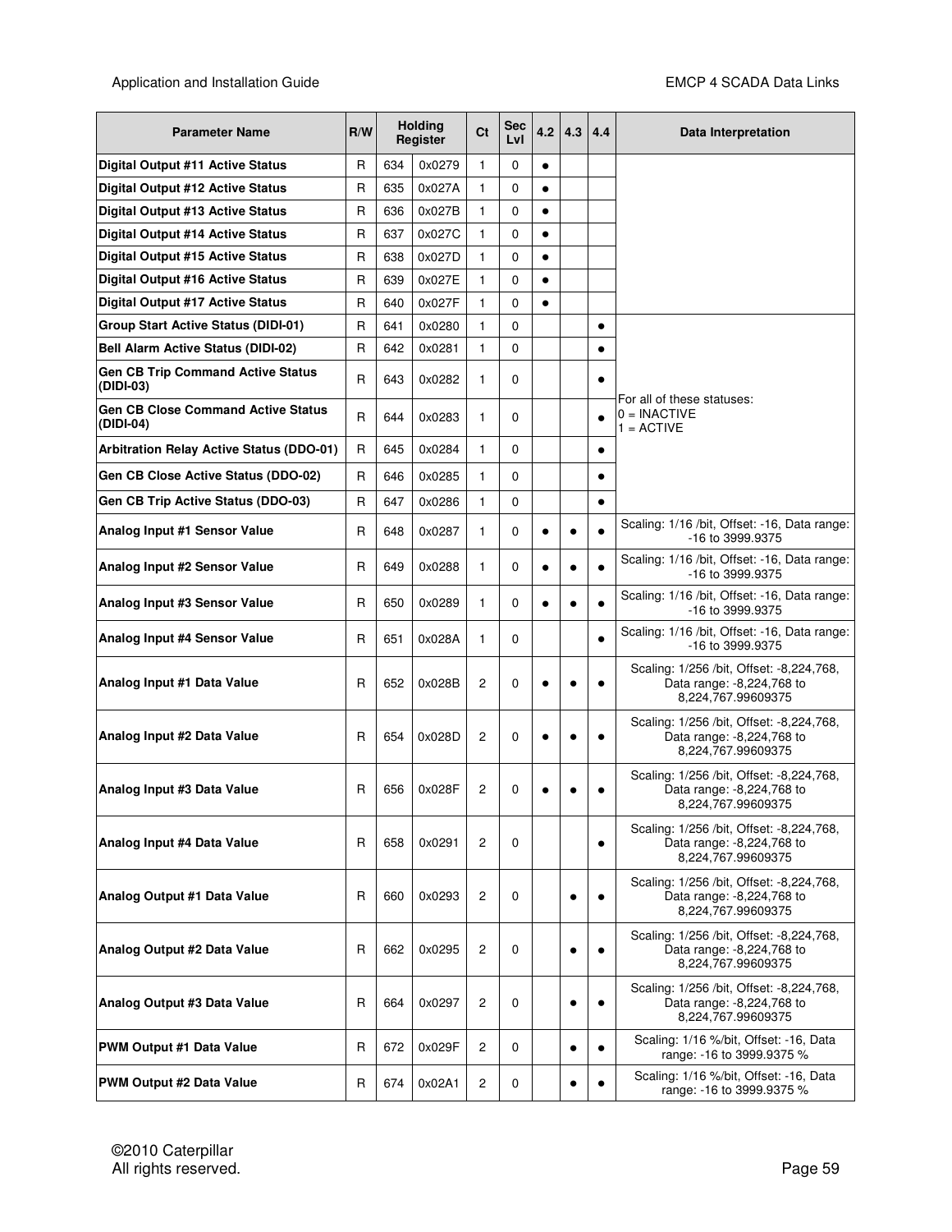| <b>Parameter Name</b>                                  | R/W          |     | <b>Holding</b><br>Register | Ct           | Sec<br>LvI | 4.2       | 4.3       | 4.4       | Data Interpretation                                                                          |
|--------------------------------------------------------|--------------|-----|----------------------------|--------------|------------|-----------|-----------|-----------|----------------------------------------------------------------------------------------------|
| Digital Output #11 Active Status                       | R            | 634 | 0x0279                     | $\mathbf{1}$ | 0          | $\bullet$ |           |           |                                                                                              |
| Digital Output #12 Active Status                       | R            | 635 | 0x027A                     | 1            | 0          | $\bullet$ |           |           |                                                                                              |
| Digital Output #13 Active Status                       | R            | 636 | 0x027B                     | 1            | 0          | $\bullet$ |           |           |                                                                                              |
| <b>Digital Output #14 Active Status</b>                | R            | 637 | 0x027C                     | 1            | 0          | $\bullet$ |           |           |                                                                                              |
| Digital Output #15 Active Status                       | R            | 638 | 0x027D                     | 1            | 0          | $\bullet$ |           |           |                                                                                              |
| Digital Output #16 Active Status                       | R            | 639 | 0x027E                     | $\mathbf{1}$ | 0          | $\bullet$ |           |           |                                                                                              |
| Digital Output #17 Active Status                       | R            | 640 | 0x027F                     | 1            | 0          | $\bullet$ |           |           |                                                                                              |
| Group Start Active Status (DIDI-01)                    | R            | 641 | 0x0280                     | 1            | 0          |           |           | $\bullet$ |                                                                                              |
| <b>Bell Alarm Active Status (DIDI-02)</b>              | R            | 642 | 0x0281                     | 1            | 0          |           |           |           |                                                                                              |
| <b>Gen CB Trip Command Active Status</b><br>(DIDI-03)  | $\mathsf{R}$ | 643 | 0x0282                     | 1            | 0          |           |           | $\bullet$ | For all of these statuses:                                                                   |
| <b>Gen CB Close Command Active Status</b><br>(DIDI-04) | $\mathsf{R}$ | 644 | 0x0283                     | 1            | 0          |           |           | $\bullet$ | $0 = \text{INACTIVE}$<br>$1 = ACTIVE$                                                        |
| <b>Arbitration Relay Active Status (DDO-01)</b>        | $\mathsf{R}$ | 645 | 0x0284                     | 1            | 0          |           |           | $\bullet$ |                                                                                              |
| Gen CB Close Active Status (DDO-02)                    | R            | 646 | 0x0285                     | 1            | 0          |           |           | $\bullet$ |                                                                                              |
| Gen CB Trip Active Status (DDO-03)                     | $\mathsf{R}$ | 647 | 0x0286                     | 1            | 0          |           |           | $\bullet$ |                                                                                              |
| Analog Input #1 Sensor Value                           | R            | 648 | 0x0287                     | 1            | 0          | $\bullet$ | $\bullet$ |           | Scaling: 1/16 /bit, Offset: -16, Data range:<br>-16 to 3999.9375                             |
| Analog Input #2 Sensor Value                           | $\mathsf{R}$ | 649 | 0x0288                     | 1            | 0          | $\bullet$ | $\bullet$ | $\bullet$ | Scaling: 1/16 /bit, Offset: -16, Data range:<br>-16 to 3999.9375                             |
| Analog Input #3 Sensor Value                           | R            | 650 | 0x0289                     | 1            | 0          | $\bullet$ | $\bullet$ |           | Scaling: 1/16 /bit, Offset: -16, Data range:<br>-16 to 3999.9375                             |
| Analog Input #4 Sensor Value                           | R            | 651 | 0x028A                     | 1            | 0          |           |           |           | Scaling: 1/16 /bit, Offset: -16, Data range:<br>-16 to 3999.9375                             |
| Analog Input #1 Data Value                             | R            | 652 | 0x028B                     | 2            | 0          | $\bullet$ | $\bullet$ | $\bullet$ | Scaling: 1/256 / bit, Offset: -8,224,768,<br>Data range: -8,224,768 to<br>8,224,767.99609375 |
| Analog Input #2 Data Value                             | R            | 654 | 0x028D                     | 2            | 0          | $\bullet$ | $\bullet$ | $\bullet$ | Scaling: 1/256 /bit, Offset: -8,224,768,<br>Data range: -8,224,768 to<br>8.224.767.99609375  |
| Analog Input #3 Data Value                             | R            | 656 | 0x028F                     | 2            | 0          |           |           |           | Scaling: 1/256 /bit, Offset: -8,224,768,<br>Data range: -8,224,768 to<br>8,224,767.99609375  |
| Analog Input #4 Data Value                             | R            | 658 | 0x0291                     | 2            | 0          |           |           | $\bullet$ | Scaling: 1/256 /bit, Offset: -8,224,768,<br>Data range: -8,224,768 to<br>8,224,767.99609375  |
| Analog Output #1 Data Value                            | R            | 660 | 0x0293                     | 2            | 0          |           | $\bullet$ |           | Scaling: 1/256 / bit, Offset: -8,224,768,<br>Data range: -8,224,768 to<br>8,224,767.99609375 |
| Analog Output #2 Data Value                            | R            | 662 | 0x0295                     | 2            | 0          |           | $\bullet$ | $\bullet$ | Scaling: 1/256 / bit, Offset: -8,224,768,<br>Data range: -8,224,768 to<br>8.224.767.99609375 |
| Analog Output #3 Data Value                            | R            | 664 | 0x0297                     | 2            | 0          |           | $\bullet$ |           | Scaling: 1/256 /bit, Offset: -8,224,768,<br>Data range: -8,224,768 to<br>8,224,767.99609375  |
| <b>PWM Output #1 Data Value</b>                        | $\mathsf{R}$ | 672 | 0x029F                     | 2            | 0          |           | $\bullet$ |           | Scaling: 1/16 %/bit, Offset: -16, Data<br>range: -16 to 3999.9375 %                          |
| PWM Output #2 Data Value                               | R            | 674 | 0x02A1                     | 2            | 0          |           |           |           | Scaling: 1/16 %/bit, Offset: -16, Data<br>range: -16 to 3999.9375 %                          |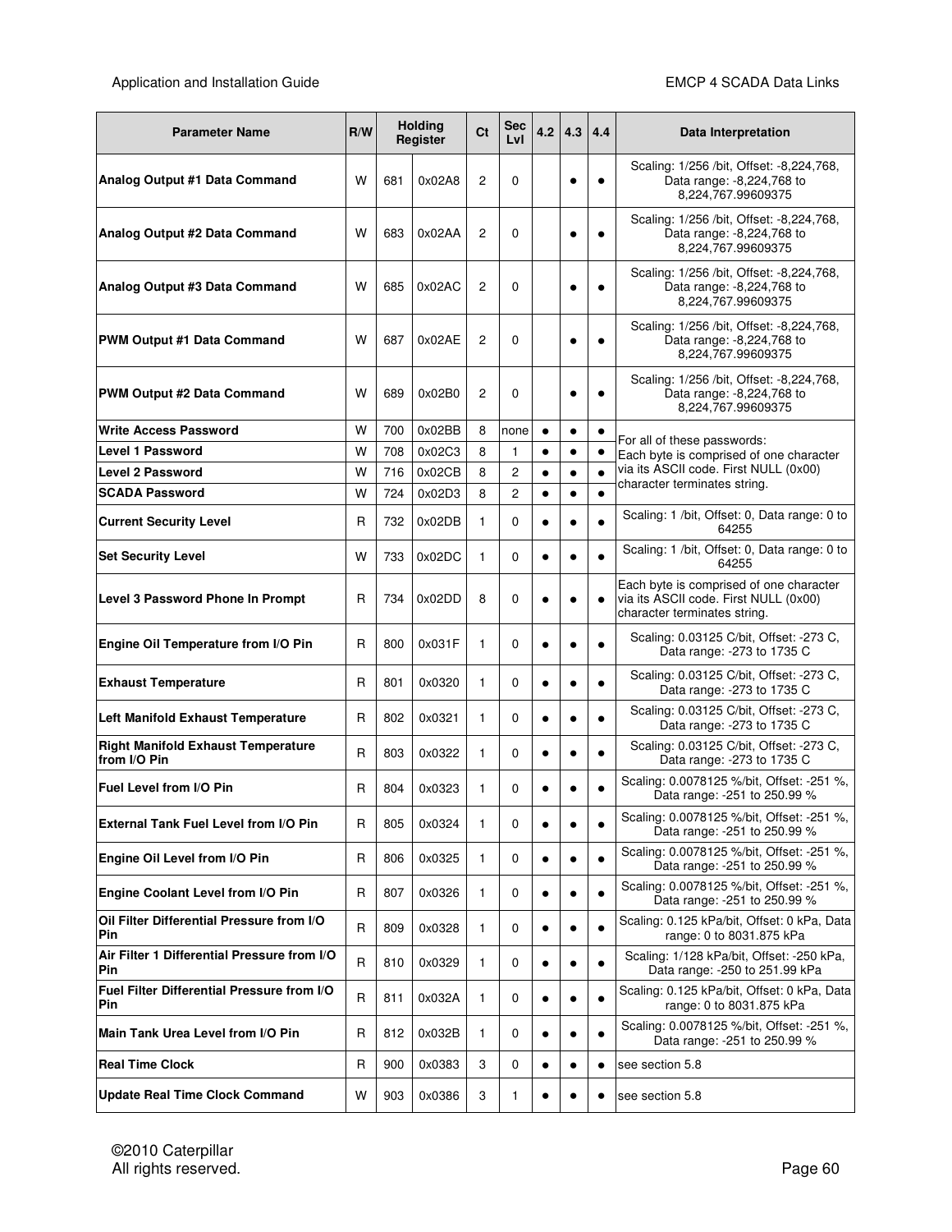| <b>Parameter Name</b>                                     | R/W |     | <b>Holding</b><br>Register | Ct             | <b>Sec</b><br>LvI | 4.2       | 4.3       | 4.4       | Data Interpretation                                                                                              |
|-----------------------------------------------------------|-----|-----|----------------------------|----------------|-------------------|-----------|-----------|-----------|------------------------------------------------------------------------------------------------------------------|
| Analog Output #1 Data Command                             | W   | 681 | 0x02A8                     | 2              | 0                 |           | $\bullet$ | $\bullet$ | Scaling: 1/256 /bit, Offset: -8,224,768,<br>Data range: -8,224,768 to<br>8,224,767.99609375                      |
| Analog Output #2 Data Command                             | w   | 683 | 0x02AA                     | $\overline{2}$ | $\Omega$          |           |           | $\bullet$ | Scaling: 1/256 /bit, Offset: -8,224,768,<br>Data range: -8,224,768 to<br>8,224,767.99609375                      |
| Analog Output #3 Data Command                             | w   | 685 | 0x02AC                     | 2              | $\Omega$          |           |           | $\bullet$ | Scaling: 1/256 /bit, Offset: -8,224,768,<br>Data range: -8,224,768 to<br>8,224,767.99609375                      |
| <b>PWM Output #1 Data Command</b>                         | w   | 687 | 0x02AE                     | 2              | $\Omega$          |           |           | $\bullet$ | Scaling: 1/256 /bit, Offset: -8,224,768,<br>Data range: -8,224,768 to<br>8,224,767.99609375                      |
| <b>PWM Output #2 Data Command</b>                         | W   | 689 | 0x02B0                     | 2              | 0                 |           |           |           | Scaling: 1/256 /bit, Offset: -8,224,768,<br>Data range: -8,224,768 to<br>8,224,767.99609375                      |
| <b>Write Access Password</b>                              | W   | 700 | 0x02BB                     | 8              | none              | $\bullet$ | $\bullet$ | $\bullet$ | For all of these passwords:                                                                                      |
| <b>Level 1 Password</b>                                   | W   | 708 | 0x02C3                     | 8              | 1                 | $\bullet$ | $\bullet$ | $\bullet$ | Each byte is comprised of one character                                                                          |
| <b>Level 2 Password</b>                                   | W   | 716 | 0x02CB                     | 8              | 2                 | $\bullet$ | $\bullet$ | $\bullet$ | via its ASCII code. First NULL (0x00)<br>character terminates string.                                            |
| <b>SCADA Password</b>                                     | W   | 724 | 0x02D3                     | 8              | $\overline{c}$    | $\bullet$ | $\bullet$ | $\bullet$ |                                                                                                                  |
| <b>Current Security Level</b>                             | R   | 732 | 0x02DB                     | 1              | 0                 | $\bullet$ | $\bullet$ | $\bullet$ | Scaling: 1 /bit, Offset: 0, Data range: 0 to<br>64255                                                            |
| <b>Set Security Level</b>                                 | W   | 733 | 0x02DC                     | 1              | 0                 | $\bullet$ | $\bullet$ | $\bullet$ | Scaling: 1 /bit, Offset: 0, Data range: 0 to<br>64255                                                            |
| <b>Level 3 Password Phone In Prompt</b>                   | R   | 734 | 0x02DD                     | 8              | 0                 | ٠         |           | $\bullet$ | Each byte is comprised of one character<br>via its ASCII code. First NULL (0x00)<br>character terminates string. |
| Engine Oil Temperature from I/O Pin                       | R   | 800 | 0x031F                     | 1              | $\Omega$          | $\bullet$ |           | $\bullet$ | Scaling: 0.03125 C/bit, Offset: -273 C,<br>Data range: - 273 to 1735 C                                           |
| <b>Exhaust Temperature</b>                                | R   | 801 | 0x0320                     | 1              | 0                 | $\bullet$ | ٠         | $\bullet$ | Scaling: 0.03125 C/bit, Offset: -273 C,<br>Data range: - 273 to 1735 C                                           |
| Left Manifold Exhaust Temperature                         | R   | 802 | 0x0321                     | 1              | 0                 | $\bullet$ | $\bullet$ | $\bullet$ | Scaling: 0.03125 C/bit, Offset: -273 C,<br>Data range: - 273 to 1735 C                                           |
| <b>Right Manifold Exhaust Temperature</b><br>from I/O Pin | R   | 803 | 0x0322                     | 1              | 0                 | $\bullet$ | $\bullet$ | $\bullet$ | Scaling: 0.03125 C/bit, Offset: -273 C,<br>Data range: - 273 to 1735 C                                           |
| Fuel Level from I/O Pin                                   | R   | 804 | 0x0323                     | 1              | 0                 | $\bullet$ |           |           | Scaling: 0.0078125 %/bit, Offset: -251 %,<br>Data range: -251 to 250.99 %                                        |
| External Tank Fuel Level from I/O Pin                     | R   | 805 | 0x0324                     | 1              | 0                 | ٠         |           | $\bullet$ | Scaling: 0.0078125 %/bit, Offset: -251 %,<br>Data range: -251 to 250.99 %                                        |
| Engine Oil Level from I/O Pin                             | R   | 806 | 0x0325                     | 1              | 0                 | ٠         |           |           | Scaling: 0.0078125 %/bit, Offset: -251 %,<br>Data range: -251 to 250.99 %                                        |
| Engine Coolant Level from I/O Pin                         | R   | 807 | 0x0326                     | 1              | 0                 | $\bullet$ | $\bullet$ | $\bullet$ | Scaling: 0.0078125 %/bit, Offset: -251 %,<br>Data range: -251 to 250.99 %                                        |
| Oil Filter Differential Pressure from I/O<br>Pin          | R   | 809 | 0x0328                     | 1              | 0                 | $\bullet$ | $\bullet$ |           | Scaling: 0.125 kPa/bit, Offset: 0 kPa, Data<br>range: 0 to 8031.875 kPa                                          |
| Air Filter 1 Differential Pressure from I/O<br>Pin        | R   | 810 | 0x0329                     | 1              | 0                 | ٠         |           |           | Scaling: 1/128 kPa/bit, Offset: -250 kPa,<br>Data range: - 250 to 251.99 kPa                                     |
| Fuel Filter Differential Pressure from I/O<br>Pin         | R   | 811 | 0x032A                     | 1              | 0                 | ٠         |           | $\bullet$ | Scaling: 0.125 kPa/bit, Offset: 0 kPa, Data<br>range: 0 to 8031.875 kPa                                          |
| Main Tank Urea Level from I/O Pin                         | R   | 812 | 0x032B                     | 1              | 0                 | $\bullet$ |           |           | Scaling: 0.0078125 %/bit, Offset: -251 %,<br>Data range: -251 to 250.99 %                                        |
| <b>Real Time Clock</b>                                    | R   | 900 | 0x0383                     | 3              | 0                 | $\bullet$ |           | $\bullet$ | see section 5.8                                                                                                  |
| <b>Update Real Time Clock Command</b>                     | W   | 903 | 0x0386                     | 3              | 1                 |           |           |           | see section 5.8                                                                                                  |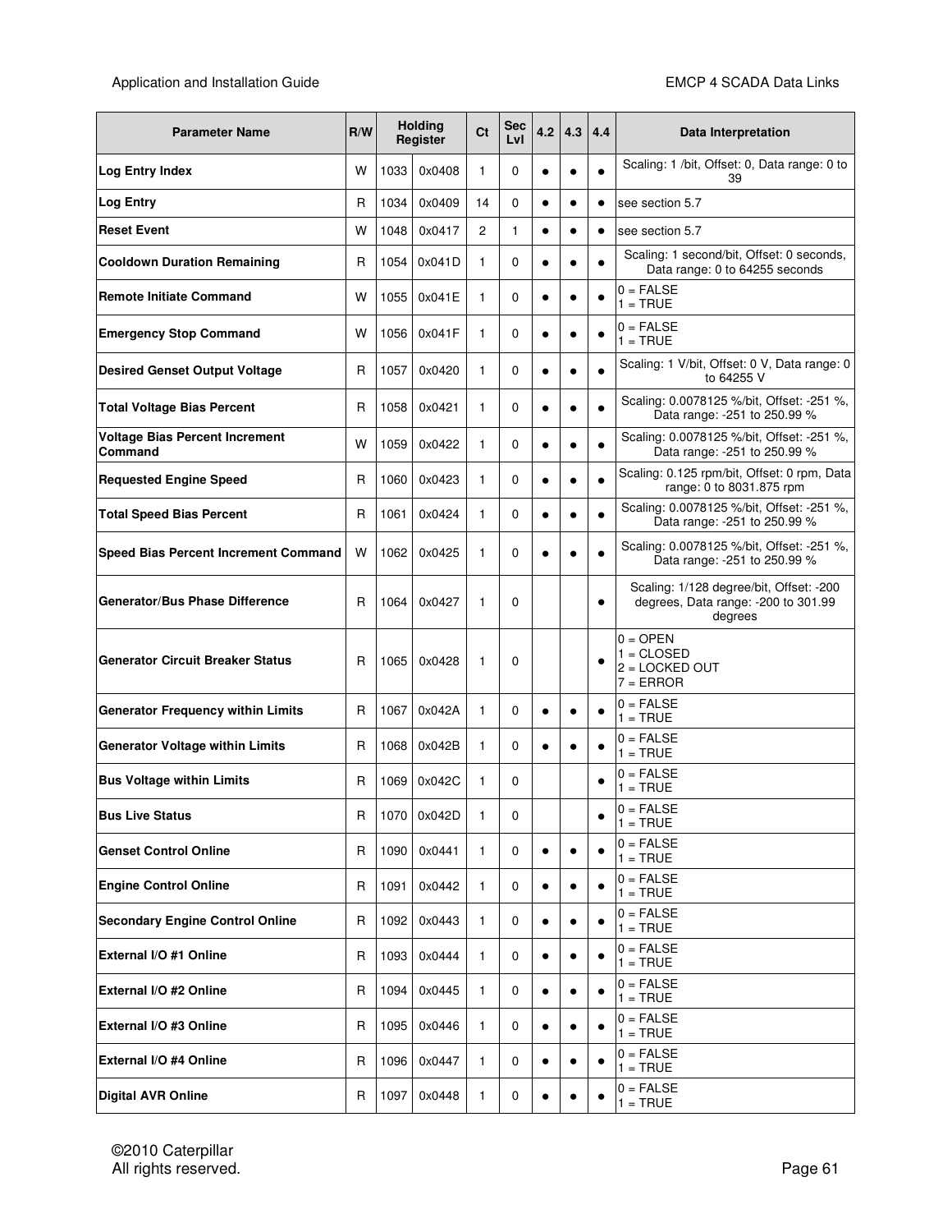| <b>Parameter Name</b>                            | R/W |      | <b>Holding</b><br>Register | Ct             | <b>Sec</b><br>LvI | 4.2       | 4.3       | 4.4       | Data Interpretation                                                                        |
|--------------------------------------------------|-----|------|----------------------------|----------------|-------------------|-----------|-----------|-----------|--------------------------------------------------------------------------------------------|
| <b>Log Entry Index</b>                           | W   | 1033 | 0x0408                     | 1              | 0                 | $\bullet$ | $\bullet$ |           | Scaling: 1 /bit, Offset: 0, Data range: 0 to<br>39                                         |
| <b>Log Entry</b>                                 | R   | 1034 | 0x0409                     | 14             | $\Omega$          | $\bullet$ | $\bullet$ | $\bullet$ | see section 5.7                                                                            |
| <b>Reset Event</b>                               | W   | 1048 | 0x0417                     | $\overline{c}$ | 1                 | $\bullet$ | $\bullet$ | $\bullet$ | see section 5.7                                                                            |
| <b>Cooldown Duration Remaining</b>               | R   | 1054 | 0x041D                     | 1              | 0                 | $\bullet$ | c         |           | Scaling: 1 second/bit, Offset: 0 seconds,<br>Data range: 0 to 64255 seconds                |
| <b>Remote Initiate Command</b>                   | W   | 1055 | 0x041E                     | 1              | 0                 | $\bullet$ | ٠         |           | $0 = FALSE$<br>$1 = TRUE$                                                                  |
| <b>Emergency Stop Command</b>                    | w   | 1056 | 0x041F                     | 1              | 0                 | $\bullet$ | $\bullet$ |           | $0 = FALSE$<br>$1 = TRUE$                                                                  |
| <b>Desired Genset Output Voltage</b>             | R   | 1057 | 0x0420                     | 1              | 0                 | $\bullet$ | $\bullet$ | $\bullet$ | Scaling: 1 V/bit, Offset: 0 V, Data range: 0<br>to 64255 V                                 |
| <b>Total Voltage Bias Percent</b>                | R   | 1058 | 0x0421                     | 1              | 0                 | $\bullet$ | $\bullet$ | $\bullet$ | Scaling: 0.0078125 %/bit, Offset: -251 %,<br>Data range: -251 to 250.99 %                  |
| <b>Voltage Bias Percent Increment</b><br>Command | W   | 1059 | 0x0422                     | 1              | 0                 | $\bullet$ | $\bullet$ | $\bullet$ | Scaling: 0.0078125 %/bit, Offset: -251 %,<br>Data range: -251 to 250.99 %                  |
| <b>Requested Engine Speed</b>                    | R   | 1060 | 0x0423                     | 1              | 0                 | $\bullet$ | $\bullet$ | $\bullet$ | Scaling: 0.125 rpm/bit, Offset: 0 rpm, Data<br>range: 0 to 8031.875 rpm                    |
| <b>Total Speed Bias Percent</b>                  | R   | 1061 | 0x0424                     | 1              | 0                 | $\bullet$ | $\bullet$ |           | Scaling: 0.0078125 %/bit, Offset: -251 %,<br>Data range: -251 to 250.99 %                  |
| Speed Bias Percent Increment Command             | W   | 1062 | 0x0425                     | $\mathbf{1}$   | 0                 | $\bullet$ |           |           | Scaling: 0.0078125 %/bit, Offset: -251 %,<br>Data range: -251 to 250.99 %                  |
| <b>Generator/Bus Phase Difference</b>            | R   | 1064 | 0x0427                     | 1              | $\Omega$          |           |           | $\bullet$ | Scaling: 1/128 degree/bit, Offset: -200<br>degrees, Data range: - 200 to 301.99<br>degrees |
| <b>Generator Circuit Breaker Status</b>          | R   | 1065 | 0x0428                     | 1              | 0                 |           |           | $\bullet$ | $0 =$ OPEN<br>$1 = CLOSED$<br>$2 = LOGKED OUT$<br>$7 = ERROR$                              |
| <b>Generator Frequency within Limits</b>         | R   | 1067 | 0x042A                     | 1              | 0                 | ٠         |           |           | $0 = FALSE$<br>$1 = TRUE$                                                                  |
| <b>Generator Voltage within Limits</b>           | R   | 1068 | 0x042B                     | 1              | 0                 | $\bullet$ |           |           | $0 = FALSE$<br>$1 = TRUE$                                                                  |
| <b>Bus Voltage within Limits</b>                 | R   | 1069 | 0x042C                     | 1              | 0                 |           |           |           | $0 = FALSE$<br>$1 = TRUE$                                                                  |
| <b>Bus Live Status</b>                           | R   |      | 1070 0x042D                | 1              | 0                 |           |           | ٠         | $0 = FALSE$<br>$1 = TRUE$                                                                  |
| <b>Genset Control Online</b>                     | R   | 1090 | 0x0441                     | $\mathbf{1}$   | 0                 | $\bullet$ |           |           | $0 = FALSE$<br>$1 = TRUE$                                                                  |
| <b>Engine Control Online</b>                     | R   | 1091 | 0x0442                     | $\mathbf{1}$   | 0                 | $\bullet$ | $\bullet$ |           | $0 = FALSE$<br>$1 = TRUE$                                                                  |
| <b>Secondary Engine Control Online</b>           | R   | 1092 | 0x0443                     | 1              | 0                 | $\bullet$ | $\bullet$ |           | $0 = FALSE$<br>$1 = TRUE$                                                                  |
| External I/O #1 Online                           | R   | 1093 | 0x0444                     | 1              | 0                 | $\bullet$ | $\bullet$ |           | $0 = FALSE$<br>$1 = TRUE$                                                                  |
| External I/O #2 Online                           | R   | 1094 | 0x0445                     | 1              | 0                 | $\bullet$ |           |           | $0 = FALSE$<br>$1 = TRUE$                                                                  |
| External I/O #3 Online                           | R   | 1095 | 0x0446                     | $\mathbf{1}$   | 0                 | $\bullet$ | $\bullet$ |           | $0 = FALSE$<br>$1 = TRUE$                                                                  |
| External I/O #4 Online                           | R   | 1096 | 0x0447                     | $\mathbf{1}$   | 0                 | $\bullet$ | $\bullet$ |           | $0 = FALSE$<br>$1 = TRUE$                                                                  |
| <b>Digital AVR Online</b>                        | R   | 1097 | 0x0448                     | 1              | 0                 | $\bullet$ | $\bullet$ |           | $0 = FALSE$<br>$1 = TRUE$                                                                  |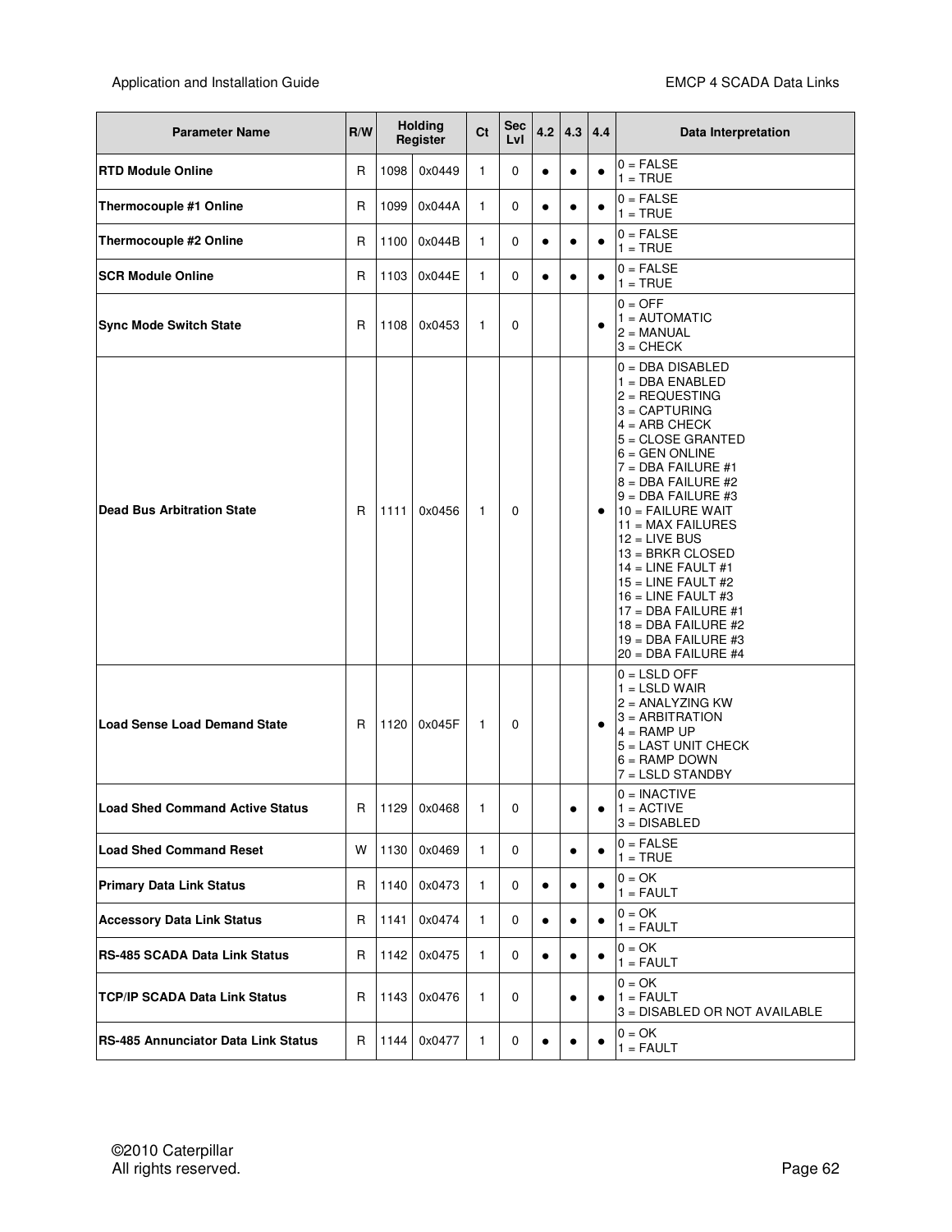| <b>Parameter Name</b>                      | R/W |      | <b>Holding</b><br>Register | Ct           | Sec<br>Lvl | 4.2       | 4.3       | 4.4       | Data Interpretation                                                                                                                                                                                                                                                                                                                                                                                                                                                                   |
|--------------------------------------------|-----|------|----------------------------|--------------|------------|-----------|-----------|-----------|---------------------------------------------------------------------------------------------------------------------------------------------------------------------------------------------------------------------------------------------------------------------------------------------------------------------------------------------------------------------------------------------------------------------------------------------------------------------------------------|
| <b>RTD Module Online</b>                   | R   | 1098 | 0x0449                     | 1            | 0          | $\bullet$ | $\bullet$ | $\bullet$ | $0 = FALSE$<br>$1 = TRUE$                                                                                                                                                                                                                                                                                                                                                                                                                                                             |
| Thermocouple #1 Online                     | R   | 1099 | 0x044A                     | $\mathbf{1}$ | 0          | $\bullet$ | $\bullet$ | $\bullet$ | $0 = FALSE$<br>$1 = TRUE$                                                                                                                                                                                                                                                                                                                                                                                                                                                             |
| Thermocouple #2 Online                     | R   | 1100 | 0x044B                     | $\mathbf{1}$ | 0          | $\bullet$ | $\bullet$ | $\bullet$ | $0 = FALSE$<br>$1 = TRUE$                                                                                                                                                                                                                                                                                                                                                                                                                                                             |
| <b>SCR Module Online</b>                   | R   | 1103 | 0x044E                     | $\mathbf{1}$ | 0          | $\bullet$ | $\bullet$ | ٠         | $0 = FALSE$<br>$1 = TRUE$                                                                                                                                                                                                                                                                                                                                                                                                                                                             |
| <b>Sync Mode Switch State</b>              | R   | 1108 | 0x0453                     | 1            | 0          |           |           | $\bullet$ | $0 = OFF$<br>$1 =$ AUTOMATIC<br>$2 = MANUAL$<br>$3 =$ CHECK                                                                                                                                                                                                                                                                                                                                                                                                                           |
| <b>Dead Bus Arbitration State</b>          | R   | 1111 | 0x0456                     | $\mathbf{1}$ | 0          |           |           | $\bullet$ | $0 = DBA DISABLED$<br>$1 = DBA ENABLED$<br>l2 = REQUESTING<br>$3 = CAPTURING$<br>$4 = ARB$ CHECK<br>$5 = CLOSE$ GRANTED<br>$6 = GEN$ ONLINE<br>$7 = DBA$ FAILURE #1<br>$8 = DBA$ FAILURE #2<br>$9 = DBA$ FAILURE #3<br>$10 =$ FAILURE WAIT<br>$11 = MAX$ FAILURES<br>$12$ = LIVE BUS<br>$13 = B RKR CLOSED$<br>$14 =$ LINE FAULT #1<br>$15$ = LINE FAULT #2<br>$16$ = LINE FAULT #3<br>$17 = DBA$ FAILURE #1<br>18 = DBA FAILURE #2<br>$19 = DBA$ FAILURE #3<br>$20 = DBA$ FAILURE #4 |
| <b>Load Sense Load Demand State</b>        | R   | 1120 | 0x045F                     | $\mathbf{1}$ | 0          |           |           | $\bullet$ | $0 =$ LSLD OFF<br>$1 =$ LSLD WAIR<br>$2 = ANALYZING KW$<br>$3 = ARBITRATION$<br>$4 =$ RAMP UP<br>5 = LAST UNIT CHECK<br>$6 =$ RAMP DOWN<br>7 = LSLD STANDBY                                                                                                                                                                                                                                                                                                                           |
| <b>Load Shed Command Active Status</b>     | R   |      | 1129 0x0468                | $\mathbf{1}$ | 0          |           |           |           | $0 = INACTIVE$<br>$1 = ACTIVE$<br>$3 = DISABLED$                                                                                                                                                                                                                                                                                                                                                                                                                                      |
| <b>Load Shed Command Reset</b>             | w   | 1130 | 0x0469                     | $\mathbf{1}$ | 0          |           | $\bullet$ | $\bullet$ | $0 = FALSE$<br>$1 = TRUE$                                                                                                                                                                                                                                                                                                                                                                                                                                                             |
| <b>Primary Data Link Status</b>            | R   | 1140 | 0x0473                     | $\mathbf{1}$ | 0          | $\bullet$ | $\bullet$ | $\bullet$ | $0 = OK$<br>$1 = \text{FAULT}$                                                                                                                                                                                                                                                                                                                                                                                                                                                        |
| <b>Accessory Data Link Status</b>          | R   | 1141 | 0x0474                     | 1            | 0          | $\bullet$ | $\bullet$ | $\bullet$ | $0 = OK$<br>$1 = \text{FAULT}$                                                                                                                                                                                                                                                                                                                                                                                                                                                        |
| <b>RS-485 SCADA Data Link Status</b>       | R   | 1142 | 0x0475                     | 1            | 0          | $\bullet$ | $\bullet$ | $\bullet$ | $0 = OK$<br>$1 = FAULT$                                                                                                                                                                                                                                                                                                                                                                                                                                                               |
| <b>TCP/IP SCADA Data Link Status</b>       | R   | 1143 | 0x0476                     | 1            | 0          |           | ٠         | $\bullet$ | $0 = OK$<br>$1 = FAULT$<br>3 = DISABLED OR NOT AVAILABLE                                                                                                                                                                                                                                                                                                                                                                                                                              |
| <b>RS-485 Annunciator Data Link Status</b> | R   | 1144 | 0x0477                     | 1            | 0          | $\bullet$ | $\bullet$ |           | $0 = OK$<br>$1 = \text{FAULT}$                                                                                                                                                                                                                                                                                                                                                                                                                                                        |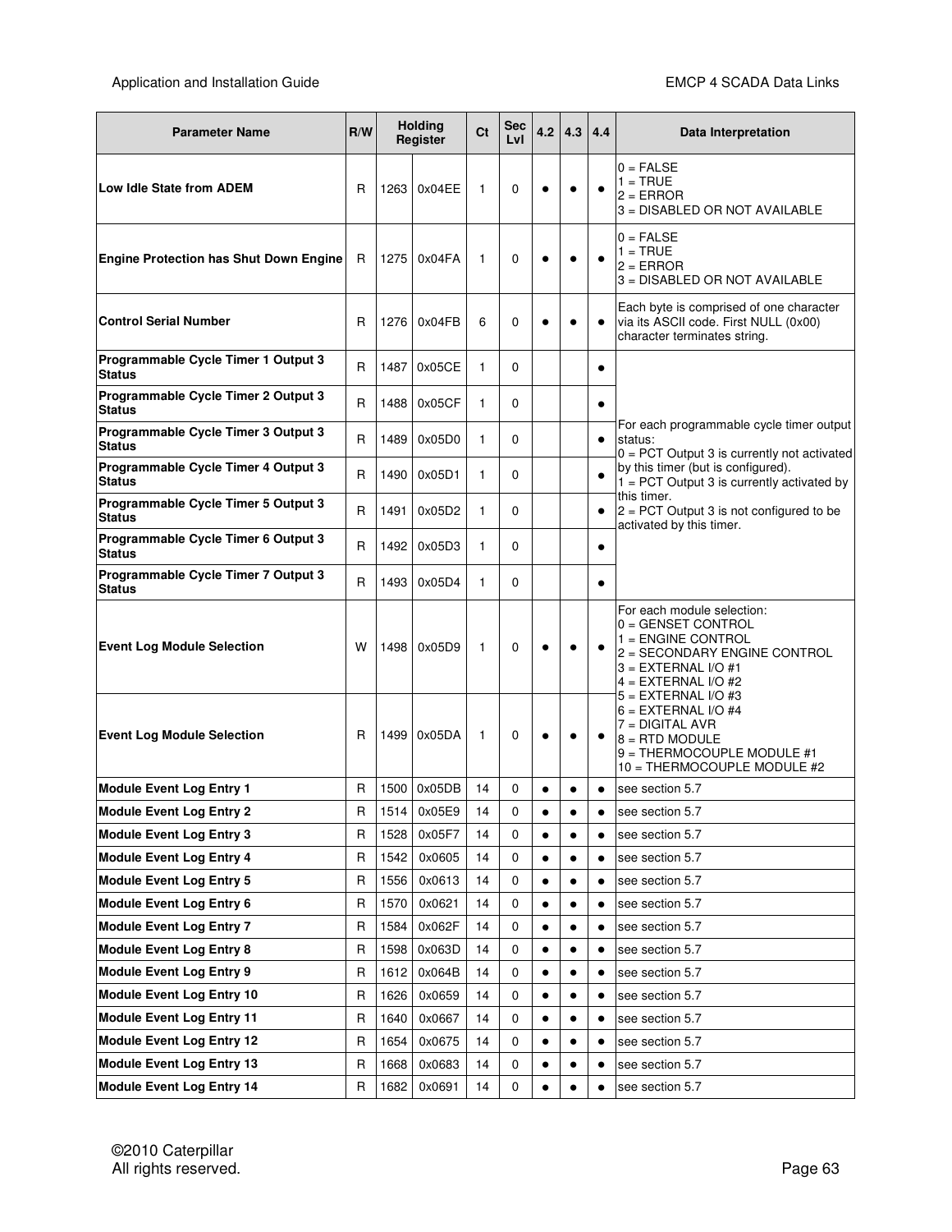| <b>Parameter Name</b>                                              | R/W               |              | <b>Holding</b><br>Register | Ct       | <b>Sec</b><br>LvI | 4.2                    | 4.3                    | 4.4       | Data Interpretation                                                                                                                                        |
|--------------------------------------------------------------------|-------------------|--------------|----------------------------|----------|-------------------|------------------------|------------------------|-----------|------------------------------------------------------------------------------------------------------------------------------------------------------------|
| Low Idle State from ADEM                                           | R                 | 1263         | 0x04EE                     | 1        | 0                 | $\bullet$              |                        |           | $0 = FALSE$<br>$1 = TRUE$<br>$2 = ERROR$<br>3 = DISABLED OR NOT AVAILABLE                                                                                  |
| <b>Engine Protection has Shut Down Engine</b>                      | R                 | 1275         | 0x04FA                     | 1        | 0                 | $\bullet$              |                        |           | $0 = FALSE$<br>$1 = TRUE$<br>$2 = ERROR$<br>3 = DISABLED OR NOT AVAILABLE                                                                                  |
| <b>Control Serial Number</b>                                       | R                 | 1276         | 0x04FB                     | 6        | 0                 | c                      |                        |           | Each byte is comprised of one character<br>via its ASCII code. First NULL (0x00)<br>character terminates string.                                           |
| Programmable Cycle Timer 1 Output 3<br><b>Status</b>               | $\mathsf{R}$      | 1487         | 0x05CE                     | 1        | 0                 |                        |                        | $\bullet$ |                                                                                                                                                            |
| Programmable Cycle Timer 2 Output 3<br><b>Status</b>               | R                 | 1488         | 0x05CF                     | 1        | $\Omega$          |                        |                        | ٠         |                                                                                                                                                            |
| Programmable Cycle Timer 3 Output 3<br><b>Status</b>               | R                 | 1489         | 0x05D0                     | 1        | $\Omega$          |                        |                        | $\bullet$ | For each programmable cycle timer output<br>status:<br>$0 = PCT$ Output 3 is currently not activated                                                       |
| Programmable Cycle Timer 4 Output 3<br><b>Status</b>               | R                 | 1490         | 0x05D1                     | 1        | 0                 |                        |                        |           | by this timer (but is configured).<br>$1 = PCT$ Output 3 is currently activated by                                                                         |
| Programmable Cycle Timer 5 Output 3<br><b>Status</b>               | R                 | 1491         | 0x05D2                     | 1        | 0                 |                        |                        | ٠         | this timer.<br>$2 = PCT$ Output 3 is not configured to be<br>activated by this timer.                                                                      |
| Programmable Cycle Timer 6 Output 3<br><b>Status</b>               | R                 | 1492         | 0x05D3                     | 1        | $\Omega$          |                        |                        | $\bullet$ |                                                                                                                                                            |
| Programmable Cycle Timer 7 Output 3<br><b>Status</b>               | R                 | 1493         | 0x05D4                     | 1        | 0                 |                        |                        | $\bullet$ |                                                                                                                                                            |
| <b>Event Log Module Selection</b>                                  | w                 | 1498         | 0x05D9                     | 1        | 0                 | ٠                      |                        |           | For each module selection:<br>0 = GENSET CONTROL<br>$1 =$ ENGINE CONTROL<br>2 = SECONDARY ENGINE CONTROL<br>$3 = EXTERNAL I/O #1$<br>$4 = EXTERNAL I/O #2$ |
| <b>Event Log Module Selection</b>                                  | R                 |              | 1499 0x05DA                | 1        | 0                 | ٠                      | $\bullet$              |           | $5 = EXTERNAL I/O #3$<br>$6 = EXTERNAL I/O #4$<br>$7 = DIGITAL AVR$<br>$8 =$ RTD MODULE<br>$9 = THERMOCOUPLE MODULE #1$<br>10 = THERMOCOUPLE MODULE #2     |
| <b>Module Event Log Entry 1</b>                                    | R                 |              | 1500 0x05DB                | 14       | 0                 | ٠                      | $\bullet$              | ٠         | see section 5.7                                                                                                                                            |
| <b>Module Event Log Entry 2</b>                                    | $\mathsf R$       |              | 1514 0x05E9                | 14       | 0                 |                        |                        |           | see section 5.7                                                                                                                                            |
| <b>Module Event Log Entry 3</b>                                    | R                 | 1528         | 0x05F7                     | 14       | 0                 | $\bullet$              | $\bullet$              | ٠         | see section 5.7                                                                                                                                            |
| <b>Module Event Log Entry 4</b><br><b>Module Event Log Entry 5</b> | $\mathsf{R}$<br>R | 1542<br>1556 | 0x0605<br>0x0613           | 14<br>14 | 0<br>0            | $\bullet$<br>$\bullet$ | $\bullet$<br>$\bullet$ | $\bullet$ | see section 5.7<br>see section 5.7                                                                                                                         |
| <b>Module Event Log Entry 6</b>                                    | R                 | 1570         | 0x0621                     | 14       | 0                 | $\bullet$              | $\bullet$              | $\bullet$ | see section 5.7                                                                                                                                            |
| <b>Module Event Log Entry 7</b>                                    | R                 | 1584         | 0x062F                     | 14       | 0                 | ٠                      |                        |           | see section 5.7                                                                                                                                            |
| <b>Module Event Log Entry 8</b>                                    | R                 | 1598         | 0x063D                     | 14       | 0                 | $\bullet$              | $\bullet$              | $\bullet$ | see section 5.7                                                                                                                                            |
| <b>Module Event Log Entry 9</b>                                    | R                 | 1612         | 0x064B                     | 14       | 0                 | $\bullet$              |                        |           | see section 5.7                                                                                                                                            |
| <b>Module Event Log Entry 10</b>                                   | R                 | 1626         | 0x0659                     | 14       | 0                 | $\bullet$              | $\bullet$              | $\bullet$ | see section 5.7                                                                                                                                            |
| <b>Module Event Log Entry 11</b>                                   | R                 | 1640         | 0x0667                     | 14       | 0                 | ٠                      | $\bullet$              | $\bullet$ | see section 5.7                                                                                                                                            |
| <b>Module Event Log Entry 12</b>                                   | R                 | 1654         | 0x0675                     | 14       | 0                 | ٠                      | $\bullet$              | $\bullet$ | see section 5.7                                                                                                                                            |
| <b>Module Event Log Entry 13</b>                                   | R                 | 1668         | 0x0683                     | 14       | 0                 | $\bullet$              |                        | ٠         | see section 5.7                                                                                                                                            |
| <b>Module Event Log Entry 14</b>                                   | $\mathsf R$       | 1682         | 0x0691                     | 14       | 0                 | $\bullet$              |                        |           | see section 5.7                                                                                                                                            |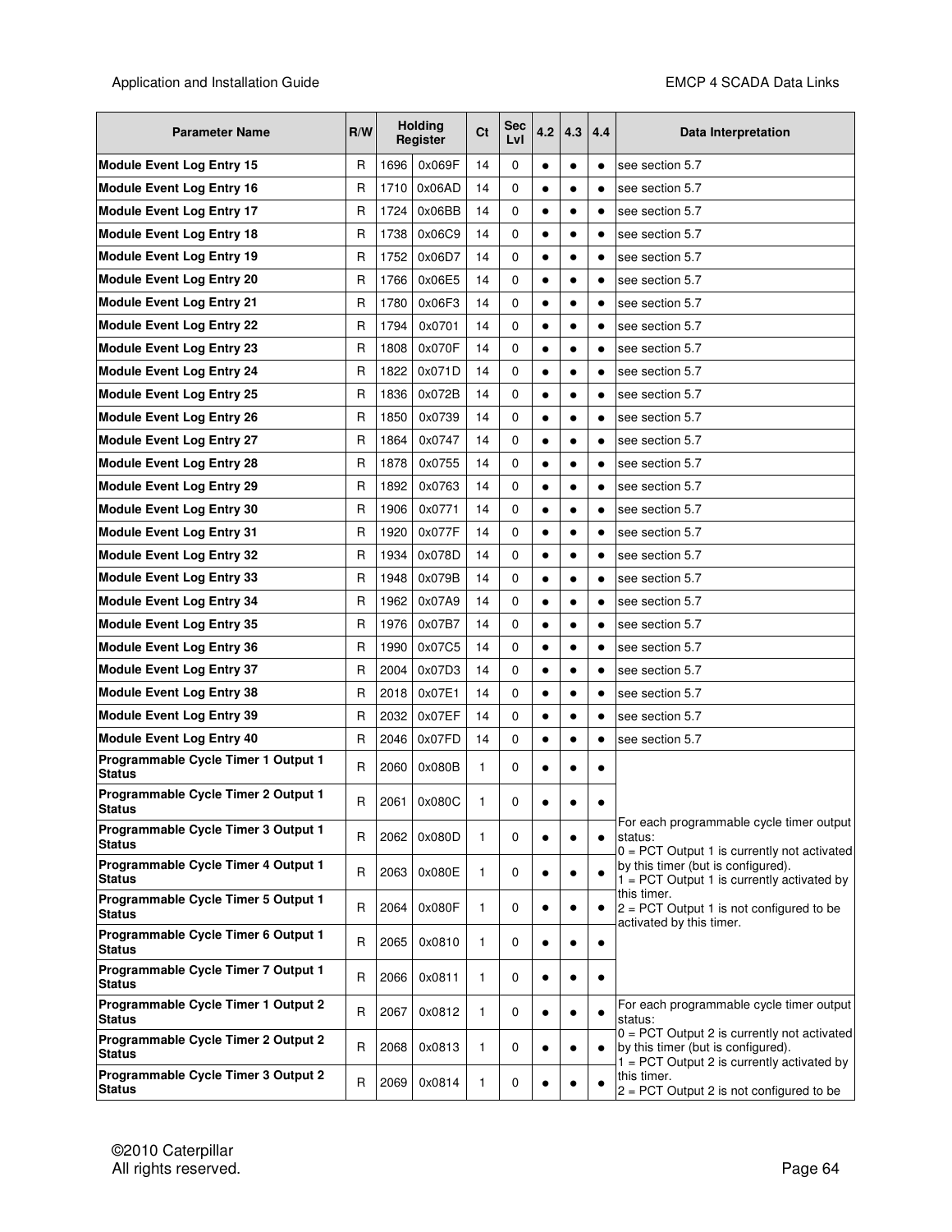| <b>Parameter Name</b>                                | R/W          |      | <b>Holding</b><br>Register | <b>Ct</b> | Sec<br>Lvl | 4.2       | 4.3       | 4.4       | Data Interpretation                                                                                                                 |
|------------------------------------------------------|--------------|------|----------------------------|-----------|------------|-----------|-----------|-----------|-------------------------------------------------------------------------------------------------------------------------------------|
| <b>Module Event Log Entry 15</b>                     | R            | 1696 | 0x069F                     | 14        | 0          | $\bullet$ | $\bullet$ | $\bullet$ | see section 5.7                                                                                                                     |
| <b>Module Event Log Entry 16</b>                     | R            | 1710 | 0x06AD                     | 14        | 0          | $\bullet$ | $\bullet$ | $\bullet$ | see section 5.7                                                                                                                     |
| <b>Module Event Log Entry 17</b>                     | R            | 1724 | 0x06BB                     | 14        | 0          | $\bullet$ | $\bullet$ | $\bullet$ | see section 5.7                                                                                                                     |
| <b>Module Event Log Entry 18</b>                     | R            | 1738 | 0x06C9                     | 14        | 0          | $\bullet$ | ٠         | $\bullet$ | see section 5.7                                                                                                                     |
| <b>Module Event Log Entry 19</b>                     | R            | 1752 | 0x06D7                     | 14        | 0          | $\bullet$ | $\bullet$ | $\bullet$ | see section 5.7                                                                                                                     |
| <b>Module Event Log Entry 20</b>                     | R            | 1766 | 0x06E5                     | 14        | 0          | $\bullet$ | $\bullet$ | $\bullet$ | see section 5.7                                                                                                                     |
| <b>Module Event Log Entry 21</b>                     | R            | 1780 | 0x06F3                     | 14        | 0          | $\bullet$ | $\bullet$ | $\bullet$ | see section 5.7                                                                                                                     |
| <b>Module Event Log Entry 22</b>                     | R            | 1794 | 0x0701                     | 14        | 0          | $\bullet$ | $\bullet$ | $\bullet$ | see section 5.7                                                                                                                     |
| <b>Module Event Log Entry 23</b>                     | R            | 1808 | 0x070F                     | 14        | 0          | $\bullet$ | $\bullet$ | $\bullet$ | see section 5.7                                                                                                                     |
| <b>Module Event Log Entry 24</b>                     | $\mathsf{R}$ | 1822 | 0x071D                     | 14        | 0          | $\bullet$ | $\bullet$ | $\bullet$ | see section 5.7                                                                                                                     |
| <b>Module Event Log Entry 25</b>                     | R            | 1836 | 0x072B                     | 14        | 0          | $\bullet$ | $\bullet$ | $\bullet$ | see section 5.7                                                                                                                     |
| <b>Module Event Log Entry 26</b>                     | R            | 1850 | 0x0739                     | 14        | 0          | $\bullet$ | $\bullet$ | $\bullet$ | see section 5.7                                                                                                                     |
| <b>Module Event Log Entry 27</b>                     | R            | 1864 | 0x0747                     | 14        | 0          | $\bullet$ | $\bullet$ | $\bullet$ | see section 5.7                                                                                                                     |
| <b>Module Event Log Entry 28</b>                     | R            | 1878 | 0x0755                     | 14        | 0          | $\bullet$ | $\bullet$ | $\bullet$ | see section 5.7                                                                                                                     |
| <b>Module Event Log Entry 29</b>                     | R            | 1892 | 0x0763                     | 14        | 0          | $\bullet$ | $\bullet$ | $\bullet$ | see section 5.7                                                                                                                     |
| <b>Module Event Log Entry 30</b>                     | R            | 1906 | 0x0771                     | 14        | 0          | $\bullet$ | $\bullet$ | $\bullet$ | see section 5.7                                                                                                                     |
| <b>Module Event Log Entry 31</b>                     | R            | 1920 | 0x077F                     | 14        | 0          | $\bullet$ | $\bullet$ | $\bullet$ | see section 5.7                                                                                                                     |
| <b>Module Event Log Entry 32</b>                     | R            | 1934 | 0x078D                     | 14        | 0          | $\bullet$ | $\bullet$ | $\bullet$ | see section 5.7                                                                                                                     |
| <b>Module Event Log Entry 33</b>                     | R            | 1948 | 0x079B                     | 14        | 0          | $\bullet$ | $\bullet$ | $\bullet$ | see section 5.7                                                                                                                     |
| <b>Module Event Log Entry 34</b>                     | R            | 1962 | 0x07A9                     | 14        | 0          | $\bullet$ | $\bullet$ | $\bullet$ | see section 5.7                                                                                                                     |
| <b>Module Event Log Entry 35</b>                     | $\mathsf{R}$ | 1976 | 0x07B7                     | 14        | 0          | $\bullet$ | $\bullet$ | $\bullet$ | see section 5.7                                                                                                                     |
| <b>Module Event Log Entry 36</b>                     | R            | 1990 | 0x07C5                     | 14        | 0          | ٠         | $\bullet$ | $\bullet$ | see section 5.7                                                                                                                     |
| <b>Module Event Log Entry 37</b>                     | $\mathsf{R}$ | 2004 | 0x07D3                     | 14        | 0          | $\bullet$ | $\bullet$ | $\bullet$ | see section 5.7                                                                                                                     |
| <b>Module Event Log Entry 38</b>                     | $\mathsf{R}$ | 2018 | 0x07E1                     | 14        | 0          | $\bullet$ | $\bullet$ | $\bullet$ | see section 5.7                                                                                                                     |
| <b>Module Event Log Entry 39</b>                     | R            | 2032 | 0x07EF                     | 14        | 0          | $\bullet$ | $\bullet$ | $\bullet$ | see section 5.7                                                                                                                     |
| <b>Module Event Log Entry 40</b>                     | R            | 2046 | 0x07FD                     | 14        | 0          | $\bullet$ | $\bullet$ | $\bullet$ | see section 5.7                                                                                                                     |
| Programmable Cycle Timer 1 Output 1<br>Status        | R            | 2060 | 0x080B                     | 1         | 0          | $\bullet$ | $\bullet$ | ٠         |                                                                                                                                     |
| Programmable Cycle Timer 2 Output 1<br>Status        | R            | 2061 | 0x080C                     | 1         | 0          | $\bullet$ |           | $\bullet$ | For each programmable cycle timer output                                                                                            |
| Programmable Cycle Timer 3 Output 1<br><b>Status</b> | R            | 2062 | 0x080D                     | 1         | 0          | $\bullet$ | $\bullet$ | $\bullet$ | status:<br>$0 = PCT$ Output 1 is currently not activated                                                                            |
| Programmable Cycle Timer 4 Output 1<br><b>Status</b> | $\mathsf{R}$ | 2063 | 0x080E                     | 1         | 0          | $\bullet$ | $\bullet$ |           | by this timer (but is configured).<br>$1 = PCT$ Output 1 is currently activated by                                                  |
| Programmable Cycle Timer 5 Output 1<br><b>Status</b> | R            | 2064 | 0x080F                     | 1         | 0          | $\bullet$ | ٠         | ٠         | this timer.<br>$2 = PCT$ Output 1 is not configured to be<br>activated by this timer.                                               |
| Programmable Cycle Timer 6 Output 1<br><b>Status</b> | R            | 2065 | 0x0810                     | 1         | 0          | $\bullet$ | $\bullet$ | ٠         |                                                                                                                                     |
| Programmable Cycle Timer 7 Output 1<br><b>Status</b> | R            | 2066 | 0x0811                     | 1         | 0          | $\bullet$ | $\bullet$ | ٠         |                                                                                                                                     |
| Programmable Cycle Timer 1 Output 2<br><b>Status</b> | $\mathsf{R}$ | 2067 | 0x0812                     | 1         | 0          | $\bullet$ | $\bullet$ | ٠         | For each programmable cycle timer output<br>status:                                                                                 |
| Programmable Cycle Timer 2 Output 2<br><b>Status</b> | R            | 2068 | 0x0813                     | 1         | 0          | $\bullet$ | $\bullet$ | ٠         | $0 = PCT$ Output 2 is currently not activated<br>by this timer (but is configured).<br>$1 = PCT$ Output 2 is currently activated by |
| Programmable Cycle Timer 3 Output 2<br><b>Status</b> | $\mathsf{R}$ | 2069 | 0x0814                     | 1         | 0          | $\bullet$ |           |           | this timer.<br>$2 = PCT$ Output 2 is not configured to be                                                                           |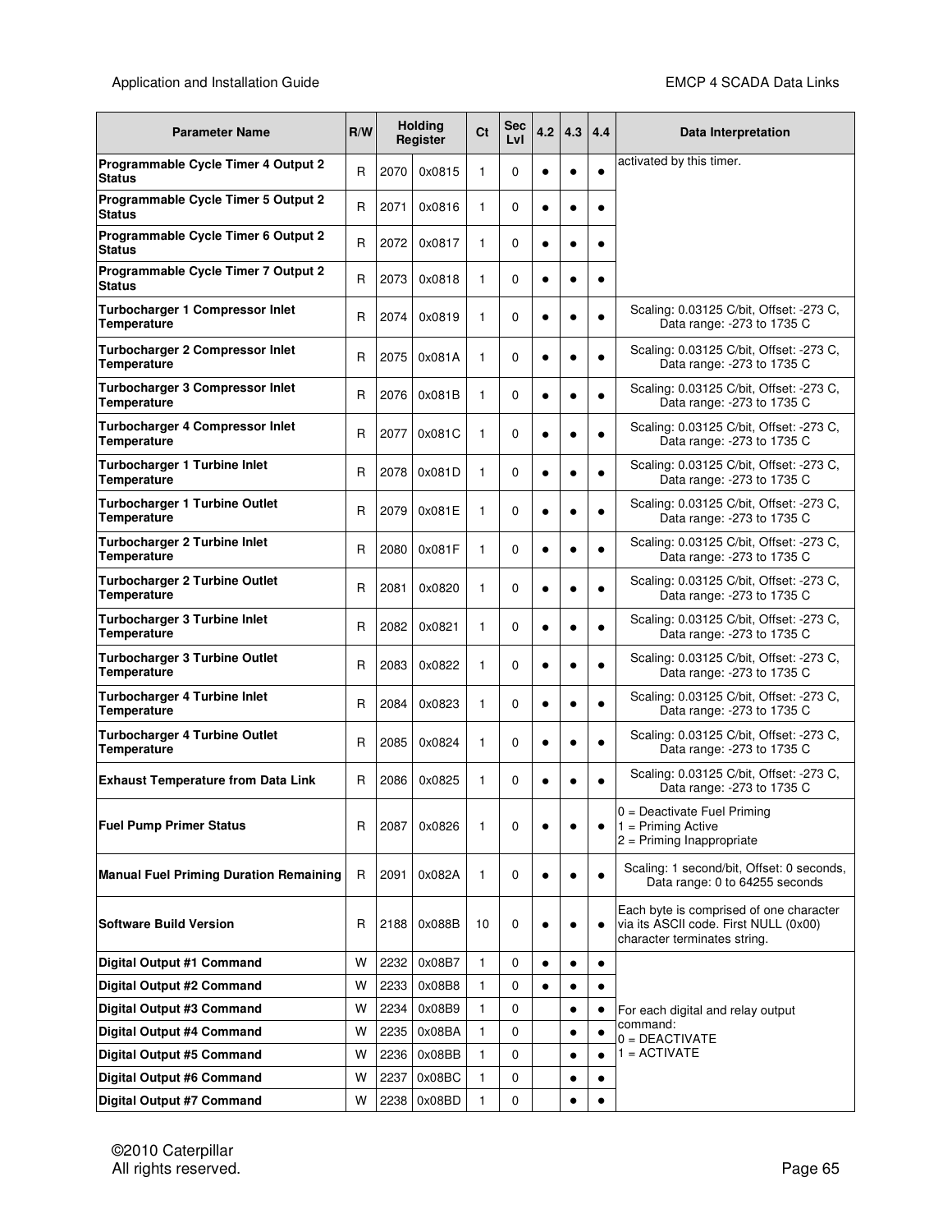| <b>Parameter Name</b>                                        | <b>Holding</b><br><b>Sec</b><br>Ct<br>R/W<br>4.2<br>4.3<br>4.4<br>Register<br>Lvl |      | Data Interpretation |              |          |           |           |           |                                                                                                                  |  |
|--------------------------------------------------------------|-----------------------------------------------------------------------------------|------|---------------------|--------------|----------|-----------|-----------|-----------|------------------------------------------------------------------------------------------------------------------|--|
| Programmable Cycle Timer 4 Output 2<br><b>Status</b>         | R                                                                                 | 2070 | 0x0815              | 1            | 0        | $\bullet$ |           | $\bullet$ | activated by this timer.                                                                                         |  |
| Programmable Cycle Timer 5 Output 2<br><b>Status</b>         | R                                                                                 | 2071 | 0x0816              | 1            | 0        | ٠         | $\bullet$ | $\bullet$ |                                                                                                                  |  |
| Programmable Cycle Timer 6 Output 2<br>Status                | $\mathsf{R}$                                                                      | 2072 | 0x0817              | 1            | 0        | $\bullet$ |           | $\bullet$ |                                                                                                                  |  |
| Programmable Cycle Timer 7 Output 2<br><b>Status</b>         | R                                                                                 | 2073 | 0x0818              | 1            | 0        | $\bullet$ | $\bullet$ | $\bullet$ |                                                                                                                  |  |
| Turbocharger 1 Compressor Inlet<br>Temperature               | R                                                                                 | 2074 | 0x0819              | 1            | 0        | $\bullet$ |           | $\bullet$ | Scaling: 0.03125 C/bit, Offset: -273 C,<br>Data range: - 273 to 1735 C                                           |  |
| <b>Turbocharger 2 Compressor Inlet</b><br><b>Temperature</b> | R                                                                                 | 2075 | 0x081A              | 1            | 0        | $\bullet$ |           |           | Scaling: 0.03125 C/bit, Offset: -273 C,<br>Data range: - 273 to 1735 C                                           |  |
| Turbocharger 3 Compressor Inlet<br>Temperature               | R                                                                                 | 2076 | 0x081B              | 1            | 0        | $\bullet$ | $\bullet$ | $\bullet$ | Scaling: 0.03125 C/bit, Offset: -273 C,<br>Data range: -273 to 1735 C                                            |  |
| <b>Turbocharger 4 Compressor Inlet</b><br>Temperature        | R                                                                                 | 2077 | 0x081C              | 1            | 0        | $\bullet$ | $\bullet$ | $\bullet$ | Scaling: 0.03125 C/bit, Offset: -273 C,<br>Data range: - 273 to 1735 C                                           |  |
| <b>Turbocharger 1 Turbine Inlet</b><br>Temperature           | R                                                                                 | 2078 | 0x081D              | 1            | 0        | $\bullet$ | $\bullet$ | $\bullet$ | Scaling: 0.03125 C/bit, Offset: -273 C,<br>Data range: -273 to 1735 C                                            |  |
| <b>Turbocharger 1 Turbine Outlet</b><br>Temperature          | R                                                                                 | 2079 | 0x081E              | 1            | $\Omega$ | $\bullet$ | $\bullet$ | $\bullet$ | Scaling: 0.03125 C/bit, Offset: -273 C,<br>Data range: -273 to 1735 C                                            |  |
| <b>Turbocharger 2 Turbine Inlet</b><br>Temperature           | R                                                                                 | 2080 | 0x081F              | 1            | 0        | $\bullet$ | $\bullet$ | $\bullet$ | Scaling: 0.03125 C/bit, Offset: -273 C,<br>Data range: -273 to 1735 C                                            |  |
| <b>Turbocharger 2 Turbine Outlet</b><br>Temperature          | R                                                                                 | 2081 | 0x0820              | 1            | $\Omega$ | $\bullet$ |           | $\bullet$ | Scaling: 0.03125 C/bit, Offset: -273 C,<br>Data range: - 273 to 1735 C                                           |  |
| <b>Turbocharger 3 Turbine Inlet</b><br>Temperature           | R                                                                                 | 2082 | 0x0821              | 1            | 0        | $\bullet$ |           | $\bullet$ | Scaling: 0.03125 C/bit, Offset: -273 C,<br>Data range: - 273 to 1735 C                                           |  |
| <b>Turbocharger 3 Turbine Outlet</b><br>Temperature          | R                                                                                 | 2083 | 0x0822              | 1            | $\Omega$ | $\bullet$ |           |           | Scaling: 0.03125 C/bit, Offset: -273 C,<br>Data range: - 273 to 1735 C                                           |  |
| <b>Turbocharger 4 Turbine Inlet</b><br>Temperature           | R                                                                                 | 2084 | 0x0823              | 1            | 0        | $\bullet$ | $\bullet$ | $\bullet$ | Scaling: 0.03125 C/bit, Offset: -273 C,<br>Data range: - 273 to 1735 C                                           |  |
| <b>Turbocharger 4 Turbine Outlet</b><br>Temperature          | $\mathsf{R}$                                                                      | 2085 | 0x0824              | 1            | 0        | $\bullet$ | $\bullet$ | $\bullet$ | Scaling: 0.03125 C/bit, Offset: -273 C,<br>Data range: - 273 to 1735 C                                           |  |
| <b>Exhaust Temperature from Data Link</b>                    | R                                                                                 | 2086 | 0x0825              | 1            | 0        | $\bullet$ |           | $\bullet$ | Scaling: 0.03125 C/bit, Offset: -273 C,<br>Data range: -273 to 1735 C                                            |  |
| <b>Fuel Pump Primer Status</b>                               | R                                                                                 | 2087 | 0x0826              | 1            | 0        | $\bullet$ |           | $\bullet$ | 0 = Deactivate Fuel Priming<br>$1 = Priming Active$<br>$2$ = Priming Inappropriate                               |  |
| <b>Manual Fuel Priming Duration Remaining</b>                | R                                                                                 | 2091 | 0x082A              | 1            | 0        | $\bullet$ |           | $\bullet$ | Scaling: 1 second/bit, Offset: 0 seconds,<br>Data range: 0 to 64255 seconds                                      |  |
| <b>Software Build Version</b>                                | R                                                                                 | 2188 | 0x088B              | 10           | 0        | $\bullet$ |           | $\bullet$ | Each byte is comprised of one character<br>via its ASCII code. First NULL (0x00)<br>character terminates string. |  |
| Digital Output #1 Command                                    | W                                                                                 | 2232 | 0x08B7              | 1            | 0        | $\bullet$ | $\bullet$ | ٠         |                                                                                                                  |  |
| <b>Digital Output #2 Command</b>                             | W                                                                                 | 2233 | 0x08B8              | $\mathbf{1}$ | 0        | $\bullet$ | $\bullet$ | $\bullet$ |                                                                                                                  |  |
| Digital Output #3 Command                                    |                                                                                   | 2234 | 0x08B9              | 1            | 0        |           | ٠         |           | For each digital and relay output                                                                                |  |
| Digital Output #4 Command                                    | W                                                                                 | 2235 | 0x08BA              | 1            | 0        |           | $\bullet$ | ٠         | command:<br>$0 = DEACTIVATE$                                                                                     |  |
| Digital Output #5 Command                                    | W                                                                                 | 2236 | 0x08BB              | 1            | 0        |           | $\bullet$ |           | $1 = ACTIVATE$                                                                                                   |  |
| <b>Digital Output #6 Command</b>                             | W                                                                                 | 2237 | 0x08BC              | 1            | 0        |           | $\bullet$ |           |                                                                                                                  |  |
| Digital Output #7 Command                                    | W                                                                                 |      | 2238 0x08BD         | 1            | 0        |           |           |           |                                                                                                                  |  |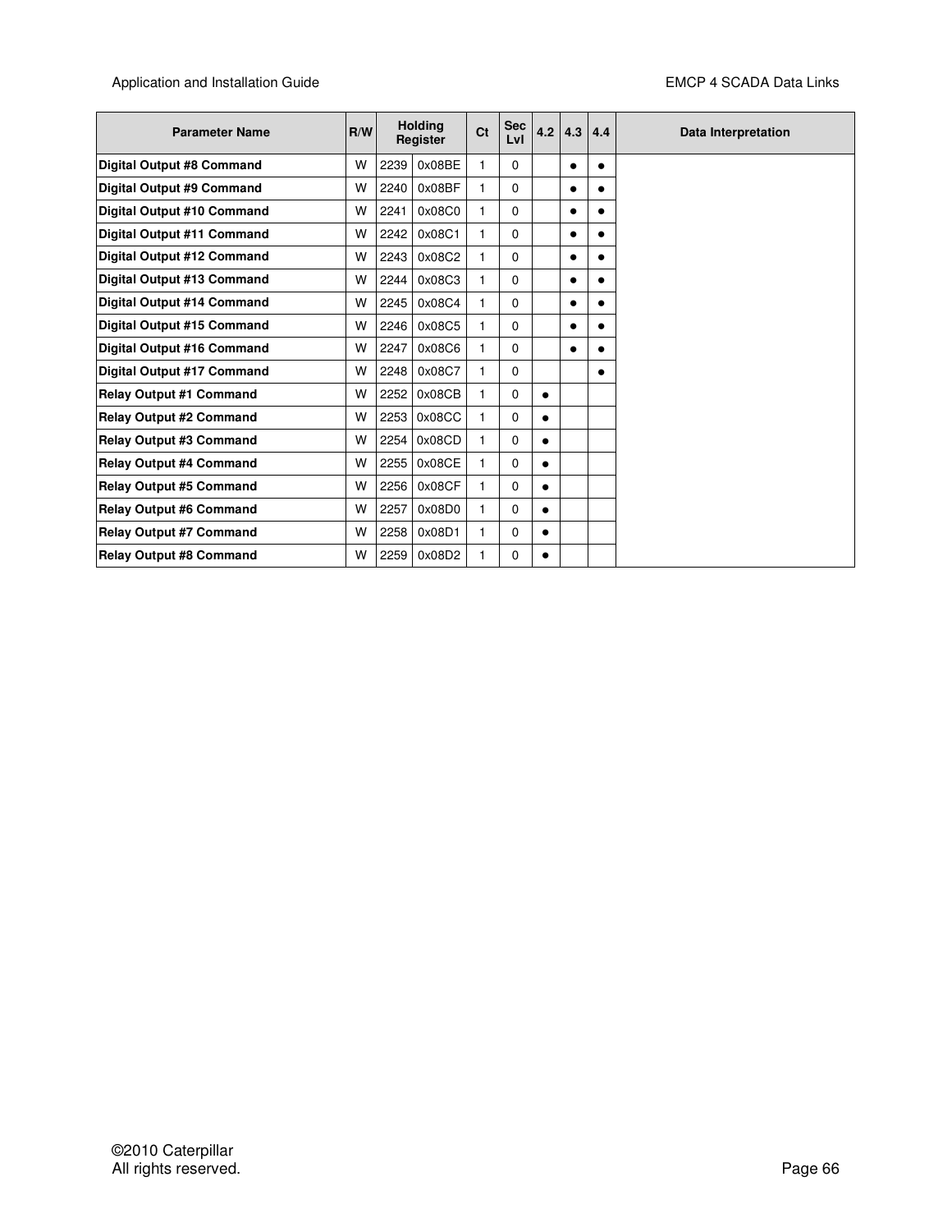| <b>Parameter Name</b>            | R/W |      | <b>Holding</b><br>Register | Ct           | <b>Sec</b><br>Lvl | 4.2       | 4.3       | 4.4 | Data Interpretation |
|----------------------------------|-----|------|----------------------------|--------------|-------------------|-----------|-----------|-----|---------------------|
| Digital Output #8 Command        | W   | 2239 | 0x08BE                     | 1            | 0                 |           |           |     |                     |
| <b>Digital Output #9 Command</b> | W   | 2240 | 0x08BF                     | 1            | 0                 |           |           |     |                     |
| Digital Output #10 Command       | W   | 2241 | 0x08C0                     | $\mathbf{1}$ | 0                 |           | $\bullet$ |     |                     |
| Digital Output #11 Command       | W   | 2242 | 0x08C1                     | 1            | 0                 |           |           |     |                     |
| Digital Output #12 Command       | W   | 2243 | 0x08C2                     | 1            | 0                 |           |           |     |                     |
| Digital Output #13 Command       | W   | 2244 | 0x08C3                     | 1            | 0                 |           |           |     |                     |
| Digital Output #14 Command       | W   | 2245 | 0x08C4                     | 1            | 0                 |           |           |     |                     |
| Digital Output #15 Command       | W   | 2246 | 0x08C5                     | 1            | 0                 |           | $\bullet$ |     |                     |
| Digital Output #16 Command       | W   | 2247 | 0x08C6                     | 1            | 0                 |           | $\bullet$ |     |                     |
| Digital Output #17 Command       | W   | 2248 | 0x08C7                     | 1            | 0                 |           |           |     |                     |
| <b>Relay Output #1 Command</b>   | W   | 2252 | 0x08CB                     | 1            | 0                 | $\bullet$ |           |     |                     |
| <b>Relay Output #2 Command</b>   | W   | 2253 | 0x08CC                     | 1            | 0                 | ٠         |           |     |                     |
| <b>Relay Output #3 Command</b>   | W   | 2254 | 0x08CD                     | 1            | 0                 | $\bullet$ |           |     |                     |
| <b>Relay Output #4 Command</b>   | W   | 2255 | 0x08CE                     | 1            | $\Omega$          | $\bullet$ |           |     |                     |
| <b>Relay Output #5 Command</b>   | W   | 2256 | 0x08CF                     | 1            | 0                 | ٠         |           |     |                     |
| <b>Relay Output #6 Command</b>   | W   | 2257 | 0x08D0                     | 1            | 0                 | $\bullet$ |           |     |                     |
| <b>Relay Output #7 Command</b>   | W   | 2258 | 0x08D1                     | 1            | 0                 | $\bullet$ |           |     |                     |
| <b>Relay Output #8 Command</b>   | W   | 2259 | 0x08D2                     | 1            | 0                 | $\bullet$ |           |     |                     |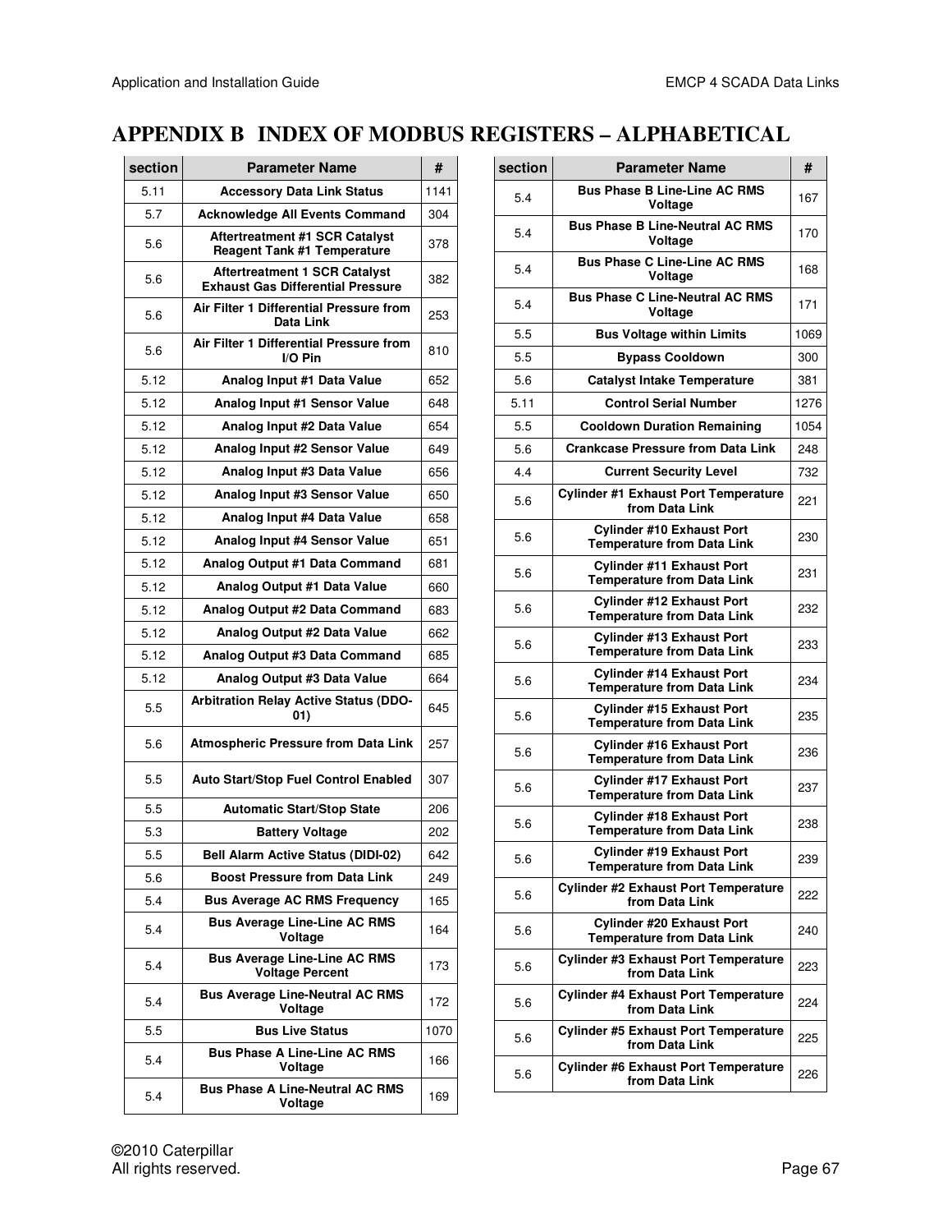# **APPENDIX B INDEX OF MODBUS REGISTERS – ALPHABETICAL**

| section | <b>Parameter Name</b>                                                            | #    |
|---------|----------------------------------------------------------------------------------|------|
| 5.11    | <b>Accessory Data Link Status</b>                                                | 1141 |
| 5.7     | <b>Acknowledge All Events Command</b>                                            | 304  |
| 5.6     | <b>Aftertreatment #1 SCR Catalyst</b><br><b>Reagent Tank #1 Temperature</b>      | 378  |
| 5.6     | <b>Aftertreatment 1 SCR Catalyst</b><br><b>Exhaust Gas Differential Pressure</b> | 382  |
| 5.6     | Air Filter 1 Differential Pressure from<br>Data Link                             | 253  |
| 5.6     | Air Filter 1 Differential Pressure from<br>I/O Pin                               | 810  |
| 5.12    | Analog Input #1 Data Value                                                       | 652  |
| 5.12    | Analog Input #1 Sensor Value                                                     | 648  |
| 5.12    | Analog Input #2 Data Value                                                       | 654  |
| 5.12    | Analog Input #2 Sensor Value                                                     | 649  |
| 5.12    | Analog Input #3 Data Value                                                       | 656  |
| 5.12    | Analog Input #3 Sensor Value                                                     | 650  |
| 5.12    | Analog Input #4 Data Value                                                       | 658  |
| 5.12    | Analog Input #4 Sensor Value                                                     | 651  |
| 5.12    | Analog Output #1 Data Command                                                    | 681  |
| 5.12    | Analog Output #1 Data Value                                                      | 660  |
| 5.12    | Analog Output #2 Data Command                                                    | 683  |
| 5.12    | Analog Output #2 Data Value                                                      | 662  |
| 5.12    | Analog Output #3 Data Command                                                    | 685  |
| 5.12    | Analog Output #3 Data Value                                                      | 664  |
| 5.5     | <b>Arbitration Relay Active Status (DDO-</b><br>01)                              | 645  |
| 5.6     | <b>Atmospheric Pressure from Data Link</b>                                       | 257  |
| 5.5     | <b>Auto Start/Stop Fuel Control Enabled</b>                                      | 307  |
| 5.5     | <b>Automatic Start/Stop State</b>                                                | 206  |
| 5.3     | <b>Battery Voltage</b>                                                           | 202  |
| 5.5     | Bell Alarm Active Status (DIDI-02)                                               | 642  |
| 5.6     | <b>Boost Pressure from Data Link</b>                                             | 249  |
| 5.4     | <b>Bus Average AC RMS Frequency</b>                                              | 165  |
| 5.4     | <b>Bus Average Line-Line AC RMS</b><br>Voltage                                   | 164  |
| 5.4     | <b>Bus Average Line-Line AC RMS</b><br><b>Voltage Percent</b>                    | 173  |
| 5.4     | <b>Bus Average Line-Neutral AC RMS</b><br>Voltage                                | 172  |
| 5.5     | <b>Bus Live Status</b>                                                           | 1070 |
| 5.4     | <b>Bus Phase A Line-Line AC RMS</b><br>Voltage                                   | 166  |
| 5.4     | <b>Bus Phase A Line-Neutral AC RMS</b><br>Voltage                                | 169  |

| section | <b>Parameter Name</b>                                                 | #    |
|---------|-----------------------------------------------------------------------|------|
| 5.4     | <b>Bus Phase B Line-Line AC RMS</b><br>Voltage                        | 167  |
| 5.4     | <b>Bus Phase B Line-Neutral AC RMS</b><br>Voltage                     | 170  |
| 5.4     | <b>Bus Phase C Line-Line AC RMS</b><br>Voltage                        | 168  |
| 5.4     | <b>Bus Phase C Line-Neutral AC RMS</b><br>Voltage                     | 171  |
| 5.5     | <b>Bus Voltage within Limits</b>                                      | 1069 |
| 5.5     | <b>Bypass Cooldown</b>                                                | 300  |
| 5.6     | <b>Catalyst Intake Temperature</b>                                    | 381  |
| 5.11    | <b>Control Serial Number</b>                                          | 1276 |
| 5.5     | <b>Cooldown Duration Remaining</b>                                    | 1054 |
| 5.6     | <b>Crankcase Pressure from Data Link</b>                              | 248  |
| 4.4     | <b>Current Security Level</b>                                         | 732  |
| 5.6     | <b>Cylinder #1 Exhaust Port Temperature</b><br>from Data Link         | 221  |
| 5.6     | <b>Cylinder #10 Exhaust Port</b><br><b>Temperature from Data Link</b> | 230  |
| 5.6     | <b>Cylinder #11 Exhaust Port</b><br><b>Temperature from Data Link</b> | 231  |
| 5.6     | <b>Cylinder #12 Exhaust Port</b><br><b>Temperature from Data Link</b> | 232  |
| 5.6     | <b>Cylinder #13 Exhaust Port</b><br><b>Temperature from Data Link</b> | 233  |
| 5.6     | <b>Cylinder #14 Exhaust Port</b><br><b>Temperature from Data Link</b> | 234  |
| 5.6     | <b>Cylinder #15 Exhaust Port</b><br><b>Temperature from Data Link</b> | 235  |
| 5.6     | <b>Cylinder #16 Exhaust Port</b><br><b>Temperature from Data Link</b> | 236  |
| 5.6     | <b>Cylinder #17 Exhaust Port</b><br><b>Temperature from Data Link</b> | 237  |
| 5.6     | <b>Cylinder #18 Exhaust Port</b><br><b>Temperature from Data Link</b> | 238  |
| 5.6     | <b>Cylinder #19 Exhaust Port</b><br><b>Temperature from Data Link</b> | 239  |
| 5.6     | <b>Cylinder #2 Exhaust Port Temperature</b><br>from Data Link         | 222  |
| 5.6     | <b>Cylinder #20 Exhaust Port</b><br><b>Temperature from Data Link</b> | 240  |
| 5.6     | <b>Cylinder #3 Exhaust Port Temperature</b><br>from Data Link         | 223  |
| 5.6     | <b>Cylinder #4 Exhaust Port Temperature</b><br>from Data Link         | 224  |
| 5.6     | <b>Cylinder #5 Exhaust Port Temperature</b><br>from Data Link         | 225  |
| 5.6     | <b>Cylinder #6 Exhaust Port Temperature</b><br>from Data Link         | 226  |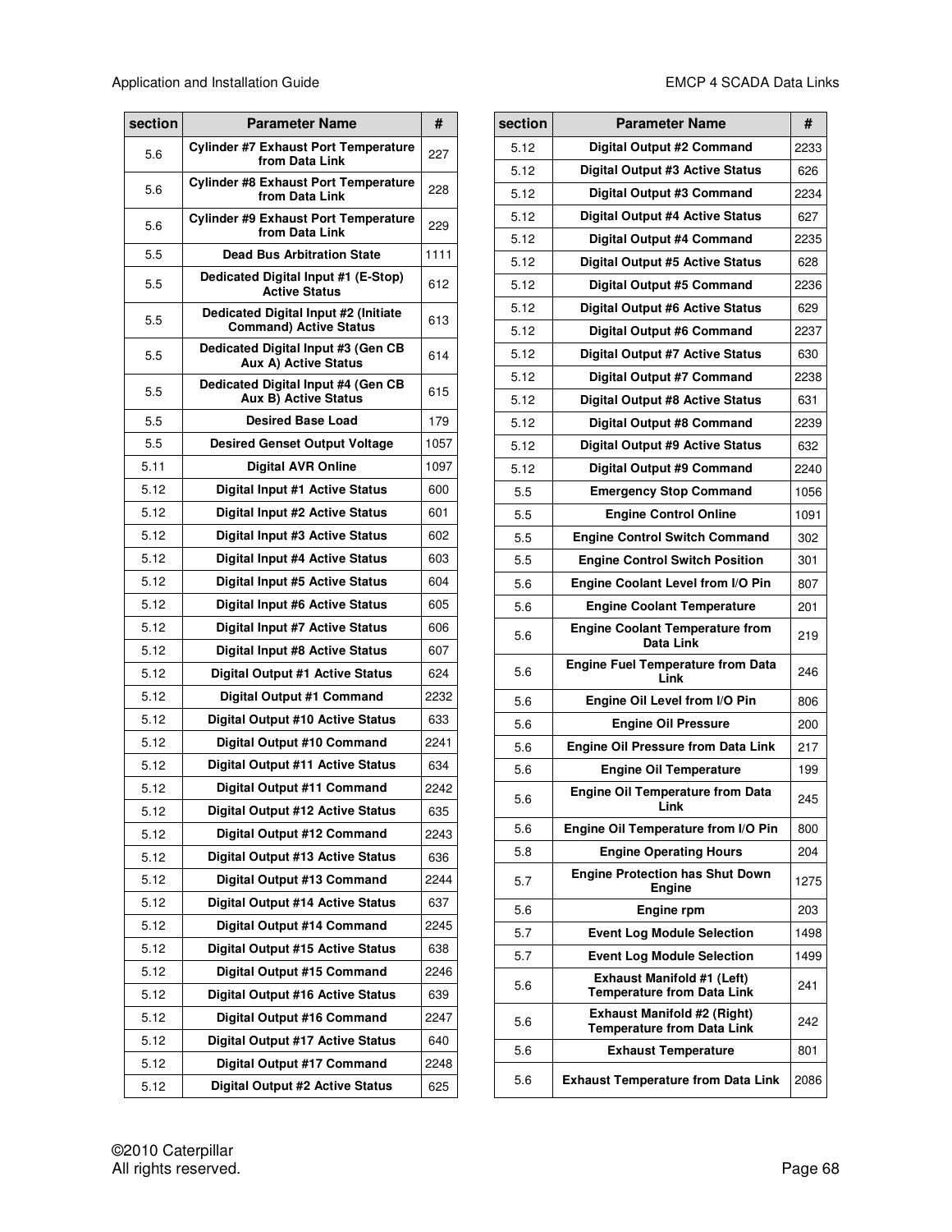| section | <b>Parameter Name</b>                                                 | #    |
|---------|-----------------------------------------------------------------------|------|
| 5.6     | <b>Cylinder #7 Exhaust Port Temperature</b><br>from Data Link         | 227  |
| 5.6     | <b>Cylinder #8 Exhaust Port Temperature</b><br>from Data Link         | 228  |
| 5.6     | <b>Cylinder #9 Exhaust Port Temperature</b><br>from Data Link         | 229  |
| 5.5     | <b>Dead Bus Arbitration State</b>                                     | 1111 |
| 5.5     | Dedicated Digital Input #1 (E-Stop)<br><b>Active Status</b>           | 612  |
| 5.5     | Dedicated Digital Input #2 (Initiate<br><b>Command) Active Status</b> | 613  |
| 5.5     | Dedicated Digital Input #3 (Gen CB<br><b>Aux A) Active Status</b>     | 614  |
| 5.5     | Dedicated Digital Input #4 (Gen CB<br><b>Aux B) Active Status</b>     | 615  |
| 5.5     | <b>Desired Base Load</b>                                              | 179  |
| 5.5     | <b>Desired Genset Output Voltage</b>                                  | 1057 |
| 5.11    | <b>Digital AVR Online</b>                                             | 1097 |
| 5.12    | Digital Input #1 Active Status                                        | 600  |
| 5.12    | Digital Input #2 Active Status                                        | 601  |
| 5.12    | Digital Input #3 Active Status                                        | 602  |
| 5.12    | <b>Digital Input #4 Active Status</b>                                 | 603  |
| 5.12    | Digital Input #5 Active Status                                        | 604  |
| 5.12    | Digital Input #6 Active Status                                        | 605  |
| 5.12    | <b>Digital Input #7 Active Status</b>                                 | 606  |
| 5.12    | Digital Input #8 Active Status                                        | 607  |
| 5.12    | Digital Output #1 Active Status                                       | 624  |
| 5.12    | Digital Output #1 Command                                             | 2232 |
| 5.12    | Digital Output #10 Active Status                                      | 633  |
| 5.12    | Digital Output #10 Command                                            | 2241 |
| 5.12    | Digital Output #11 Active Status                                      | 634  |
| 5.12    | Digital Output #11 Command                                            | 2242 |
| 5.12    | Digital Output #12 Active Status                                      | 635  |
| 5.12    | Digital Output #12 Command                                            | 2243 |
| 5.12    | Digital Output #13 Active Status                                      | 636  |
| 5.12    | Digital Output #13 Command                                            | 2244 |
| 5.12    | <b>Digital Output #14 Active Status</b>                               | 637  |
| 5.12    | Digital Output #14 Command                                            | 2245 |
| 5.12    | Digital Output #15 Active Status                                      | 638  |
| 5.12    | Digital Output #15 Command                                            | 2246 |
| 5.12    | Digital Output #16 Active Status                                      | 639  |
| 5.12    | Digital Output #16 Command                                            | 2247 |
| 5.12    | Digital Output #17 Active Status                                      | 640  |
| 5.12    | Digital Output #17 Command                                            | 2248 |
| 5.12    | Digital Output #2 Active Status                                       | 625  |

| section | <b>Parameter Name</b>                                                   | #    |
|---------|-------------------------------------------------------------------------|------|
| 5.12    | Digital Output #2 Command                                               | 2233 |
| 5.12    | Digital Output #3 Active Status                                         | 626  |
| 5.12    | Digital Output #3 Command                                               | 2234 |
| 5.12    | Digital Output #4 Active Status                                         | 627  |
| 5.12    | Digital Output #4 Command                                               | 2235 |
| 5.12    | Digital Output #5 Active Status                                         | 628  |
| 5.12    | Digital Output #5 Command                                               | 2236 |
| 5.12    | Digital Output #6 Active Status                                         | 629  |
| 5.12    | Digital Output #6 Command                                               | 2237 |
| 5.12    | Digital Output #7 Active Status                                         | 630  |
| 5.12    | Digital Output #7 Command                                               | 2238 |
| 5.12    | Digital Output #8 Active Status                                         | 631  |
| 5.12    | Digital Output #8 Command                                               | 2239 |
| 5.12    | Digital Output #9 Active Status                                         | 632  |
| 5.12    | Digital Output #9 Command                                               | 2240 |
| 5.5     | <b>Emergency Stop Command</b>                                           | 1056 |
| 5.5     | <b>Engine Control Online</b>                                            | 1091 |
| 5.5     | <b>Engine Control Switch Command</b>                                    | 302  |
| 5.5     | <b>Engine Control Switch Position</b>                                   | 301  |
| 5.6     | Engine Coolant Level from I/O Pin                                       | 807  |
| 5.6     | <b>Engine Coolant Temperature</b>                                       | 201  |
| 5.6     | <b>Engine Coolant Temperature from</b><br>Data Link                     | 219  |
| 5.6     | <b>Engine Fuel Temperature from Data</b><br>Link                        | 246  |
| 5.6     | Engine Oil Level from I/O Pin                                           | 806  |
| 5.6     | <b>Engine Oil Pressure</b>                                              | 200  |
| 5.6     | <b>Engine Oil Pressure from Data Link</b>                               | 217  |
| 5.6     | <b>Engine Oil Temperature</b>                                           | 199  |
| 5.6     | <b>Engine Oil Temperature from Data</b><br>Lınk                         | 245  |
| 5.6     | Engine Oil Temperature from I/O Pin                                     | 800  |
| 5.8     | <b>Engine Operating Hours</b>                                           | 204  |
| 5.7     | <b>Engine Protection has Shut Down</b><br><b>Engine</b>                 | 1275 |
| 5.6     | <b>Engine rpm</b>                                                       | 203  |
| 5.7     | <b>Event Log Module Selection</b>                                       | 1498 |
| 5.7     | <b>Event Log Module Selection</b>                                       | 1499 |
| 5.6     | <b>Exhaust Manifold #1 (Left)</b><br><b>Temperature from Data Link</b>  | 241  |
| 5.6     | <b>Exhaust Manifold #2 (Right)</b><br><b>Temperature from Data Link</b> | 242  |
| 5.6     | <b>Exhaust Temperature</b>                                              | 801  |
| 5.6     | <b>Exhaust Temperature from Data Link</b>                               | 2086 |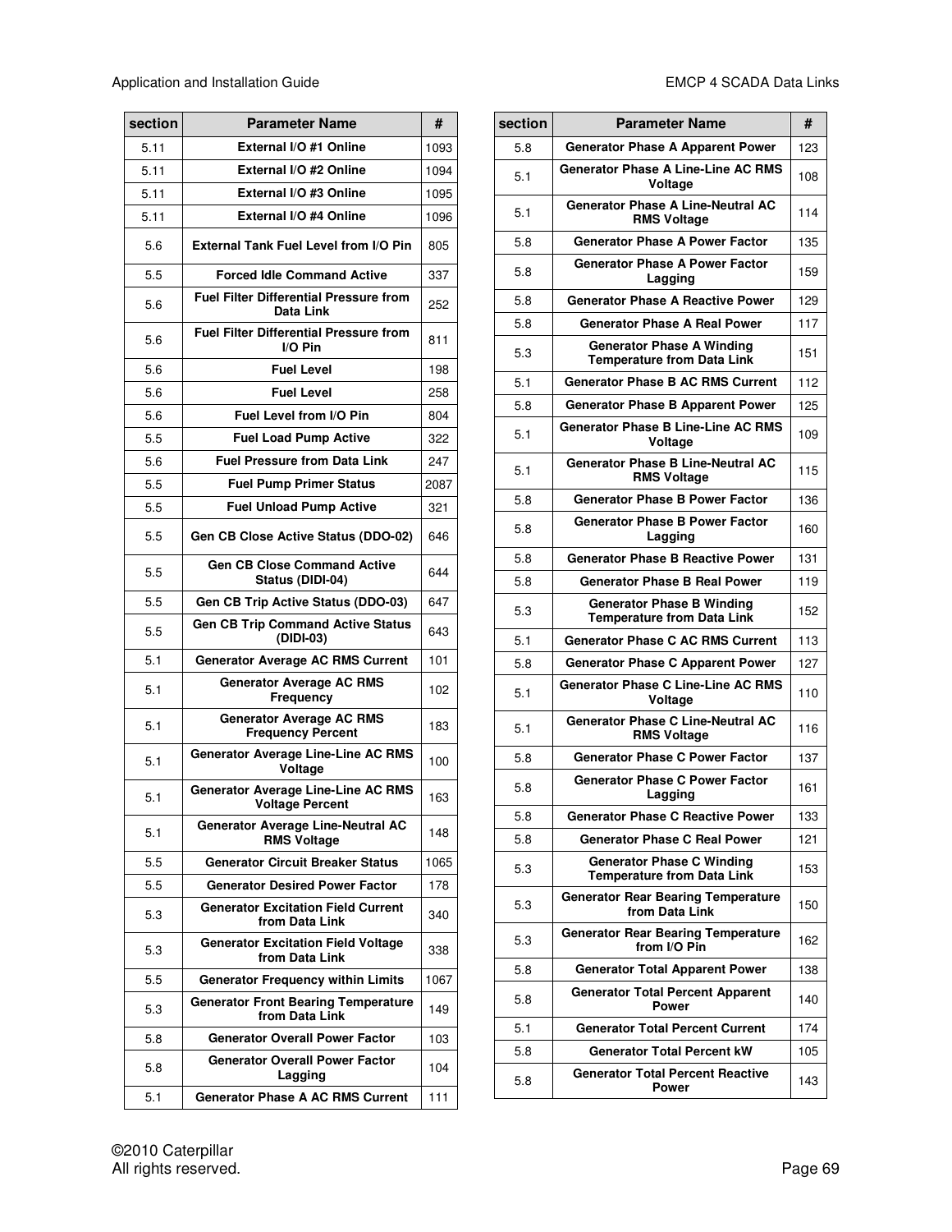Application and Installation Guide **EMCP** 4 SCADA Data Links

| section | <b>Parameter Name</b>                                               |      |  |  |
|---------|---------------------------------------------------------------------|------|--|--|
| 5.11    | External I/O #1 Online                                              | 1093 |  |  |
| 5.11    | External I/O #2 Online                                              | 1094 |  |  |
| 5.11    | External I/O #3 Online                                              | 1095 |  |  |
| 5.11    | External I/O #4 Online                                              | 1096 |  |  |
| 5.6     | <b>External Tank Fuel Level from I/O Pin</b>                        | 805  |  |  |
| 5.5     | <b>Forced Idle Command Active</b>                                   | 337  |  |  |
| 5.6     | <b>Fuel Filter Differential Pressure from</b><br>Data Link          | 252  |  |  |
| 5.6     | <b>Fuel Filter Differential Pressure from</b><br>I/O Pin            | 811  |  |  |
| 5.6     | <b>Fuel Level</b>                                                   | 198  |  |  |
| 5.6     | <b>Fuel Level</b>                                                   | 258  |  |  |
| 5.6     | Fuel Level from I/O Pin                                             | 804  |  |  |
| 5.5     | <b>Fuel Load Pump Active</b>                                        | 322  |  |  |
| 5.6     | <b>Fuel Pressure from Data Link</b>                                 | 247  |  |  |
| 5.5     | <b>Fuel Pump Primer Status</b>                                      | 2087 |  |  |
| 5.5     | <b>Fuel Unload Pump Active</b>                                      | 321  |  |  |
| 5.5     | Gen CB Close Active Status (DDO-02)                                 | 646  |  |  |
| 5.5     | <b>Gen CB Close Command Active</b><br>Status (DIDI-04)              | 644  |  |  |
| 5.5     | Gen CB Trip Active Status (DDO-03)                                  | 647  |  |  |
| 5.5     | <b>Gen CB Trip Command Active Status</b><br>(DIDI-03)               | 643  |  |  |
| 5.1     | <b>Generator Average AC RMS Current</b>                             | 101  |  |  |
| 5.1     | <b>Generator Average AC RMS</b><br>Frequency                        | 102  |  |  |
| 5.1     | <b>Generator Average AC RMS</b><br><b>Frequency Percent</b>         | 183  |  |  |
| 5.1     | <b>Generator Average Line-Line AC RMS</b><br>Voltage                | 100  |  |  |
| 5.1     | <b>Generator Average Line-Line AC RMS</b><br><b>Voltage Percent</b> | 163  |  |  |
| 5.1     | Generator Average Line-Neutral AC<br><b>RMS Voltage</b>             | 148  |  |  |
| 5.5     | <b>Generator Circuit Breaker Status</b>                             | 1065 |  |  |
| 5.5     | <b>Generator Desired Power Factor</b>                               | 178  |  |  |
| 5.3     | <b>Generator Excitation Field Current</b><br>from Data Link         | 340  |  |  |
| 5.3     | <b>Generator Excitation Field Voltage</b><br>from Data Link         | 338  |  |  |
| 5.5     | <b>Generator Frequency within Limits</b>                            | 1067 |  |  |
| 5.3     | <b>Generator Front Bearing Temperature</b><br>from Data Link        | 149  |  |  |
| 5.8     | <b>Generator Overall Power Factor</b>                               | 103  |  |  |
| 5.8     | <b>Generator Overall Power Factor</b><br>Lagging                    | 104  |  |  |
| 5.1     | <b>Generator Phase A AC RMS Current</b>                             | 111  |  |  |

| section | <b>Parameter Name</b>                                                 |     |  |  |  |
|---------|-----------------------------------------------------------------------|-----|--|--|--|
| 5.8     | <b>Generator Phase A Apparent Power</b>                               |     |  |  |  |
| 5.1     | <b>Generator Phase A Line-Line AC RMS</b><br>Voltage                  | 108 |  |  |  |
| 5.1     | <b>Generator Phase A Line-Neutral AC</b><br><b>RMS Voltage</b>        | 114 |  |  |  |
| 5.8     | <b>Generator Phase A Power Factor</b>                                 | 135 |  |  |  |
| 5.8     | <b>Generator Phase A Power Factor</b><br>Lagging                      | 159 |  |  |  |
| 5.8     | <b>Generator Phase A Reactive Power</b>                               | 129 |  |  |  |
| 5.8     | <b>Generator Phase A Real Power</b>                                   | 117 |  |  |  |
| 5.3     | <b>Generator Phase A Winding</b><br><b>Temperature from Data Link</b> | 151 |  |  |  |
| 5.1     | <b>Generator Phase B AC RMS Current</b>                               | 112 |  |  |  |
| 5.8     | <b>Generator Phase B Apparent Power</b>                               | 125 |  |  |  |
| 5.1     | <b>Generator Phase B Line-Line AC RMS</b><br>Voltage                  | 109 |  |  |  |
| 5.1     | <b>Generator Phase B Line-Neutral AC</b><br><b>RMS Voltage</b>        | 115 |  |  |  |
| 5.8     | <b>Generator Phase B Power Factor</b>                                 | 136 |  |  |  |
| 5.8     | <b>Generator Phase B Power Factor</b><br>Lagging                      | 160 |  |  |  |
| 5.8     | <b>Generator Phase B Reactive Power</b>                               | 131 |  |  |  |
| 5.8     | <b>Generator Phase B Real Power</b>                                   | 119 |  |  |  |
| 5.3     | <b>Generator Phase B Winding</b><br><b>Temperature from Data Link</b> | 152 |  |  |  |
| 5.1     | <b>Generator Phase C AC RMS Current</b>                               | 113 |  |  |  |
| 5.8     | <b>Generator Phase C Apparent Power</b>                               | 127 |  |  |  |
| 5.1     | <b>Generator Phase C Line-Line AC RMS</b><br>Voltage                  | 110 |  |  |  |
| 5.1     | <b>Generator Phase C Line-Neutral AC</b><br><b>RMS Voltage</b>        | 116 |  |  |  |
| 5.8     | <b>Generator Phase C Power Factor</b>                                 | 137 |  |  |  |
| 5.8     | <b>Generator Phase C Power Factor</b><br>Lagging                      | 161 |  |  |  |
| 5.8     | <b>Generator Phase C Reactive Power</b>                               | 133 |  |  |  |
| 5.8     | <b>Generator Phase C Real Power</b>                                   | 121 |  |  |  |
| 5.3     | <b>Generator Phase C Winding</b><br><b>Temperature from Data Link</b> | 153 |  |  |  |
| 5.3     | <b>Generator Rear Bearing Temperature</b><br>from Data Link           | 150 |  |  |  |
| 5.3     | <b>Generator Rear Bearing Temperature</b><br>from I/O Pin             | 162 |  |  |  |
| 5.8     | <b>Generator Total Apparent Power</b>                                 | 138 |  |  |  |
| 5.8     | <b>Generator Total Percent Apparent</b><br><b>Power</b>               | 140 |  |  |  |
| 5.1     | <b>Generator Total Percent Current</b>                                | 174 |  |  |  |
| 5.8     | <b>Generator Total Percent kW</b>                                     | 105 |  |  |  |
| 5.8     | <b>Generator Total Percent Reactive</b><br><b>Power</b>               | 143 |  |  |  |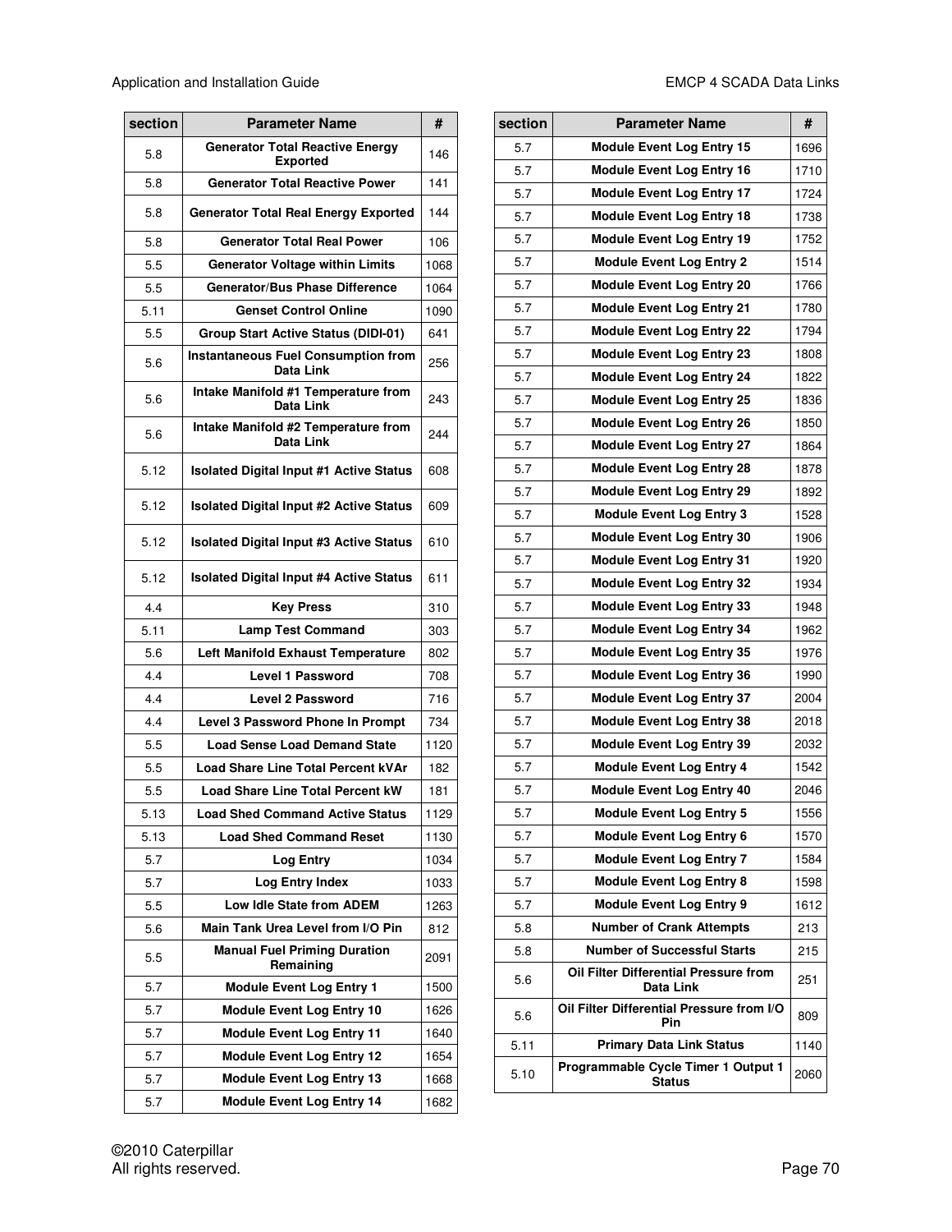| section | <b>Parameter Name</b>                                     |      |  |  |
|---------|-----------------------------------------------------------|------|--|--|
| 5.8     | <b>Generator Total Reactive Energy</b><br><b>Exported</b> | 146  |  |  |
| 5.8     | <b>Generator Total Reactive Power</b>                     | 141  |  |  |
| 5.8     | <b>Generator Total Real Energy Exported</b>               | 144  |  |  |
| 5.8     | <b>Generator Total Real Power</b>                         | 106  |  |  |
| 5.5     | <b>Generator Voltage within Limits</b>                    | 1068 |  |  |
| 5.5     | Generator/Bus Phase Difference                            | 1064 |  |  |
| 5.11    | <b>Genset Control Online</b>                              | 1090 |  |  |
| 5.5     | <b>Group Start Active Status (DIDI-01)</b>                | 641  |  |  |
| 5.6     | <b>Instantaneous Fuel Consumption from</b><br>Data Link   | 256  |  |  |
| 5.6     | Intake Manifold #1 Temperature from<br>Data Link          | 243  |  |  |
| 5.6     | Intake Manifold #2 Temperature from<br>Data Link          | 244  |  |  |
| 5.12    | <b>Isolated Digital Input #1 Active Status</b>            | 608  |  |  |
| 5.12    | <b>Isolated Digital Input #2 Active Status</b>            | 609  |  |  |
| 5.12    | <b>Isolated Digital Input #3 Active Status</b>            | 610  |  |  |
| 5.12    | <b>Isolated Digital Input #4 Active Status</b>            | 611  |  |  |
| 4.4     | <b>Key Press</b>                                          | 310  |  |  |
| 5.11    | <b>Lamp Test Command</b>                                  | 303  |  |  |
| 5.6     | Left Manifold Exhaust Temperature                         | 802  |  |  |
| 4.4     | <b>Level 1 Password</b>                                   | 708  |  |  |
| 4.4     | <b>Level 2 Password</b>                                   | 716  |  |  |
| 4.4     | Level 3 Password Phone In Prompt                          | 734  |  |  |
| 5.5     | <b>Load Sense Load Demand State</b>                       | 1120 |  |  |
| 5.5     | Load Share Line Total Percent kVAr                        | 182  |  |  |
| 5.5     | Load Share Line Total Percent kW                          | 181  |  |  |
| 5.13    | <b>Load Shed Command Active Status</b>                    | 1129 |  |  |
| 5.13    | <b>Load Shed Command Reset</b>                            | 1130 |  |  |
| 5.7     | Log Entry                                                 | 1034 |  |  |
| 5.7     | Log Entry Index                                           | 1033 |  |  |
| 5.5     | Low Idle State from ADEM                                  | 1263 |  |  |
| 5.6     | Main Tank Urea Level from I/O Pin                         | 812  |  |  |
| 5.5     | <b>Manual Fuel Priming Duration</b><br>Remaining          | 2091 |  |  |
| 5.7     | <b>Module Event Log Entry 1</b>                           | 1500 |  |  |
| 5.7     | <b>Module Event Log Entry 10</b>                          | 1626 |  |  |
| 5.7     | <b>Module Event Log Entry 11</b>                          | 1640 |  |  |
| 5.7     | <b>Module Event Log Entry 12</b>                          | 1654 |  |  |
| 5.7     | <b>Module Event Log Entry 13</b>                          | 1668 |  |  |
| 5.7     | <b>Module Event Log Entry 14</b>                          | 1682 |  |  |

| section | <b>Parameter Name</b>                                | #    |
|---------|------------------------------------------------------|------|
| 5.7     | <b>Module Event Log Entry 15</b>                     | 1696 |
| 5.7     | <b>Module Event Log Entry 16</b>                     | 1710 |
| 5.7     | <b>Module Event Log Entry 17</b>                     | 1724 |
| 5.7     | <b>Module Event Log Entry 18</b>                     | 1738 |
| 5.7     | <b>Module Event Log Entry 19</b>                     | 1752 |
| 5.7     | <b>Module Event Log Entry 2</b>                      | 1514 |
| 5.7     | <b>Module Event Log Entry 20</b>                     | 1766 |
| 5.7     | <b>Module Event Log Entry 21</b>                     | 1780 |
| 5.7     | <b>Module Event Log Entry 22</b>                     | 1794 |
| 5.7     | <b>Module Event Log Entry 23</b>                     | 1808 |
| 5.7     | <b>Module Event Log Entry 24</b>                     | 1822 |
| 5.7     | <b>Module Event Log Entry 25</b>                     | 1836 |
| 5.7     | <b>Module Event Log Entry 26</b>                     | 1850 |
| 5.7     | <b>Module Event Log Entry 27</b>                     | 1864 |
| 5.7     | <b>Module Event Log Entry 28</b>                     | 1878 |
| 5.7     | <b>Module Event Log Entry 29</b>                     | 1892 |
| 5.7     | <b>Module Event Log Entry 3</b>                      | 1528 |
| 5.7     | <b>Module Event Log Entry 30</b>                     | 1906 |
| 5.7     | <b>Module Event Log Entry 31</b>                     | 1920 |
| 5.7     | <b>Module Event Log Entry 32</b>                     | 1934 |
| 5.7     | <b>Module Event Log Entry 33</b>                     | 1948 |
| 5.7     | <b>Module Event Log Entry 34</b>                     | 1962 |
| 5.7     | <b>Module Event Log Entry 35</b>                     | 1976 |
| 5.7     | <b>Module Event Log Entry 36</b>                     | 1990 |
| 5.7     | <b>Module Event Log Entry 37</b>                     | 2004 |
| 5.7     | <b>Module Event Log Entry 38</b>                     | 2018 |
| 5.7     | <b>Module Event Log Entry 39</b>                     | 2032 |
| 5.7     | <b>Module Event Log Entry 4</b>                      | 1542 |
| 5.7     | <b>Module Event Log Entry 40</b>                     | 2046 |
| 5.7     | <b>Module Event Log Entry 5</b>                      | 1556 |
| 5.7     | <b>Module Event Log Entry 6</b>                      | 1570 |
| 5.7     | <b>Module Event Log Entry 7</b>                      | 1584 |
| 5.7     | <b>Module Event Log Entry 8</b>                      | 1598 |
| 5.7     | <b>Module Event Log Entry 9</b>                      | 1612 |
| 5.8     | <b>Number of Crank Attempts</b>                      | 213  |
| 5.8     | <b>Number of Successful Starts</b>                   | 215  |
| 5.6     | Oil Filter Differential Pressure from<br>Data Link   | 251  |
| 5.6     | Oil Filter Differential Pressure from I/O<br>Pin     | 809  |
| 5.11    | <b>Primary Data Link Status</b>                      | 1140 |
| 5.10    | Programmable Cycle Timer 1 Output 1<br><b>Status</b> | 2060 |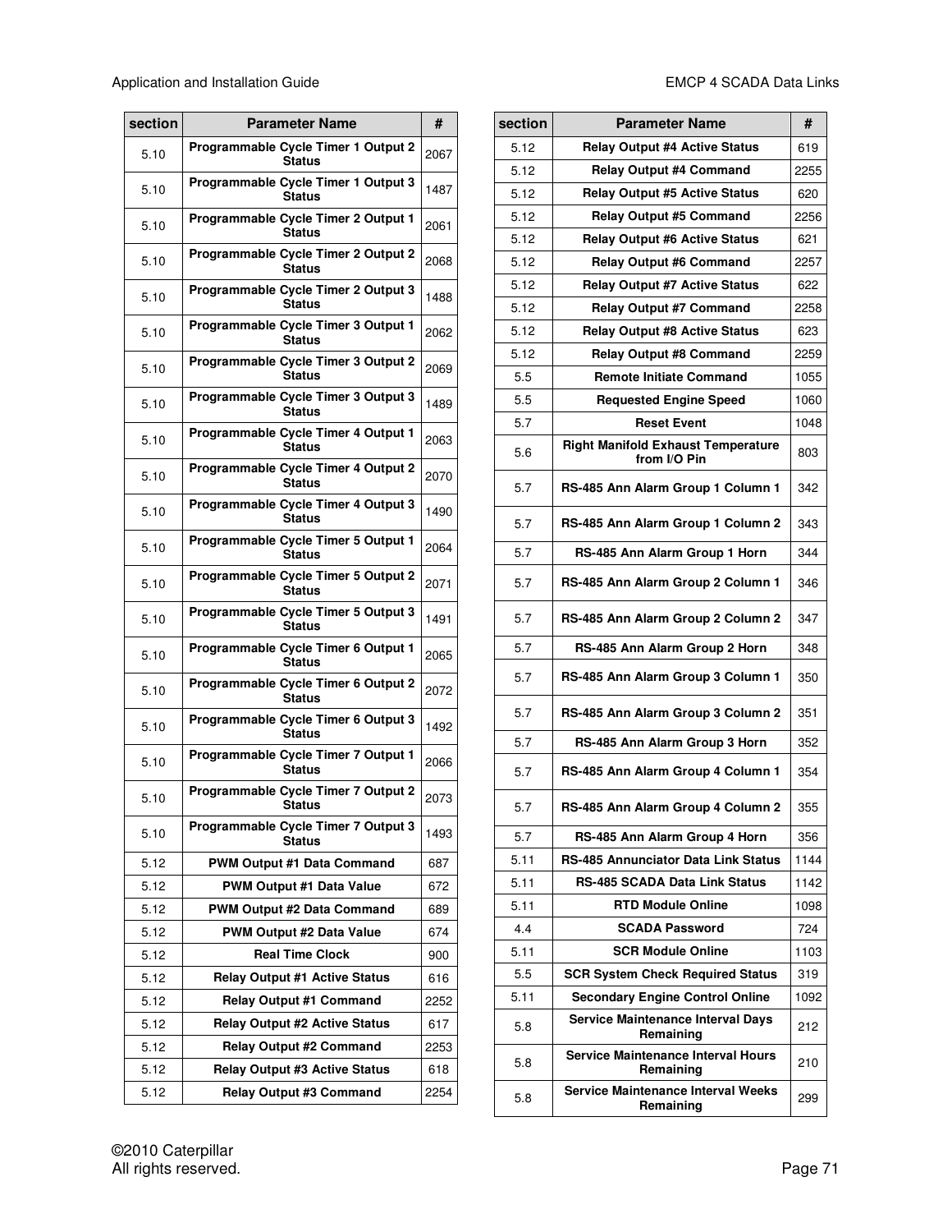| section | <b>Parameter Name</b>                                |      |  |  |
|---------|------------------------------------------------------|------|--|--|
| 5.10    | Programmable Cycle Timer 1 Output 2<br><b>Status</b> | 2067 |  |  |
| 5.10    | Programmable Cycle Timer 1 Output 3<br><b>Status</b> | 1487 |  |  |
| 5.10    | Programmable Cycle Timer 2 Output 1<br><b>Status</b> | 2061 |  |  |
| 5.10    | Programmable Cycle Timer 2 Output 2<br><b>Status</b> | 2068 |  |  |
| 5.10    | Programmable Cycle Timer 2 Output 3<br><b>Status</b> | 1488 |  |  |
| 5.10    | Programmable Cycle Timer 3 Output 1<br><b>Status</b> | 2062 |  |  |
| 5.10    | Programmable Cycle Timer 3 Output 2<br><b>Status</b> | 2069 |  |  |
| 5.10    | Programmable Cycle Timer 3 Output 3<br><b>Status</b> | 1489 |  |  |
| 5.10    | Programmable Cycle Timer 4 Output 1<br><b>Status</b> | 2063 |  |  |
| 5.10    | Programmable Cycle Timer 4 Output 2<br><b>Status</b> | 2070 |  |  |
| 5.10    | Programmable Cycle Timer 4 Output 3<br><b>Status</b> | 1490 |  |  |
| 5.10    | Programmable Cycle Timer 5 Output 1<br><b>Status</b> | 2064 |  |  |
| 5.10    | Programmable Cycle Timer 5 Output 2<br><b>Status</b> | 2071 |  |  |
| 5.10    | Programmable Cycle Timer 5 Output 3<br><b>Status</b> | 1491 |  |  |
| 5.10    | Programmable Cycle Timer 6 Output 1<br><b>Status</b> | 2065 |  |  |
| 5.10    | Programmable Cycle Timer 6 Output 2<br><b>Status</b> | 2072 |  |  |
| 5.10    | Programmable Cycle Timer 6 Output 3<br><b>Status</b> | 1492 |  |  |
| 5.10    | Programmable Cycle Timer 7 Output 1<br><b>Status</b> | 2066 |  |  |
| 5.10    | Programmable Cycle Timer 7 Output 2<br>Status        | 2073 |  |  |
| 5.10    | Programmable Cycle Timer 7 Output 3<br>Status        | 1493 |  |  |
| 5.12    | <b>PWM Output #1 Data Command</b>                    | 687  |  |  |
| 5.12    | PWM Output #1 Data Value                             | 672  |  |  |
| 5.12    | <b>PWM Output #2 Data Command</b>                    | 689  |  |  |
| 5.12    | PWM Output #2 Data Value                             | 674  |  |  |
| 5.12    | <b>Real Time Clock</b>                               | 900  |  |  |
| 5.12    | <b>Relay Output #1 Active Status</b>                 | 616  |  |  |
| 5.12    | <b>Relay Output #1 Command</b>                       | 2252 |  |  |
| 5.12    | <b>Relay Output #2 Active Status</b>                 | 617  |  |  |
| 5.12    | <b>Relay Output #2 Command</b>                       | 2253 |  |  |
| 5.12    | <b>Relay Output #3 Active Status</b>                 | 618  |  |  |
| 5.12    | <b>Relay Output #3 Command</b>                       | 2254 |  |  |

| section | <b>Parameter Name</b>                                     |      |  |  |
|---------|-----------------------------------------------------------|------|--|--|
| 5.12    | <b>Relay Output #4 Active Status</b>                      | 619  |  |  |
| 5.12    | <b>Relay Output #4 Command</b>                            | 2255 |  |  |
| 5.12    | <b>Relay Output #5 Active Status</b>                      | 620  |  |  |
| 5.12    | <b>Relay Output #5 Command</b>                            | 2256 |  |  |
| 5.12    | <b>Relay Output #6 Active Status</b>                      | 621  |  |  |
| 5.12    | <b>Relay Output #6 Command</b>                            | 2257 |  |  |
| 5.12    | <b>Relay Output #7 Active Status</b>                      | 622  |  |  |
| 5.12    | <b>Relay Output #7 Command</b>                            | 2258 |  |  |
| 5.12    | <b>Relay Output #8 Active Status</b>                      | 623  |  |  |
| 5.12    | <b>Relay Output #8 Command</b>                            | 2259 |  |  |
| 5.5     | <b>Remote Initiate Command</b>                            | 1055 |  |  |
| 5.5     | <b>Requested Engine Speed</b>                             | 1060 |  |  |
| 5.7     | <b>Reset Event</b>                                        | 1048 |  |  |
| 5.6     | <b>Right Manifold Exhaust Temperature</b><br>from I/O Pin | 803  |  |  |
| 5.7     | RS-485 Ann Alarm Group 1 Column 1                         | 342  |  |  |
| 5.7     | RS-485 Ann Alarm Group 1 Column 2                         | 343  |  |  |
| 5.7     | RS-485 Ann Alarm Group 1 Horn                             | 344  |  |  |
| 5.7     | RS-485 Ann Alarm Group 2 Column 1                         | 346  |  |  |
| 5.7     | RS-485 Ann Alarm Group 2 Column 2                         | 347  |  |  |
| 5.7     | RS-485 Ann Alarm Group 2 Horn                             | 348  |  |  |
| 5.7     | RS-485 Ann Alarm Group 3 Column 1                         | 350  |  |  |
| 5.7     | RS-485 Ann Alarm Group 3 Column 2                         | 351  |  |  |
| 5.7     | RS-485 Ann Alarm Group 3 Horn                             | 352  |  |  |
| 5.7     | RS-485 Ann Alarm Group 4 Column 1                         | 354  |  |  |
| 5.7     | RS-485 Ann Alarm Group 4 Column 2                         | 355  |  |  |
| 5.7     | RS-485 Ann Alarm Group 4 Horn                             | 356  |  |  |
| 5.11    | RS-485 Annunciator Data Link Status                       | 1144 |  |  |
| 5.11    | RS-485 SCADA Data Link Status                             | 1142 |  |  |
| 5.11    | <b>RTD Module Online</b>                                  | 1098 |  |  |
| 4.4     | <b>SCADA Password</b>                                     | 724  |  |  |
| 5.11    | <b>SCR Module Online</b>                                  | 1103 |  |  |
| 5.5     | <b>SCR System Check Required Status</b>                   | 319  |  |  |
| 5.11    | <b>Secondary Engine Control Online</b>                    | 1092 |  |  |
| 5.8     | <b>Service Maintenance Interval Days</b><br>Remaining     | 212  |  |  |
| 5.8     | <b>Service Maintenance Interval Hours</b><br>Remaining    | 210  |  |  |
| 5.8     | Service Maintenance Interval Weeks<br>Remaining           | 299  |  |  |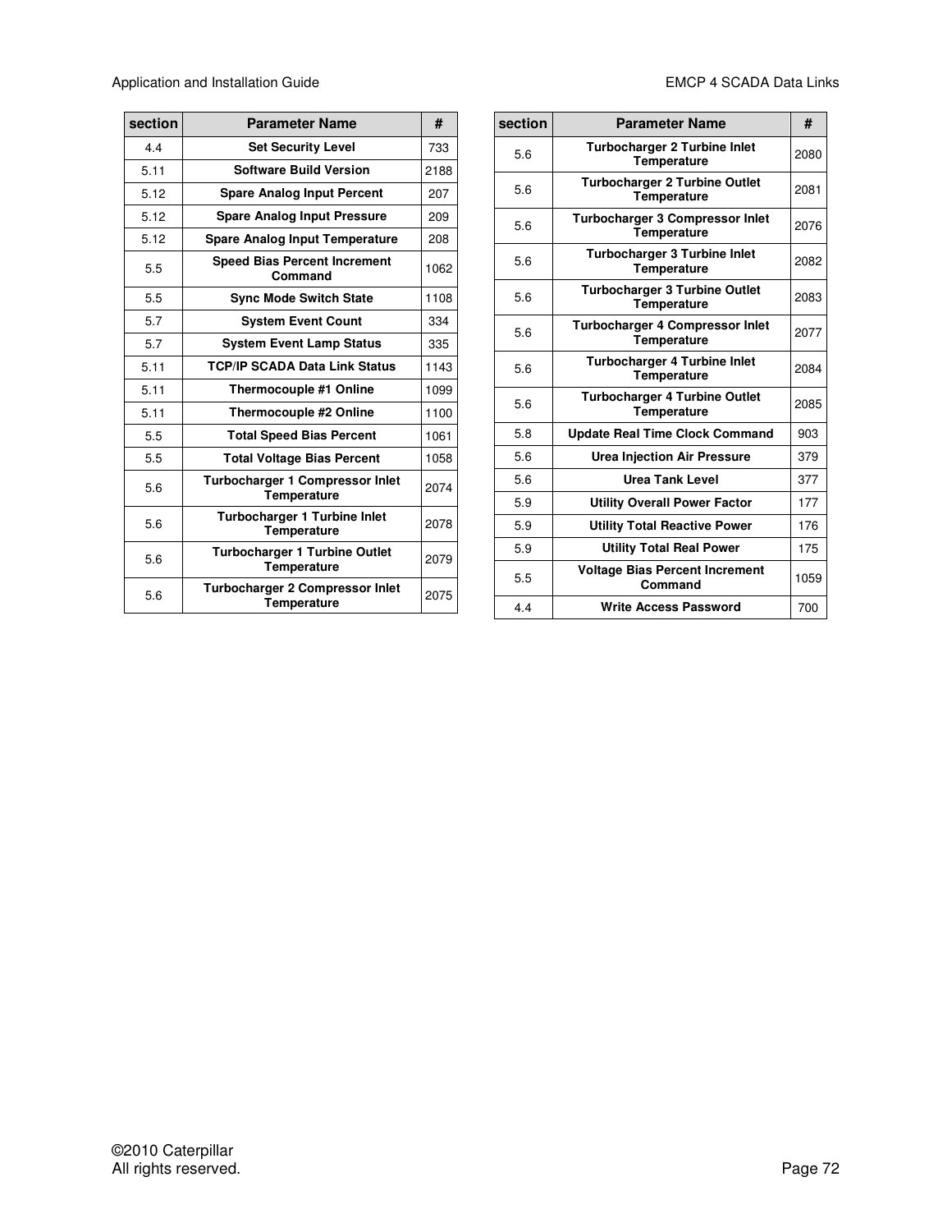Application and Installation Guide **EMCP** 4 SCADA Data Links

| section | <b>Parameter Name</b>                                        | #    |
|---------|--------------------------------------------------------------|------|
| 44      | <b>Set Security Level</b>                                    | 733  |
| 5.11    | <b>Software Build Version</b>                                | 2188 |
| 5.12    | <b>Spare Analog Input Percent</b>                            | 207  |
| 5.12    | <b>Spare Analog Input Pressure</b>                           | 209  |
| 5.12    | <b>Spare Analog Input Temperature</b>                        | 208  |
| 5.5     | <b>Speed Bias Percent Increment</b><br>Command               | 1062 |
| 5.5     | <b>Sync Mode Switch State</b>                                | 1108 |
| 5.7     | <b>System Event Count</b>                                    | 334  |
| 5.7     | <b>System Event Lamp Status</b>                              | 335  |
| 5.11    | <b>TCP/IP SCADA Data Link Status</b>                         | 1143 |
| 5.11    | Thermocouple #1 Online                                       | 1099 |
| 5.11    | Thermocouple #2 Online                                       | 1100 |
| 5.5     | <b>Total Speed Bias Percent</b>                              | 1061 |
| 5.5     | <b>Total Voltage Bias Percent</b>                            | 1058 |
| 5.6     | <b>Turbocharger 1 Compressor Inlet</b><br>Temperature        | 2074 |
| 5.6     | <b>Turbocharger 1 Turbine Inlet</b><br><b>Temperature</b>    | 2078 |
| 5.6     | <b>Turbocharger 1 Turbine Outlet</b><br><b>Temperature</b>   | 2079 |
| 5.6     | <b>Turbocharger 2 Compressor Inlet</b><br><b>Temperature</b> | 2075 |

| section | <b>Parameter Name</b>                                        | #    |
|---------|--------------------------------------------------------------|------|
| 5.6     | <b>Turbocharger 2 Turbine Inlet</b><br><b>Temperature</b>    | 2080 |
| 5.6     | <b>Turbocharger 2 Turbine Outlet</b><br><b>Temperature</b>   | 2081 |
| 5.6     | <b>Turbocharger 3 Compressor Inlet</b><br><b>Temperature</b> | 2076 |
| 5.6     | <b>Turbocharger 3 Turbine Inlet</b><br>Temperature           | 2082 |
| 5.6     | <b>Turbocharger 3 Turbine Outlet</b><br><b>Temperature</b>   | 2083 |
| 5.6     | <b>Turbocharger 4 Compressor Inlet</b><br><b>Temperature</b> | 2077 |
| 5.6     | <b>Turbocharger 4 Turbine Inlet</b><br>Temperature           | 2084 |
| 5.6     | <b>Turbocharger 4 Turbine Outlet</b><br><b>Temperature</b>   | 2085 |
| 5.8     | <b>Update Real Time Clock Command</b>                        | 903  |
| 5.6     | <b>Urea Injection Air Pressure</b>                           | 379  |
| 5.6     | <b>Urea Tank Level</b>                                       | 377  |
| 5.9     | <b>Utility Overall Power Factor</b>                          | 177  |
| 5.9     | <b>Utility Total Reactive Power</b>                          | 176  |
| 5.9     | <b>Utility Total Real Power</b>                              | 175  |
| 5.5     | <b>Voltage Bias Percent Increment</b><br>Command             | 1059 |
| 4.4     | <b>Write Access Password</b>                                 | 700  |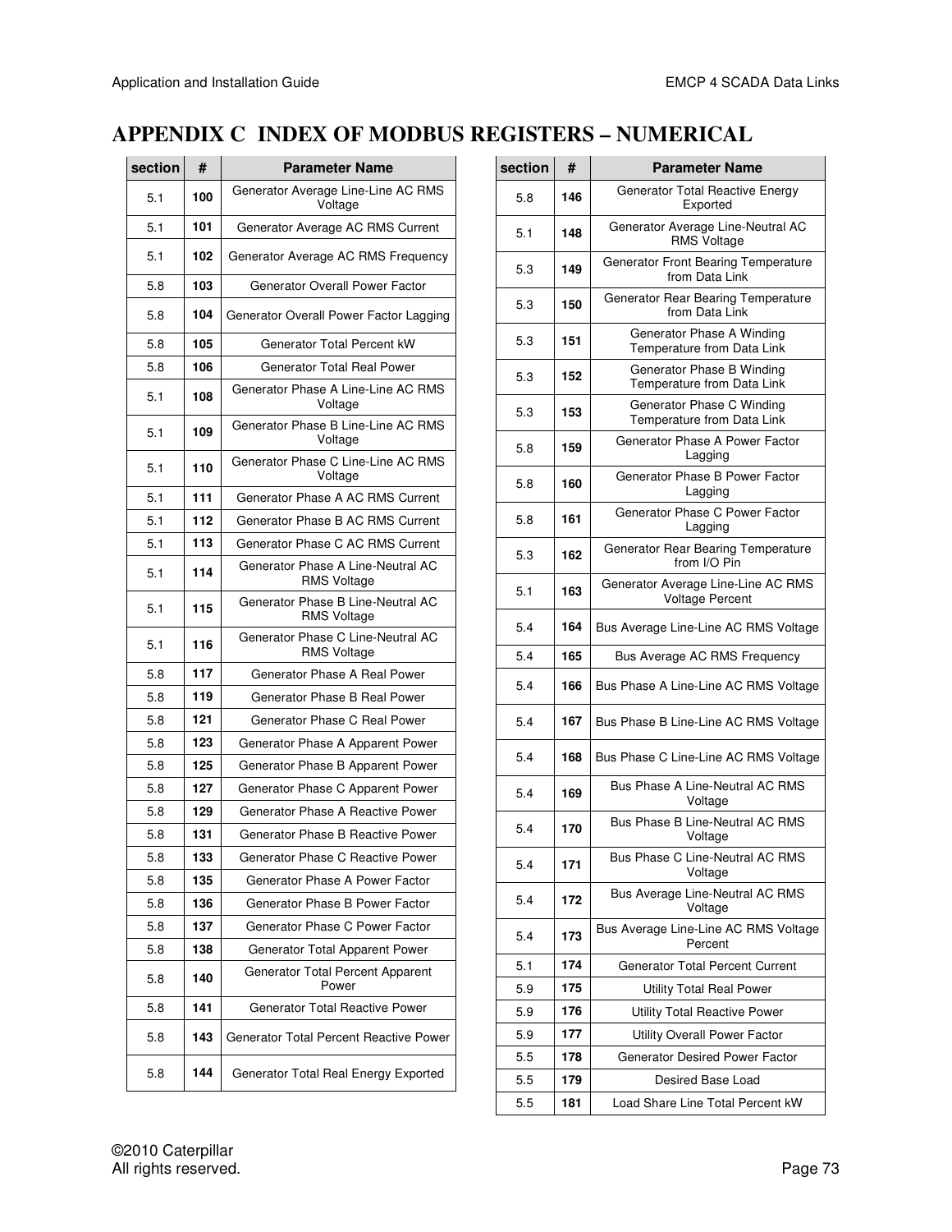## **APPENDIX C INDEX OF MODBUS REGISTERS – NUMERICAL**

| section | #   | <b>Parameter Name</b>                                   |
|---------|-----|---------------------------------------------------------|
| 5.1     | 100 | Generator Average Line-Line AC RMS<br>Voltage           |
| 5.1     | 101 | Generator Average AC RMS Current                        |
| 5.1     | 102 | Generator Average AC RMS Frequency                      |
| 5.8     | 103 | <b>Generator Overall Power Factor</b>                   |
| 5.8     | 104 | Generator Overall Power Factor Lagging                  |
| 5.8     | 105 | Generator Total Percent kW                              |
| 5.8     | 106 | Generator Total Real Power                              |
| 5.1     | 108 | Generator Phase A Line-Line AC RMS<br>Voltage           |
| 5.1     | 109 | Generator Phase B Line-Line AC RMS<br>Voltage           |
| 5.1     | 110 | Generator Phase C Line-Line AC RMS<br>Voltage           |
| 5.1     | 111 | Generator Phase A AC RMS Current                        |
| 5.1     | 112 | Generator Phase B AC RMS Current                        |
| 5.1     | 113 | Generator Phase C AC RMS Current                        |
| 5.1     | 114 | Generator Phase A Line-Neutral AC<br><b>RMS Voltage</b> |
| 5.1     | 115 | Generator Phase B Line-Neutral AC<br><b>RMS Voltage</b> |
| 5.1     | 116 | Generator Phase C Line-Neutral AC<br><b>RMS Voltage</b> |
| 5.8     | 117 | Generator Phase A Real Power                            |
| 5.8     | 119 | Generator Phase B Real Power                            |
| 5.8     | 121 | Generator Phase C Real Power                            |
| 5.8     | 123 | Generator Phase A Apparent Power                        |
| 5.8     | 125 | Generator Phase B Apparent Power                        |
| 5.8     | 127 | Generator Phase C Apparent Power                        |
| 5.8     | 129 | Generator Phase A Reactive Power                        |
| 5.8     | 131 | Generator Phase B Reactive Power                        |
| 5.8     | 133 | Generator Phase C Reactive Power                        |
| 5.8     | 135 | Generator Phase A Power Factor                          |
| 5.8     | 136 | Generator Phase B Power Factor                          |
| 5.8     | 137 | Generator Phase C Power Factor                          |
| 5.8     | 138 | Generator Total Apparent Power                          |
| 5.8     | 140 | Generator Total Percent Apparent<br>Power               |
| 5.8     | 141 | <b>Generator Total Reactive Power</b>                   |
| 5.8     | 143 | Generator Total Percent Reactive Power                  |
| 5.8     | 144 | Generator Total Real Energy Exported                    |

| section | #   | <b>Parameter Name</b>                                   |
|---------|-----|---------------------------------------------------------|
| 5.8     | 146 | Generator Total Reactive Energy<br>Exported             |
| 5.1     | 148 | Generator Average Line-Neutral AC<br>RMS Voltage        |
| 5.3     | 149 | Generator Front Bearing Temperature<br>from Data Link   |
| 5.3     | 150 | Generator Rear Bearing Temperature<br>from Data Link    |
| 5.3     | 151 | Generator Phase A Winding<br>Temperature from Data Link |
| 5.3     | 152 | Generator Phase B Winding<br>Temperature from Data Link |
| 5.3     | 153 | Generator Phase C Winding<br>Temperature from Data Link |
| 5.8     | 159 | Generator Phase A Power Factor<br>Lagging               |
| 5.8     | 160 | Generator Phase B Power Factor<br>Lagging               |
| 5.8     | 161 | Generator Phase C Power Factor<br>Lagging               |
| 5.3     | 162 | Generator Rear Bearing Temperature<br>from I/O Pin      |
| 5.1     | 163 | Generator Average Line-Line AC RMS<br>Voltage Percent   |
| 5.4     | 164 | Bus Average Line-Line AC RMS Voltage                    |
| 5.4     | 165 | Bus Average AC RMS Frequency                            |
| 5.4     | 166 | Bus Phase A Line-Line AC RMS Voltage                    |
| 5.4     | 167 | Bus Phase B Line-Line AC RMS Voltage                    |
| 5.4     | 168 | Bus Phase C Line-Line AC RMS Voltage                    |
| 5.4     | 169 | Bus Phase A Line-Neutral AC RMS<br>Voltage              |
| 5.4     | 170 | Bus Phase B Line-Neutral AC RMS<br>Voltage              |
| 5.4     | 171 | Bus Phase C Line-Neutral AC RMS<br>Voltage              |
| 5.4     | 172 | Bus Average Line-Neutral AC RMS<br>Voltage              |
| 5.4     | 173 | Bus Average Line-Line AC RMS Voltage<br>Percent         |
| 5.1     | 174 | <b>Generator Total Percent Current</b>                  |
| 5.9     | 175 | <b>Utility Total Real Power</b>                         |
| 5.9     | 176 | <b>Utility Total Reactive Power</b>                     |
| 5.9     | 177 | Utility Overall Power Factor                            |
| 5.5     | 178 | <b>Generator Desired Power Factor</b>                   |
| 5.5     | 179 | Desired Base Load                                       |
| 5.5     | 181 | Load Share Line Total Percent kW                        |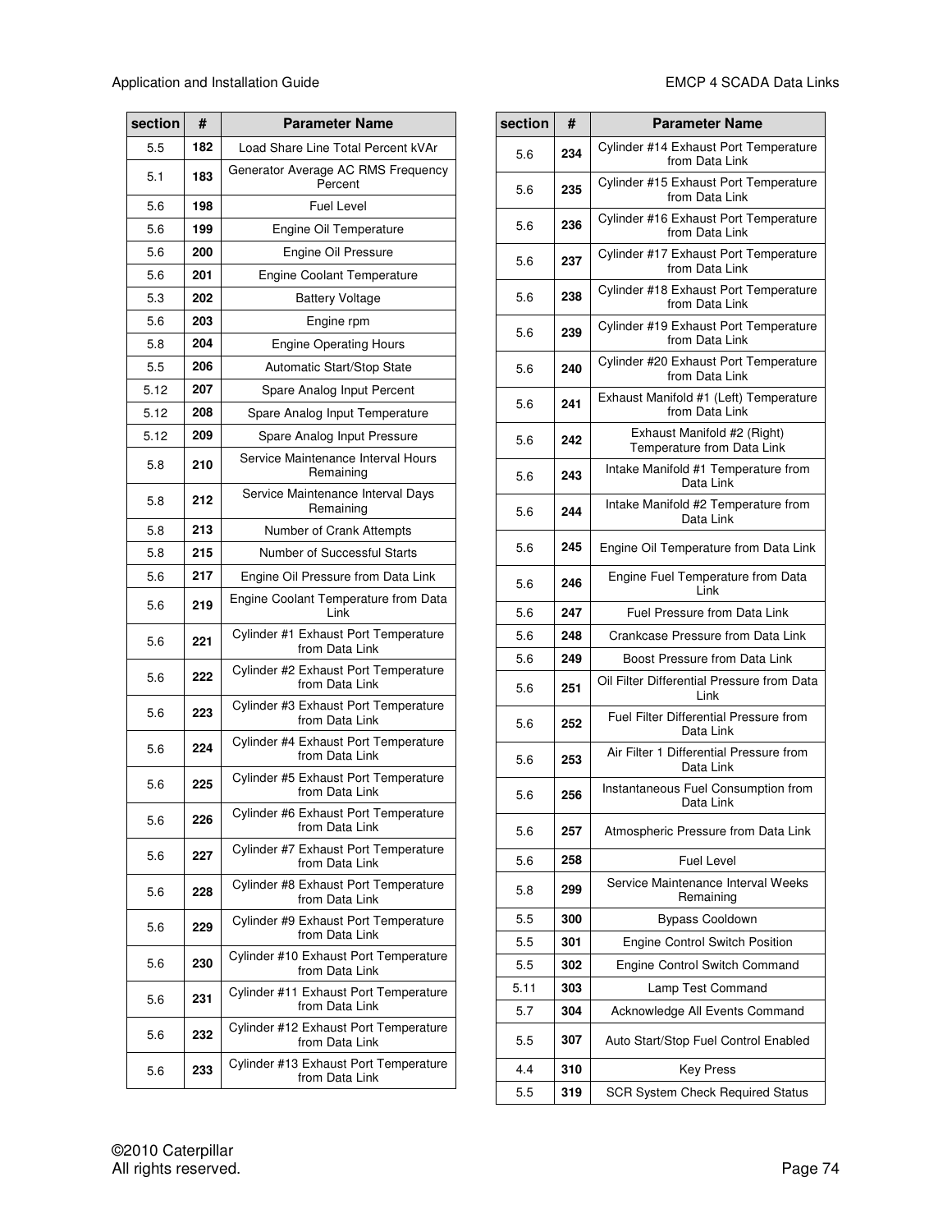| section | #   | <b>Parameter Name</b>                                         |  |
|---------|-----|---------------------------------------------------------------|--|
| 5.5     | 182 | Load Share Line Total Percent kVAr                            |  |
| 5.1     | 183 | Generator Average AC RMS Frequency<br>Percent                 |  |
| 5.6     | 198 | <b>Fuel Level</b>                                             |  |
| 5.6     | 199 | Engine Oil Temperature                                        |  |
| 5.6     | 200 | Engine Oil Pressure                                           |  |
| 5.6     | 201 | <b>Engine Coolant Temperature</b>                             |  |
| 5.3     | 202 | <b>Battery Voltage</b>                                        |  |
| 5.6     | 203 | Engine rpm                                                    |  |
| 5.8     | 204 | <b>Engine Operating Hours</b>                                 |  |
| 5.5     | 206 | Automatic Start/Stop State                                    |  |
| 5.12    | 207 | Spare Analog Input Percent                                    |  |
| 5.12    | 208 | Spare Analog Input Temperature                                |  |
| 5.12    | 209 | Spare Analog Input Pressure                                   |  |
| 5.8     | 210 | Service Maintenance Interval Hours<br>Remaining               |  |
| 5.8     | 212 | Service Maintenance Interval Days<br>Remaining                |  |
| 5.8     | 213 | Number of Crank Attempts                                      |  |
| 5.8     | 215 | Number of Successful Starts                                   |  |
| 5.6     | 217 | Engine Oil Pressure from Data Link                            |  |
| 5.6     | 219 | Engine Coolant Temperature from Data<br>Link                  |  |
| 5.6     | 221 | Cylinder #1 Exhaust Port Temperature<br>from Data Link        |  |
| 5.6     | 222 | Cylinder #2 Exhaust Port Temperature<br>from Data Link        |  |
| 5.6     | 223 | Cylinder #3 Exhaust Port Temperature<br>from Data Link        |  |
| 5.6     | 224 | Cylinder #4 Exhaust Port Temperature<br>from Data Link        |  |
| 5.6     | 225 | Cylinder #5 Exhaust Port Temperature<br>from Data Link        |  |
| 5.6     | 226 | Cylinder #6 Exhaust Port Temperature<br>from Data Link        |  |
| 5.6     | 227 | Cylinder #7 Exhaust Port Temperature<br>from Data Link        |  |
| 5.6     | 228 | <b>Cylinder #8 Exhaust Port Temperature</b><br>from Data Link |  |
| 5.6     | 229 | Cylinder #9 Exhaust Port Temperature<br>from Data Link        |  |
| 5.6     | 230 | Cylinder #10 Exhaust Port Temperature<br>from Data Link       |  |
| 5.6     | 231 | Cylinder #11 Exhaust Port Temperature<br>from Data Link       |  |
| 5.6     | 232 | Cylinder #12 Exhaust Port Temperature<br>from Data Link       |  |
| 5.6     | 233 | Cylinder #13 Exhaust Port Temperature<br>from Data Link       |  |

| section | #   | <b>Parameter Name</b>                                     |
|---------|-----|-----------------------------------------------------------|
| 5.6     | 234 | Cylinder #14 Exhaust Port Temperature<br>from Data Link   |
| 5.6     | 235 | Cylinder #15 Exhaust Port Temperature<br>from Data Link   |
| 5.6     | 236 | Cylinder #16 Exhaust Port Temperature<br>from Data Link   |
| 5.6     | 237 | Cylinder #17 Exhaust Port Temperature<br>from Data Link   |
| 5.6     | 238 | Cylinder #18 Exhaust Port Temperature<br>from Data Link   |
| 5.6     | 239 | Cylinder #19 Exhaust Port Temperature<br>from Data Link   |
| 5.6     | 240 | Cylinder #20 Exhaust Port Temperature<br>from Data Link   |
| 5.6     | 241 | Exhaust Manifold #1 (Left) Temperature<br>from Data Link  |
| 5.6     | 242 | Exhaust Manifold #2 (Right)<br>Temperature from Data Link |
| 5.6     | 243 | Intake Manifold #1 Temperature from<br>Data Link          |
| 5.6     | 244 | Intake Manifold #2 Temperature from<br>Data Link          |
| 5.6     | 245 | Engine Oil Temperature from Data Link                     |
| 5.6     | 246 | Engine Fuel Temperature from Data<br>Link                 |
| 5.6     | 247 | Fuel Pressure from Data Link                              |
| 5.6     | 248 | Crankcase Pressure from Data Link                         |
| 5.6     | 249 | Boost Pressure from Data Link                             |
| 5.6     | 251 | Oil Filter Differential Pressure from Data<br>Link        |
| 5.6     | 252 | Fuel Filter Differential Pressure from<br>Data Link       |
| 5.6     | 253 | Air Filter 1 Differential Pressure from<br>Data Link      |
| 5.6     | 256 | Instantaneous Fuel Consumption from<br>Data Link          |
| 5.6     | 257 | Atmospheric Pressure from Data Link                       |
| 5.6     | 258 | <b>Fuel Level</b>                                         |
| 5.8     | 299 | Service Maintenance Interval Weeks<br>Remaining           |
| 5.5     | 300 | <b>Bypass Cooldown</b>                                    |
| 5.5     | 301 | Engine Control Switch Position                            |
| 5.5     | 302 | Engine Control Switch Command                             |
| 5.11    | 303 | Lamp Test Command                                         |
| 5.7     | 304 | Acknowledge All Events Command                            |
| 5.5     | 307 | Auto Start/Stop Fuel Control Enabled                      |
| 4.4     | 310 | <b>Key Press</b>                                          |
| 5.5     | 319 | <b>SCR System Check Required Status</b>                   |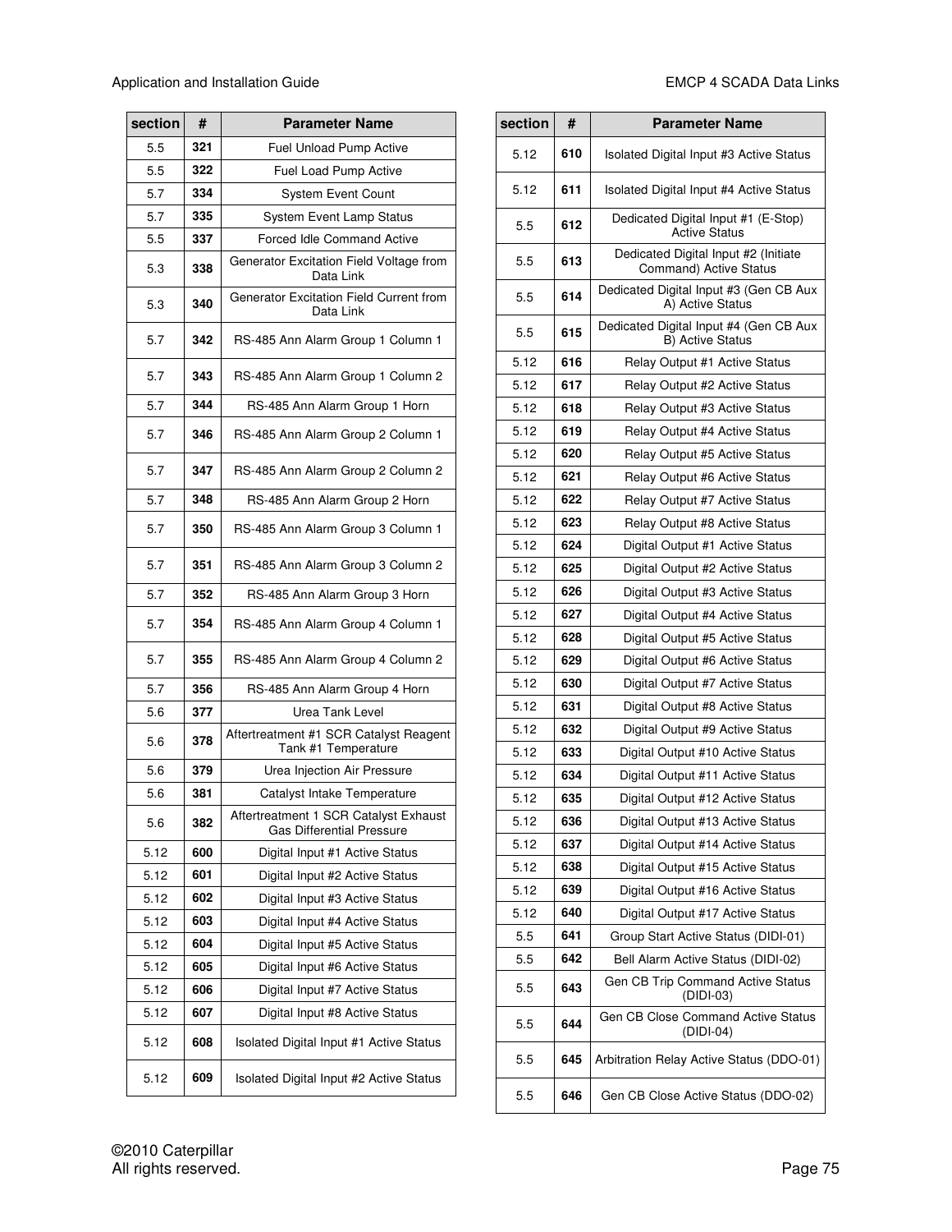| section | #   | <b>Parameter Name</b>                                                     |
|---------|-----|---------------------------------------------------------------------------|
| 5.5     | 321 | Fuel Unload Pump Active                                                   |
| 5.5     | 322 | Fuel Load Pump Active                                                     |
| 5.7     | 334 | <b>System Event Count</b>                                                 |
| 5.7     | 335 | <b>System Event Lamp Status</b>                                           |
| 5.5     | 337 | <b>Forced Idle Command Active</b>                                         |
| 5.3     | 338 | Generator Excitation Field Voltage from<br>Data Link                      |
| 5.3     | 340 | Generator Excitation Field Current from<br>Data Link                      |
| 5.7     | 342 | RS-485 Ann Alarm Group 1 Column 1                                         |
| 5.7     | 343 | RS-485 Ann Alarm Group 1 Column 2                                         |
| 5.7     | 344 | RS-485 Ann Alarm Group 1 Horn                                             |
| 5.7     | 346 | RS-485 Ann Alarm Group 2 Column 1                                         |
| 5.7     | 347 | RS-485 Ann Alarm Group 2 Column 2                                         |
| 5.7     | 348 | RS-485 Ann Alarm Group 2 Horn                                             |
| 5.7     | 350 | RS-485 Ann Alarm Group 3 Column 1                                         |
| 5.7     | 351 | RS-485 Ann Alarm Group 3 Column 2                                         |
| 5.7     | 352 | RS-485 Ann Alarm Group 3 Horn                                             |
| 5.7     | 354 | RS-485 Ann Alarm Group 4 Column 1                                         |
| 5.7     | 355 | RS-485 Ann Alarm Group 4 Column 2                                         |
| 5.7     | 356 | RS-485 Ann Alarm Group 4 Horn                                             |
| 5.6     | 377 | Urea Tank Level                                                           |
| 5.6     | 378 | Aftertreatment #1 SCR Catalyst Reagent<br>Tank #1 Temperature             |
| 5.6     | 379 | Urea Injection Air Pressure                                               |
| 5.6     | 381 | Catalyst Intake Temperature                                               |
| 5.6     | 382 | Aftertreatment 1 SCR Catalyst Exhaust<br><b>Gas Differential Pressure</b> |
| 5.12    | 600 | Digital Input #1 Active Status                                            |
| 5.12    | 601 | Digital Input #2 Active Status                                            |
| 5.12    | 602 | Digital Input #3 Active Status                                            |
| 5.12    | 603 | Digital Input #4 Active Status                                            |
| 5.12    | 604 | Digital Input #5 Active Status                                            |
| 5.12    | 605 | Digital Input #6 Active Status                                            |
| 5.12    | 606 | Digital Input #7 Active Status                                            |
| 5.12    | 607 | Digital Input #8 Active Status                                            |
| 5.12    | 608 | Isolated Digital Input #1 Active Status                                   |
| 5.12    | 609 | Isolated Digital Input #2 Active Status                                   |

| section | #   | <b>Parameter Name</b>                                                 |
|---------|-----|-----------------------------------------------------------------------|
| 5.12    | 610 | Isolated Digital Input #3 Active Status                               |
| 5.12    | 611 | Isolated Digital Input #4 Active Status                               |
| 5.5     | 612 | Dedicated Digital Input #1 (E-Stop)<br><b>Active Status</b>           |
| 5.5     | 613 | Dedicated Digital Input #2 (Initiate<br><b>Command) Active Status</b> |
| 5.5     | 614 | Dedicated Digital Input #3 (Gen CB Aux<br>A) Active Status            |
| 5.5     | 615 | Dedicated Digital Input #4 (Gen CB Aux<br><b>B) Active Status</b>     |
| 5.12    | 616 | Relay Output #1 Active Status                                         |
| 5.12    | 617 | Relay Output #2 Active Status                                         |
| 5.12    | 618 | Relay Output #3 Active Status                                         |
| 5.12    | 619 | Relay Output #4 Active Status                                         |
| 5.12    | 620 | Relay Output #5 Active Status                                         |
| 5.12    | 621 | <b>Relay Output #6 Active Status</b>                                  |
| 5.12    | 622 | Relay Output #7 Active Status                                         |
| 5.12    | 623 | Relay Output #8 Active Status                                         |
| 5.12    | 624 | Digital Output #1 Active Status                                       |
| 5.12    | 625 | Digital Output #2 Active Status                                       |
| 5.12    | 626 | Digital Output #3 Active Status                                       |
| 5.12    | 627 | Digital Output #4 Active Status                                       |
| 5.12    | 628 | Digital Output #5 Active Status                                       |
| 5.12    | 629 | Digital Output #6 Active Status                                       |
| 5.12    | 630 | Digital Output #7 Active Status                                       |
| 5.12    | 631 | Digital Output #8 Active Status                                       |
| 5.12    | 632 | Digital Output #9 Active Status                                       |
| 5.12    | 633 | Digital Output #10 Active Status                                      |
| 5.12    | 634 | Digital Output #11 Active Status                                      |
| 5.12    | 635 | Digital Output #12 Active Status                                      |
| 5.12    | 636 | Digital Output #13 Active Status                                      |
| 5.12    | 637 | Digital Output #14 Active Status                                      |
| 5.12    | 638 | Digital Output #15 Active Status                                      |
| 5.12    | 639 | Digital Output #16 Active Status                                      |
| 5.12    | 640 | Digital Output #17 Active Status                                      |
| 5.5     | 641 | Group Start Active Status (DIDI-01)                                   |
| 5.5     | 642 | Bell Alarm Active Status (DIDI-02)                                    |
| 5.5     | 643 | Gen CB Trip Command Active Status<br>(DIDI-03)                        |
| 5.5     | 644 | Gen CB Close Command Active Status<br>(DIDI-04)                       |
| 5.5     | 645 | Arbitration Relay Active Status (DDO-01)                              |
| 5.5     | 646 | Gen CB Close Active Status (DDO-02)                                   |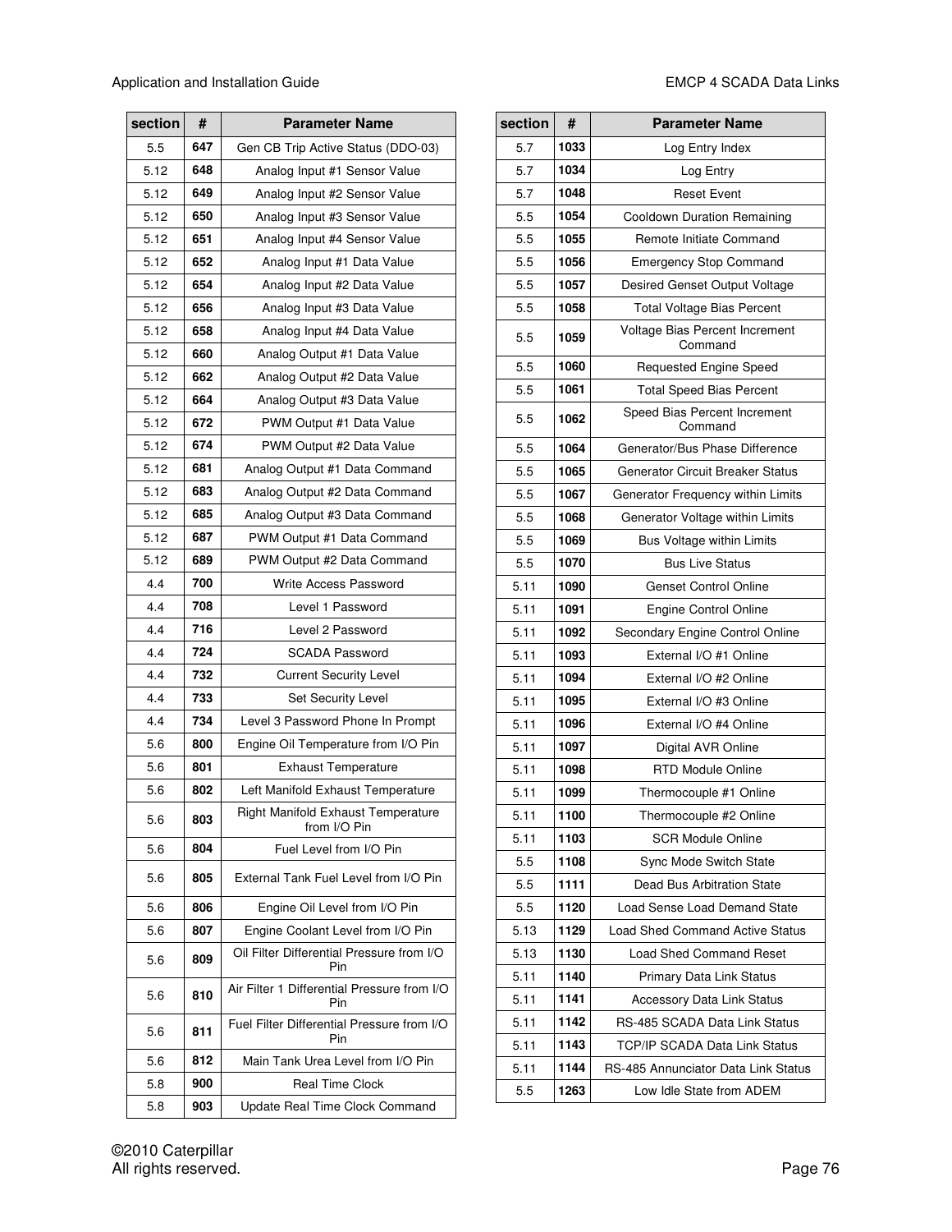| section | #   | <b>Parameter Name</b>                              |
|---------|-----|----------------------------------------------------|
| 5.5     | 647 | Gen CB Trip Active Status (DDO-03)                 |
| 5.12    | 648 | Analog Input #1 Sensor Value                       |
| 5.12    | 649 | Analog Input #2 Sensor Value                       |
| 5.12    | 650 | Analog Input #3 Sensor Value                       |
| 5.12    | 651 | Analog Input #4 Sensor Value                       |
| 5.12    | 652 | Analog Input #1 Data Value                         |
| 5.12    | 654 | Analog Input #2 Data Value                         |
| 5.12    | 656 | Analog Input #3 Data Value                         |
| 5.12    | 658 | Analog Input #4 Data Value                         |
| 5.12    | 660 | Analog Output #1 Data Value                        |
| 5.12    | 662 | Analog Output #2 Data Value                        |
| 5.12    | 664 | Analog Output #3 Data Value                        |
| 5.12    | 672 | PWM Output #1 Data Value                           |
| 5.12    | 674 | PWM Output #2 Data Value                           |
| 5.12    | 681 | Analog Output #1 Data Command                      |
| 5.12    | 683 | Analog Output #2 Data Command                      |
| 5.12    | 685 | Analog Output #3 Data Command                      |
| 5.12    | 687 | PWM Output #1 Data Command                         |
| 5.12    | 689 | PWM Output #2 Data Command                         |
| 4.4     | 700 | Write Access Password                              |
| 4.4     | 708 | Level 1 Password                                   |
| 4.4     | 716 | Level 2 Password                                   |
| 4.4     | 724 | <b>SCADA Password</b>                              |
| 4.4     | 732 | <b>Current Security Level</b>                      |
| 4.4     | 733 | <b>Set Security Level</b>                          |
| 4.4     | 734 | Level 3 Password Phone In Prompt                   |
| 5.6     | 800 | Engine Oil Temperature from I/O Pin                |
| 5.6     | 801 | <b>Exhaust Temperature</b>                         |
| 5.6     | 802 | Left Manifold Exhaust Temperature                  |
| 5.6     | 803 | Right Manifold Exhaust Temperature<br>from I/O Pin |
| 5.6     | 804 | Fuel Level from I/O Pin                            |
| 5.6     | 805 | External Tank Fuel Level from I/O Pin              |
| 5.6     | 806 | Engine Oil Level from I/O Pin                      |
| 5.6     | 807 | Engine Coolant Level from I/O Pin                  |
| 5.6     | 809 | Oil Filter Differential Pressure from I/O<br>Pin   |
| 5.6     | 810 | Air Filter 1 Differential Pressure from I/O<br>Pin |
| 5.6     | 811 | Fuel Filter Differential Pressure from I/O<br>Pin  |
| 5.6     | 812 | Main Tank Urea Level from I/O Pin                  |
| 5.8     | 900 | <b>Real Time Clock</b>                             |
| 5.8     | 903 | Update Real Time Clock Command                     |

| section | #    | <b>Parameter Name</b>                     |
|---------|------|-------------------------------------------|
| 5.7     | 1033 | Log Entry Index                           |
| 5.7     | 1034 | Log Entry                                 |
| 5.7     | 1048 | <b>Reset Event</b>                        |
| 5.5     | 1054 | Cooldown Duration Remaining               |
| 5.5     | 1055 | Remote Initiate Command                   |
| 5.5     | 1056 | <b>Emergency Stop Command</b>             |
| 5.5     | 1057 | Desired Genset Output Voltage             |
| 5.5     | 1058 | <b>Total Voltage Bias Percent</b>         |
| 5.5     | 1059 | Voltage Bias Percent Increment<br>Command |
| 5.5     | 1060 | <b>Requested Engine Speed</b>             |
| 5.5     | 1061 | <b>Total Speed Bias Percent</b>           |
| 5.5     | 1062 | Speed Bias Percent Increment<br>Command   |
| 5.5     | 1064 | Generator/Bus Phase Difference            |
| 5.5     | 1065 | <b>Generator Circuit Breaker Status</b>   |
| 5.5     | 1067 | Generator Frequency within Limits         |
| 5.5     | 1068 | Generator Voltage within Limits           |
| 5.5     | 1069 | <b>Bus Voltage within Limits</b>          |
| 5.5     | 1070 | <b>Bus Live Status</b>                    |
| 5.11    | 1090 | <b>Genset Control Online</b>              |
| 5.11    | 1091 | <b>Engine Control Online</b>              |
| 5.11    | 1092 | Secondary Engine Control Online           |
| 5.11    | 1093 | External I/O #1 Online                    |
| 5.11    | 1094 | External I/O #2 Online                    |
| 5.11    | 1095 | External I/O #3 Online                    |
| 5.11    | 1096 | External I/O #4 Online                    |
| 5.11    | 1097 | Digital AVR Online                        |
| 5.11    | 1098 | <b>RTD Module Online</b>                  |
| 5.11    | 1099 | Thermocouple #1 Online                    |
| 5.11    | 1100 | Thermocouple #2 Online                    |
| 5.11    | 1103 | <b>SCR Module Online</b>                  |
| 5.5     | 1108 | Sync Mode Switch State                    |
| 5.5     | 1111 | Dead Bus Arbitration State                |
| 5.5     | 1120 | Load Sense Load Demand State              |
| 5.13    | 1129 | <b>Load Shed Command Active Status</b>    |
| 5.13    | 1130 | <b>Load Shed Command Reset</b>            |
| 5.11    | 1140 | Primary Data Link Status                  |
| 5.11    | 1141 | Accessory Data Link Status                |
| 5.11    | 1142 | RS-485 SCADA Data Link Status             |
| 5.11    | 1143 | <b>TCP/IP SCADA Data Link Status</b>      |
| 5.11    | 1144 | RS-485 Annunciator Data Link Status       |
| 5.5     | 1263 | Low Idle State from ADEM                  |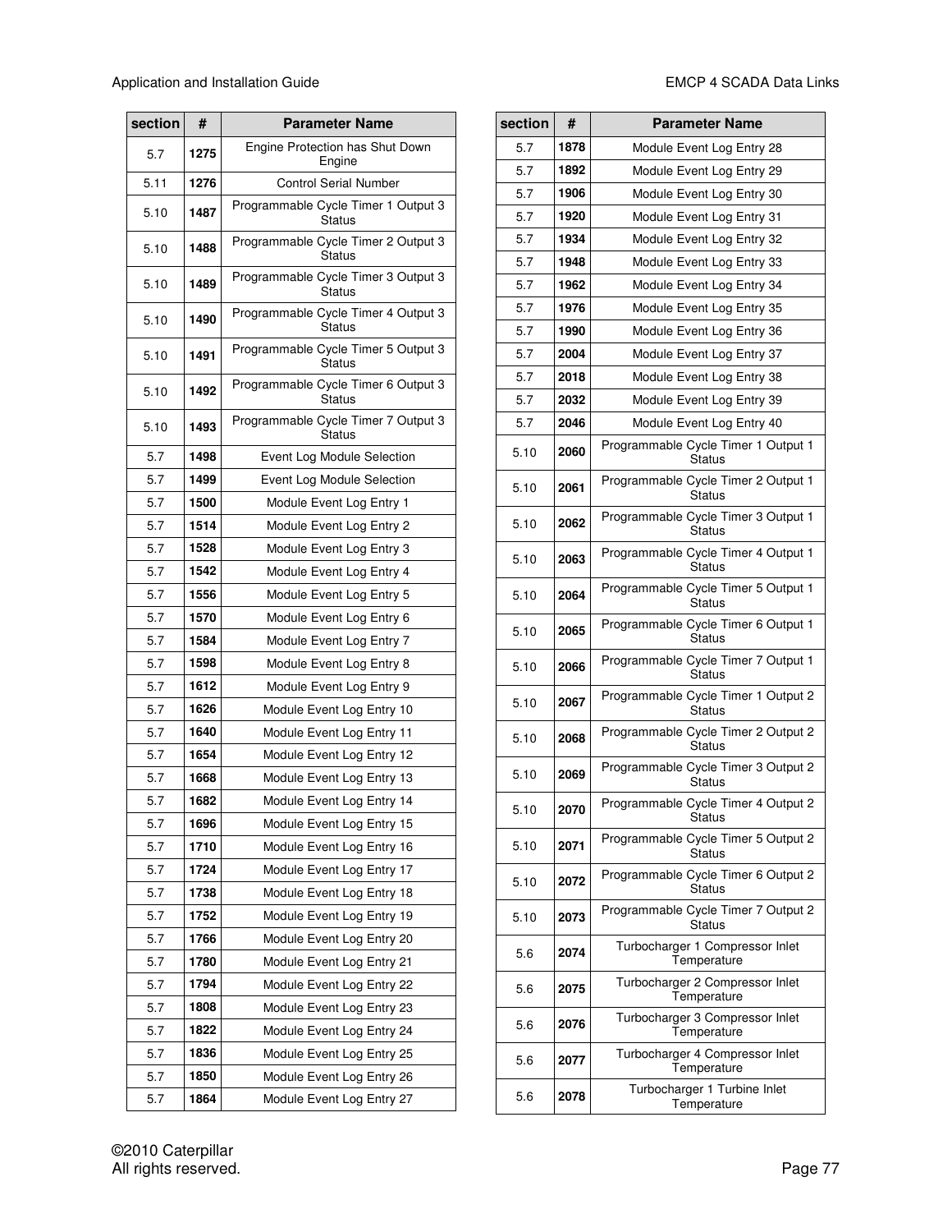| section | #    | <b>Parameter Name</b>                                |
|---------|------|------------------------------------------------------|
| 5.7     | 1275 | Engine Protection has Shut Down<br>Engine            |
| 5.11    | 1276 | <b>Control Serial Number</b>                         |
| 5.10    | 1487 | Programmable Cycle Timer 1 Output 3<br><b>Status</b> |
| 5.10    | 1488 | Programmable Cycle Timer 2 Output 3<br><b>Status</b> |
| 5.10    | 1489 | Programmable Cycle Timer 3 Output 3<br><b>Status</b> |
| 5.10    | 1490 | Programmable Cycle Timer 4 Output 3<br><b>Status</b> |
| 5.10    | 1491 | Programmable Cycle Timer 5 Output 3<br>Status        |
| 5.10    | 1492 | Programmable Cycle Timer 6 Output 3<br>Status        |
| 5.10    | 1493 | Programmable Cycle Timer 7 Output 3<br><b>Status</b> |
| 5.7     | 1498 | Event Log Module Selection                           |
| 5.7     | 1499 | Event Log Module Selection                           |
| 5.7     | 1500 | Module Event Log Entry 1                             |
| 5.7     | 1514 | Module Event Log Entry 2                             |
| 5.7     | 1528 | Module Event Log Entry 3                             |
| 5.7     | 1542 | Module Event Log Entry 4                             |
| 5.7     | 1556 | Module Event Log Entry 5                             |
| 5.7     | 1570 | Module Event Log Entry 6                             |
| 5.7     | 1584 | Module Event Log Entry 7                             |
| 5.7     | 1598 | Module Event Log Entry 8                             |
| 5.7     | 1612 | Module Event Log Entry 9                             |
| 5.7     | 1626 | Module Event Log Entry 10                            |
| 5.7     | 1640 | Module Event Log Entry 11                            |
| 5.7     | 1654 | Module Event Log Entry 12                            |
| 5.7     | 1668 | Module Event Log Entry 13                            |
| 5.7     | 1682 | Module Event Log Entry 14                            |
| 5.7     | 1696 | Module Event Log Entry 15                            |
| 5.7     | 1710 | Module Event Log Entry 16                            |
| 5.7     | 1724 | Module Event Log Entry 17                            |
| 5.7     | 1738 | Module Event Log Entry 18                            |
| 5.7     | 1752 | Module Event Log Entry 19                            |
| 5.7     | 1766 | Module Event Log Entry 20                            |
| 5.7     | 1780 | Module Event Log Entry 21                            |
| 5.7     | 1794 | Module Event Log Entry 22                            |
| 5.7     | 1808 | Module Event Log Entry 23                            |
| 5.7     | 1822 | Module Event Log Entry 24                            |
| 5.7     | 1836 | Module Event Log Entry 25                            |
| 5.7     | 1850 | Module Event Log Entry 26                            |
| 5.7     | 1864 | Module Event Log Entry 27                            |

| section | #    | <b>Parameter Name</b>                                |
|---------|------|------------------------------------------------------|
| 5.7     | 1878 | Module Event Log Entry 28                            |
| 5.7     | 1892 | Module Event Log Entry 29                            |
| 5.7     | 1906 | Module Event Log Entry 30                            |
| 5.7     | 1920 | Module Event Log Entry 31                            |
| 5.7     | 1934 | Module Event Log Entry 32                            |
| 5.7     | 1948 | Module Event Log Entry 33                            |
| 5.7     | 1962 | Module Event Log Entry 34                            |
| 5.7     | 1976 | Module Event Log Entry 35                            |
| 5.7     | 1990 | Module Event Log Entry 36                            |
| 5.7     | 2004 | Module Event Log Entry 37                            |
| 5.7     | 2018 | Module Event Log Entry 38                            |
| 5.7     | 2032 | Module Event Log Entry 39                            |
| 5.7     | 2046 | Module Event Log Entry 40                            |
| 5.10    | 2060 | Programmable Cycle Timer 1 Output 1<br>Status        |
| 5.10    | 2061 | Programmable Cycle Timer 2 Output 1<br><b>Status</b> |
| 5.10    | 2062 | Programmable Cycle Timer 3 Output 1<br>Status        |
| 5.10    | 2063 | Programmable Cycle Timer 4 Output 1<br>Status        |
| 5.10    | 2064 | Programmable Cycle Timer 5 Output 1<br><b>Status</b> |
| 5.10    | 2065 | Programmable Cycle Timer 6 Output 1<br>Status        |
| 5.10    | 2066 | Programmable Cycle Timer 7 Output 1<br>Status        |
| 5.10    | 2067 | Programmable Cycle Timer 1 Output 2<br>Status        |
| 5.10    | 2068 | Programmable Cycle Timer 2 Output 2<br><b>Status</b> |
| 5.10    | 2069 | Programmable Cycle Timer 3 Output 2<br>Status        |
| 5.10    | 2070 | Programmable Cycle Timer 4 Output 2<br><b>Status</b> |
| 5.10    | 2071 | Programmable Cycle Timer 5 Output 2<br><b>Status</b> |
| 5.10    | 2072 | Programmable Cycle Timer 6 Output 2<br><b>Status</b> |
| 5.10    | 2073 | Programmable Cycle Timer 7 Output 2<br><b>Status</b> |
| 5.6     | 2074 | Turbocharger 1 Compressor Inlet<br>Temperature       |
| 5.6     | 2075 | Turbocharger 2 Compressor Inlet<br>Temperature       |
| 5.6     | 2076 | Turbocharger 3 Compressor Inlet<br>Temperature       |
| 5.6     | 2077 | Turbocharger 4 Compressor Inlet<br>Temperature       |
| 5.6     | 2078 | Turbocharger 1 Turbine Inlet<br>Temperature          |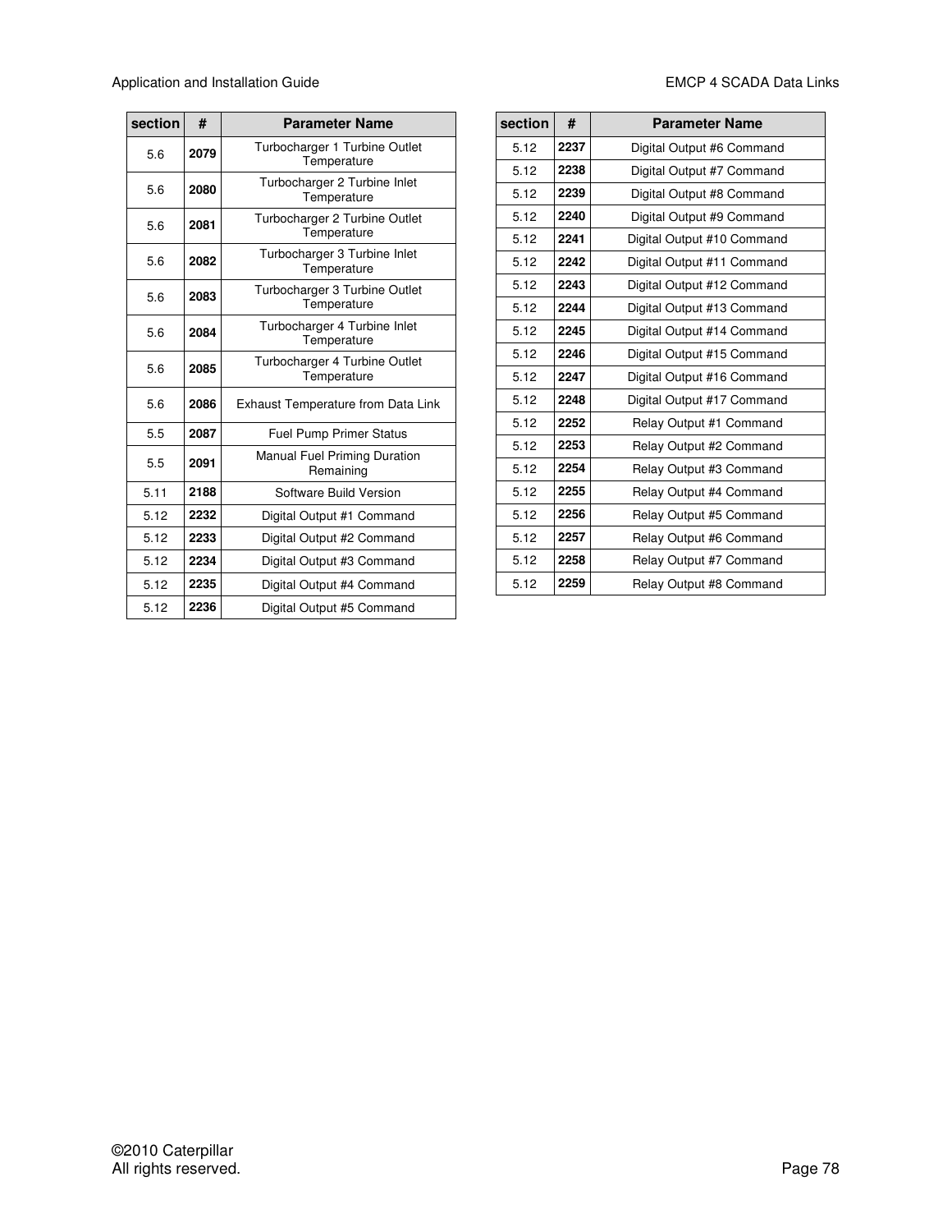| section | #    | <b>Parameter Name</b>                            |
|---------|------|--------------------------------------------------|
| 5.6     | 2079 | Turbocharger 1 Turbine Outlet<br>Temperature     |
| 5.6     | 2080 | Turbocharger 2 Turbine Inlet<br>Temperature      |
| 5.6     | 2081 | Turbocharger 2 Turbine Outlet<br>Temperature     |
| 5.6     | 2082 | Turbocharger 3 Turbine Inlet<br>Temperature      |
| 5.6     | 2083 | Turbocharger 3 Turbine Outlet<br>Temperature     |
| 5.6     | 2084 | Turbocharger 4 Turbine Inlet<br>Temperature      |
| 5.6     | 2085 | Turbocharger 4 Turbine Outlet<br>Temperature     |
| 5.6     | 2086 | Exhaust Temperature from Data Link               |
| 5.5     | 2087 | <b>Fuel Pump Primer Status</b>                   |
| 5.5     | 2091 | <b>Manual Fuel Priming Duration</b><br>Remaining |
| 5.11    | 2188 | Software Build Version                           |
| 5.12    | 2232 | Digital Output #1 Command                        |
| 5.12    | 2233 | Digital Output #2 Command                        |
| 5.12    | 2234 | Digital Output #3 Command                        |
| 5.12    | 2235 | Digital Output #4 Command                        |
| 5.12    | 2236 | Digital Output #5 Command                        |

| section | #    | <b>Parameter Name</b>      |
|---------|------|----------------------------|
| 5.12    | 2237 | Digital Output #6 Command  |
| 5.12    | 2238 | Digital Output #7 Command  |
| 5.12    | 2239 | Digital Output #8 Command  |
| 5.12    | 2240 | Digital Output #9 Command  |
| 5.12    | 2241 | Digital Output #10 Command |
| 5.12    | 2242 | Digital Output #11 Command |
| 5.12    | 2243 | Digital Output #12 Command |
| 5.12    | 2244 | Digital Output #13 Command |
| 5.12    | 2245 | Digital Output #14 Command |
| 5.12    | 2246 | Digital Output #15 Command |
| 5.12    | 2247 | Digital Output #16 Command |
| 5.12    | 2248 | Digital Output #17 Command |
| 5.12    | 2252 | Relay Output #1 Command    |
| 5.12    | 2253 | Relay Output #2 Command    |
| 5.12    | 2254 | Relay Output #3 Command    |
| 5.12    | 2255 | Relay Output #4 Command    |
| 5.12    | 2256 | Relay Output #5 Command    |
| 5.12    | 2257 | Relay Output #6 Command    |
| 5.12    | 2258 | Relay Output #7 Command    |
| 5.12    | 2259 | Relay Output #8 Command    |
|         |      |                            |